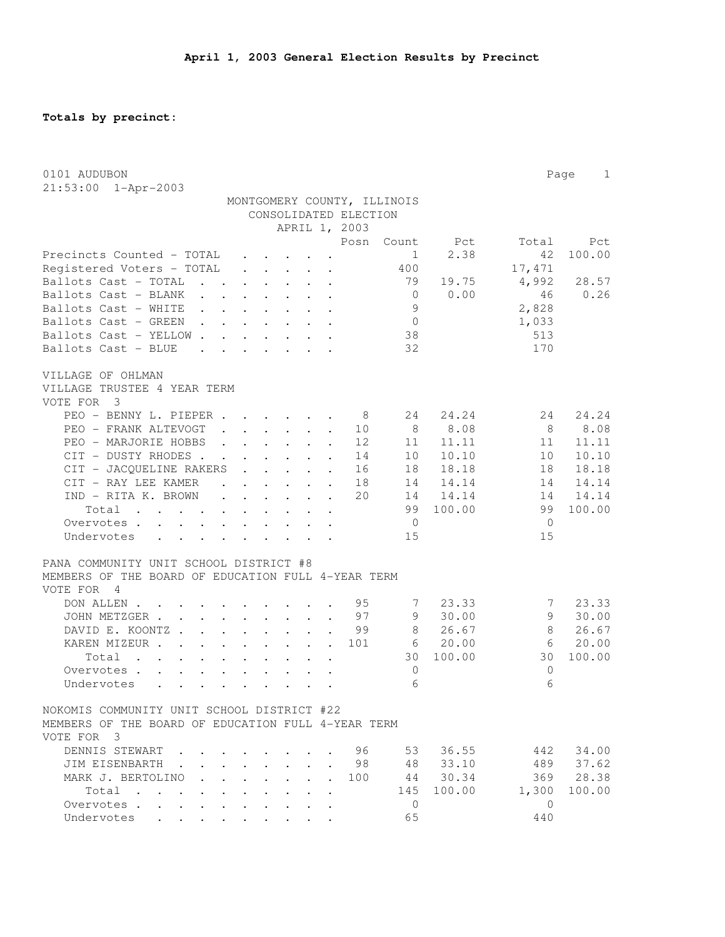**Totals by precinct:**

| 0101 AUDUBON                                                                                                             |                                                                                                                                                                                                                                    |        |                                                                                                                 |                      |                       |                             |        |                | $\mathbf{1}$<br>Page |
|--------------------------------------------------------------------------------------------------------------------------|------------------------------------------------------------------------------------------------------------------------------------------------------------------------------------------------------------------------------------|--------|-----------------------------------------------------------------------------------------------------------------|----------------------|-----------------------|-----------------------------|--------|----------------|----------------------|
| 21:53:00 1-Apr-2003                                                                                                      |                                                                                                                                                                                                                                    |        |                                                                                                                 |                      |                       |                             |        |                |                      |
|                                                                                                                          |                                                                                                                                                                                                                                    |        |                                                                                                                 |                      |                       | MONTGOMERY COUNTY, ILLINOIS |        |                |                      |
|                                                                                                                          |                                                                                                                                                                                                                                    |        |                                                                                                                 |                      | CONSOLIDATED ELECTION |                             |        |                |                      |
|                                                                                                                          |                                                                                                                                                                                                                                    |        |                                                                                                                 |                      | APRIL 1, 2003         |                             |        |                |                      |
|                                                                                                                          |                                                                                                                                                                                                                                    |        |                                                                                                                 |                      | Posn                  | Count                       | Pct    | Total          | Pct                  |
| Precincts Counted - TOTAL                                                                                                |                                                                                                                                                                                                                                    |        |                                                                                                                 |                      |                       | 1                           | 2.38   | 42             | 100.00               |
| Registered Voters - TOTAL                                                                                                |                                                                                                                                                                                                                                    |        | $\cdot$ $\cdot$ $\cdot$ $\cdot$ $\cdot$                                                                         |                      |                       | 400                         |        | 17, 471        |                      |
| Ballots Cast - TOTAL                                                                                                     |                                                                                                                                                                                                                                    |        |                                                                                                                 |                      |                       | 79                          | 19.75  | 4,992          | 28.57                |
| Ballots Cast - BLANK<br>$\sim$ $\sim$                                                                                    | $\cdot$ $\cdot$ $\cdot$ $\cdot$                                                                                                                                                                                                    |        |                                                                                                                 |                      |                       | $\overline{0}$              | 0.00   | 46             | 0.26                 |
| Ballots Cast - WHITE<br>$\sim$                                                                                           | $\cdot$ $\cdot$ $\cdot$                                                                                                                                                                                                            |        |                                                                                                                 |                      |                       | 9                           |        | 2,828          |                      |
| Ballots Cast - GREEN                                                                                                     | $\mathbf{r}$ , $\mathbf{r}$ , $\mathbf{r}$ , $\mathbf{r}$ , $\mathbf{r}$                                                                                                                                                           |        |                                                                                                                 |                      |                       | $\overline{0}$              |        | 1,033          |                      |
| Ballots Cast - YELLOW.                                                                                                   | $\mathbf{r}$ . The set of the set of the set of the set of the set of the set of the set of the set of the set of the set of the set of the set of the set of the set of the set of the set of the set of the set of the set of t  |        |                                                                                                                 |                      |                       | 38                          |        | 513            |                      |
| Ballots Cast - BLUE<br>$\ddot{\phantom{a}}$                                                                              | $\cdots$                                                                                                                                                                                                                           |        |                                                                                                                 |                      |                       | 32                          |        | 170            |                      |
| VILLAGE OF OHLMAN                                                                                                        |                                                                                                                                                                                                                                    |        |                                                                                                                 |                      |                       |                             |        |                |                      |
| VILLAGE TRUSTEE 4 YEAR TERM                                                                                              |                                                                                                                                                                                                                                    |        |                                                                                                                 |                      |                       |                             |        |                |                      |
| VOTE FOR<br>$\overline{\phantom{a}}$                                                                                     |                                                                                                                                                                                                                                    |        |                                                                                                                 |                      |                       |                             |        |                |                      |
| PEO - BENNY L. PIEPER.                                                                                                   |                                                                                                                                                                                                                                    |        | $\mathbf{r}$ , $\mathbf{r}$ , $\mathbf{r}$                                                                      |                      | - 8                   | 24                          | 24.24  | 24             | 24.24                |
| PEO - FRANK ALTEVOGT                                                                                                     |                                                                                                                                                                                                                                    |        | $\cdot$ $\cdot$ $\cdot$ $\cdot$ $\cdot$                                                                         |                      | 10                    | 8                           | 8.08   | - 8            | 8.08                 |
| PEO - MARJORIE HOBBS                                                                                                     |                                                                                                                                                                                                                                    |        | $\mathbf{r} = \mathbf{r} \cdot \mathbf{r}$                                                                      | $\ddot{\phantom{a}}$ | 12                    | 11                          | 11.11  | 11             | 11.11                |
| CIT - DUSTY RHODES.                                                                                                      | $\mathcal{A}$ . The set of the set of the set of the set of the set of the set of the set of the set of the set of the set of the set of the set of the set of the set of the set of the set of the set of the set of the set of t |        |                                                                                                                 |                      | 14                    | 10                          | 10.10  | 10             | 10.10                |
| CIT - JACQUELINE RAKERS                                                                                                  |                                                                                                                                                                                                                                    |        | $\ddot{\phantom{a}}$                                                                                            |                      | 16                    | 18                          | 18.18  | 18             | 18.18                |
| CIT - RAY LEE KAMER                                                                                                      |                                                                                                                                                                                                                                    |        | $\cdot$ $\cdot$ $\cdot$ $\cdot$ $\cdot$ $\cdot$                                                                 |                      | 18                    | 14                          | 14.14  | 14             | 14.14                |
| IND - RITA K. BROWN                                                                                                      | $\sim$<br>$\ddot{\phantom{a}}$                                                                                                                                                                                                     |        | $\begin{array}{cccccccccccccc} \bullet & \bullet & \bullet & \bullet & \bullet & \bullet & \bullet \end{array}$ |                      | 20                    | 14                          | 14.14  | 14             | 14.14                |
| Total<br>the contract of the contract of the contract of the contract of the contract of the contract of the contract of |                                                                                                                                                                                                                                    |        |                                                                                                                 |                      |                       | 99                          | 100.00 | 99             | 100.00               |
| Overvotes.<br>$\ddot{\phantom{a}}$                                                                                       |                                                                                                                                                                                                                                    |        |                                                                                                                 |                      |                       | $\mathbf 0$                 |        | $\overline{0}$ |                      |
| Undervotes<br>$\ddot{\phantom{a}}$<br>$\ddot{\phantom{a}}$                                                               |                                                                                                                                                                                                                                    |        |                                                                                                                 |                      |                       | 15                          |        | 15             |                      |
|                                                                                                                          |                                                                                                                                                                                                                                    |        |                                                                                                                 |                      |                       |                             |        |                |                      |
| PANA COMMUNITY UNIT SCHOOL DISTRICT #8                                                                                   |                                                                                                                                                                                                                                    |        |                                                                                                                 |                      |                       |                             |        |                |                      |
| MEMBERS OF THE BOARD OF EDUCATION FULL 4-YEAR TERM                                                                       |                                                                                                                                                                                                                                    |        |                                                                                                                 |                      |                       |                             |        |                |                      |
| VOTE FOR<br>- 4                                                                                                          |                                                                                                                                                                                                                                    |        |                                                                                                                 |                      |                       |                             |        |                |                      |
| DON ALLEN                                                                                                                |                                                                                                                                                                                                                                    |        |                                                                                                                 |                      | 95                    | 7                           | 23.33  | 7              | 23.33                |
| JOHN METZGER                                                                                                             |                                                                                                                                                                                                                                    |        |                                                                                                                 | $\bullet$            | 97                    | 9                           | 30.00  | 9              | 30.00                |
| DAVID E. KOONTZ.<br>$\mathbf{L}$                                                                                         | $\cdot$ $\cdot$ $\cdot$ $\cdot$ $\cdot$                                                                                                                                                                                            |        |                                                                                                                 |                      | 99                    | 8                           | 26.67  | 8              | 26.67                |
| KAREN MIZEUR<br>$\mathbf{L}$                                                                                             |                                                                                                                                                                                                                                    |        | $\cdot$ $\cdot$ $\cdot$                                                                                         |                      | 101                   | 6                           | 20.00  | 6              | 20.00                |
| Total<br>$\sim$ $\sim$ $\sim$ $\sim$<br>$\cdot$ $\cdot$ $\cdot$                                                          | $\mathbf{L}$<br>$\sim$                                                                                                                                                                                                             |        |                                                                                                                 |                      |                       | 30                          | 100.00 | 30             | 100.00               |
| Overvotes .<br>$\mathbf{L}$<br>$\mathbf{L}$                                                                              | $\ddot{\phantom{0}}$                                                                                                                                                                                                               |        |                                                                                                                 |                      |                       | 0                           |        | 0              |                      |
| Undervotes<br>$\mathbf{r} = \mathbf{r} \cdot \mathbf{r}$<br>$\ddot{\phantom{a}}$                                         | $\ddot{\phantom{a}}$                                                                                                                                                                                                               | $\sim$ | $\ddot{\phantom{0}}$                                                                                            |                      |                       | 6                           |        | 6              |                      |
| NOKOMIS COMMUNITY UNIT SCHOOL DISTRICT #22                                                                               |                                                                                                                                                                                                                                    |        |                                                                                                                 |                      |                       |                             |        |                |                      |
| MEMBERS OF THE BOARD OF EDUCATION FULL 4-YEAR TERM                                                                       |                                                                                                                                                                                                                                    |        |                                                                                                                 |                      |                       |                             |        |                |                      |
| VOTE FOR 3                                                                                                               |                                                                                                                                                                                                                                    |        |                                                                                                                 |                      |                       |                             |        |                |                      |
| DENNIS STEWART                                                                                                           |                                                                                                                                                                                                                                    |        |                                                                                                                 |                      | 96                    | 53                          | 36.55  | 442            | 34.00                |
| JIM EISENBARTH                                                                                                           |                                                                                                                                                                                                                                    |        |                                                                                                                 |                      | 98                    | 48                          | 33.10  | 489            | 37.62                |
| MARK J. BERTOLINO                                                                                                        |                                                                                                                                                                                                                                    |        |                                                                                                                 |                      | 100                   | 44                          | 30.34  | 369            | 28.38                |
| Total.<br>$\ddot{\phantom{a}}$<br>$\sim$                                                                                 |                                                                                                                                                                                                                                    |        |                                                                                                                 |                      |                       | 145                         | 100.00 | 1,300          | 100.00               |
| Overvotes .<br>$\mathbf{r} = \mathbf{r}$<br>$\overline{a}$                                                               |                                                                                                                                                                                                                                    |        |                                                                                                                 |                      |                       | $\mathbf{0}$                |        | $\mathbf{0}$   |                      |
| Undervotes                                                                                                               |                                                                                                                                                                                                                                    |        |                                                                                                                 |                      |                       | 65                          |        | 440            |                      |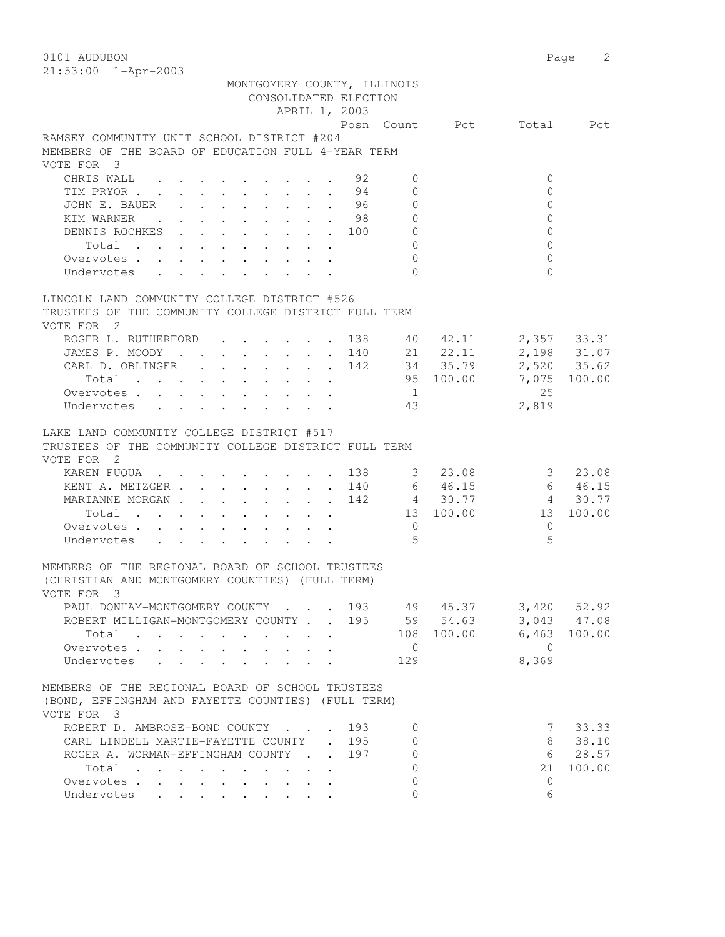0101 AUDUBON Page 2 21:53:00 1-Apr-2003

|                                                                                                                                      | MONTGOMERY COUNTY, ILLINOIS |               | CONSOLIDATED ELECTION |                |                        |                          |                |
|--------------------------------------------------------------------------------------------------------------------------------------|-----------------------------|---------------|-----------------------|----------------|------------------------|--------------------------|----------------|
|                                                                                                                                      |                             | APRIL 1, 2003 |                       |                |                        | Posn Count Pct Total Pct |                |
| RAMSEY COMMUNITY UNIT SCHOOL DISTRICT #204                                                                                           |                             |               |                       |                |                        |                          |                |
| MEMBERS OF THE BOARD OF EDUCATION FULL 4-YEAR TERM                                                                                   |                             |               |                       |                |                        |                          |                |
| VOTE FOR 3                                                                                                                           |                             |               |                       |                |                        |                          |                |
| CHRIS WALL.<br>$\cdot$ 92                                                                                                            |                             |               |                       | $\Omega$       |                        | $\Omega$                 |                |
| TIM PRYOR 94                                                                                                                         |                             |               |                       | $\Omega$       |                        | $\Omega$                 |                |
| JOHN E. BAUER<br>. 96                                                                                                                |                             |               |                       | $\circ$        |                        | $\Omega$                 |                |
| KIM WARNER                                                                                                                           |                             |               | . 98                  | $\overline{0}$ |                        | $\mathbf{0}$             |                |
| DENNIS ROCHKES 100                                                                                                                   |                             |               |                       | $\mathbb O$    |                        | $\mathbf{0}$             |                |
| Total                                                                                                                                |                             |               |                       | $\mathbf{0}$   |                        | $\Omega$                 |                |
| Overvotes                                                                                                                            |                             |               |                       | $\mathbf{0}$   |                        | $\Omega$                 |                |
| Undervotes                                                                                                                           |                             |               |                       | $\bigcap$      |                        | $\Omega$                 |                |
|                                                                                                                                      |                             |               |                       |                |                        |                          |                |
| LINCOLN LAND COMMUNITY COLLEGE DISTRICT #526                                                                                         |                             |               |                       |                |                        |                          |                |
| TRUSTEES OF THE COMMUNITY COLLEGE DISTRICT FULL TERM                                                                                 |                             |               |                       |                |                        |                          |                |
| VOTE FOR 2                                                                                                                           |                             |               |                       |                |                        |                          |                |
| ROGER L. RUTHERFORD 138 40 42.11 2,357 33.31<br>JAMES P. MOODY 140 21 22.11 2,198 31.07<br>CARL D. OBLINGER 142 34 35.79 2,520 35.62 |                             |               |                       |                |                        |                          |                |
|                                                                                                                                      |                             |               |                       |                |                        |                          |                |
| JAMES P. MOODY 140 21 22.11<br>CARL D. OBLINGER 142 34 35.79<br>Total 95 100.00                                                      |                             |               |                       |                |                        |                          |                |
| Total                                                                                                                                |                             |               |                       |                |                        |                          | 7,075 100.00   |
| Overvotes.                                                                                                                           |                             |               |                       | $\overline{1}$ |                        | 25                       |                |
| Undervotes                                                                                                                           |                             |               |                       | 43             |                        | 2,819                    |                |
| LAKE LAND COMMUNITY COLLEGE DISTRICT #517<br>TRUSTEES OF THE COMMUNITY COLLEGE DISTRICT FULL TERM<br>VOTE FOR 2                      |                             |               |                       |                |                        |                          |                |
| KAREN FUQUA 138                                                                                                                      |                             |               |                       |                | 3 23.08                |                          | 3, 23, 08      |
| KENT A. METZGER 140 6 46.15                                                                                                          |                             |               |                       |                |                        |                          | 6 46.15        |
| MARIANNE MORGAN 142                                                                                                                  |                             |               |                       |                | $4$ 30.77<br>13 100.00 |                          | 4 30.77        |
| Total                                                                                                                                |                             |               |                       |                |                        | 13 100.00                |                |
| Overvotes.                                                                                                                           |                             |               |                       | $\overline{0}$ |                        | $\Omega$                 |                |
| Undervotes                                                                                                                           |                             |               |                       | 5              |                        | 5                        |                |
| MEMBERS OF THE REGIONAL BOARD OF SCHOOL TRUSTEES<br>(CHRISTIAN AND MONTGOMERY COUNTIES) (FULL TERM)<br>VOTE FOR 3                    |                             |               |                       |                |                        |                          |                |
| PAUL DONHAM-MONTGOMERY COUNTY 193 49 45.37 3,420 52.92                                                                               |                             |               |                       |                |                        |                          |                |
| ROBERT MILLIGAN-MONTGOMERY COUNTY 195                                                                                                |                             |               |                       |                | 59 54.63               |                          | 3,043 47.08    |
| Total                                                                                                                                |                             |               |                       |                | 108 100.00             |                          | $6,463$ 100.00 |
| Overvotes.                                                                                                                           |                             |               |                       | $\overline{0}$ |                        | $\bigcirc$               |                |
| Undervotes                                                                                                                           |                             |               |                       | 129            |                        | 8,369                    |                |
| MEMBERS OF THE REGIONAL BOARD OF SCHOOL TRUSTEES<br>(BOND, EFFINGHAM AND FAYETTE COUNTIES) (FULL TERM)<br>VOTE FOR 3                 |                             |               |                       |                |                        |                          |                |
| ROBERT D. AMBROSE-BOND COUNTY                                                                                                        |                             |               | 193                   | $\mathbf{0}$   |                        | 7                        | 33.33          |
| CARL LINDELL MARTIE-FAYETTE COUNTY . 195                                                                                             |                             |               |                       | $\Omega$       |                        | 8                        | 38.10          |
| ROGER A. WORMAN-EFFINGHAM COUNTY                                                                                                     |                             |               | 197                   | $\circ$        |                        | 6                        | 28.57          |
| Total                                                                                                                                |                             |               |                       | $\mathbf{0}$   |                        | 21                       | 100.00         |
| Overvotes.                                                                                                                           |                             |               |                       | $\mathbf{0}$   |                        | $\mathbf{0}$             |                |
| Undervotes                                                                                                                           |                             |               |                       | $\mathbf{0}$   |                        | 6                        |                |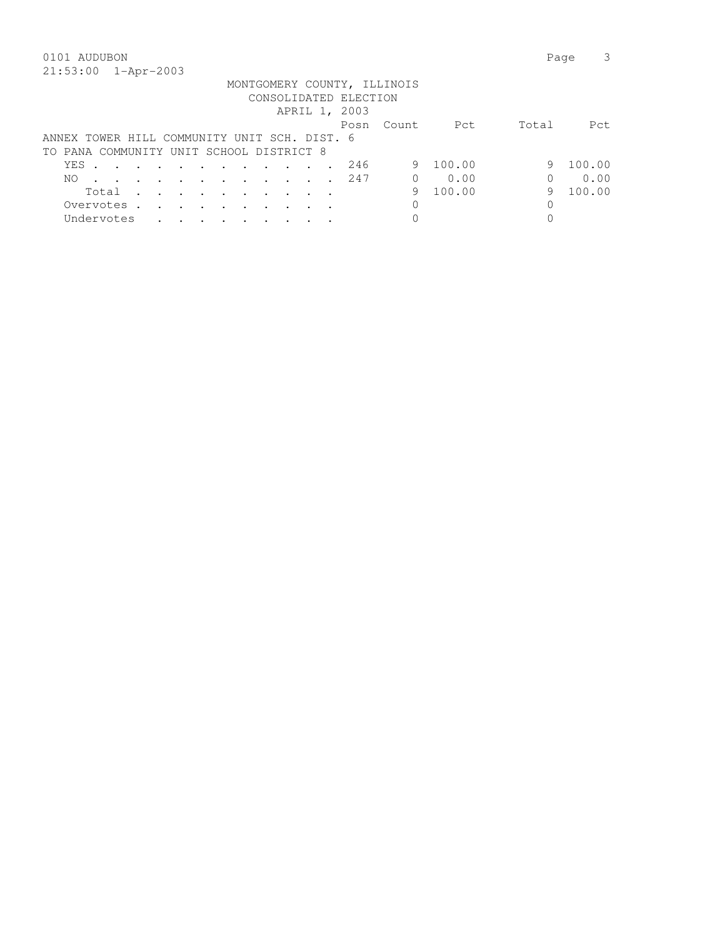|                                              |  |                      |                      |                                                                                         |  |                       | MONTGOMERY COUNTY, ILLINOIS |        |       |        |
|----------------------------------------------|--|----------------------|----------------------|-----------------------------------------------------------------------------------------|--|-----------------------|-----------------------------|--------|-------|--------|
|                                              |  |                      |                      |                                                                                         |  | CONSOLIDATED ELECTION |                             |        |       |        |
|                                              |  |                      |                      |                                                                                         |  | APRIL 1, 2003         |                             |        |       |        |
|                                              |  |                      |                      |                                                                                         |  | Posn                  | - Count.                    | Pct    | Total | Pct.   |
| ANNEX TOWER HILL COMMUNITY UNIT SCH. DIST. 6 |  |                      |                      |                                                                                         |  |                       |                             |        |       |        |
| TO PANA COMMUNITY UNIT SCHOOL DISTRICT 8     |  |                      |                      |                                                                                         |  |                       |                             |        |       |        |
| YES                                          |  |                      |                      | $\mathbf{r}$ , and $\mathbf{r}$ , and $\mathbf{r}$ , and $\mathbf{r}$                   |  | 246                   | 9                           | 100.00 | 9     | 100.00 |
| NO.                                          |  |                      |                      | $\mathbf{r}$ , $\mathbf{r}$ , $\mathbf{r}$ , $\mathbf{r}$ , $\mathbf{r}$ , $\mathbf{r}$ |  | 247                   | $\Omega$                    | 0.00   |       | 0.00   |
| Total                                        |  |                      |                      | $\cdots$                                                                                |  |                       | 9                           | 100.00 | 9     | 100.00 |
| Overvotes.                                   |  | $\sim$ $\sim$ $\sim$ | $\ddot{\phantom{a}}$ |                                                                                         |  |                       |                             |        | 0     |        |
| Undervotes                                   |  |                      |                      |                                                                                         |  |                       |                             |        |       |        |
|                                              |  |                      |                      |                                                                                         |  |                       |                             |        |       |        |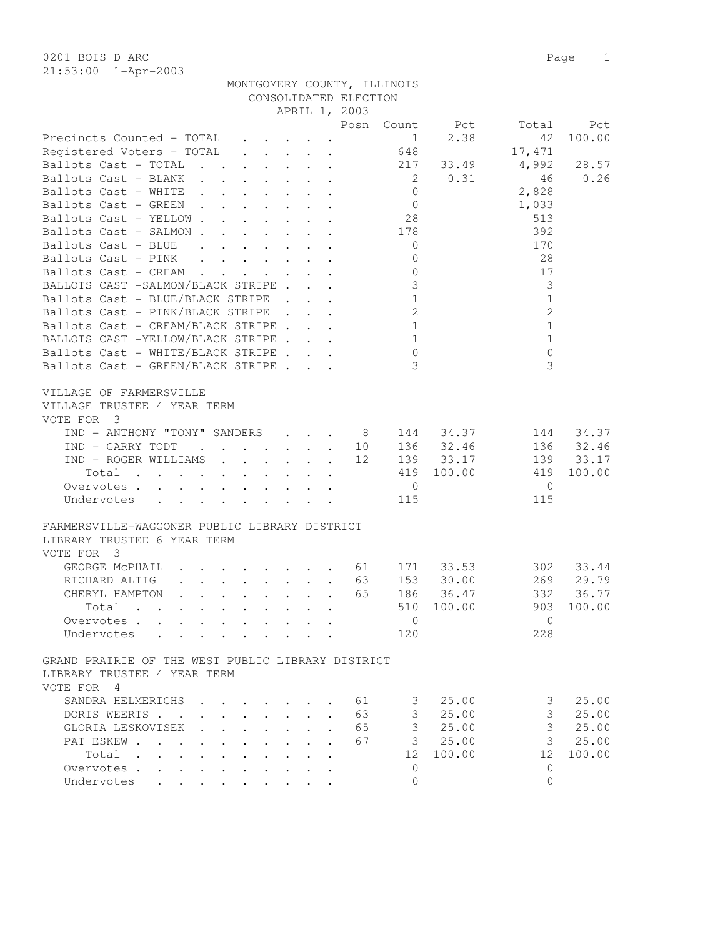|                                                                                                |                                                                       |                                 |                                                       | CONSOLIDATED ELECTION     | MONTGOMERY COUNTY, ILLINOIS |                      |                |            |
|------------------------------------------------------------------------------------------------|-----------------------------------------------------------------------|---------------------------------|-------------------------------------------------------|---------------------------|-----------------------------|----------------------|----------------|------------|
|                                                                                                |                                                                       |                                 |                                                       | APRIL 1, 2003             |                             |                      |                |            |
|                                                                                                |                                                                       |                                 |                                                       | Posn                      |                             | Count Pct            | Total          | Pct        |
| Precincts Counted - TOTAL                                                                      |                                                                       |                                 |                                                       |                           | 1                           | 2.38                 | 42             | 100.00     |
| Registered Voters - TOTAL                                                                      |                                                                       |                                 |                                                       |                           | 648                         |                      | 17,471         |            |
| Ballots Cast - TOTAL                                                                           |                                                                       |                                 |                                                       |                           |                             | 217 33.49            | 4,992          | 28.57      |
| Ballots Cast - BLANK                                                                           |                                                                       |                                 |                                                       |                           | $\overline{2}$              | 0.31                 | 46             | 0.26       |
| Ballots Cast - WHITE                                                                           |                                                                       |                                 |                                                       |                           | $\overline{0}$              |                      | 2,828          |            |
| Ballots Cast - GREEN                                                                           |                                                                       |                                 |                                                       |                           | $\overline{0}$              |                      | 1,033          |            |
| Ballots Cast - YELLOW                                                                          |                                                                       |                                 |                                                       |                           | 28                          |                      | 513            |            |
| Ballots Cast - SALMON                                                                          |                                                                       |                                 | $\ddot{\phantom{a}}$ . $\ddot{\phantom{a}}$           |                           | 178                         |                      | 392            |            |
| Ballots Cast - BLUE .                                                                          | $\mathbf{L}$ and $\mathbf{L}$                                         |                                 |                                                       |                           | $\overline{0}$              |                      | 170            |            |
| Ballots Cast - PINK                                                                            |                                                                       |                                 | $\mathbf{L} = \mathbf{L}$                             |                           | $\overline{0}$              |                      | 28             |            |
|                                                                                                |                                                                       |                                 |                                                       |                           |                             |                      |                |            |
| Ballots Cast - CREAM                                                                           | $\ddot{\phantom{0}}$                                                  |                                 | $\mathbf{r} = \mathbf{r} + \mathbf{r} + \mathbf{r}$ . |                           | $\mathbf 0$                 |                      | 17             |            |
| BALLOTS CAST -SALMON/BLACK STRIPE                                                              |                                                                       |                                 |                                                       |                           | $\mathfrak{Z}$              |                      | 3              |            |
| Ballots Cast - BLUE/BLACK STRIPE                                                               |                                                                       |                                 |                                                       |                           | $\mathbf{1}$                |                      | $\mathbf{1}$   |            |
| Ballots Cast - PINK/BLACK STRIPE                                                               |                                                                       |                                 |                                                       |                           | $\mathbf{2}$                |                      | $\overline{2}$ |            |
| Ballots Cast - CREAM/BLACK STRIPE                                                              |                                                                       |                                 |                                                       |                           | $\mathbf{1}$                |                      | $\mathbf{1}$   |            |
| BALLOTS CAST -YELLOW/BLACK STRIPE                                                              |                                                                       |                                 |                                                       |                           | $\mathbf{1}$                |                      | $\mathbf{1}$   |            |
| Ballots Cast - WHITE/BLACK STRIPE                                                              |                                                                       |                                 |                                                       |                           | $\circledcirc$              |                      | $\mathbf 0$    |            |
| Ballots Cast - GREEN/BLACK STRIPE                                                              |                                                                       |                                 |                                                       |                           | 3                           |                      | 3              |            |
| VILLAGE OF FARMERSVILLE<br>VILLAGE TRUSTEE 4 YEAR TERM<br>VOTE FOR 3                           |                                                                       |                                 |                                                       |                           |                             |                      |                |            |
| IND - ANTHONY "TONY" SANDERS                                                                   |                                                                       |                                 |                                                       | $\cdot$ $\cdot$ $\cdot$ 8 |                             | 144 34.37            | 144            | 34.37      |
| $IND - GARRY TODT$ 10                                                                          |                                                                       |                                 |                                                       |                           |                             | 136 32.46            |                | 136 32.46  |
| IND - ROGER WILLIAMS                                                                           |                                                                       |                                 |                                                       | 12                        |                             | 139 33.17            | 139            | 33.17      |
| Total                                                                                          |                                                                       |                                 |                                                       |                           |                             | 419 100.00           | 419            | 100.00     |
| Overvotes                                                                                      |                                                                       |                                 |                                                       |                           | $\overline{0}$              |                      | $\overline{0}$ |            |
| Undervotes<br>$\mathbf{L} = \mathbf{L} \mathbf{L} + \mathbf{L} \mathbf{L}$                     | $\mathbf{L}$                                                          |                                 |                                                       |                           | 115                         |                      | 115            |            |
| FARMERSVILLE-WAGGONER PUBLIC LIBRARY DISTRICT<br>LIBRARY TRUSTEE 6 YEAR TERM<br>VOTE FOR 3     |                                                                       |                                 |                                                       |                           |                             |                      |                |            |
| GEORGE MCPHAIL                                                                                 |                                                                       |                                 |                                                       |                           |                             | $\cdot$ 61 171 33.53 |                | 302 33.44  |
| RICHARD ALTIG                                                                                  | $\mathbf{r}$ , and $\mathbf{r}$ , and $\mathbf{r}$ , and $\mathbf{r}$ |                                 |                                                       | 63                        |                             | 153 30.00            |                | 269 29.79  |
| CHERYL HAMPTON                                                                                 |                                                                       |                                 |                                                       | 65                        | 186                         | 36.47                | 332            | 36.77      |
| Total .                                                                                        |                                                                       |                                 |                                                       |                           |                             | 510 100.00           |                | 903 100.00 |
| Overvotes                                                                                      |                                                                       |                                 |                                                       |                           | $\circ$                     |                      | 0              |            |
| Undervotes                                                                                     |                                                                       |                                 |                                                       |                           | 120                         |                      | 228            |            |
|                                                                                                |                                                                       |                                 |                                                       |                           |                             |                      |                |            |
| GRAND PRAIRIE OF THE WEST PUBLIC LIBRARY DISTRICT<br>LIBRARY TRUSTEE 4 YEAR TERM<br>VOTE FOR 4 |                                                                       |                                 |                                                       |                           |                             |                      |                |            |
| SANDRA HELMERICHS                                                                              |                                                                       |                                 |                                                       | 61                        | 3                           | 25.00                | 3              | 25.00      |
| DORIS WEERTS                                                                                   |                                                                       |                                 |                                                       | 63                        | $\mathfrak{Z}$              | 25.00                | 3              | 25.00      |
|                                                                                                |                                                                       |                                 |                                                       |                           |                             |                      |                |            |
| GLORIA LESKOVISEK                                                                              |                                                                       | $\mathbf{r}$                    |                                                       | 65                        | $\mathcal{S}$               | 25.00                | 3              | 25.00      |
| PAT ESKEW<br>$\sim$ $\sim$                                                                     | $\ddot{\phantom{a}}$                                                  | $\mathbf{L}$<br>$\sim$          |                                                       | 67                        | 3                           | 25.00                | 3              | 25.00      |
| Total .<br>$\mathbf{A}$<br>$\mathbf{L} = \mathbf{L}$                                           |                                                                       |                                 | $\ddot{\phantom{a}}$                                  |                           | 12                          | 100.00               | 12             | 100.00     |
| Overvotes                                                                                      | $\ddot{\phantom{a}}$                                                  | $\ddot{\phantom{a}}$            |                                                       |                           | $\mathbf{0}$                |                      | $\circ$        |            |
| Undervotes<br>$\ddot{\phantom{0}}$                                                             | $\bullet$ .<br><br><br><br><br><br><br><br><br><br><br><br>           | $\cdot$ $\cdot$ $\cdot$ $\cdot$ |                                                       |                           | $\Omega$                    |                      | $\Omega$       |            |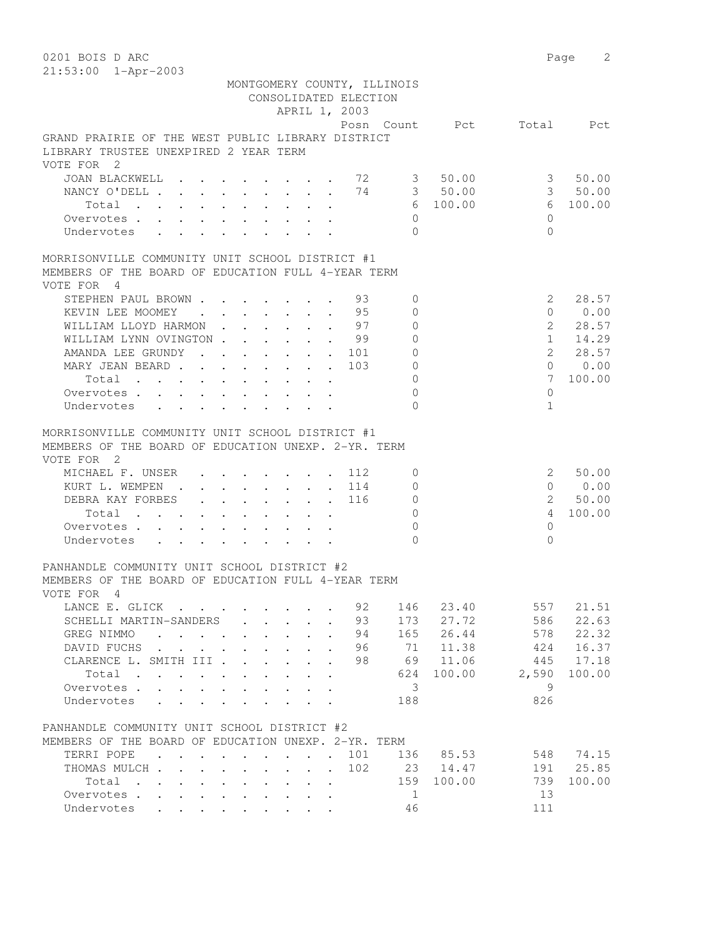0201 BOIS D ARC Page 2 21:53:00 1-Apr-2003

|                                                                                                                      |                            |                               |                           |                                                                     |                                                                                               |                           | CONSOLIDATED ELECTION<br>APRIL 1, 2003 | MONTGOMERY COUNTY, ILLINOIS |                          |                |         |
|----------------------------------------------------------------------------------------------------------------------|----------------------------|-------------------------------|---------------------------|---------------------------------------------------------------------|-----------------------------------------------------------------------------------------------|---------------------------|----------------------------------------|-----------------------------|--------------------------|----------------|---------|
|                                                                                                                      |                            |                               |                           |                                                                     |                                                                                               |                           |                                        |                             | Posn Count Pct Total Pct |                |         |
| GRAND PRAIRIE OF THE WEST PUBLIC LIBRARY DISTRICT<br>LIBRARY TRUSTEE UNEXPIRED 2 YEAR TERM<br>VOTE FOR 2             |                            |                               |                           |                                                                     |                                                                                               |                           |                                        |                             |                          |                |         |
| JOAN BLACKWELL                                                                                                       |                            |                               |                           |                                                                     |                                                                                               |                           | 72                                     |                             | 3 50.00                  | 3              | 50.00   |
| NANCY O'DELL                                                                                                         |                            |                               |                           |                                                                     |                                                                                               |                           | 74                                     |                             | 3 50.00                  |                | 3 50.00 |
| Total                                                                                                                |                            |                               |                           |                                                                     |                                                                                               |                           |                                        |                             | 6 100.00                 | 6              | 100.00  |
| Overvotes                                                                                                            |                            |                               |                           |                                                                     |                                                                                               |                           |                                        | $\Omega$                    |                          | $\Omega$       |         |
| Undervotes                                                                                                           |                            |                               |                           |                                                                     |                                                                                               |                           |                                        | $\Omega$                    |                          | $\Omega$       |         |
| MORRISONVILLE COMMUNITY UNIT SCHOOL DISTRICT #1                                                                      |                            |                               |                           |                                                                     |                                                                                               |                           |                                        |                             |                          |                |         |
| MEMBERS OF THE BOARD OF EDUCATION FULL 4-YEAR TERM                                                                   |                            |                               |                           |                                                                     |                                                                                               |                           |                                        |                             |                          |                |         |
| VOTE FOR 4                                                                                                           |                            |                               |                           |                                                                     |                                                                                               |                           |                                        |                             |                          |                |         |
| STEPHEN PAUL BROWN                                                                                                   |                            |                               |                           |                                                                     |                                                                                               |                           | 93                                     | $\Omega$                    |                          | 2              | 28.57   |
| KEVIN LEE MOOMEY<br>$\mathbf{r}$ , $\mathbf{r}$ , $\mathbf{r}$ , $\mathbf{r}$ , $\mathbf{r}$                         |                            |                               |                           |                                                                     |                                                                                               |                           | . 95                                   | 0                           |                          | $\Omega$       | 0.00    |
| WILLIAM LLOYD HARMON                                                                                                 |                            |                               |                           |                                                                     |                                                                                               |                           | 97                                     | $\Omega$                    |                          | $\mathcal{L}$  | 28.57   |
| WILLIAM LYNN OVINGTON.                                                                                               |                            |                               |                           |                                                                     |                                                                                               |                           | - 99                                   | $\circ$                     |                          | $\mathbf{1}$   | 14.29   |
| AMANDA LEE GRUNDY                                                                                                    |                            |                               |                           |                                                                     |                                                                                               |                           | 101                                    | $\overline{0}$              |                          | $\overline{2}$ | 28.57   |
| MARY JEAN BEARD.                                                                                                     | $\mathcal{L}^{\text{max}}$ |                               |                           |                                                                     |                                                                                               |                           | 103                                    | $\mathbf 0$                 |                          | $\Omega$       | 0.00    |
| Total $\cdots$                                                                                                       |                            |                               |                           |                                                                     |                                                                                               |                           |                                        | $\mathbf{0}$                |                          | 7              | 100.00  |
| Overvotes                                                                                                            |                            |                               |                           |                                                                     |                                                                                               |                           |                                        | $\Omega$                    |                          | $\Omega$       |         |
| Undervotes<br>$\mathbf{r}$ , $\mathbf{r}$ , $\mathbf{r}$ , $\mathbf{r}$ , $\mathbf{r}$                               |                            |                               |                           |                                                                     |                                                                                               |                           |                                        | $\cap$                      |                          | $\mathbf{1}$   |         |
| MORRISONVILLE COMMUNITY UNIT SCHOOL DISTRICT #1<br>MEMBERS OF THE BOARD OF EDUCATION UNEXP. 2-YR. TERM<br>VOTE FOR 2 |                            |                               |                           |                                                                     |                                                                                               |                           |                                        |                             |                          |                |         |
| MICHAEL F. UNSER                                                                                                     |                            |                               |                           |                                                                     |                                                                                               |                           | 112                                    | 0                           |                          | 2              | 50.00   |
| KURT L. WEMPEN<br>$\sim$ $\sim$                                                                                      |                            | $\mathbf{L}$ and $\mathbf{L}$ | $\mathbf{L}^{\text{max}}$ |                                                                     | $\mathbf{L} = \mathbf{L}$                                                                     | $\sim$                    | 114                                    | $\circ$                     |                          | $\Omega$       | 0.00    |
| DEBRA KAY FORBES                                                                                                     |                            | $\mathbf{L}$                  | $\mathbf{L}$              | $\mathbf{L}$                                                        | $\sim$                                                                                        | $\mathbf{L}^{\text{max}}$ | 116                                    | $\circ$                     |                          | $\overline{2}$ | 50.00   |
| Total<br>$\mathbf{r}$ , $\mathbf{r}$ , $\mathbf{r}$ , $\mathbf{r}$                                                   | $\mathbf{L}$               | $\ddot{\phantom{a}}$          |                           | $\sim$                                                              |                                                                                               | $\ddot{\phantom{a}}$      |                                        | $\Omega$                    |                          | 4              | 100.00  |
| Overvotes                                                                                                            |                            |                               |                           |                                                                     |                                                                                               |                           |                                        | $\Omega$                    |                          | $\Omega$       |         |
| Undervotes                                                                                                           | $\ddot{\phantom{0}}$       |                               |                           | $\bullet$ .<br><br><br><br><br><br><br><br><br><br><br><br><br><br> | $\bullet$ .<br><br><br><br><br><br><br><br><br><br><br><br>                                   |                           |                                        | $\bigcap$                   |                          | $\Omega$       |         |
| PANHANDLE COMMUNITY UNIT SCHOOL DISTRICT #2<br>MEMBERS OF THE BOARD OF EDUCATION FULL 4-YEAR TERM<br>VOTE FOR 4      |                            |                               |                           |                                                                     |                                                                                               |                           |                                        |                             |                          |                |         |
| LANCE E. GLICK                                                                                                       |                            |                               |                           |                                                                     |                                                                                               |                           |                                        | 92 146                      | 23.40                    | 557            | 21.51   |
| SCHELLI MARTIN-SANDERS                                                                                               |                            |                               |                           |                                                                     |                                                                                               |                           | 93                                     | 173                         | 27.72                    | 586            | 22.63   |
| GREG NIMMO                                                                                                           |                            |                               |                           |                                                                     | $\mathbf{L}$                                                                                  | $\cdot$                   | 94                                     | 165                         | 26.44                    | 578            | 22.32   |
| DAVID FUCHS                                                                                                          |                            |                               |                           |                                                                     |                                                                                               | $\ddot{\phantom{a}}$      | 96                                     | 71                          | 11.38                    | 424            | 16.37   |
| CLARENCE L. SMITH III                                                                                                |                            |                               |                           |                                                                     | $\ddot{\phantom{0}}$                                                                          | $\ddot{\phantom{a}}$      | 98                                     | 69                          | 11.06                    | 445            | 17.18   |
| Total                                                                                                                |                            |                               |                           |                                                                     | $\mathbf{r} = \mathbf{r} \cdot \mathbf{r}$ , where $\mathbf{r} = \mathbf{r} \cdot \mathbf{r}$ |                           |                                        | 624                         | 100.00                   | 2,590          | 100.00  |
| Overvotes                                                                                                            |                            |                               |                           |                                                                     |                                                                                               |                           |                                        | 3                           |                          | 9              |         |
| Undervotes                                                                                                           |                            |                               |                           |                                                                     |                                                                                               |                           |                                        | 188                         |                          | 826            |         |
| PANHANDLE COMMUNITY UNIT SCHOOL DISTRICT #2                                                                          |                            |                               |                           |                                                                     |                                                                                               |                           |                                        |                             |                          |                |         |
| MEMBERS OF THE BOARD OF EDUCATION UNEXP. 2-YR. TERM                                                                  |                            |                               |                           |                                                                     |                                                                                               |                           |                                        |                             |                          |                |         |
| TERRI POPE                                                                                                           |                            |                               |                           |                                                                     |                                                                                               |                           | 101                                    |                             | 136 85.53                | 548            | 74.15   |
| THOMAS MULCH                                                                                                         |                            |                               |                           |                                                                     |                                                                                               |                           | 102                                    |                             | 23 14.47                 | 191            | 25.85   |
| Total                                                                                                                |                            |                               |                           |                                                                     |                                                                                               |                           |                                        | 159                         | 100.00                   | 739            | 100.00  |
| Overvotes                                                                                                            |                            |                               |                           |                                                                     |                                                                                               |                           |                                        | - 1                         |                          | 13             |         |
| Undervotes                                                                                                           |                            |                               |                           |                                                                     |                                                                                               |                           |                                        | 46                          |                          | 111            |         |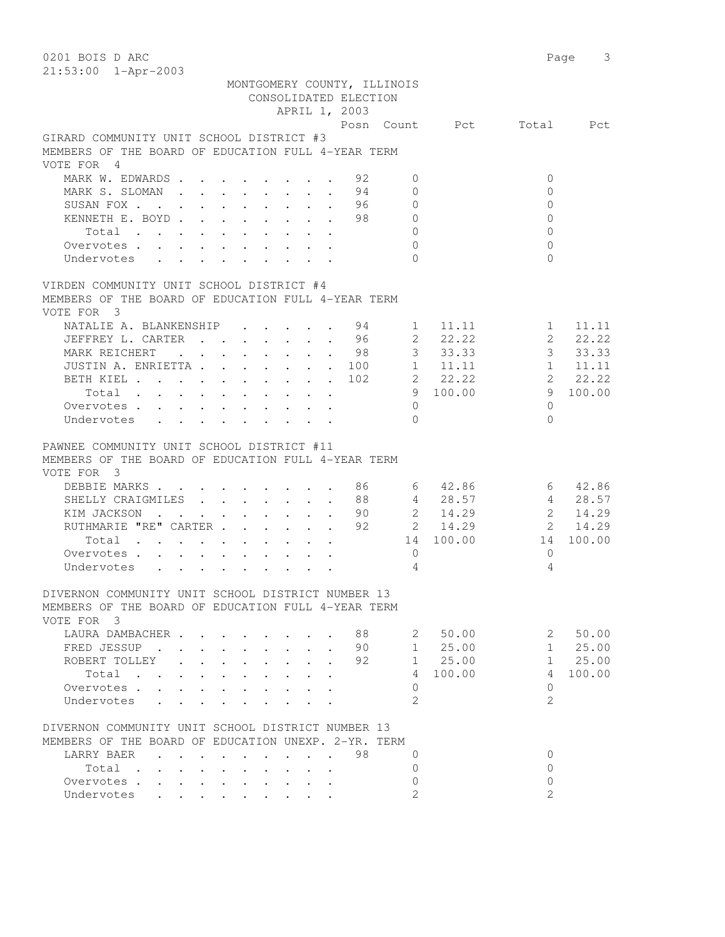0201 BOIS D ARC Page 3 21:53:00 1-Apr-2003 MONTGOMERY COUNTY, ILLINOIS CONSOLIDATED ELECTION APRIL 1, 2003 Posn Count Pct Total Pct GIRARD COMMUNITY UNIT SCHOOL DISTRICT #3 MEMBERS OF THE BOARD OF EDUCATION FULL 4-YEAR TERM VOTE FOR 4 MARK W. EDWARDS . . . . . . . 92 0 0 0 0 MARK S. SLOMAN . . . . . . . . 94 0 0 0<br>SUSAN FOX . . . . . . . . . 96 0 0 0 SUSAN FOX . . . . . . . . . . 96 0 0 KENNETH E. BOYD . . . . . . . 98 0 0 0 0 Total . . . . . . . . . . 0 0 Overvotes . . . . . . . . . . 0 0 Undervotes . . . . . . . . . 0 0 VIRDEN COMMUNITY UNIT SCHOOL DISTRICT #4 MEMBERS OF THE BOARD OF EDUCATION FULL 4-YEAR TERM VOTE FOR 3 NATALIE A. BLANKENSHIP . . . . 94 1 11.11 1 11.11 JEFFREY L. CARTER . . . . . . 96 2 22.22 2 22.22 MARK REICHERT . . . . . . 98 3 33.33 33.33 JUSTIN A. ENRIETTA . . . . . . 100 1 11.11 1 11.11 BETH KIEL . . . . . . . . . 102 2 22.22 2 22.22 Total . . . . . . . . . . 9 100.00 9 100.00 Overvotes . . . . . . . . . . 0 0 Undervotes . . . . . . . . . 0 0 PAWNEE COMMUNITY UNIT SCHOOL DISTRICT #11 MEMBERS OF THE BOARD OF EDUCATION FULL 4-YEAR TERM VOTE FOR 3 0 BEBIE MARKS . . . . . . . . . 86 6 42.86 6 42.86<br>
SHELLY CRAIGMILES . . . . . . . 88 6 4 28.57 4 28.57<br>
KIM JACKSON . . . . . . . . 90 2 14.29 2 14.29<br>
RUTHMARIE "RE" CARTER . . . . . 92 2 14.29 2 14.29 SHELLY CRAIGMILES . . . . . 88 4 28.57 4 28.57 KIM JACKSON . . . . . . . . . 90 2 14.29 2 14.29 RUTHMARIE "RE" CARTER . . . . . . 92 2 14.29 2 14.29 Total . . . . . . . . . . 14 100.00 14 100.00 Overvotes . . . . . . . . . . 0 0 Undervotes . . . . . . . . . 4 4 DIVERNON COMMUNITY UNIT SCHOOL DISTRICT NUMBER 13 MEMBERS OF THE BOARD OF EDUCATION FULL 4-YEAR TERM VOTE FOR 3 LAURA DAMBACHER . . . . . . . 88 2 50.00 2 50.00 FRED JESSUP . . . . . . . . . 90<br>ROBERT TOLLEY . . . . . . . . 92 ROBERT TOLLEY . . . . . . . . 92 1 25.00 1 25.00 Total . . . . . . . . . . 4 100.00 4 100.00 Overvotes . . . . . . . . . . Undervotes . . . . . . . . . . 2 2 2 DIVERNON COMMUNITY UNIT SCHOOL DISTRICT NUMBER 13 MEMBERS OF THE BOARD OF EDUCATION UNEXP. 2-YR. TERM LARRY BAER **. . . . . . . . . 98** 0 0 0 0 0 Total . . . . . . . . . . 0 0 Overvotes . . . . . . . . . . . 0<br>
Undervotes . . . . . . . . . . . 2 Undervotes . . . . . . . . . . 2 2 2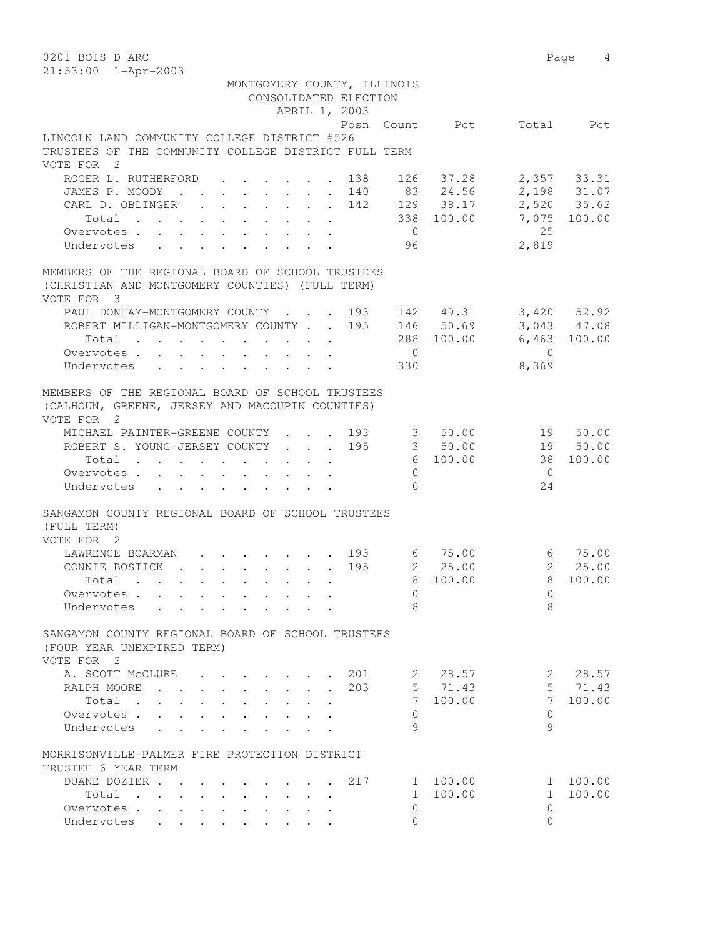| 0201 BOIS D ARC                                                                    |                                            |                                |     |                          |                         |                          | Page<br>4     |
|------------------------------------------------------------------------------------|--------------------------------------------|--------------------------------|-----|--------------------------|-------------------------|--------------------------|---------------|
| 21:53:00 1-Apr-2003                                                                |                                            |                                |     |                          |                         |                          |               |
|                                                                                    | MONTGOMERY COUNTY, ILLINOIS                | CONSOLIDATED ELECTION          |     |                          |                         |                          |               |
|                                                                                    |                                            | APRIL 1, 2003                  |     |                          |                         |                          |               |
|                                                                                    |                                            |                                |     |                          | Posn Count Pct          |                          | Total Pct     |
| LINCOLN LAND COMMUNITY COLLEGE DISTRICT #526                                       |                                            |                                |     |                          |                         |                          |               |
| TRUSTEES OF THE COMMUNITY COLLEGE DISTRICT FULL TERM                               |                                            |                                |     |                          |                         |                          |               |
| VOTE FOR 2                                                                         |                                            |                                |     |                          |                         |                          |               |
| ROGER L. RUTHERFORD                                                                |                                            |                                | 138 | 126                      | 37.28                   |                          | $2,357$ 33.31 |
| JAMES P. MOODY                                                                     |                                            |                                |     |                          | 140 83 24.56            |                          | 2,198 31.07   |
| CARL D. OBLINGER                                                                   |                                            |                                | 142 |                          | 129 38.17               |                          | 2,520 35.62   |
| Total $\cdot$                                                                      |                                            |                                |     |                          | 338 100.00              |                          | 7,075 100.00  |
| Overvotes.                                                                         |                                            |                                |     | $\overline{0}$           |                         | 25                       |               |
| Undervotes                                                                         |                                            |                                |     | 96                       |                         | 2,819                    |               |
| MEMBERS OF THE REGIONAL BOARD OF SCHOOL TRUSTEES                                   |                                            |                                |     |                          |                         |                          |               |
| (CHRISTIAN AND MONTGOMERY COUNTIES) (FULL TERM)                                    |                                            |                                |     |                          |                         |                          |               |
| VOTE FOR 3                                                                         |                                            |                                |     |                          |                         |                          |               |
| PAUL DONHAM-MONTGOMERY COUNTY 193 142 49.31                                        |                                            |                                |     |                          |                         |                          | 3,420 52.92   |
| ROBERT MILLIGAN-MONTGOMERY COUNTY 195 146 50.69                                    |                                            |                                |     |                          |                         |                          | 3,043 47.08   |
| Total $\cdot$                                                                      |                                            |                                |     |                          | 288 100.00 6,463 100.00 |                          |               |
| Overvotes.                                                                         |                                            |                                |     | $\overline{0}$           |                         | $\bigcirc$               |               |
| Undervotes                                                                         |                                            |                                |     | 330                      |                         | 8,369                    |               |
|                                                                                    |                                            |                                |     |                          |                         |                          |               |
| MEMBERS OF THE REGIONAL BOARD OF SCHOOL TRUSTEES                                   |                                            |                                |     |                          |                         |                          |               |
| (CALHOUN, GREENE, JERSEY AND MACOUPIN COUNTIES)                                    |                                            |                                |     |                          |                         |                          |               |
| VOTE FOR 2<br>MICHAEL PAINTER-GREENE COUNTY 193                                    |                                            |                                |     |                          | 3 50.00                 | 19 50.00                 |               |
| ROBERT S. YOUNG-JERSEY COUNTY                                                      |                                            |                                | 195 |                          | 3 50.00                 | 19 50.00                 |               |
| Total                                                                              |                                            |                                |     |                          | 6 100.00                | 38                       | 100.00        |
| Overvotes                                                                          |                                            |                                |     | $\Omega$                 |                         | $\overline{0}$           |               |
| Undervotes                                                                         |                                            |                                |     | $\Omega$                 |                         | 24                       |               |
|                                                                                    |                                            |                                |     |                          |                         |                          |               |
| SANGAMON COUNTY REGIONAL BOARD OF SCHOOL TRUSTEES                                  |                                            |                                |     |                          |                         |                          |               |
| (FULL TERM)                                                                        |                                            |                                |     |                          |                         |                          |               |
| VOTE FOR 2                                                                         |                                            |                                |     |                          |                         |                          |               |
| LAWRENCE BOARMAN 193 6 75.00                                                       |                                            |                                |     |                          |                         |                          | 6 75.00       |
| CONNIE BOSTICK                                                                     |                                            |                                | 195 |                          | 2 25.00                 |                          | 2, 25.00      |
| $\cdot$ 8 100.00<br>Total                                                          |                                            |                                |     |                          |                         | 8 100.00                 |               |
| Overvotes                                                                          |                                            |                                |     | $\mathbf 0$              |                         | 0                        |               |
| Undervotes<br>$\ddot{\phantom{0}}$                                                 |                                            |                                |     | 8                        |                         | 8                        |               |
| SANGAMON COUNTY REGIONAL BOARD OF SCHOOL TRUSTEES                                  |                                            |                                |     |                          |                         |                          |               |
| (FOUR YEAR UNEXPIRED TERM)                                                         |                                            |                                |     |                          |                         |                          |               |
| VOTE FOR 2                                                                         |                                            |                                |     |                          |                         |                          |               |
| A. SCOTT MCCLURE                                                                   | $\mathbf{r} = \mathbf{r} + \mathbf{r}$     |                                | 201 | 2                        | 28.57                   | 2                        | 28.57         |
| RALPH MOORE<br>$\ddot{\phantom{a}}$<br><b>Contract</b><br>$\ddot{\phantom{a}}$     | $\cdot$ $\cdot$ $\cdot$ $\cdot$ $\cdot$    | $\sim$<br>$\ddot{\phantom{a}}$ | 203 |                          | 5 71.43                 | 5                        | 71.43         |
| Total<br>$\sim$<br>$\cdot$ $\cdot$<br>$\ddot{\phantom{a}}$<br>$\ddot{\phantom{a}}$ | $\ddot{\phantom{a}}$                       | $\ddot{\phantom{0}}$           |     | 7                        | 100.00                  | $7\phantom{.0}$          | 100.00        |
| Overvotes.<br>$\ddot{\phantom{a}}$                                                 |                                            |                                |     | 0                        |                         | $\circ$                  |               |
| Undervotes<br>$\ddot{\phantom{a}}$                                                 |                                            |                                |     | 9                        |                         | 9                        |               |
|                                                                                    |                                            |                                |     |                          |                         |                          |               |
| MORRISONVILLE-PALMER FIRE PROTECTION DISTRICT                                      |                                            |                                |     |                          |                         |                          |               |
| TRUSTEE 6 YEAR TERM                                                                |                                            |                                |     |                          |                         |                          |               |
| DUANE DOZIER.<br>$\sim$ $\sim$                                                     |                                            |                                | 217 | $\mathbf{1}$             | 100.00                  | $\mathbf{1}$             | 100.00        |
| Total<br>$\mathbf{r}$ , $\mathbf{r}$ , $\mathbf{r}$ , $\mathbf{r}$                 | $\mathbf{r} = \mathbf{r} \cdot \mathbf{r}$ |                                |     | $\mathbf{1}$<br>$\Omega$ | 100.00                  | $\mathbf{1}$<br>$\Omega$ | 100.00        |
| Overvotes<br>Undervotes                                                            | $\cdot$ $\cdot$ $\cdot$ $\cdot$            |                                |     | $\Omega$                 |                         | $\Omega$                 |               |
|                                                                                    |                                            | $\bullet$                      |     |                          |                         |                          |               |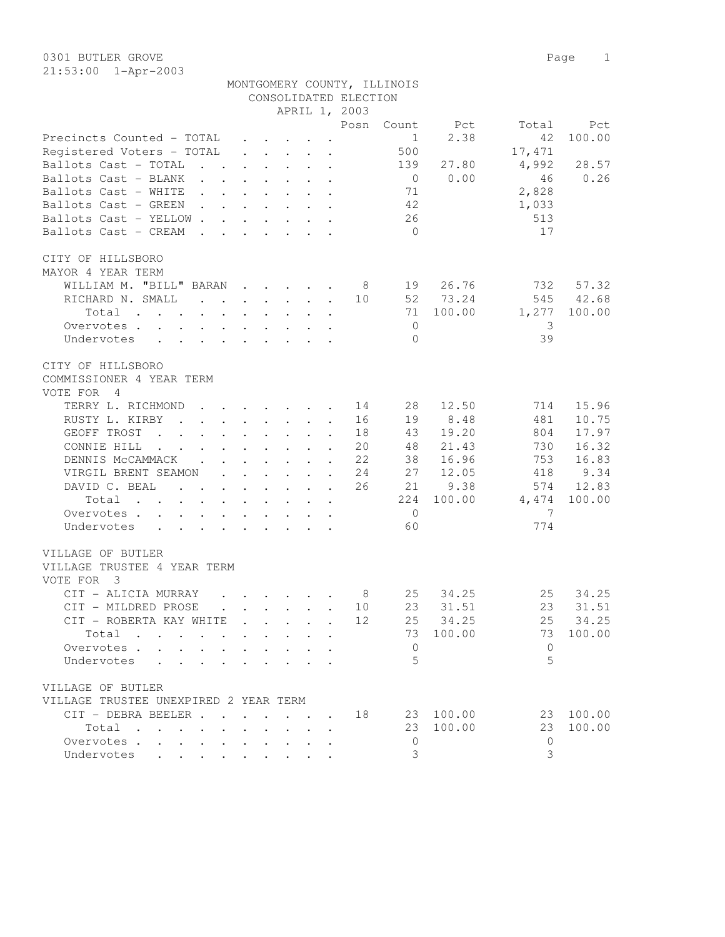|                                                                                                                                |                                                                          |                                                 |              |                      | CONSOLIDATED ELECTION | MONTGOMERY COUNTY, ILLINOIS |           |          |          |
|--------------------------------------------------------------------------------------------------------------------------------|--------------------------------------------------------------------------|-------------------------------------------------|--------------|----------------------|-----------------------|-----------------------------|-----------|----------|----------|
|                                                                                                                                |                                                                          |                                                 |              |                      | APRIL 1, 2003         |                             |           |          |          |
|                                                                                                                                |                                                                          |                                                 |              |                      | Posn                  | Count                       | Pct       | Total    | Pct      |
| Precincts Counted - TOTAL                                                                                                      |                                                                          | $\mathbf{r}$ , $\mathbf{r}$ , $\mathbf{r}$      |              |                      |                       | $\overline{1}$              | 2.38      | 42       | 100.00   |
| Registered Voters - TOTAL                                                                                                      |                                                                          | $\cdot$ $\cdot$ $\cdot$ $\cdot$ $\cdot$ $\cdot$ |              |                      |                       | 500                         |           | 17,471   |          |
| Ballots Cast - TOTAL<br>$\mathbf{r}$ , and $\mathbf{r}$ , and $\mathbf{r}$ , and $\mathbf{r}$                                  |                                                                          |                                                 |              |                      |                       | 139                         | 27.80     | 4,992    | 28.57    |
| Ballots Cast - BLANK                                                                                                           |                                                                          |                                                 |              |                      |                       | $\overline{0}$              | 0.00      | 46       | 0.26     |
| Ballots Cast - WHITE                                                                                                           |                                                                          |                                                 |              |                      |                       | 71                          |           | 2,828    |          |
|                                                                                                                                |                                                                          |                                                 |              |                      |                       | 42                          |           |          |          |
| Ballots Cast - GREEN                                                                                                           |                                                                          |                                                 |              |                      |                       |                             |           | 1,033    |          |
| Ballots Cast - YELLOW                                                                                                          |                                                                          |                                                 |              |                      |                       | 26                          |           | 513      |          |
| Ballots Cast - CREAM<br>$\sim$ $\sim$                                                                                          | $\mathbf{r}$ , $\mathbf{r}$ , $\mathbf{r}$ , $\mathbf{r}$ , $\mathbf{r}$ |                                                 |              |                      |                       | $\bigcirc$                  |           | 17       |          |
| CITY OF HILLSBORO                                                                                                              |                                                                          |                                                 |              |                      |                       |                             |           |          |          |
| MAYOR 4 YEAR TERM                                                                                                              |                                                                          |                                                 |              |                      |                       |                             |           |          |          |
| WILLIAM M. "BILL" BARAN                                                                                                        |                                                                          |                                                 |              |                      | 8                     |                             | 19 26.76  | 732      | 57.32    |
| RICHARD N. SMALL                                                                                                               |                                                                          |                                                 |              |                      | 10                    |                             | 52 73.24  | 545      | 42.68    |
| Total<br>the contract of the contract of the contract of the contract of the contract of the contract of the contract of       |                                                                          |                                                 |              |                      |                       | 71                          | 100.00    | 1,277    | 100.00   |
| Overvotes                                                                                                                      |                                                                          |                                                 |              |                      |                       | $\overline{0}$              |           | -3       |          |
| Undervotes                                                                                                                     |                                                                          |                                                 |              |                      |                       | $\Omega$                    |           | 39       |          |
| CITY OF HILLSBORO<br>COMMISSIONER 4 YEAR TERM                                                                                  |                                                                          |                                                 |              |                      |                       |                             |           |          |          |
| VOTE FOR 4                                                                                                                     |                                                                          |                                                 |              |                      |                       |                             |           |          |          |
| TERRY L. RICHMOND                                                                                                              |                                                                          |                                                 |              |                      | 14                    | 28                          | 12.50     | 714      | 15.96    |
| RUSTY L. KIRBY<br>$\mathbf{r}$ , $\mathbf{r}$ , $\mathbf{r}$ , $\mathbf{r}$ , $\mathbf{r}$ , $\mathbf{r}$                      |                                                                          |                                                 |              |                      | 16                    | 19                          | 8.48      | 481      | 10.75    |
| GEOFF TROST<br>the contract of the contract of the contract of the contract of the contract of the contract of the contract of |                                                                          |                                                 |              |                      | 18                    | 43                          | 19.20     | 804      | 17.97    |
| CONNIE HILL<br>the contract of the contract of the contract of the contract of the contract of the contract of the contract of |                                                                          |                                                 |              |                      | 20                    | 48                          | 21.43     | 730      | 16.32    |
| DENNIS MCCAMMACK.                                                                                                              | $\cdot$ $\cdot$ $\cdot$ $\cdot$ $\cdot$                                  |                                                 | $\mathbf{r}$ |                      | 22                    | 38                          | 16.96     | 753      | 16.83    |
| VIRGIL BRENT SEAMON                                                                                                            | $\cdot$ $\cdot$ $\cdot$ $\cdot$                                          |                                                 | $\mathbf{L}$ | $\ddot{\phantom{a}}$ | 24                    | 27                          | 12.05     | 418      | 9.34     |
| DAVID C. BEAL                                                                                                                  | $\mathbf{r}$ , $\mathbf{r}$ , $\mathbf{r}$ , $\mathbf{r}$ , $\mathbf{r}$ |                                                 |              |                      | 26                    | 21                          | 9.38      | 574      | 12.83    |
| Total                                                                                                                          |                                                                          |                                                 |              |                      |                       | 224                         | 100.00    | 4,474    | 100.00   |
| Overvotes                                                                                                                      |                                                                          |                                                 |              |                      |                       | $\overline{0}$              |           | 7        |          |
| Undervotes                                                                                                                     |                                                                          |                                                 |              |                      |                       | 60                          |           | 774      |          |
|                                                                                                                                |                                                                          |                                                 |              |                      |                       |                             |           |          |          |
| VILLAGE OF BUTLER<br>VILLAGE TRUSTEE 4 YEAR TERM                                                                               |                                                                          |                                                 |              |                      |                       |                             |           |          |          |
| VOTE FOR 3                                                                                                                     |                                                                          |                                                 |              |                      |                       |                             |           |          |          |
| CIT - ALICIA MURRAY                                                                                                            | $\mathbf{r}$ , and $\mathbf{r}$ , and $\mathbf{r}$ , and $\mathbf{r}$    |                                                 |              |                      | - 8                   | 25                          | 34.25     | 25       | 34.25    |
| CIT - MILDRED PROSE                                                                                                            |                                                                          |                                                 |              |                      | 10                    |                             | 23 31.51  |          | 23 31.51 |
| CIT - ROBERTA KAY WHITE                                                                                                        |                                                                          |                                                 |              |                      | 12                    |                             | 25 34.25  |          | 25 34.25 |
| Total                                                                                                                          |                                                                          |                                                 |              | $\ddot{\phantom{a}}$ |                       | 73                          | 100.00    | 73       | 100.00   |
| Overvotes.                                                                                                                     |                                                                          |                                                 |              |                      |                       | $\mathbf{0}$                |           | $\Omega$ |          |
| Undervotes                                                                                                                     |                                                                          |                                                 |              |                      |                       | 5                           |           | 5        |          |
|                                                                                                                                |                                                                          |                                                 |              |                      |                       |                             |           |          |          |
| VILLAGE OF BUTLER                                                                                                              |                                                                          |                                                 |              |                      |                       |                             |           |          |          |
| VILLAGE TRUSTEE UNEXPIRED 2 YEAR TERM                                                                                          |                                                                          |                                                 |              |                      |                       |                             |           |          |          |
| CIT - DEBRA BEELER 18                                                                                                          |                                                                          |                                                 |              |                      |                       |                             | 23 100.00 | 23       | 100.00   |
| Total                                                                                                                          |                                                                          | $\ddot{\phantom{0}}$                            |              |                      |                       | 23                          | 100.00    | 23       | 100.00   |
| Overvotes.                                                                                                                     |                                                                          |                                                 |              | $\mathbf{A}$         |                       | $\overline{0}$              |           | $\Omega$ |          |
| Undervotes                                                                                                                     |                                                                          |                                                 |              |                      |                       | 3                           |           | 3        |          |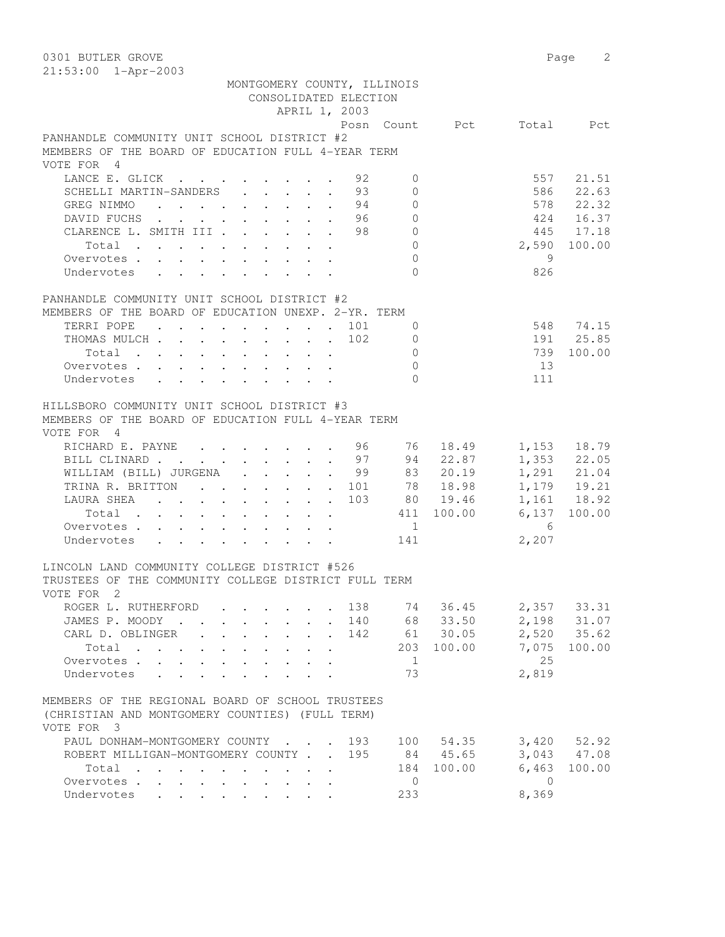| 0301 BUTLER GROVE                                                                                         |                |                |                 | 2<br>Page       |
|-----------------------------------------------------------------------------------------------------------|----------------|----------------|-----------------|-----------------|
| 21:53:00 1-Apr-2003                                                                                       |                |                |                 |                 |
| MONTGOMERY COUNTY, ILLINOIS                                                                               |                |                |                 |                 |
| CONSOLIDATED ELECTION                                                                                     |                |                |                 |                 |
| APRIL 1, 2003                                                                                             |                |                |                 |                 |
|                                                                                                           |                | Posn Count Pct |                 | Total Pct       |
| PANHANDLE COMMUNITY UNIT SCHOOL DISTRICT #2                                                               |                |                |                 |                 |
| MEMBERS OF THE BOARD OF EDUCATION FULL 4-YEAR TERM                                                        |                |                |                 |                 |
| VOTE FOR 4                                                                                                |                |                |                 |                 |
| LANCE E. GLICK<br>92                                                                                      | $\mathbf{0}$   |                | 557             | 21.51           |
| SCHELLI MARTIN-SANDERS<br>93                                                                              | $\Omega$       |                | 586             | 22.63           |
| . 94<br>GREG NIMMO                                                                                        | $\mathbf{0}$   |                | 578             | 22.32           |
| DAVID FUCHS 96                                                                                            | $\mathbf{0}$   |                | 424             | 16.37           |
| CLARENCE L. SMITH III 98                                                                                  | $\circ$        |                |                 | 445 17.18       |
| Total                                                                                                     | $\overline{0}$ |                | 2,590           | 100.00          |
| Overvotes                                                                                                 | $\mathbf{0}$   |                | - 9             |                 |
| Undervotes                                                                                                | $\Omega$       |                | 826             |                 |
|                                                                                                           |                |                |                 |                 |
| PANHANDLE COMMUNITY UNIT SCHOOL DISTRICT #2                                                               |                |                |                 |                 |
| MEMBERS OF THE BOARD OF EDUCATION UNEXP. 2-YR. TERM                                                       |                |                |                 |                 |
| TERRI POPE 101                                                                                            | 0              |                |                 | 548 74.15       |
| THOMAS MULCH 102                                                                                          | $\overline{0}$ |                |                 | 191 25.85       |
|                                                                                                           | $\circ$        |                | 739             | 100.00          |
|                                                                                                           | $\Omega$       |                | 13              |                 |
| Overvotes.<br>Undervotes                                                                                  | $\Omega$       |                | 111             |                 |
|                                                                                                           |                |                |                 |                 |
| HILLSBORO COMMUNITY UNIT SCHOOL DISTRICT #3                                                               |                |                |                 |                 |
|                                                                                                           |                |                |                 |                 |
| MEMBERS OF THE BOARD OF EDUCATION FULL 4-YEAR TERM                                                        |                |                |                 |                 |
| VOTE FOR 4                                                                                                |                |                |                 |                 |
| RICHARD E. PAYNE 96                                                                                       | 76 —           | 18.49          |                 | 1,153 18.79     |
| BILL CLINARD 97                                                                                           |                | 94 22.87       |                 | 1,353 22.05     |
| WILLIAM (BILL) JURGENA 99 83 20.19                                                                        |                |                |                 | 1,291 21.04     |
| TRINA R. BRITTON 101                                                                                      |                | 78 18.98       |                 | 1,179 19.21     |
| 103<br>LAURA SHEA                                                                                         |                | 80 19.46       |                 | 1,161 18.92     |
| Total                                                                                                     |                | 411 100.00     | 6,137           | 100.00          |
| Overvotes                                                                                                 | 1              |                | $6\overline{6}$ |                 |
| Undervotes                                                                                                | 141            |                | 2,207           |                 |
|                                                                                                           |                |                |                 |                 |
| LINCOLN LAND COMMUNITY COLLEGE DISTRICT #526                                                              |                |                |                 |                 |
| TRUSTEES OF THE COMMUNITY COLLEGE DISTRICT FULL TERM                                                      |                |                |                 |                 |
| VOTE FOR 2                                                                                                |                |                |                 |                 |
| ROGER L. RUTHERFORD<br>138                                                                                |                | 74 36.45       |                 | 2,357 33.31     |
| JAMES P. MOODY<br>140<br>$\ddot{\phantom{0}}$<br>$\ddotsc$<br>$\mathbf{r}$                                |                | 68 33.50       | 2,198           | 31.07           |
| CARL D. OBLINGER<br>142<br>$\mathbb{R}^{\mathbb{Z}^2}$<br>$\mathbf{L}^{\text{max}}$<br>$\mathbf{L}$       |                | 61 30.05       |                 | 2,520 35.62     |
| Total<br>$\cdot$ $\cdot$ $\cdot$ $\cdot$<br>$\mathbf{L}$<br>$\sim$                                        |                | 203 100.00     | 7,075           | 100.00          |
| Overvotes.<br>$\mathbf{L}$                                                                                | $\mathbf{1}$   |                | 25              |                 |
| Undervotes<br>$\mathbf{r}$ and $\mathbf{r}$<br>$\mathbf{r}$<br>$\overline{a}$<br>$\overline{a}$<br>$\sim$ | 73             |                | 2,819           |                 |
|                                                                                                           |                |                |                 |                 |
| MEMBERS OF THE REGIONAL BOARD OF SCHOOL TRUSTEES                                                          |                |                |                 |                 |
| (CHRISTIAN AND MONTGOMERY COUNTIES) (FULL TERM)                                                           |                |                |                 |                 |
| VOTE FOR 3                                                                                                |                |                |                 |                 |
| PAUL DONHAM-MONTGOMERY COUNTY<br>193                                                                      |                | 100 54.35      |                 | $3,420$ $52.92$ |
| ROBERT MILLIGAN-MONTGOMERY COUNTY<br>195                                                                  |                | 84 45.65       | 3,043           | 47.08           |
| Total                                                                                                     | 184            | 100.00         | 6,463           | 100.00          |
| Overvotes<br>$\mathbf{r}$<br>$\mathbf{r} = \mathbf{r}$<br>$\sim$                                          | $\overline{0}$ |                | $\bigcirc$      |                 |
| Undervotes                                                                                                | 233            |                | 8,369           |                 |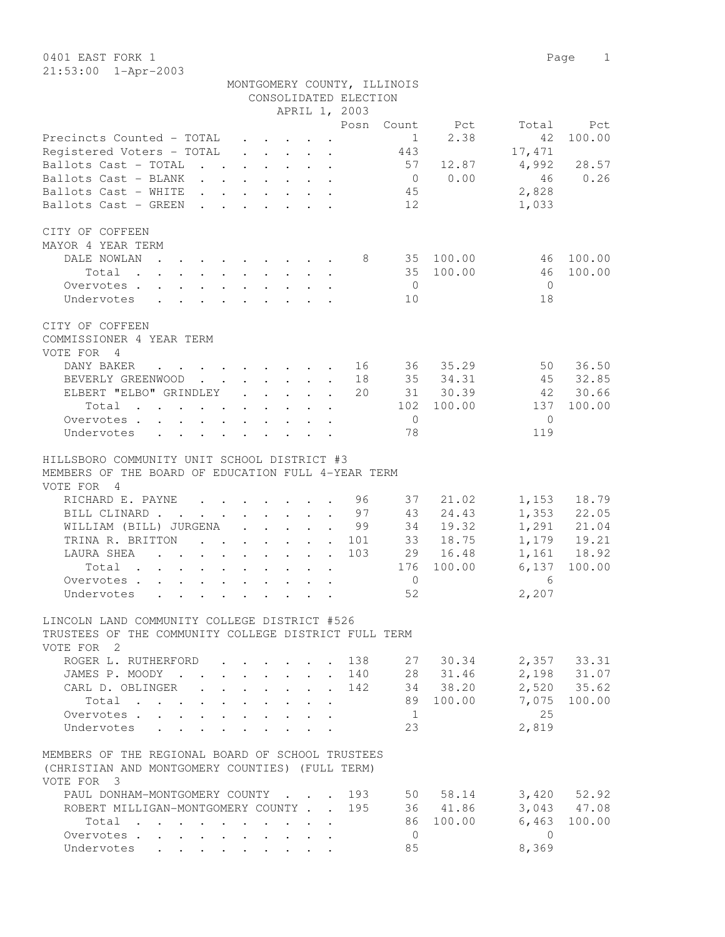0401 EAST FORK 1 Page 1 21:53:00 1-Apr-2003

|                             | г, |
|-----------------------------|----|
|                             |    |
| MONTGOMERY COUNTY, ILLINOIS |    |
| CONSOLIDATED ELECTION       |    |
| 2 DD TT 1 0000              |    |

|                                                                                                                   |                                      |                      | APRIL 1, 2003                                                                                                                                                                                                                                                                                                                                                                                                                |                |                                |                 |                       |
|-------------------------------------------------------------------------------------------------------------------|--------------------------------------|----------------------|------------------------------------------------------------------------------------------------------------------------------------------------------------------------------------------------------------------------------------------------------------------------------------------------------------------------------------------------------------------------------------------------------------------------------|----------------|--------------------------------|-----------------|-----------------------|
|                                                                                                                   |                                      |                      |                                                                                                                                                                                                                                                                                                                                                                                                                              |                | Posn Count Pct                 | Total           | Pct                   |
| Precincts Counted - TOTAL                                                                                         |                                      |                      |                                                                                                                                                                                                                                                                                                                                                                                                                              |                | 2.38<br>$1 \quad \blacksquare$ | 42              | 100.00                |
| Registered Voters - TOTAL                                                                                         |                                      |                      | $\mathbf{r} = \mathbf{r} + \mathbf{r} + \mathbf{r} + \mathbf{r} + \mathbf{r} + \mathbf{r} + \mathbf{r} + \mathbf{r} + \mathbf{r} + \mathbf{r} + \mathbf{r} + \mathbf{r} + \mathbf{r} + \mathbf{r} + \mathbf{r} + \mathbf{r} + \mathbf{r} + \mathbf{r} + \mathbf{r} + \mathbf{r} + \mathbf{r} + \mathbf{r} + \mathbf{r} + \mathbf{r} + \mathbf{r} + \mathbf{r} + \mathbf{r} + \mathbf{r} + \mathbf{r} + \mathbf{r} + \mathbf$ | 443            |                                | 17,471          |                       |
| Ballots Cast - TOTAL                                                                                              |                                      |                      |                                                                                                                                                                                                                                                                                                                                                                                                                              | 57             | 12.87                          | 4,992           | 28.57                 |
| Ballots Cast - BLANK                                                                                              |                                      |                      |                                                                                                                                                                                                                                                                                                                                                                                                                              |                | $0 \t 0.00$                    | 46              | 0.26                  |
| Ballots Cast - WHITE                                                                                              |                                      |                      |                                                                                                                                                                                                                                                                                                                                                                                                                              | 45             |                                | 2,828           |                       |
| Ballots Cast - GREEN                                                                                              |                                      |                      |                                                                                                                                                                                                                                                                                                                                                                                                                              | 12             |                                | 1,033           |                       |
| CITY OF COFFEEN                                                                                                   |                                      |                      |                                                                                                                                                                                                                                                                                                                                                                                                                              |                |                                |                 |                       |
| MAYOR 4 YEAR TERM                                                                                                 |                                      |                      |                                                                                                                                                                                                                                                                                                                                                                                                                              |                |                                |                 |                       |
| DALE NOWLAN<br>$\mathbf{r}$ , and $\mathbf{r}$ , and $\mathbf{r}$ , and $\mathbf{r}$                              |                                      |                      |                                                                                                                                                                                                                                                                                                                                                                                                                              |                | 8 35 100.00                    | 46              | 100.00                |
| Total                                                                                                             |                                      |                      |                                                                                                                                                                                                                                                                                                                                                                                                                              |                | 35 100.00                      | 46              | 100.00                |
| Overvotes                                                                                                         |                                      |                      |                                                                                                                                                                                                                                                                                                                                                                                                                              | $\overline{0}$ |                                | $\overline{0}$  |                       |
| Undervotes                                                                                                        |                                      |                      |                                                                                                                                                                                                                                                                                                                                                                                                                              | 10             |                                | 18              |                       |
| CITY OF COFFEEN                                                                                                   |                                      |                      |                                                                                                                                                                                                                                                                                                                                                                                                                              |                |                                |                 |                       |
| COMMISSIONER 4 YEAR TERM                                                                                          |                                      |                      |                                                                                                                                                                                                                                                                                                                                                                                                                              |                |                                |                 |                       |
| VOTE FOR 4                                                                                                        |                                      |                      |                                                                                                                                                                                                                                                                                                                                                                                                                              |                |                                |                 |                       |
| DANY BAKER<br>$\cdot$ 16 36 35.29                                                                                 |                                      |                      |                                                                                                                                                                                                                                                                                                                                                                                                                              |                |                                | 50              | 36.50                 |
| BEVERLY GREENWOOD 18                                                                                              |                                      |                      |                                                                                                                                                                                                                                                                                                                                                                                                                              |                | 35 34.31                       |                 | 45 32.85              |
| ELBERT "ELBO" GRINDLEY 20                                                                                         |                                      |                      |                                                                                                                                                                                                                                                                                                                                                                                                                              |                | 31 30.39                       | 42 30.66        |                       |
| Total                                                                                                             |                                      |                      |                                                                                                                                                                                                                                                                                                                                                                                                                              |                | 102 100.00                     | 137             | 100.00                |
| Overvotes                                                                                                         |                                      |                      |                                                                                                                                                                                                                                                                                                                                                                                                                              | $\overline{0}$ |                                | $\mathbf{0}$    |                       |
| Undervotes                                                                                                        |                                      |                      |                                                                                                                                                                                                                                                                                                                                                                                                                              | 78             |                                | 119             |                       |
| HILLSBORO COMMUNITY UNIT SCHOOL DISTRICT #3<br>MEMBERS OF THE BOARD OF EDUCATION FULL 4-YEAR TERM<br>VOTE FOR 4   |                                      |                      |                                                                                                                                                                                                                                                                                                                                                                                                                              |                |                                |                 |                       |
| RICHARD E. PAYNE 96                                                                                               |                                      |                      |                                                                                                                                                                                                                                                                                                                                                                                                                              | 37             | 21.02                          | 1,153           | 18.79                 |
| BILL CLINARD 97                                                                                                   |                                      |                      |                                                                                                                                                                                                                                                                                                                                                                                                                              | 43<br>34       | 24.43                          |                 | 1,353 22.05           |
| WILLIAM (BILL) JURGENA 99                                                                                         |                                      |                      |                                                                                                                                                                                                                                                                                                                                                                                                                              |                | 19.32                          |                 | 1,291 21.04           |
| TRINA R. BRITTON 101                                                                                              |                                      |                      |                                                                                                                                                                                                                                                                                                                                                                                                                              |                | 33 18.75                       |                 | 1,179 19.21           |
| LAURA SHEA                                                                                                        |                                      |                      | 103                                                                                                                                                                                                                                                                                                                                                                                                                          |                | 29 16.48                       | 6,137           | 1,161 18.92<br>100.00 |
| Total                                                                                                             |                                      |                      |                                                                                                                                                                                                                                                                                                                                                                                                                              |                | 176 100.00                     |                 |                       |
| Overvotes                                                                                                         |                                      |                      |                                                                                                                                                                                                                                                                                                                                                                                                                              | $\overline{0}$ |                                | $6\overline{6}$ |                       |
| Undervotes                                                                                                        |                                      |                      |                                                                                                                                                                                                                                                                                                                                                                                                                              | 52             |                                | 2,207           |                       |
| LINCOLN LAND COMMUNITY COLLEGE DISTRICT #526                                                                      |                                      |                      |                                                                                                                                                                                                                                                                                                                                                                                                                              |                |                                |                 |                       |
| TRUSTEES OF THE COMMUNITY COLLEGE DISTRICT FULL TERM                                                              |                                      |                      |                                                                                                                                                                                                                                                                                                                                                                                                                              |                |                                |                 |                       |
| VOTE FOR 2                                                                                                        |                                      |                      |                                                                                                                                                                                                                                                                                                                                                                                                                              |                |                                |                 |                       |
| ROGER L. RUTHERFORD                                                                                               |                                      |                      | 138                                                                                                                                                                                                                                                                                                                                                                                                                          |                | 27 30.34                       |                 | 2,357 33.31           |
| JAMES P. MOODY                                                                                                    | $\mathbf{L}$<br>$\ddot{\phantom{0}}$ | $\ddot{\phantom{0}}$ | . 140                                                                                                                                                                                                                                                                                                                                                                                                                        |                | 28 31.46                       | 2,198           | 31.07                 |
| CARL D. OBLINGER<br>$\mathbb{R}^{\mathbb{Z}}$                                                                     | $\mathbf{L}$                         | $\mathbf{L}$         | 142                                                                                                                                                                                                                                                                                                                                                                                                                          |                | 34 38.20                       |                 | 2,520 35.62           |
| Total                                                                                                             |                                      |                      |                                                                                                                                                                                                                                                                                                                                                                                                                              |                | 89 100.00                      | 7,075           | 100.00                |
| Overvotes, , , , ,                                                                                                | $\mathbf{L}$<br>$\mathbf{r}$         |                      |                                                                                                                                                                                                                                                                                                                                                                                                                              | 1              |                                | 25              |                       |
| Undervotes<br>$\mathbf{r} = \mathbf{r} + \mathbf{r}$<br>$\ddot{\phantom{a}}$                                      | $\mathbf{r}$                         |                      |                                                                                                                                                                                                                                                                                                                                                                                                                              | 23             |                                | 2,819           |                       |
| MEMBERS OF THE REGIONAL BOARD OF SCHOOL TRUSTEES<br>(CHRISTIAN AND MONTGOMERY COUNTIES) (FULL TERM)<br>VOTE FOR 3 |                                      |                      |                                                                                                                                                                                                                                                                                                                                                                                                                              |                |                                |                 |                       |
| PAUL DONHAM-MONTGOMERY COUNTY                                                                                     |                                      |                      | 193                                                                                                                                                                                                                                                                                                                                                                                                                          |                | 50 58.14                       |                 | $3,420$ $52.92$       |
| ROBERT MILLIGAN-MONTGOMERY COUNTY                                                                                 |                                      |                      | 195                                                                                                                                                                                                                                                                                                                                                                                                                          |                | 36 41.86                       | 3,043           | 47.08                 |
| Total                                                                                                             | $\ddot{\phantom{a}}$                 |                      |                                                                                                                                                                                                                                                                                                                                                                                                                              | 86 -           | 100.00                         | 6,463           | 100.00                |
| Overvotes.                                                                                                        |                                      |                      |                                                                                                                                                                                                                                                                                                                                                                                                                              | $\overline{0}$ |                                | $\bigcirc$      |                       |
| Undervotes                                                                                                        |                                      |                      |                                                                                                                                                                                                                                                                                                                                                                                                                              | 85             |                                | 8,369           |                       |
|                                                                                                                   |                                      |                      |                                                                                                                                                                                                                                                                                                                                                                                                                              |                |                                |                 |                       |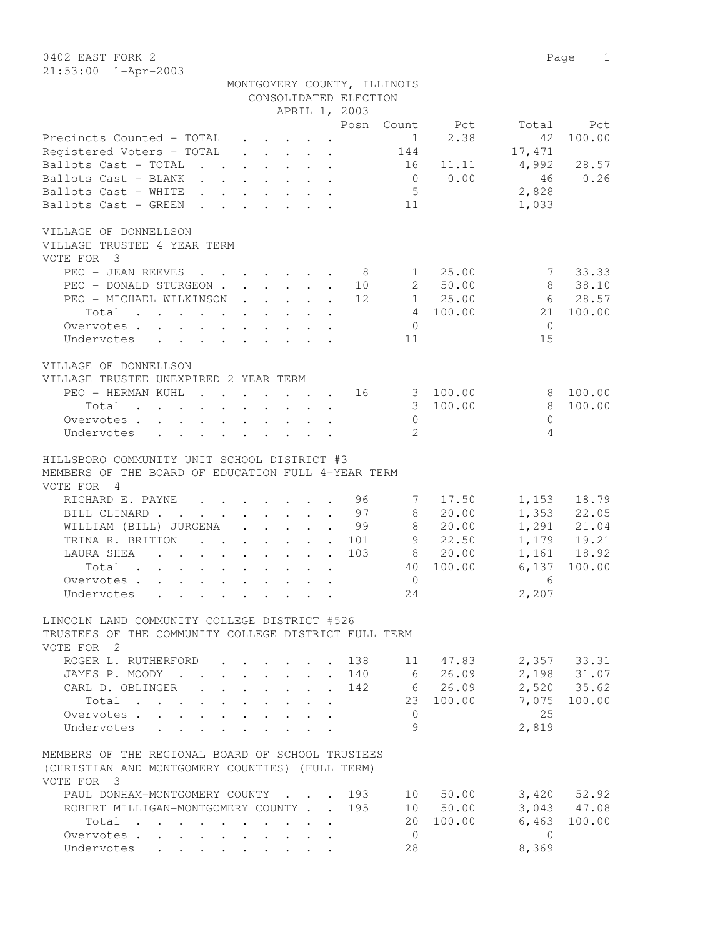0402 EAST FORK 2 Page 1 21:53:00 1-Apr-2003

|                                                                                                                                                                                                                                                                                                                                                                                                                                                                          |                                        |                                                                          |                |                       | MONTGOMERY COUNTY, ILLINOIS |                                |            |                 |
|--------------------------------------------------------------------------------------------------------------------------------------------------------------------------------------------------------------------------------------------------------------------------------------------------------------------------------------------------------------------------------------------------------------------------------------------------------------------------|----------------------------------------|--------------------------------------------------------------------------|----------------|-----------------------|-----------------------------|--------------------------------|------------|-----------------|
|                                                                                                                                                                                                                                                                                                                                                                                                                                                                          |                                        |                                                                          |                | CONSOLIDATED ELECTION |                             |                                |            |                 |
|                                                                                                                                                                                                                                                                                                                                                                                                                                                                          |                                        |                                                                          |                | APRIL 1, 2003         |                             |                                |            |                 |
|                                                                                                                                                                                                                                                                                                                                                                                                                                                                          |                                        |                                                                          |                |                       |                             | Posn Count Pct                 | Total      | Pct             |
| Precincts Counted - TOTAL                                                                                                                                                                                                                                                                                                                                                                                                                                                |                                        | $\cdot$ $\cdot$ $\cdot$ $\cdot$ $\cdot$ $\cdot$ $\cdot$                  |                |                       |                             | 2.38<br>$1 \quad \blacksquare$ | 42         | 100.00          |
| Registered Voters - TOTAL                                                                                                                                                                                                                                                                                                                                                                                                                                                |                                        | $\mathbf{r}$ , $\mathbf{r}$ , $\mathbf{r}$ , $\mathbf{r}$ , $\mathbf{r}$ |                |                       | 144                         |                                | 17,471     |                 |
| Ballots Cast - TOTAL                                                                                                                                                                                                                                                                                                                                                                                                                                                     |                                        |                                                                          |                |                       | 16                          | 11.11                          | 4,992      | 28.57           |
| Ballots Cast - BLANK                                                                                                                                                                                                                                                                                                                                                                                                                                                     |                                        |                                                                          |                |                       |                             | 0 0.00                         | 46         | 0.26            |
| Ballots Cast - WHITE                                                                                                                                                                                                                                                                                                                                                                                                                                                     |                                        |                                                                          |                |                       | 5 <sup>5</sup>              |                                | 2,828      |                 |
| Ballots Cast - GREEN                                                                                                                                                                                                                                                                                                                                                                                                                                                     |                                        |                                                                          |                |                       | 11                          |                                | 1,033      |                 |
|                                                                                                                                                                                                                                                                                                                                                                                                                                                                          |                                        |                                                                          |                |                       |                             |                                |            |                 |
| VILLAGE OF DONNELLSON                                                                                                                                                                                                                                                                                                                                                                                                                                                    |                                        |                                                                          |                |                       |                             |                                |            |                 |
| VILLAGE TRUSTEE 4 YEAR TERM                                                                                                                                                                                                                                                                                                                                                                                                                                              |                                        |                                                                          |                |                       |                             |                                |            |                 |
| VOTE FOR 3                                                                                                                                                                                                                                                                                                                                                                                                                                                               |                                        |                                                                          |                |                       |                             |                                |            |                 |
| PEO - JEAN REEVES 8                                                                                                                                                                                                                                                                                                                                                                                                                                                      |                                        |                                                                          |                |                       |                             | 1 25.00                        |            | 7 33.33         |
| PEO - DONALD STURGEON                                                                                                                                                                                                                                                                                                                                                                                                                                                    |                                        |                                                                          |                | 10                    |                             | 2 50.00                        | 8          | 38.10           |
| PEO - MICHAEL WILKINSON 12                                                                                                                                                                                                                                                                                                                                                                                                                                               |                                        |                                                                          |                |                       |                             | 1 25.00                        |            | 6 28.57         |
| Total                                                                                                                                                                                                                                                                                                                                                                                                                                                                    |                                        |                                                                          |                |                       |                             | 4 100.00                       |            | 21 100.00       |
| Overvotes.                                                                                                                                                                                                                                                                                                                                                                                                                                                               |                                        |                                                                          |                |                       | $\Omega$                    |                                | $\Omega$   |                 |
| Undervotes<br>$\mathbf{1} \qquad \mathbf{1} \qquad \mathbf{1} \qquad \mathbf{1} \qquad \mathbf{1} \qquad \mathbf{1} \qquad \mathbf{1} \qquad \mathbf{1} \qquad \mathbf{1} \qquad \mathbf{1} \qquad \mathbf{1} \qquad \mathbf{1} \qquad \mathbf{1} \qquad \mathbf{1} \qquad \mathbf{1} \qquad \mathbf{1} \qquad \mathbf{1} \qquad \mathbf{1} \qquad \mathbf{1} \qquad \mathbf{1} \qquad \mathbf{1} \qquad \mathbf{1} \qquad \mathbf{1} \qquad \mathbf{1} \qquad \mathbf{$ |                                        |                                                                          |                |                       | 11                          |                                | 15         |                 |
|                                                                                                                                                                                                                                                                                                                                                                                                                                                                          |                                        |                                                                          |                |                       |                             |                                |            |                 |
| VILLAGE OF DONNELLSON                                                                                                                                                                                                                                                                                                                                                                                                                                                    |                                        |                                                                          |                |                       |                             |                                |            |                 |
| VILLAGE TRUSTEE UNEXPIRED 2 YEAR TERM                                                                                                                                                                                                                                                                                                                                                                                                                                    |                                        |                                                                          |                |                       |                             |                                |            |                 |
| PEO - HERMAN KUHL                                                                                                                                                                                                                                                                                                                                                                                                                                                        |                                        | the contract of the contract of the                                      |                | 16                    |                             | 3 100.00                       | 8          | 100.00          |
| Total<br>the contract of the contract of the contract of the contract of the contract of the contract of the contract of                                                                                                                                                                                                                                                                                                                                                 |                                        |                                                                          |                |                       |                             | 3 100.00                       | 8          | 100.00          |
| Overvotes                                                                                                                                                                                                                                                                                                                                                                                                                                                                |                                        |                                                                          |                |                       | $\circ$                     |                                | $\Omega$   |                 |
| Undervotes                                                                                                                                                                                                                                                                                                                                                                                                                                                               |                                        |                                                                          |                |                       | $\overline{2}$              |                                | 4          |                 |
|                                                                                                                                                                                                                                                                                                                                                                                                                                                                          |                                        |                                                                          |                |                       |                             |                                |            |                 |
| HILLSBORO COMMUNITY UNIT SCHOOL DISTRICT #3                                                                                                                                                                                                                                                                                                                                                                                                                              |                                        |                                                                          |                |                       |                             |                                |            |                 |
| MEMBERS OF THE BOARD OF EDUCATION FULL 4-YEAR TERM                                                                                                                                                                                                                                                                                                                                                                                                                       |                                        |                                                                          |                |                       |                             |                                |            |                 |
| VOTE FOR 4                                                                                                                                                                                                                                                                                                                                                                                                                                                               |                                        |                                                                          |                |                       |                             |                                |            |                 |
| RICHARD E. PAYNE 96                                                                                                                                                                                                                                                                                                                                                                                                                                                      |                                        |                                                                          |                |                       | 7                           | 17.50                          | 1,153      | 18.79           |
| BILL CLINARD 97                                                                                                                                                                                                                                                                                                                                                                                                                                                          |                                        |                                                                          |                |                       | 8                           | 20.00                          |            | 1,353 22.05     |
| WILLIAM (BILL) JURGENA                                                                                                                                                                                                                                                                                                                                                                                                                                                   |                                        |                                                                          |                | . 99                  | 8                           | 20.00                          |            | 1,291 21.04     |
| TRINA R. BRITTON                                                                                                                                                                                                                                                                                                                                                                                                                                                         |                                        |                                                                          |                | . 101                 | $9 \quad$                   | 22.50                          |            | 1,179 19.21     |
|                                                                                                                                                                                                                                                                                                                                                                                                                                                                          |                                        |                                                                          |                | 103                   | 8                           | 20.00                          |            | 1,161 18.92     |
| Total                                                                                                                                                                                                                                                                                                                                                                                                                                                                    |                                        |                                                                          |                |                       |                             | 40 100.00                      | 6,137      | 100.00          |
| Overvotes.                                                                                                                                                                                                                                                                                                                                                                                                                                                               |                                        |                                                                          |                |                       | $\circ$                     |                                | 6          |                 |
| Undervotes                                                                                                                                                                                                                                                                                                                                                                                                                                                               |                                        |                                                                          |                |                       | 24                          |                                | 2,207      |                 |
|                                                                                                                                                                                                                                                                                                                                                                                                                                                                          |                                        |                                                                          |                |                       |                             |                                |            |                 |
| LINCOLN LAND COMMUNITY COLLEGE DISTRICT #526                                                                                                                                                                                                                                                                                                                                                                                                                             |                                        |                                                                          |                |                       |                             |                                |            |                 |
| TRUSTEES OF THE COMMUNITY COLLEGE DISTRICT FULL TERM                                                                                                                                                                                                                                                                                                                                                                                                                     |                                        |                                                                          |                |                       |                             |                                |            |                 |
| VOTE FOR 2                                                                                                                                                                                                                                                                                                                                                                                                                                                               |                                        |                                                                          |                |                       |                             |                                |            |                 |
| ROGER L. RUTHERFORD                                                                                                                                                                                                                                                                                                                                                                                                                                                      |                                        |                                                                          |                | 138                   |                             | 11 47.83                       |            | 2,357 33.31     |
| JAMES P. MOODY .                                                                                                                                                                                                                                                                                                                                                                                                                                                         |                                        | $\ddot{\phantom{a}}$                                                     |                | 140                   | 6                           | 26.09                          |            | 2,198 31.07     |
| CARL D. OBLINGER                                                                                                                                                                                                                                                                                                                                                                                                                                                         |                                        | $\mathbf{L}$                                                             |                | 142                   |                             | 6 26.09                        |            | 2,520 35.62     |
| Total                                                                                                                                                                                                                                                                                                                                                                                                                                                                    | $\mathbf{r} = \mathbf{r} + \mathbf{r}$ |                                                                          |                |                       |                             | 23 100.00                      | 7,075      | 100.00          |
| $\mathbf{L} = \mathbf{L}$<br>Overvotes                                                                                                                                                                                                                                                                                                                                                                                                                                   | $\mathbf{L}$                           | $\mathbf{L}$                                                             |                |                       | $\overline{0}$              |                                | 25         |                 |
| Undervotes<br>$\cdot$ $\cdot$ $\cdot$ $\cdot$                                                                                                                                                                                                                                                                                                                                                                                                                            |                                        |                                                                          |                |                       | 9                           |                                | 2,819      |                 |
|                                                                                                                                                                                                                                                                                                                                                                                                                                                                          |                                        |                                                                          |                |                       |                             |                                |            |                 |
| MEMBERS OF THE REGIONAL BOARD OF SCHOOL TRUSTEES                                                                                                                                                                                                                                                                                                                                                                                                                         |                                        |                                                                          |                |                       |                             |                                |            |                 |
| (CHRISTIAN AND MONTGOMERY COUNTIES) (FULL TERM)                                                                                                                                                                                                                                                                                                                                                                                                                          |                                        |                                                                          |                |                       |                             |                                |            |                 |
| VOTE FOR 3                                                                                                                                                                                                                                                                                                                                                                                                                                                               |                                        |                                                                          |                |                       |                             |                                |            |                 |
| PAUL DONHAM-MONTGOMERY COUNTY                                                                                                                                                                                                                                                                                                                                                                                                                                            |                                        |                                                                          |                | 193                   | 10                          | 50.00                          |            | $3,420$ $52.92$ |
| ROBERT MILLIGAN-MONTGOMERY COUNTY.                                                                                                                                                                                                                                                                                                                                                                                                                                       |                                        |                                                                          | $\mathbb{R}^n$ | 195                   |                             | 10 50.00                       | 3,043      | 47.08           |
| Total                                                                                                                                                                                                                                                                                                                                                                                                                                                                    |                                        |                                                                          |                |                       | 20                          | 100.00                         | 6,463      | 100.00          |
| Overvotes.<br>$\mathbf{r} = \mathbf{r}$<br>$\mathbf{r} = \mathbf{r}$                                                                                                                                                                                                                                                                                                                                                                                                     | $\ddot{\phantom{0}}$                   | $\ddot{\phantom{a}}$                                                     |                |                       | $\overline{0}$              |                                | $\bigcirc$ |                 |
| Undervotes<br>$\mathbf{r}$ and $\mathbf{r}$ and $\mathbf{r}$                                                                                                                                                                                                                                                                                                                                                                                                             | $\mathbf{L}^{\text{max}}$              | $\cdot$ $\cdot$ $\cdot$ $\cdot$                                          |                |                       | 28                          |                                | 8,369      |                 |
|                                                                                                                                                                                                                                                                                                                                                                                                                                                                          |                                        |                                                                          |                |                       |                             |                                |            |                 |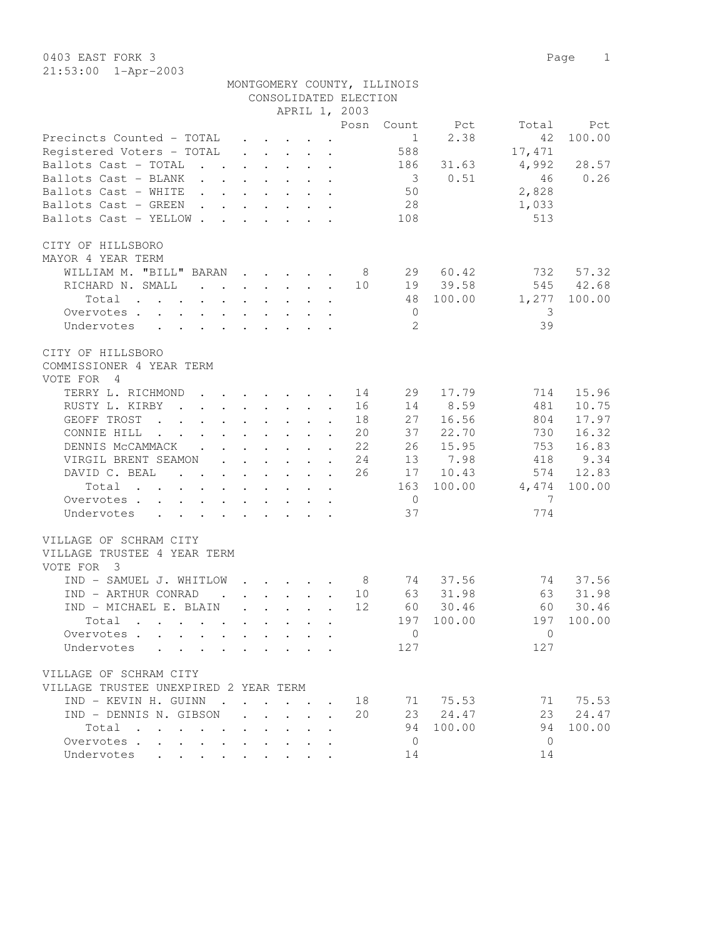| 21. JJ. JU                                                                                                            |                                                                          |               |                                                                                      |        |                      | CONSOLIDATED ELECTION<br>APRIL 1, 2003 | MONTGOMERY COUNTY, ILLINOIS |           |                |          |
|-----------------------------------------------------------------------------------------------------------------------|--------------------------------------------------------------------------|---------------|--------------------------------------------------------------------------------------|--------|----------------------|----------------------------------------|-----------------------------|-----------|----------------|----------|
|                                                                                                                       |                                                                          |               |                                                                                      |        |                      |                                        | Posn Count                  | Pct       | Total          | Pct      |
| Precincts Counted - TOTAL<br>Registered Voters - TOTAL                                                                | $\ddot{\phantom{0}}$                                                     |               | $\cdot$ $\cdot$ $\cdot$ $\cdot$ $\cdot$ $\cdot$                                      |        |                      |                                        | 1<br>588                    | 2.38      | 42<br>17,471   | 100.00   |
| Ballots Cast - TOTAL<br>$\mathbf{r}$ , $\mathbf{r}$ , $\mathbf{r}$ , $\mathbf{r}$                                     |                                                                          |               |                                                                                      |        | $\mathbf{r}$         |                                        | 186                         | 31.63     | 4,992          | 28.57    |
| Ballots Cast - BLANK                                                                                                  |                                                                          |               |                                                                                      |        | $\cdot$ $\cdot$      |                                        | $\overline{\mathbf{3}}$     | 0.51      | 46             | 0.26     |
| Ballots Cast - WHITE                                                                                                  |                                                                          |               |                                                                                      |        |                      |                                        | 50                          |           | 2,828          |          |
| Ballots Cast - GREEN                                                                                                  |                                                                          |               |                                                                                      |        |                      |                                        | 28                          |           | 1,033          |          |
| Ballots Cast - YELLOW                                                                                                 |                                                                          |               |                                                                                      |        |                      |                                        | 108                         |           | 513            |          |
| CITY OF HILLSBORO<br>MAYOR 4 YEAR TERM<br>WILLIAM M. "BILL" BARAN                                                     |                                                                          |               | $\cdot$ $\cdot$ $\cdot$ $\cdot$                                                      |        |                      | - 8                                    |                             | 29 60.42  | 732            | 57.32    |
| RICHARD N. SMALL                                                                                                      |                                                                          |               |                                                                                      |        |                      | 10                                     |                             | 19 39.58  | 545            | 42.68    |
| Total                                                                                                                 |                                                                          |               |                                                                                      | $\sim$ |                      |                                        |                             | 48 100.00 | 1,277          | 100.00   |
| Overvotes.                                                                                                            |                                                                          |               |                                                                                      |        |                      |                                        | $\overline{0}$              |           | 3              |          |
| Undervotes                                                                                                            |                                                                          |               |                                                                                      |        |                      |                                        | 2                           |           | 39             |          |
| CITY OF HILLSBORO                                                                                                     |                                                                          |               |                                                                                      |        |                      |                                        |                             |           |                |          |
| COMMISSIONER 4 YEAR TERM                                                                                              |                                                                          |               |                                                                                      |        |                      |                                        |                             |           |                |          |
| VOTE FOR 4                                                                                                            |                                                                          |               |                                                                                      |        |                      |                                        |                             |           |                |          |
| TERRY L. RICHMOND                                                                                                     |                                                                          |               |                                                                                      |        |                      | 14                                     | 29                          | 17.79     | 714            | 15.96    |
| RUSTY L. KIRBY<br>$\sim$ $\sim$                                                                                       | $\mathbf{r}$ , $\mathbf{r}$ , $\mathbf{r}$ , $\mathbf{r}$ , $\mathbf{r}$ |               |                                                                                      |        | $\mathbf{r}$         | 16                                     | 14                          | 8.59      | 481            | 10.75    |
| GEOFF TROST<br>$\mathbf{r}$ , $\mathbf{r}$ , $\mathbf{r}$ , $\mathbf{r}$                                              | $\mathbf{r}$ , $\mathbf{r}$ , $\mathbf{r}$ , $\mathbf{r}$ , $\mathbf{r}$ |               |                                                                                      |        | $\mathbf{r}$         | 18                                     | 27                          | 16.56     | 804            | 17.97    |
| CONNIE HILL<br>$\mathbf{r}$ , $\mathbf{r}$ , $\mathbf{r}$ , $\mathbf{r}$ , $\mathbf{r}$ , $\mathbf{r}$ , $\mathbf{r}$ |                                                                          |               |                                                                                      |        |                      | 20                                     | 37                          | 22.70     | 730            | 16.32    |
| DENNIS MCCAMMACK                                                                                                      |                                                                          |               |                                                                                      |        |                      | 22                                     | 26                          | 15.95     | 753            | 16.83    |
| VIRGIL BRENT SEAMON                                                                                                   | $\cdot$ $\cdot$ $\cdot$ $\cdot$ $\cdot$ $\cdot$ $\cdot$ $\cdot$          |               |                                                                                      |        |                      | 24                                     | 13                          | 7.98      | 418            | 9.34     |
| DAVID C. BEAL<br>$\mathbf{r}$ , and $\mathbf{r}$ , and $\mathbf{r}$ , and $\mathbf{r}$                                |                                                                          |               |                                                                                      |        |                      | 26                                     |                             | 17 10.43  | 574            | 12.83    |
| Total<br>the contract of the contract of the contract of                                                              |                                                                          |               |                                                                                      |        |                      |                                        | 163                         | 100.00    | 4,474          | 100.00   |
| Overvotes                                                                                                             |                                                                          |               |                                                                                      |        |                      |                                        | $\overline{0}$              |           | -7             |          |
| Undervotes<br>$\cdot$ $\cdot$ $\cdot$ $\cdot$ $\cdot$<br>$\ddot{\phantom{a}}$                                         |                                                                          | $\sim$ $\sim$ |                                                                                      |        |                      |                                        | 37                          |           | 774            |          |
| VILLAGE OF SCHRAM CITY<br>VILLAGE TRUSTEE 4 YEAR TERM<br>VOTE FOR<br>$\overline{\mathbf{3}}$                          |                                                                          |               |                                                                                      |        |                      |                                        |                             |           |                |          |
| IND - SAMUEL J. WHITLOW                                                                                               |                                                                          |               | $\mathbf{r}$ , $\mathbf{r}$ , $\mathbf{r}$ , $\mathbf{r}$                            |        |                      | 8                                      | 74                          | 37.56     | 74             | 37.56    |
| IND - ARTHUR CONRAD<br>$\sim$                                                                                         |                                                                          |               | $\mathbf{L} = \mathbf{L} \mathbf{L} + \mathbf{L} \mathbf{L} + \mathbf{L} \mathbf{L}$ |        | $\ddot{\phantom{a}}$ | 10                                     | 63                          | 31.98     | 63             | 31.98    |
| IND - MICHAEL E. BLAIN                                                                                                |                                                                          |               |                                                                                      |        |                      | 12                                     |                             | 60 30.46  |                | 60 30.46 |
| Total<br>$\mathbf{r}$ , $\mathbf{r}$ , $\mathbf{r}$ , $\mathbf{r}$                                                    |                                                                          |               |                                                                                      |        |                      |                                        | 197                         | 100.00    | 197            | 100.00   |
| Overvotes                                                                                                             |                                                                          |               |                                                                                      |        |                      |                                        | $\overline{0}$              |           | $\mathbf{0}$   |          |
| Undervotes                                                                                                            |                                                                          |               |                                                                                      |        |                      |                                        | 127                         |           | 127            |          |
| VILLAGE OF SCHRAM CITY<br>VILLAGE TRUSTEE UNEXPIRED 2 YEAR TERM                                                       |                                                                          |               |                                                                                      |        |                      |                                        |                             |           |                |          |
| IND - KEVIN H. GUINN                                                                                                  | $\cdot$                                                                  |               |                                                                                      |        |                      | 18                                     |                             | 71 75.53  | 71             | 75.53    |
| IND - DENNIS N. GIBSON                                                                                                | $\mathbf{L}$                                                             | $\mathbf{r}$  |                                                                                      |        |                      | 20                                     | 23                          | 24.47     | 23             | 24.47    |
| Total<br>$\sim$<br>$\sim$ $\sim$ $\sim$ $\sim$ $\sim$                                                                 |                                                                          |               |                                                                                      |        |                      |                                        | 94                          | 100.00    | 94             | 100.00   |
| Overvotes                                                                                                             |                                                                          |               |                                                                                      |        |                      |                                        | $\mathbf{0}$                |           | $\overline{0}$ |          |
| Undervotes                                                                                                            |                                                                          |               |                                                                                      |        |                      |                                        | 14                          |           | 14             |          |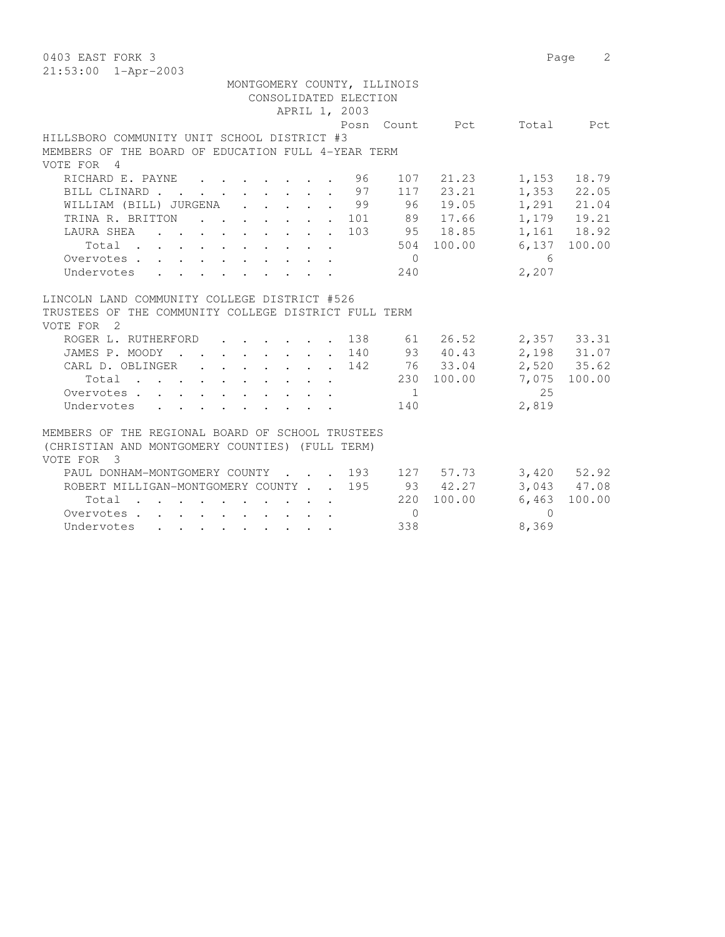| 0403 EAST FORK 3                                     |                |             | 2<br>Page               |
|------------------------------------------------------|----------------|-------------|-------------------------|
| $21:53:00$ $1 - Appr-2003$                           |                |             |                         |
| MONTGOMERY COUNTY, ILLINOIS                          |                |             |                         |
| CONSOLIDATED ELECTION                                |                |             |                         |
| APRIL 1, 2003                                        |                |             |                         |
|                                                      | Posn Count Pct |             | Total Pct               |
| HILLSBORO COMMUNITY UNIT SCHOOL DISTRICT #3          |                |             |                         |
| MEMBERS OF THE BOARD OF EDUCATION FULL 4-YEAR TERM   |                |             |                         |
| VOTE FOR 4                                           |                |             |                         |
| RICHARD E. PAYNE 96                                  | 107            | 21.23 1,153 | 18.79                   |
| BILL CLINARD 97                                      |                | 117 23.21   | 1,353 22.05             |
| WILLIAM (BILL) JURGENA 99                            |                | 96 19.05    | 1,291 21.04             |
| TRINA R. BRITTON 101                                 |                | 89 17.66    | 1,179 19.21             |
| . 103 95 18.85<br>LAURA SHEA                         |                |             | 1,161 18.92             |
| Total                                                |                | 504 100.00  | 6,137 100.00            |
| Overvotes.                                           | $\overline{0}$ |             | $6\overline{6}$         |
| Undervotes                                           | 240            |             | 2,207                   |
|                                                      |                |             |                         |
| LINCOLN LAND COMMUNITY COLLEGE DISTRICT #526         |                |             |                         |
| TRUSTEES OF THE COMMUNITY COLLEGE DISTRICT FULL TERM |                |             |                         |
| VOTE FOR 2                                           |                |             |                         |
| ROGER L. RUTHERFORD<br>$\cdot$ 138                   |                |             | 61  26.52  2,357  33.31 |
| JAMES P. MOODY 140                                   |                | 93 40.43    | 2,198 31.07             |
| CARL D. OBLINGER 142                                 |                | 76 33.04    | 2,520 35.62             |
| Total                                                |                | 230 100.00  | 7,075<br>100.00         |
| Overvotes                                            | $\blacksquare$ |             | 2.5                     |
| Undervotes                                           | 140            |             | 2,819                   |
|                                                      |                |             |                         |
| MEMBERS OF THE REGIONAL BOARD OF SCHOOL TRUSTEES     |                |             |                         |
| (CHRISTIAN AND MONTGOMERY COUNTIES) (FULL TERM)      |                |             |                         |
| VOTE FOR 3                                           |                |             |                         |
| PAUL DONHAM-MONTGOMERY COUNTY 193 127 57.73          |                |             | 3,420 52.92             |
| ROBERT MILLIGAN-MONTGOMERY COUNTY 195                |                | 93 42.27    | 3,043 47.08             |
| Total                                                | 220            | 100.00      | 100.00<br>6,463         |
| Overvotes.                                           | $\bigcirc$     |             | $\bigcap$               |
| Undervotes                                           | 338            |             | 8,369                   |
|                                                      |                |             |                         |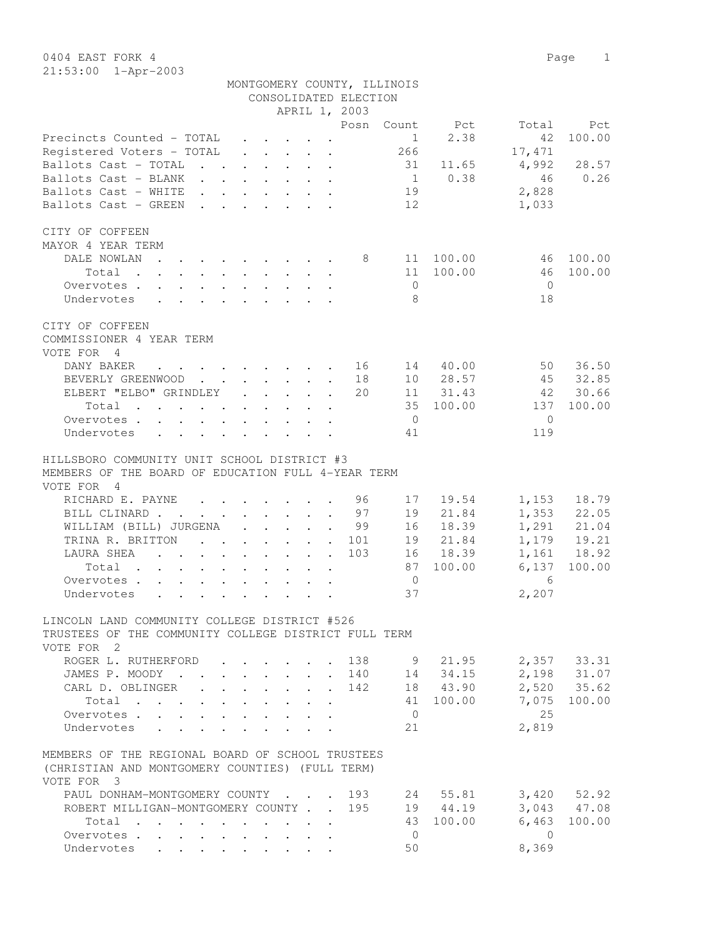0404 EAST FORK 4 Page 1  $21:53:0$ 

| 21:53:00 1-Apr-2003                                                                                         |                                                                                                                                                                                                                                      |                                 |                                                           |                            |                             |           |                |               |
|-------------------------------------------------------------------------------------------------------------|--------------------------------------------------------------------------------------------------------------------------------------------------------------------------------------------------------------------------------------|---------------------------------|-----------------------------------------------------------|----------------------------|-----------------------------|-----------|----------------|---------------|
|                                                                                                             |                                                                                                                                                                                                                                      |                                 |                                                           |                            | MONTGOMERY COUNTY, ILLINOIS |           |                |               |
|                                                                                                             |                                                                                                                                                                                                                                      |                                 |                                                           | CONSOLIDATED ELECTION      |                             |           |                |               |
|                                                                                                             |                                                                                                                                                                                                                                      |                                 |                                                           | APRIL 1, 2003              |                             |           |                |               |
|                                                                                                             |                                                                                                                                                                                                                                      |                                 |                                                           | Posn                       | Count                       | Pct       | Total          | Pct           |
| Precincts Counted - TOTAL                                                                                   |                                                                                                                                                                                                                                      |                                 | $\cdot$ $\cdot$ $\cdot$ $\cdot$ $\cdot$                   |                            | $\mathbf{1}$                | 2.38      | 42             | 100.00        |
| Registered Voters - TOTAL                                                                                   | $\mathbf{L}$                                                                                                                                                                                                                         |                                 | $\ddot{\phantom{a}}$                                      |                            | 266                         |           | 17,471         |               |
| Ballots Cast - TOTAL                                                                                        | $\mathbf{r}$ , $\mathbf{r}$ , $\mathbf{r}$ , $\mathbf{r}$ , $\mathbf{r}$                                                                                                                                                             |                                 |                                                           |                            |                             | 31 11.65  | 4,992          | 28.57         |
| Ballots Cast - BLANK<br>$\mathbf{r}$ , $\mathbf{r}$ , $\mathbf{r}$ , $\mathbf{r}$                           |                                                                                                                                                                                                                                      |                                 | $\cdot$ $\cdot$                                           |                            |                             | 1 0.38    | 46             | 0.26          |
| Ballots Cast - WHITE                                                                                        | $\mathbf{r} = \mathbf{r} \times \mathbf{r}$ , where $\mathbf{r} = \mathbf{r} \times \mathbf{r}$ , where                                                                                                                              |                                 |                                                           |                            | 19                          |           | 2,828          |               |
| Ballots Cast - GREEN                                                                                        | <u>na na manang mga sangayon ng mga sangayon ng mga sangayon ng mga sangayon ng mga sangayon ng mga sangayon ng mga sangayon ng mga sangayon ng mga sangayon ng mga sangayon ng mga sangayon ng mga sangayon ng mga sangayon ng </u> |                                 |                                                           |                            | 12                          |           | 1,033          |               |
|                                                                                                             |                                                                                                                                                                                                                                      |                                 |                                                           |                            |                             |           |                |               |
| CITY OF COFFEEN                                                                                             |                                                                                                                                                                                                                                      |                                 |                                                           |                            |                             |           |                |               |
| MAYOR 4 YEAR TERM                                                                                           |                                                                                                                                                                                                                                      |                                 |                                                           |                            |                             |           |                |               |
| DALE NOWLAN                                                                                                 |                                                                                                                                                                                                                                      |                                 |                                                           | - 8                        |                             | 11 100.00 | 46             | 100.00        |
| Total.<br>$\mathbf{r}$ , $\mathbf{r}$ , $\mathbf{r}$ , $\mathbf{r}$ , $\mathbf{r}$                          | $\mathbf{r}$ , $\mathbf{r}$ , $\mathbf{r}$ , $\mathbf{r}$                                                                                                                                                                            |                                 |                                                           |                            | 11                          | 100.00    | 46             | 100.00        |
| Overvotes .<br>$\mathbf{r}$ , $\mathbf{r}$ , $\mathbf{r}$ , $\mathbf{r}$ , $\mathbf{r}$ , $\mathbf{r}$      |                                                                                                                                                                                                                                      |                                 |                                                           |                            | $\circ$                     |           | $\overline{0}$ |               |
|                                                                                                             |                                                                                                                                                                                                                                      |                                 |                                                           |                            | 8                           |           |                |               |
| Undervotes<br>$\mathbf{r}$ , $\mathbf{r}$ , $\mathbf{r}$ , $\mathbf{r}$ , $\mathbf{r}$ , $\mathbf{r}$       |                                                                                                                                                                                                                                      |                                 |                                                           |                            |                             |           | 18             |               |
| CITY OF COFFEEN                                                                                             |                                                                                                                                                                                                                                      |                                 |                                                           |                            |                             |           |                |               |
| COMMISSIONER 4 YEAR TERM                                                                                    |                                                                                                                                                                                                                                      |                                 |                                                           |                            |                             |           |                |               |
| VOTE FOR 4                                                                                                  |                                                                                                                                                                                                                                      |                                 |                                                           |                            |                             |           |                |               |
| DANY BAKER<br>$\mathbf{a}$ and $\mathbf{a}$ and $\mathbf{a}$                                                |                                                                                                                                                                                                                                      | $\cdot$ $\cdot$ $\cdot$ $\cdot$ | $\sim$ $\sim$                                             | 16                         | 14                          | 40.00     | 50             | 36.50         |
| BEVERLY GREENWOOD                                                                                           |                                                                                                                                                                                                                                      |                                 | $\ddot{\phantom{a}}$                                      | 18<br>$\mathbf{r}$         |                             | 10 28.57  | 45             | 32.85         |
| ELBERT "ELBO" GRINDLEY                                                                                      |                                                                                                                                                                                                                                      |                                 | $\mathbf{r}$ , $\mathbf{r}$ , $\mathbf{r}$ , $\mathbf{r}$ | 20<br>$\mathbf{r}$         |                             | 11 31.43  | 42             | 30.66         |
| Total                                                                                                       |                                                                                                                                                                                                                                      |                                 |                                                           | $\mathbf{r}$               |                             | 35 100.00 | 137            | 100.00        |
| Overvotes.                                                                                                  |                                                                                                                                                                                                                                      |                                 |                                                           |                            | $\overline{0}$              |           | $\Omega$       |               |
|                                                                                                             |                                                                                                                                                                                                                                      |                                 |                                                           |                            |                             |           |                |               |
| Undervotes                                                                                                  |                                                                                                                                                                                                                                      |                                 |                                                           |                            | 41                          |           | 119            |               |
| HILLSBORO COMMUNITY UNIT SCHOOL DISTRICT #3                                                                 |                                                                                                                                                                                                                                      |                                 |                                                           |                            |                             |           |                |               |
| MEMBERS OF THE BOARD OF EDUCATION FULL 4-YEAR TERM                                                          |                                                                                                                                                                                                                                      |                                 |                                                           |                            |                             |           |                |               |
| VOTE FOR<br>$\overline{4}$                                                                                  |                                                                                                                                                                                                                                      |                                 |                                                           |                            |                             |           |                |               |
|                                                                                                             |                                                                                                                                                                                                                                      |                                 |                                                           |                            |                             |           |                |               |
| RICHARD E. PAYNE<br>$\mathbf{r}$ , $\mathbf{r}$ , $\mathbf{r}$ , $\mathbf{r}$                               |                                                                                                                                                                                                                                      |                                 |                                                           | 96<br>$\ddot{\phantom{a}}$ | 17                          | 19.54     | 1,153          | 18.79         |
| BILL CLINARD                                                                                                |                                                                                                                                                                                                                                      |                                 |                                                           | 97                         | 19                          | 21.84     |                | $1,353$ 22.05 |
| WILLIAM (BILL) JURGENA                                                                                      |                                                                                                                                                                                                                                      |                                 |                                                           | . 99                       | 16                          | 18.39     |                | 1,291 21.04   |
| TRINA R. BRITTON                                                                                            | $\mathbf{r}$ , $\mathbf{r}$ , $\mathbf{r}$ , $\mathbf{r}$ , $\mathbf{r}$                                                                                                                                                             |                                 |                                                           | 101                        |                             | 19 21.84  |                | 1,179 19.21   |
| LAURA SHEA<br>$\mathbf{r}$ , and $\mathbf{r}$ , and $\mathbf{r}$ , and $\mathbf{r}$<br>$\ddot{\phantom{a}}$ |                                                                                                                                                                                                                                      |                                 |                                                           | 103                        |                             | 16 18.39  |                | 1,161 18.92   |
| Total                                                                                                       |                                                                                                                                                                                                                                      |                                 |                                                           |                            | 87                          | 100.00    | 6,137          | 100.00        |
| Overvotes                                                                                                   |                                                                                                                                                                                                                                      |                                 |                                                           |                            | $\mathbf{0}$                |           | 6              |               |
| Undervotes<br>$\bullet$ . In the set of $\mathcal{O}(\mathbb{R}^d)$                                         | $\mathcal{A}(\mathbf{r})$ , and $\mathcal{A}(\mathbf{r})$ , and $\mathcal{A}(\mathbf{r})$                                                                                                                                            |                                 |                                                           |                            | 37                          |           | 2,207          |               |

## LINCOLN LAND COMMUNITY COLLEGE DISTRICT #526 TRUSTEES OF THE COMMUNITY COLLEGE DISTRICT FULL TERM  $V$  $Q$ TE FOR  $Q$

| VOTE FOR                                                                                                                                     |              |                 |
|----------------------------------------------------------------------------------------------------------------------------------------------|--------------|-----------------|
| 138<br>ROGER L. RUTHERFORD<br>$\cdot$ $\cdot$ $\cdot$ $\cdot$                                                                                | 9<br>21.95   | 2,357<br>33.31  |
| 140<br>JAMES P. MOODY<br>$\ddot{\phantom{0}}$                                                                                                | 34.15<br>14  | 2,198<br>31.07  |
| 142<br>CARL D. OBLINGER<br><b>Contractor</b><br>$\sim$                                                                                       | 43.90<br>18  | 2,520 35.62     |
| Total<br>the contract of the contract of the contract of the contract of the contract of the contract of the contract of                     | 100.00<br>41 | 7,075<br>100.00 |
| Overvotes.<br>$\sim$ $\sim$ $\sim$                                                                                                           | $\Omega$     | 25              |
| Undervotes                                                                                                                                   | 21           | 2,819           |
|                                                                                                                                              |              |                 |
| MEMBERS OF THE REGIONAL BOARD OF SCHOOL TRUSTEES                                                                                             |              |                 |
| (CHRISTIAN AND MONTGOMERY COUNTIES) (FULL TERM)                                                                                              |              |                 |
| VOTE FOR 3                                                                                                                                   |              |                 |
| PAUL DONHAM-MONTGOMERY COUNTY<br>193<br>$\mathbf{r}$ , $\mathbf{r}$ , $\mathbf{r}$ , $\mathbf{r}$                                            | 55.81<br>2.4 | 3,420<br>52.92  |
| 195<br>ROBERT MILLIGAN-MONTGOMERY COUNTY                                                                                                     | 19<br>44.19  | 3,043 47.08     |
| Total<br><b>Contract Contract Contract</b><br>$\sim$                                                                                         | 100.00<br>43 | 100.00<br>6,463 |
| Overvotes.<br>$\overline{\phantom{a}}$<br>$\sim$<br>$\sim$<br>$\sim$                                                                         | $\Omega$     |                 |
| Undervotes<br>$\bullet$<br>$\ddot{\phantom{a}}$<br>$\sim 100$<br><b>Contract Contract</b><br>$\sim$ $\sim$ $\sim$<br>$\sim$ $\sim$<br>$\sim$ | 50           | 8,369           |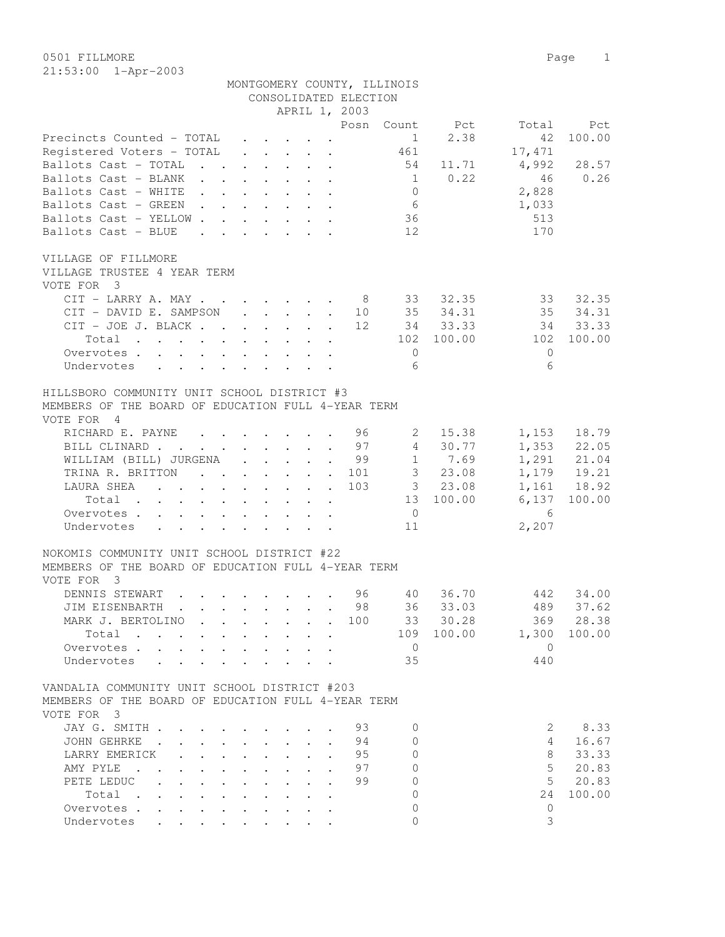0501 FILLMORE 2012 Page 2013  $21:53:00 1$ 

| $21:53:00$ $1 - Appr-2003$                         |                |                          |                                                                                                                                                                                                                                    |  |                                                                       |  |                       |                             |              |                                             |             |
|----------------------------------------------------|----------------|--------------------------|------------------------------------------------------------------------------------------------------------------------------------------------------------------------------------------------------------------------------------|--|-----------------------------------------------------------------------|--|-----------------------|-----------------------------|--------------|---------------------------------------------|-------------|
|                                                    |                |                          |                                                                                                                                                                                                                                    |  |                                                                       |  |                       | MONTGOMERY COUNTY, ILLINOIS |              |                                             |             |
|                                                    |                |                          |                                                                                                                                                                                                                                    |  |                                                                       |  | CONSOLIDATED ELECTION |                             |              |                                             |             |
|                                                    |                |                          |                                                                                                                                                                                                                                    |  |                                                                       |  | APRIL 1, 2003         |                             |              |                                             |             |
|                                                    |                |                          |                                                                                                                                                                                                                                    |  |                                                                       |  | Posn                  |                             | Count Pct    | Total                                       | Pct         |
| Precincts Counted - TOTAL                          |                |                          |                                                                                                                                                                                                                                    |  | $\cdot$ $\cdot$ $\cdot$ $\cdot$ $\cdot$ $\cdot$                       |  |                       | 1                           | 2.38         | 42                                          | 100.00      |
| Registered Voters - TOTAL                          |                |                          |                                                                                                                                                                                                                                    |  | $\cdot$ $\cdot$ $\cdot$ $\cdot$ $\cdot$                               |  |                       | 461                         |              | 17,471                                      |             |
| Ballots Cast - TOTAL                               |                |                          | $\mathbf{r}$ . The set of the set of the set of $\mathbf{r}$                                                                                                                                                                       |  |                                                                       |  |                       |                             |              | 54 11.71 4,992 28.57                        |             |
| Ballots Cast - BLANK                               |                |                          | $\mathbf{r}$ , $\mathbf{r}$ , $\mathbf{r}$ , $\mathbf{r}$ , $\mathbf{r}$ , $\mathbf{r}$                                                                                                                                            |  |                                                                       |  |                       | 1                           | 0.22         | 46                                          | 0.26        |
| Ballots Cast - WHITE                               |                |                          | $\mathbf{r}$ . The set of the set of the set of $\mathbf{r}$                                                                                                                                                                       |  |                                                                       |  |                       | $\Omega$                    |              | 2,828                                       |             |
| Ballots Cast - GREEN                               |                |                          | $\mathcal{A}$ . The set of the set of the set of the set of the set of the set of the set of the set of the set of the set of the set of the set of the set of the set of the set of the set of the set of the set of the set of t |  |                                                                       |  |                       | 6                           |              | 1,033                                       |             |
| Ballots Cast - YELLOW                              |                |                          |                                                                                                                                                                                                                                    |  |                                                                       |  |                       | 36                          |              | 513                                         |             |
| Ballots Cast - BLUE                                |                |                          |                                                                                                                                                                                                                                    |  | $\mathbf{r}$ and $\mathbf{r}$ and $\mathbf{r}$ and $\mathbf{r}$       |  |                       | 12                          |              | 170                                         |             |
| VILLAGE OF FILLMORE                                |                |                          |                                                                                                                                                                                                                                    |  |                                                                       |  |                       |                             |              |                                             |             |
| VILLAGE TRUSTEE 4 YEAR TERM                        |                |                          |                                                                                                                                                                                                                                    |  |                                                                       |  |                       |                             |              |                                             |             |
| VOTE FOR                                           | - 3            |                          |                                                                                                                                                                                                                                    |  |                                                                       |  |                       |                             |              |                                             |             |
| CIT - LARRY A. MAY                                 |                |                          |                                                                                                                                                                                                                                    |  |                                                                       |  |                       |                             | 8 33 32.35   |                                             | 33 32.35    |
|                                                    |                |                          |                                                                                                                                                                                                                                    |  |                                                                       |  |                       |                             |              | CIT - DAVID E. SAMPSON 10 35 34.31 35 34.31 |             |
| CIT - JOE J. BLACK                                 |                |                          |                                                                                                                                                                                                                                    |  |                                                                       |  | 12                    |                             | 34 33.33     |                                             | 34 33.33    |
|                                                    |                | Total                    |                                                                                                                                                                                                                                    |  |                                                                       |  |                       | 102                         | 100.00       | 102                                         | 100.00      |
| Overvotes.                                         |                |                          |                                                                                                                                                                                                                                    |  |                                                                       |  |                       | $\Omega$                    |              | $\Omega$                                    |             |
| Undervotes                                         |                | <b>Service Control</b>   |                                                                                                                                                                                                                                    |  |                                                                       |  |                       | 6                           |              | 6                                           |             |
| HILLSBORO COMMUNITY UNIT SCHOOL DISTRICT #3        |                |                          |                                                                                                                                                                                                                                    |  |                                                                       |  |                       |                             |              |                                             |             |
| MEMBERS OF THE BOARD OF EDUCATION FULL 4-YEAR TERM |                |                          |                                                                                                                                                                                                                                    |  |                                                                       |  |                       |                             |              |                                             |             |
| VOTE FOR                                           | $\overline{4}$ |                          |                                                                                                                                                                                                                                    |  |                                                                       |  |                       |                             |              |                                             |             |
| RICHARD E. PAYNE                                   |                |                          |                                                                                                                                                                                                                                    |  | $\cdot$ $\cdot$ $\cdot$ $\cdot$ $\cdot$ $\cdot$ $\cdot$               |  |                       |                             | $96$ 2 15.38 |                                             | 1,153 18.79 |
| BILL CLINARD.                                      |                | <b>Contract Contract</b> |                                                                                                                                                                                                                                    |  | $\mathbf{r}$ , and $\mathbf{r}$ , and $\mathbf{r}$ , and $\mathbf{r}$ |  | 97                    | $\overline{4}$              | 30.77        | 1,353                                       | 22.05       |

| BILL CLINARD 97                               |  |  |  |  |  |    | 4 30.77   |       | 1,353 22.05  |
|-----------------------------------------------|--|--|--|--|--|----|-----------|-------|--------------|
| WILLIAM (BILL) JURGENA 99                     |  |  |  |  |  |    | 1 7.69    |       | 1,291 21.04  |
| TRINA R. BRITTON 101                          |  |  |  |  |  |    | 3 23.08   |       | 1,179 19.21  |
|                                               |  |  |  |  |  |    | 3 23.08   |       | 1,161 18.92  |
| Total                                         |  |  |  |  |  |    | 13 100.00 |       | 6,137 100.00 |
| Overvotes $\cdots$ $\cdots$ $\cdots$ $\cdots$ |  |  |  |  |  |    |           |       |              |
| Undervotes                                    |  |  |  |  |  | 11 |           | 2,207 |              |
|                                               |  |  |  |  |  |    |           |       |              |

## NOKOMIS COMMUNITY UNIT SCHOOL DISTRICT #22 MEMBERS OF THE BOARD OF EDUCATION FULL 4-YEAR TERM VOTE FOR 3 DENNIS STEWART . . . . . . . 96 40 36.70 442 34.00

| JIM EISENBARTH 98     |  |  |  |  |     | 36 33.03   |     | 489 37.62    |
|-----------------------|--|--|--|--|-----|------------|-----|--------------|
| MARK J. BERTOLINO 100 |  |  |  |  |     | 33 30.28   |     | 369 28.38    |
| Total                 |  |  |  |  |     | 109 100.00 |     | 1,300 100.00 |
| Overvotes             |  |  |  |  |     |            |     |              |
| Undervotes            |  |  |  |  | -35 |            | 440 |              |
|                       |  |  |  |  |     |            |     |              |

## VANDALIA COMMUNITY UNIT SCHOOL DISTRICT #203 MEMBERS OF THE BOARD OF EDUCATION FULL 4-YEAR TERM VOTE FOR 3

| JAY G. SMITH  |                 |  |                                                                                          |  |  | 93 |        | 8.33   |
|---------------|-----------------|--|------------------------------------------------------------------------------------------|--|--|----|--------|--------|
| JOHN GEHRKE   |                 |  | $\mathbf{r}$ , and $\mathbf{r}$ , and $\mathbf{r}$ , and $\mathbf{r}$                    |  |  | 94 |        | 16.67  |
| LARRY EMERICK |                 |  |                                                                                          |  |  | 95 | 8      | 33.33  |
| AMY PYLE      |                 |  |                                                                                          |  |  | 97 | $\sim$ | 20.83  |
| PETE LEDUC    |                 |  |                                                                                          |  |  | 99 | $\sim$ | 20.83  |
| Total .       |                 |  | $\mathbf{r}$ , and $\mathbf{r}$ , and $\mathbf{r}$ , and $\mathbf{r}$ , and $\mathbf{r}$ |  |  |    | 24     | 100.00 |
| Overvotes.    |                 |  |                                                                                          |  |  |    |        |        |
| Undervotes    | $\cdot$ $\cdot$ |  | and the state of the state of the                                                        |  |  |    |        |        |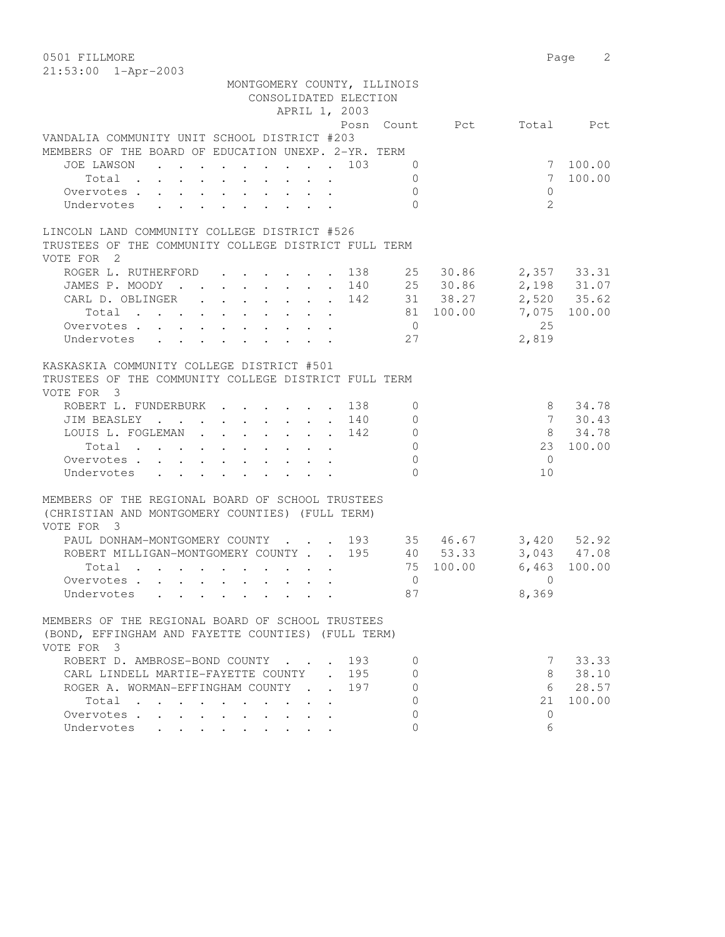0501 FILLMORE 2 21:53:00 1-Apr-2003

| MONTGOMERY COUNTY, ILLINOIS                                                                                          |                |                       |
|----------------------------------------------------------------------------------------------------------------------|----------------|-----------------------|
| CONSOLIDATED ELECTION                                                                                                |                |                       |
| APRIL 1, 2003                                                                                                        |                |                       |
|                                                                                                                      | Posn Count Pct | Total Pct             |
| VANDALIA COMMUNITY UNIT SCHOOL DISTRICT #203                                                                         |                |                       |
| MEMBERS OF THE BOARD OF EDUCATION UNEXP. 2-YR. TERM                                                                  |                |                       |
| JOE LAWSON<br>. 103                                                                                                  | $\Omega$       | 7 100.00              |
| Total $\cdot$                                                                                                        | $\Omega$       | 100.00<br>$7^{\circ}$ |
| Overvotes.                                                                                                           | $\mathbf{0}$   | $\circ$               |
| Undervotes                                                                                                           | $\Omega$       | $\mathfrak{L}$        |
| LINCOLN LAND COMMUNITY COLLEGE DISTRICT #526                                                                         |                |                       |
| TRUSTEES OF THE COMMUNITY COLLEGE DISTRICT FULL TERM                                                                 |                |                       |
| VOTE FOR 2                                                                                                           |                |                       |
| ROGER L. RUTHERFORD 138 25 30.86                                                                                     |                | 2,357 33.31           |
| JAMES P. MOODY 140 25 30.86                                                                                          |                | 2,198 31.07           |
| CARL D. OBLINGER 142 31 38.27                                                                                        |                | 2,520 35.62           |
| Total                                                                                                                | 81 100.00      | 7,075 100.00          |
| Overvotes                                                                                                            | $\overline{0}$ | 25                    |
| Undervotes                                                                                                           | 27             | 2,819                 |
|                                                                                                                      |                |                       |
| KASKASKIA COMMUNITY COLLEGE DISTRICT #501                                                                            |                |                       |
| TRUSTEES OF THE COMMUNITY COLLEGE DISTRICT FULL TERM                                                                 |                |                       |
| VOTE FOR 3                                                                                                           |                |                       |
| ROBERT L. FUNDERBURK 138                                                                                             | 0              | 8<br>34.78            |
| JIM BEASLEY 140                                                                                                      | $\mathbf{0}$   | 7 30.43               |
| LOUIS L. FOGLEMAN 142                                                                                                | $\mathbf 0$    | 34.78<br>8            |
| Total                                                                                                                | $\circ$        | 23 100.00             |
| Overvotes.                                                                                                           | $\mathbb O$    | $\bigcirc$            |
| Undervotes<br>$\mathbf{r}$ , $\mathbf{r}$ , $\mathbf{r}$ , $\mathbf{r}$ , $\mathbf{r}$ , $\mathbf{r}$                | $\bigcap$      | 10                    |
|                                                                                                                      |                |                       |
| MEMBERS OF THE REGIONAL BOARD OF SCHOOL TRUSTEES                                                                     |                |                       |
| (CHRISTIAN AND MONTGOMERY COUNTIES) (FULL TERM)                                                                      |                |                       |
| VOTE FOR 3                                                                                                           |                |                       |
| PAUL DONHAM-MONTGOMERY COUNTY 193 35 46.67                                                                           |                | $3,420$ 52.92         |
| ROBERT MILLIGAN-MONTGOMERY COUNTY 195                                                                                | 40 53.33       | 3,043 47.08           |
|                                                                                                                      | 75 100.00      | 6,463 100.00          |
| Total                                                                                                                |                |                       |
| Overvotes                                                                                                            | $\overline{0}$ | $\bigcirc$            |
| Undervotes<br>$\mathbf{r}$ , $\mathbf{r}$ , $\mathbf{r}$ , $\mathbf{r}$ , $\mathbf{r}$ , $\mathbf{r}$ , $\mathbf{r}$ | 87             | 8,369                 |
| MEMBERS OF THE REGIONAL BOARD OF SCHOOL TRUSTEES                                                                     |                |                       |
| (BOND, EFFINGHAM AND FAYETTE COUNTIES) (FULL TERM)                                                                   |                |                       |
| VOTE FOR 3                                                                                                           |                |                       |
| ROBERT D. AMBROSE-BOND COUNTY<br>193                                                                                 | 0              | 7 33.33               |
| CARL LINDELL MARTIE-FAYETTE COUNTY<br>195                                                                            | 0              | 38.10<br>8            |
| ROGER A. WORMAN-EFFINGHAM COUNTY .<br>197                                                                            | 0              | 6 28.57               |
| Total                                                                                                                | 0              | 21<br>100.00          |
| Overvotes                                                                                                            | $\Omega$       | $\Omega$              |
| Undervotes<br>$\mathbf{L} = \mathbf{L} \times \mathbf{L} = \mathbf{L} \times \mathbf{L}$                             | $\Omega$       | 6                     |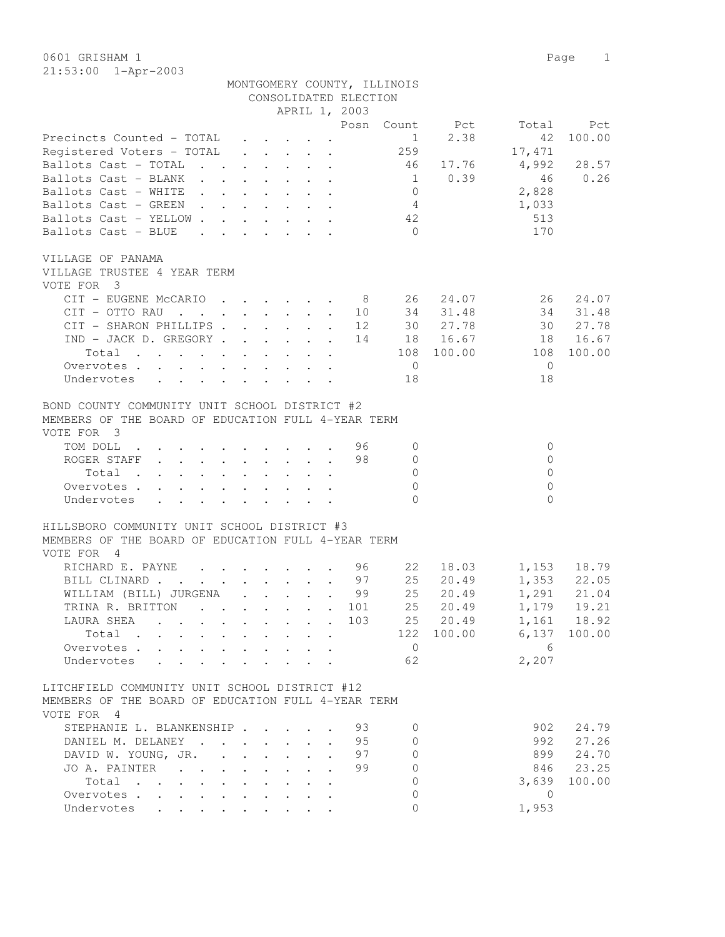0601 GRISHAM 1 Page 1 21:53:00 1-Apr-2003

MONTGOMERY COUNTY, ILLINOIS

|                                                                                                                                                                                                                                                              |                                                   |                                                                                         | CONSOLIDATED ELECTION          |                                |                            |
|--------------------------------------------------------------------------------------------------------------------------------------------------------------------------------------------------------------------------------------------------------------|---------------------------------------------------|-----------------------------------------------------------------------------------------|--------------------------------|--------------------------------|----------------------------|
|                                                                                                                                                                                                                                                              |                                                   | APRIL 1, 2003                                                                           |                                |                                |                            |
|                                                                                                                                                                                                                                                              |                                                   |                                                                                         | Posn                           | Count Pct                      | Total<br>Pct               |
| Precincts Counted - TOTAL                                                                                                                                                                                                                                    |                                                   | $\mathbf{r}$ , $\mathbf{r}$ , $\mathbf{r}$ , $\mathbf{r}$                               |                                | 2.38<br>$1 \quad \blacksquare$ | 100.00<br>42               |
| Registered Voters - TOTAL                                                                                                                                                                                                                                    | $\ddot{\phantom{0}}$                              | $\cdot$ $\cdot$ $\cdot$ $\cdot$ $\cdot$                                                 | 259                            |                                | 17,471                     |
| Ballots Cast - TOTAL                                                                                                                                                                                                                                         |                                                   | $\mathbf{r}$ , $\mathbf{r}$ , $\mathbf{r}$ , $\mathbf{r}$ , $\mathbf{r}$ , $\mathbf{r}$ | 46                             | 17.76                          | 4,992<br>28.57             |
| Ballots Cast - BLANK                                                                                                                                                                                                                                         |                                                   |                                                                                         | 1                              | 0.39                           | 46<br>0.26                 |
| Ballots Cast - WHITE                                                                                                                                                                                                                                         |                                                   |                                                                                         | $\overline{0}$                 |                                | 2,828                      |
| Ballots Cast - GREEN                                                                                                                                                                                                                                         |                                                   |                                                                                         | 4                              |                                | 1,033                      |
| Ballots Cast - YELLOW                                                                                                                                                                                                                                        |                                                   |                                                                                         | 42                             |                                | 513                        |
| Ballots Cast - BLUE<br>$\mathbf{r}$ , $\mathbf{r}$ , $\mathbf{r}$ , $\mathbf{r}$ , $\mathbf{r}$                                                                                                                                                              |                                                   |                                                                                         | $\bigcirc$                     |                                | 170                        |
|                                                                                                                                                                                                                                                              |                                                   |                                                                                         |                                |                                |                            |
| VILLAGE OF PANAMA                                                                                                                                                                                                                                            |                                                   |                                                                                         |                                |                                |                            |
| VILLAGE TRUSTEE 4 YEAR TERM                                                                                                                                                                                                                                  |                                                   |                                                                                         |                                |                                |                            |
| VOTE FOR 3                                                                                                                                                                                                                                                   |                                                   |                                                                                         |                                |                                |                            |
| CIT - EUGENE McCARIO                                                                                                                                                                                                                                         |                                                   |                                                                                         | 8<br>10<br>34                  | 24.07<br>26<br>31.48           | 26<br>24.07<br>34<br>31.48 |
| $CIT - OTTO RAU$<br>CIT - SHARON PHILLIPS.                                                                                                                                                                                                                   |                                                   | $\mathbf{r}$ , $\mathbf{r}$ , $\mathbf{r}$ , $\mathbf{r}$                               | 30<br>12                       | 27.78                          | 27.78<br>30                |
| $IND - JACK D. GREGORY$                                                                                                                                                                                                                                      |                                                   |                                                                                         | 14                             | 18  16.67                      | 16.67                      |
|                                                                                                                                                                                                                                                              |                                                   |                                                                                         |                                |                                | 18<br>100.00               |
| the contract of the contract of the contract of the<br>Total                                                                                                                                                                                                 |                                                   |                                                                                         | 108                            | 100.00                         | 108                        |
| Overvotes.                                                                                                                                                                                                                                                   |                                                   |                                                                                         | $\overline{0}$                 |                                | $\mathbf{0}$               |
| Undervotes                                                                                                                                                                                                                                                   |                                                   |                                                                                         | 18                             |                                | 18                         |
| BOND COUNTY COMMUNITY UNIT SCHOOL DISTRICT #2                                                                                                                                                                                                                |                                                   |                                                                                         |                                |                                |                            |
| MEMBERS OF THE BOARD OF EDUCATION FULL 4-YEAR TERM                                                                                                                                                                                                           |                                                   |                                                                                         |                                |                                |                            |
| VOTE FOR 3                                                                                                                                                                                                                                                   |                                                   |                                                                                         |                                |                                |                            |
|                                                                                                                                                                                                                                                              |                                                   |                                                                                         | 96                             |                                | $\circ$                    |
| TOM DOLL<br>$\mathbf{r}$ . The contribution of the contribution of the contribution of the contribution of the contribution of the contribution of the contribution of the contribution of the contribution of the contribution of the contri<br>ROGER STAFF |                                                   |                                                                                         | $\mathbf{0}$<br>98<br>$\Omega$ |                                | $\Omega$                   |
| Total                                                                                                                                                                                                                                                        |                                                   |                                                                                         | $\Omega$                       |                                | $\Omega$                   |
| Overvotes.                                                                                                                                                                                                                                                   |                                                   |                                                                                         | $\Omega$                       |                                | $\Omega$                   |
| Undervotes                                                                                                                                                                                                                                                   |                                                   |                                                                                         | $\bigcap$                      |                                | $\Omega$                   |
|                                                                                                                                                                                                                                                              |                                                   |                                                                                         |                                |                                |                            |
| HILLSBORO COMMUNITY UNIT SCHOOL DISTRICT #3                                                                                                                                                                                                                  |                                                   |                                                                                         |                                |                                |                            |
| MEMBERS OF THE BOARD OF EDUCATION FULL 4-YEAR TERM                                                                                                                                                                                                           |                                                   |                                                                                         |                                |                                |                            |
| VOTE FOR<br>$\overline{4}$                                                                                                                                                                                                                                   |                                                   |                                                                                         |                                |                                |                            |
| RICHARD E. PAYNE<br>$\mathbf{r}$ , $\mathbf{r}$ , $\mathbf{r}$ , $\mathbf{r}$ , $\mathbf{r}$                                                                                                                                                                 |                                                   |                                                                                         | 96<br>22                       | 18.03                          | 1,153<br>18.79             |
| BILL CLINARD                                                                                                                                                                                                                                                 |                                                   |                                                                                         | 25<br>97                       | 20.49                          | $1,353$ 22.05              |
| WILLIAM (BILL) JURGENA 99                                                                                                                                                                                                                                    |                                                   |                                                                                         | 25                             | 20.49                          | 1,291<br>21.04             |
| TRINA R. BRITTON<br>$\mathbf{r}$ , and $\mathbf{r}$ , and $\mathbf{r}$ , and $\mathbf{r}$ , and $\mathbf{r}$                                                                                                                                                 |                                                   |                                                                                         | 101                            | 25<br>20.49                    | 1,179<br>19.21             |
| LAURA SHEA<br>$\mathbf{r}$ , and $\mathbf{r}$ , and $\mathbf{r}$ , and $\mathbf{r}$ , and $\mathbf{r}$                                                                                                                                                       |                                                   |                                                                                         | 25<br>103                      | 20.49                          | 1,161<br>18.92             |
| Total                                                                                                                                                                                                                                                        |                                                   |                                                                                         | 122                            | 100.00                         | 6,137<br>100.00            |
| Overvotes                                                                                                                                                                                                                                                    |                                                   |                                                                                         | $\overline{0}$                 |                                | 6                          |
| Undervotes<br>$\ddot{\phantom{a}}$                                                                                                                                                                                                                           |                                                   |                                                                                         | 62                             |                                | 2,207                      |
|                                                                                                                                                                                                                                                              |                                                   |                                                                                         |                                |                                |                            |
| LITCHFIELD COMMUNITY UNIT SCHOOL DISTRICT #12                                                                                                                                                                                                                |                                                   |                                                                                         |                                |                                |                            |
| MEMBERS OF THE BOARD OF EDUCATION FULL 4-YEAR TERM                                                                                                                                                                                                           |                                                   |                                                                                         |                                |                                |                            |
| VOTE FOR 4                                                                                                                                                                                                                                                   |                                                   |                                                                                         |                                |                                |                            |
| STEPHANIE L. BLANKENSHIP                                                                                                                                                                                                                                     |                                                   |                                                                                         | 93<br>$\mathbf{0}$             |                                | 902<br>24.79               |
| DANIEL M. DELANEY                                                                                                                                                                                                                                            |                                                   | $\ddot{\phantom{0}}$                                                                    | 95<br>$\Omega$                 |                                | 992<br>27.26               |
| DAVID W. YOUNG, JR. .                                                                                                                                                                                                                                        | $\ddot{\phantom{0}}$<br>$\mathbf{L}^{\text{max}}$ | $\ddot{\phantom{0}}$                                                                    | 97<br>$\Omega$                 |                                | 899<br>24.70               |
| JO A. PAINTER<br>$\mathbf{L}$                                                                                                                                                                                                                                |                                                   |                                                                                         | 99<br>$\Omega$                 |                                | 846<br>23.25               |
| Total                                                                                                                                                                                                                                                        | $\ddot{\phantom{a}}$                              |                                                                                         | $\mathbf{0}$                   |                                | 3,639<br>100.00            |
| Overvotes                                                                                                                                                                                                                                                    |                                                   |                                                                                         | 0                              |                                | $\overline{0}$             |
| $\ddot{\phantom{a}}$<br>Undervotes<br>$\mathbf{r}$ , $\mathbf{r}$                                                                                                                                                                                            |                                                   |                                                                                         | $\Omega$                       |                                | 1,953                      |
|                                                                                                                                                                                                                                                              |                                                   |                                                                                         |                                |                                |                            |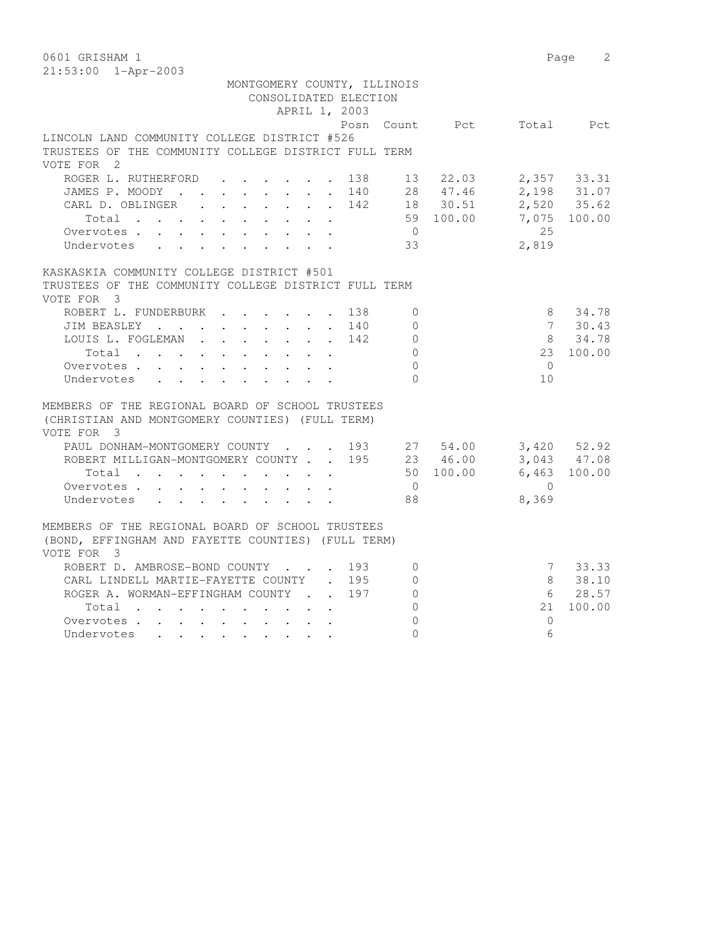| 0601 GRISHAM 1                                                                   |                          |            | 2<br>Page    |
|----------------------------------------------------------------------------------|--------------------------|------------|--------------|
| $21:53:00$ $1 - Appr-2003$                                                       |                          |            |              |
| MONTGOMERY COUNTY, ILLINOIS<br>CONSOLIDATED ELECTION                             |                          |            |              |
| APRIL 1, 2003                                                                    |                          |            |              |
|                                                                                  | Posn Count Pct Total Pct |            |              |
| LINCOLN LAND COMMUNITY COLLEGE DISTRICT #526                                     |                          |            |              |
| TRUSTEES OF THE COMMUNITY COLLEGE DISTRICT FULL TERM                             |                          |            |              |
| VOTE FOR 2                                                                       |                          |            |              |
| ROGER L. RUTHERFORD<br>$\mathbf{r}$ , $\mathbf{r}$ , $\mathbf{r}$ , $\mathbf{r}$ | 138 13 22.03             |            | 2,357 33.31  |
| JAMES P. MOODY 140 28 47.46                                                      |                          |            | 2,198 31.07  |
| CARL D. OBLINGER<br>142                                                          | 18 30.51                 |            | 2,520 35.62  |
| Total                                                                            | 59 100.00                |            | 7,075 100.00 |
| Overvotes.                                                                       | $\overline{0}$           | 2.5        |              |
| Undervotes                                                                       | 33                       | 2,819      |              |
|                                                                                  |                          |            |              |
| KASKASKIA COMMUNITY COLLEGE DISTRICT #501                                        |                          |            |              |
| TRUSTEES OF THE COMMUNITY COLLEGE DISTRICT FULL TERM<br>VOTE FOR 3               |                          |            |              |
| ROBERT L. FUNDERBURK<br>138                                                      | $\mathbf{0}$             | 8          | 34.78        |
| JIM BEASLEY 140                                                                  | $\circ$                  |            | 7 30.43      |
| LOUIS L. FOGLEMAN<br>142                                                         | $\mathbf{0}$             |            | 8 34.78      |
| Total                                                                            | $\circ$                  |            | 23 100.00    |
| Overvotes.                                                                       | $\Omega$                 | $\bigcirc$ |              |
| Undervotes                                                                       | $\Omega$                 | 10         |              |
|                                                                                  |                          |            |              |
| MEMBERS OF THE REGIONAL BOARD OF SCHOOL TRUSTEES                                 |                          |            |              |
| (CHRISTIAN AND MONTGOMERY COUNTIES) (FULL TERM)                                  |                          |            |              |
| VOTE FOR 3                                                                       |                          |            |              |
| PAUL DONHAM-MONTGOMERY COUNTY 193 27 54.00                                       |                          |            | 3,420 52.92  |
| ROBERT MILLIGAN-MONTGOMERY COUNTY 195 23 46.00                                   |                          |            | 3,043 47.08  |
| Total                                                                            | 50 100.00                |            | 6,463 100.00 |
| Overvotes                                                                        | $\overline{0}$           | $\bigcap$  |              |
| Undervotes                                                                       | 88                       | 8,369      |              |
|                                                                                  |                          |            |              |
| MEMBERS OF THE REGIONAL BOARD OF SCHOOL TRUSTEES                                 |                          |            |              |
| (BOND, EFFINGHAM AND FAYETTE COUNTIES) (FULL TERM)                               |                          |            |              |
| VOTE FOR 3                                                                       |                          |            |              |
| ROBERT D. AMBROSE-BOND COUNTY 193                                                | $\mathbf{0}$             |            | 7 33.33      |
| CARL LINDELL MARTIE-FAYETTE COUNTY . 195                                         | $\circ$                  | 8          | 38.10        |
| ROGER A. WORMAN-EFFINGHAM COUNTY<br>197                                          | $\circ$                  |            | 6 28.57      |
| Total                                                                            | $\circ$                  |            | 21 100.00    |
| Overvotes                                                                        | $\mathbf{0}$             | $\Omega$   |              |
| Undervotes                                                                       | $\Omega$                 | 6          |              |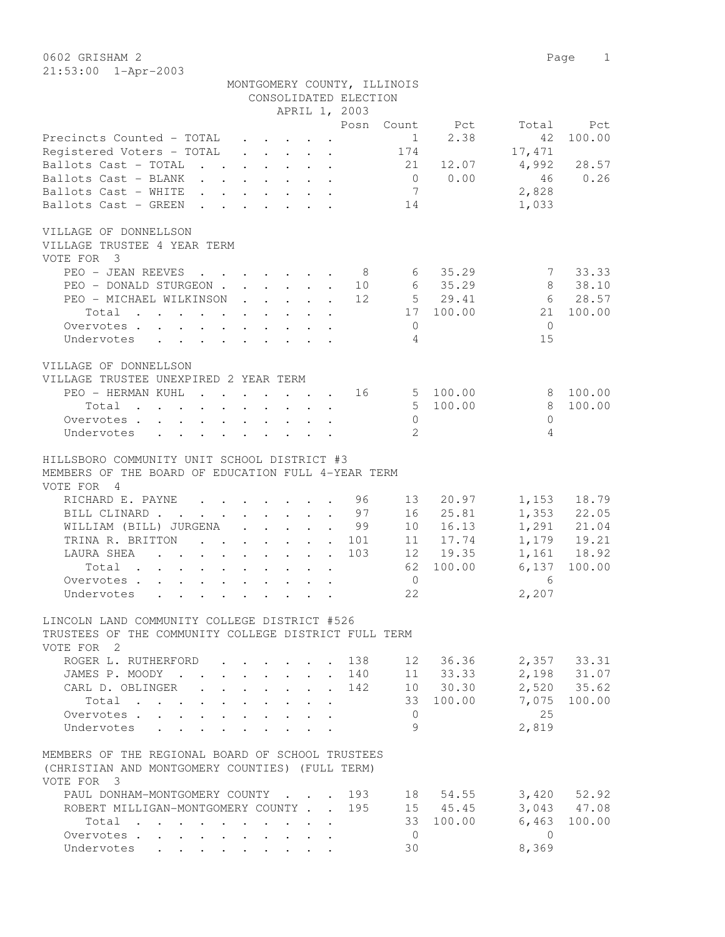0602 GRISHAM 2 Page 1 21:53:00 1-Apr-2003

|                                                                                                                                                                                                                                            |                                        |                                                                                         | MONTGOMERY COUNTY, ILLINOIS |                        |       |                            |
|--------------------------------------------------------------------------------------------------------------------------------------------------------------------------------------------------------------------------------------------|----------------------------------------|-----------------------------------------------------------------------------------------|-----------------------------|------------------------|-------|----------------------------|
|                                                                                                                                                                                                                                            |                                        |                                                                                         | CONSOLIDATED ELECTION       |                        |       |                            |
|                                                                                                                                                                                                                                            |                                        | APRIL 1, 2003                                                                           |                             |                        |       |                            |
|                                                                                                                                                                                                                                            |                                        |                                                                                         | Posn Count Pct              |                        |       | Total<br>Pct               |
| Precincts Counted - TOTAL                                                                                                                                                                                                                  |                                        | $\cdot$ $\cdot$ $\cdot$ $\cdot$ $\cdot$ $\cdot$                                         |                             | $1 \quad \blacksquare$ | 2.38  | 100.00<br>42               |
| Registered Voters - TOTAL                                                                                                                                                                                                                  |                                        | $\mathbf{r}$ , $\mathbf{r}$ , $\mathbf{r}$ , $\mathbf{r}$ , $\mathbf{r}$ , $\mathbf{r}$ |                             | 174                    |       | 17,471                     |
| Ballots Cast - TOTAL                                                                                                                                                                                                                       |                                        |                                                                                         |                             | 21                     | 12.07 | 4,992<br>28.57             |
| Ballots Cast - BLANK                                                                                                                                                                                                                       |                                        |                                                                                         |                             | 0 0.00                 |       | 46<br>0.26                 |
| Ballots Cast - WHITE                                                                                                                                                                                                                       |                                        |                                                                                         |                             | 7                      |       | 2,828                      |
| Ballots Cast - GREEN                                                                                                                                                                                                                       |                                        |                                                                                         |                             | 14                     |       | 1,033                      |
|                                                                                                                                                                                                                                            |                                        |                                                                                         |                             |                        |       |                            |
| VILLAGE OF DONNELLSON<br>VILLAGE TRUSTEE 4 YEAR TERM                                                                                                                                                                                       |                                        |                                                                                         |                             |                        |       |                            |
| VOTE FOR 3                                                                                                                                                                                                                                 |                                        |                                                                                         |                             |                        |       |                            |
| PEO - JEAN REEVES 8                                                                                                                                                                                                                        |                                        |                                                                                         |                             | 6, 35.29               |       | 7 33.33                    |
| PEO - DONALD STURGEON                                                                                                                                                                                                                      |                                        |                                                                                         | 10                          | 6 35.29                |       | 38.10<br>8                 |
| PEO - MICHAEL WILKINSON                                                                                                                                                                                                                    |                                        |                                                                                         | 12                          | 5 29.41                |       | 6 28.57                    |
| Total                                                                                                                                                                                                                                      |                                        |                                                                                         |                             | 17 100.00              |       | 21 100.00                  |
| Overvotes.                                                                                                                                                                                                                                 |                                        |                                                                                         |                             | $\circ$                |       | $\Omega$                   |
| Undervotes                                                                                                                                                                                                                                 |                                        |                                                                                         |                             | 4                      |       | 15                         |
|                                                                                                                                                                                                                                            |                                        |                                                                                         |                             |                        |       |                            |
| VILLAGE OF DONNELLSON                                                                                                                                                                                                                      |                                        |                                                                                         |                             |                        |       |                            |
| VILLAGE TRUSTEE UNEXPIRED 2 YEAR TERM                                                                                                                                                                                                      |                                        |                                                                                         |                             |                        |       |                            |
| PEO - HERMAN KUHL                                                                                                                                                                                                                          |                                        | the contract of the contract of the                                                     | 16                          | 5 100.00               |       | 100.00<br>8                |
| Total<br>$\mathbf{r}$ . The set of the set of the set of the set of the set of the set of the set of the set of the set of the set of the set of the set of the set of the set of the set of the set of the set of the set of the set of t |                                        |                                                                                         |                             | 5 100.00               |       | 8<br>100.00                |
| Overvotes                                                                                                                                                                                                                                  |                                        |                                                                                         |                             | $\circ$                |       | $\Omega$                   |
| Undervotes                                                                                                                                                                                                                                 |                                        |                                                                                         |                             | $\overline{2}$         |       | 4                          |
|                                                                                                                                                                                                                                            |                                        |                                                                                         |                             |                        |       |                            |
| HILLSBORO COMMUNITY UNIT SCHOOL DISTRICT #3                                                                                                                                                                                                |                                        |                                                                                         |                             |                        |       |                            |
| MEMBERS OF THE BOARD OF EDUCATION FULL 4-YEAR TERM                                                                                                                                                                                         |                                        |                                                                                         |                             |                        |       |                            |
| VOTE FOR 4                                                                                                                                                                                                                                 |                                        |                                                                                         |                             |                        |       |                            |
| RICHARD E. PAYNE 96                                                                                                                                                                                                                        |                                        |                                                                                         |                             | 13                     | 20.97 | 1,153<br>18.79             |
| BILL CLINARD 97                                                                                                                                                                                                                            |                                        |                                                                                         |                             | 16                     | 25.81 | 1,353 22.05                |
| WILLIAM (BILL) JURGENA 99                                                                                                                                                                                                                  |                                        |                                                                                         |                             | 10                     | 16.13 | 1,291 21.04                |
| TRINA R. BRITTON                                                                                                                                                                                                                           |                                        |                                                                                         | . 101                       | 11 17.74               |       | 1,179 19.21                |
|                                                                                                                                                                                                                                            |                                        |                                                                                         | 103                         | 12 19.35               |       | 1,161 18.92                |
| Total                                                                                                                                                                                                                                      |                                        |                                                                                         |                             | 62 100.00              |       | 6,137<br>100.00            |
| Overvotes                                                                                                                                                                                                                                  |                                        |                                                                                         |                             | $\overline{0}$         |       | 6                          |
| Undervotes                                                                                                                                                                                                                                 |                                        |                                                                                         |                             | 22                     |       | 2,207                      |
|                                                                                                                                                                                                                                            |                                        |                                                                                         |                             |                        |       |                            |
| LINCOLN LAND COMMUNITY COLLEGE DISTRICT #526                                                                                                                                                                                               |                                        |                                                                                         |                             |                        |       |                            |
| TRUSTEES OF THE COMMUNITY COLLEGE DISTRICT FULL TERM                                                                                                                                                                                       |                                        |                                                                                         |                             |                        |       |                            |
| VOTE FOR 2                                                                                                                                                                                                                                 |                                        |                                                                                         |                             |                        |       |                            |
| ROGER L. RUTHERFORD                                                                                                                                                                                                                        |                                        |                                                                                         | 138                         | 12                     | 36.36 | 2,357 33.31                |
| JAMES P. MOODY .                                                                                                                                                                                                                           | $\mathbf{L}$                           |                                                                                         | 140                         | 11 33.33               |       |                            |
| CARL D. OBLINGER                                                                                                                                                                                                                           | $\mathbf{L}$                           |                                                                                         | 142                         | 10 30.30               |       | 2,198 31.07<br>2,520 35.62 |
| Total                                                                                                                                                                                                                                      | $\mathbf{r} = \mathbf{r} + \mathbf{r}$ |                                                                                         |                             | 33 100.00              |       | 7,075<br>100.00            |
| Overvotes.                                                                                                                                                                                                                                 | $\mathbf{L}$                           | $\mathbf{L}$                                                                            |                             | $\overline{0}$         |       | 25                         |
| Undervotes<br>$\mathbf{r}$ and $\mathbf{r}$ and $\mathbf{r}$                                                                                                                                                                               |                                        |                                                                                         |                             | 9                      |       | 2,819                      |
|                                                                                                                                                                                                                                            |                                        |                                                                                         |                             |                        |       |                            |
| MEMBERS OF THE REGIONAL BOARD OF SCHOOL TRUSTEES                                                                                                                                                                                           |                                        |                                                                                         |                             |                        |       |                            |
| (CHRISTIAN AND MONTGOMERY COUNTIES) (FULL TERM)                                                                                                                                                                                            |                                        |                                                                                         |                             |                        |       |                            |
| VOTE FOR 3                                                                                                                                                                                                                                 |                                        |                                                                                         |                             |                        |       |                            |
| PAUL DONHAM-MONTGOMERY COUNTY                                                                                                                                                                                                              |                                        |                                                                                         | 193                         | 18                     | 54.55 | $3,420$ $52.92$            |
| ROBERT MILLIGAN-MONTGOMERY COUNTY.                                                                                                                                                                                                         |                                        | $\mathbb{R}^n$                                                                          | 195                         | 15 45.45               |       | 3,043 47.08                |
| Total                                                                                                                                                                                                                                      |                                        |                                                                                         |                             | 33 100.00              |       | 6,463<br>100.00            |
| Overvotes                                                                                                                                                                                                                                  |                                        |                                                                                         |                             | $\overline{0}$         |       | $\bigcirc$                 |
| Undervotes                                                                                                                                                                                                                                 |                                        | $\cdot$ $\cdot$ $\cdot$ $\cdot$ $\cdot$<br>$\ddot{\phantom{a}}$                         |                             | 30                     |       | 8,369                      |
|                                                                                                                                                                                                                                            |                                        |                                                                                         |                             |                        |       |                            |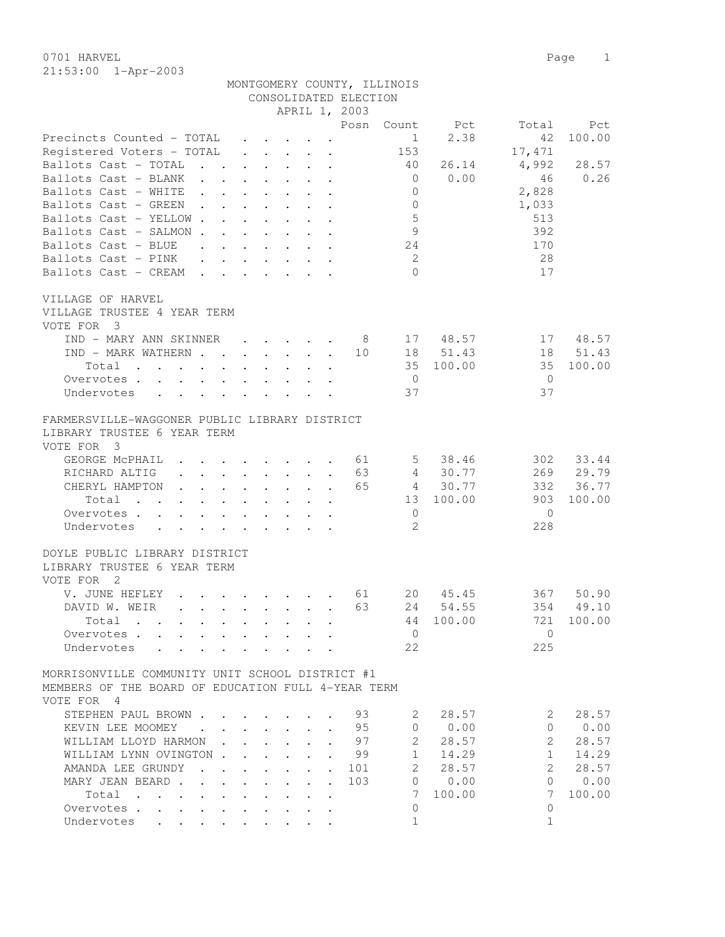0701 HARVEL 2008 Page 2012 21:53:00 1-Apr-2003

|                                                                                                                          |                                              |                                                                                            |                                              |      | MONTGOMERY COUNTY, ILLINOIS |          |                       |           |
|--------------------------------------------------------------------------------------------------------------------------|----------------------------------------------|--------------------------------------------------------------------------------------------|----------------------------------------------|------|-----------------------------|----------|-----------------------|-----------|
|                                                                                                                          |                                              | CONSOLIDATED ELECTION                                                                      |                                              |      |                             |          |                       |           |
|                                                                                                                          |                                              |                                                                                            | APRIL 1, 2003                                |      |                             |          |                       |           |
|                                                                                                                          |                                              |                                                                                            |                                              | Posn | Count                       | Pct      | Total                 | Pct       |
| Precincts Counted - TOTAL                                                                                                |                                              | $\mathbf{r}$ . The set of $\mathbf{r}$                                                     |                                              |      | 1                           | 2.38     | 42                    | 100.00    |
| Registered Voters - TOTAL                                                                                                |                                              | $\cdot$ $\cdot$ $\cdot$ $\cdot$ $\cdot$ $\cdot$                                            |                                              |      | 153                         |          | 17,471                |           |
| Ballots Cast - TOTAL<br>$\ddot{\phantom{a}}$                                                                             |                                              | $\cdot$ $\cdot$ $\cdot$ $\cdot$ $\cdot$ $\cdot$                                            |                                              |      | 40                          | 26.14    | 4,992                 | 28.57     |
| Ballots Cast - BLANK                                                                                                     |                                              |                                                                                            |                                              |      | $\overline{0}$              | 0.00     | 46                    | 0.26      |
| Ballots Cast - WHITE                                                                                                     |                                              |                                                                                            |                                              |      | $\circ$                     |          | 2,828                 |           |
| Ballots Cast - GREEN                                                                                                     |                                              |                                                                                            | $\sim$                                       |      | $\circ$                     |          | 1,033                 |           |
| Ballots Cast - YELLOW                                                                                                    |                                              |                                                                                            | $\ddot{\phantom{0}}$                         |      | $\mathsf S$                 |          | 513                   |           |
| Ballots Cast - SALMON                                                                                                    |                                              |                                                                                            |                                              |      | 9                           |          | 392                   |           |
| Ballots Cast - BLUE                                                                                                      |                                              |                                                                                            |                                              |      | 24                          |          | 170                   |           |
| Ballots Cast - PINK                                                                                                      |                                              |                                                                                            |                                              |      | -2                          |          | 28                    |           |
| Ballots Cast - CREAM                                                                                                     |                                              |                                                                                            |                                              |      | $\bigcap$                   |          | 17                    |           |
| VILLAGE OF HARVEL                                                                                                        |                                              |                                                                                            |                                              |      |                             |          |                       |           |
| VILLAGE TRUSTEE 4 YEAR TERM                                                                                              |                                              |                                                                                            |                                              |      |                             |          |                       |           |
| VOTE FOR 3                                                                                                               |                                              |                                                                                            |                                              |      |                             |          |                       |           |
| IND - MARY ANN SKINNER                                                                                                   |                                              | $\mathbf{r} = \mathbf{r} \cdot \mathbf{r}$ and $\mathbf{r} = \mathbf{r} \cdot \mathbf{r}$  |                                              |      | 8                           | 17 48.57 | 17                    | 48.57     |
| IND - MARK WATHERN                                                                                                       |                                              |                                                                                            |                                              | 10   |                             | 18 51.43 | 18                    | 51.43     |
| Total<br>$\mathbf{r}$ , and $\mathbf{r}$ , and $\mathbf{r}$ , and $\mathbf{r}$ , and $\mathbf{r}$                        |                                              |                                                                                            |                                              |      | 35                          | 100.00   | 35                    | 100.00    |
| Overvotes.                                                                                                               |                                              |                                                                                            |                                              |      | $\overline{0}$              |          | $\overline{0}$        |           |
| Undervotes                                                                                                               |                                              |                                                                                            |                                              |      | 37                          |          | 37                    |           |
|                                                                                                                          |                                              |                                                                                            |                                              |      |                             |          |                       |           |
| FARMERSVILLE-WAGGONER PUBLIC LIBRARY DISTRICT                                                                            |                                              |                                                                                            |                                              |      |                             |          |                       |           |
| LIBRARY TRUSTEE 6 YEAR TERM                                                                                              |                                              |                                                                                            |                                              |      |                             |          |                       |           |
| VOTE FOR 3                                                                                                               |                                              |                                                                                            |                                              |      |                             |          |                       |           |
| GEORGE MCPHAIL<br>$\mathbf{r}$ , $\mathbf{r}$ , $\mathbf{r}$ , $\mathbf{r}$ , $\mathbf{r}$ , $\mathbf{r}$ , $\mathbf{r}$ |                                              |                                                                                            |                                              | 61   | 5                           | 38.46    | 302                   | 33.44     |
| $\begin{array}{cccccccccccccc} . & . & . & . & . & . & . & . & . & . & . \end{array}$<br>RICHARD ALTIG                   |                                              |                                                                                            |                                              | 63   |                             | 4 30.77  |                       | 269 29.79 |
| CHERYL HAMPTON<br>$\mathbf{r}$ , and $\mathbf{r}$ , and $\mathbf{r}$ , and $\mathbf{r}$                                  |                                              |                                                                                            |                                              | 65   |                             | 4 30.77  | 332                   | 36.77     |
| Total $\cdots$                                                                                                           |                                              |                                                                                            |                                              |      | 13                          | 100.00   | 903                   | 100.00    |
| Overvotes                                                                                                                |                                              |                                                                                            |                                              |      | $\mathbf{0}$                |          | 0                     |           |
| Undervotes                                                                                                               |                                              |                                                                                            |                                              |      | $\mathcal{L}$               |          | 228                   |           |
| DOYLE PUBLIC LIBRARY DISTRICT                                                                                            |                                              |                                                                                            |                                              |      |                             |          |                       |           |
| LIBRARY TRUSTEE 6 YEAR TERM                                                                                              |                                              |                                                                                            |                                              |      |                             |          |                       |           |
| VOTE FOR 2                                                                                                               |                                              |                                                                                            |                                              |      |                             |          |                       |           |
| V. JUNE HEFLEY<br>$\mathbf{r}$ . The set of $\mathbf{r}$                                                                 |                                              |                                                                                            |                                              | 61   | 20                          | 45.45    | 367                   | 50.90     |
| DAVID W. WEIR                                                                                                            |                                              |                                                                                            |                                              | 63   | 24                          | 54.55    |                       | 354 49.10 |
|                                                                                                                          |                                              |                                                                                            |                                              |      | 44                          | 100.00   | 721                   | 100.00    |
| Total<br>Overvotes.                                                                                                      |                                              |                                                                                            |                                              |      | $\overline{0}$              |          | $\Omega$              |           |
| Undervotes                                                                                                               |                                              |                                                                                            |                                              |      | 22                          |          | 225                   |           |
|                                                                                                                          |                                              |                                                                                            |                                              |      |                             |          |                       |           |
| MORRISONVILLE COMMUNITY UNIT SCHOOL DISTRICT #1                                                                          |                                              |                                                                                            |                                              |      |                             |          |                       |           |
| MEMBERS OF THE BOARD OF EDUCATION FULL 4-YEAR TERM                                                                       |                                              |                                                                                            |                                              |      |                             |          |                       |           |
| VOTE FOR 4                                                                                                               |                                              |                                                                                            |                                              |      |                             |          |                       |           |
| STEPHEN PAUL BROWN                                                                                                       |                                              |                                                                                            |                                              | 93   | 2                           | 28.57    | 2                     | 28.57     |
| KEVIN LEE MOOMEY                                                                                                         |                                              |                                                                                            | $\ddot{\phantom{a}}$                         | 95   |                             | 0 0.00   | $\Omega$              | 0.00      |
| WILLIAM LLOYD HARMON.                                                                                                    |                                              | $\mathbf{1}$ $\mathbf{1}$ $\mathbf{1}$ $\mathbf{1}$ $\mathbf{1}$ $\mathbf{1}$ $\mathbf{1}$ | $\sim$<br>$\ddot{\phantom{a}}$               | 97   | $\overline{2}$              | 28.57    | $\overline{2}$        | 28.57     |
| WILLIAM LYNN OVINGTON.                                                                                                   | $\mathbf{L}$                                 | $\cdot$ $\cdot$                                                                            | $\mathbf{r}$<br>$\ddot{\phantom{a}}$         | 99   | $1 \quad$                   | 14.29    | $\mathbf{1}$          | 14.29     |
| AMANDA LEE GRUNDY<br>$\mathbf{r}$ . The set of $\mathbf{r}$                                                              | $\sim$                                       | $\ddot{\phantom{0}}$<br>$\ddot{\phantom{0}}$                                               | $\ddot{\phantom{0}}$                         | 101  | 2                           | 28.57    | $\mathbf{2}^{\prime}$ | 28.57     |
| MARY JEAN BEARD.<br>$\ddot{\phantom{0}}$                                                                                 | $\ddot{\phantom{a}}$<br>$\ddot{\phantom{a}}$ | $\mathbf{L}^{(1)}$<br>$\ddot{\phantom{0}}$                                                 | $\ddot{\phantom{a}}$<br>$\ddot{\phantom{a}}$ | 103  | $\overline{0}$              | 0.00     | 0                     | 0.00      |
| Total                                                                                                                    |                                              |                                                                                            |                                              |      | 7                           | 100.00   | 7                     | 100.00    |
| Overvotes                                                                                                                |                                              |                                                                                            |                                              |      | 0                           |          | 0                     |           |
| Undervotes                                                                                                               |                                              |                                                                                            |                                              |      | $\mathbf{1}$                |          | $\mathbf{1}$          |           |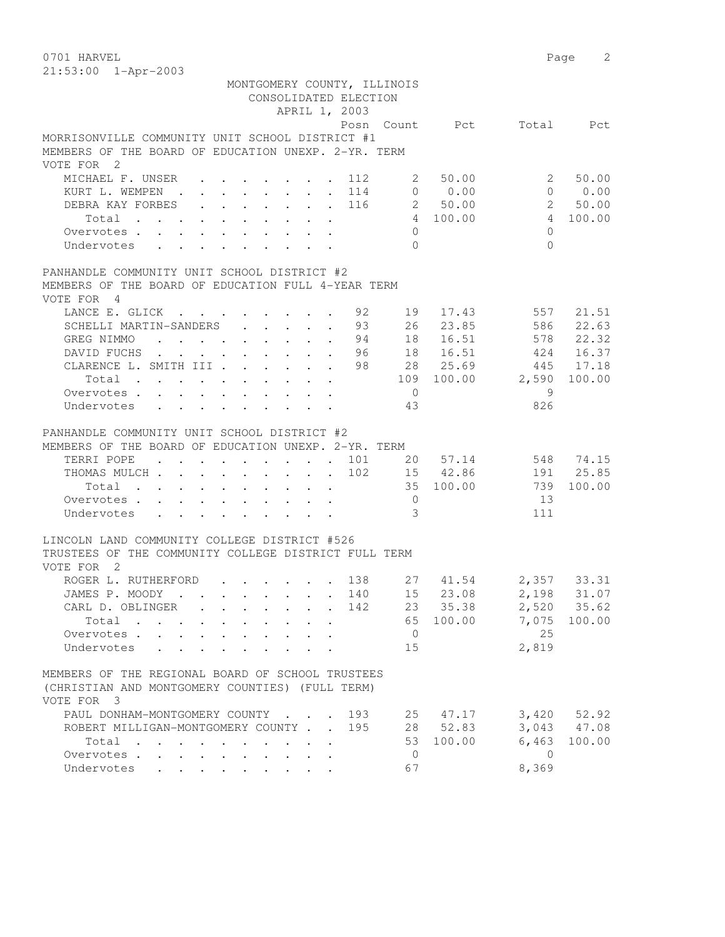0701 HARVEL 2 21:53:00 1-Apr-2003

| 21.JJ.VV 11P1 200J                                                                                |                                                                                          |                         |                          |                      |
|---------------------------------------------------------------------------------------------------|------------------------------------------------------------------------------------------|-------------------------|--------------------------|----------------------|
|                                                                                                   | MONTGOMERY COUNTY, ILLINOIS<br>CONSOLIDATED ELECTION                                     |                         |                          |                      |
|                                                                                                   | APRIL 1, 2003                                                                            |                         |                          |                      |
|                                                                                                   |                                                                                          |                         | Posn Count Pct Total Pct |                      |
| MORRISONVILLE COMMUNITY UNIT SCHOOL DISTRICT #1                                                   |                                                                                          |                         |                          |                      |
| MEMBERS OF THE BOARD OF EDUCATION UNEXP. 2-YR. TERM                                               |                                                                                          |                         |                          |                      |
| VOTE FOR 2                                                                                        |                                                                                          |                         |                          |                      |
| MICHAEL F. UNSER 112 2 50.00                                                                      |                                                                                          |                         |                          | $2^{\circ}$<br>50.00 |
| KURT L. WEMPEN 114 0 0.00                                                                         |                                                                                          |                         |                          | 0 0.00               |
| DEBRA KAY FORBES 116 2 50.00 2 50.00                                                              |                                                                                          |                         |                          |                      |
| Total 4 100.00                                                                                    |                                                                                          |                         |                          | 4 100.00             |
| Overvotes.                                                                                        |                                                                                          | $\overline{0}$          |                          | $\Omega$             |
| Undervotes                                                                                        |                                                                                          | $\bigcap$               |                          | $\bigcap$            |
| PANHANDLE COMMUNITY UNIT SCHOOL DISTRICT #2                                                       |                                                                                          |                         |                          |                      |
| MEMBERS OF THE BOARD OF EDUCATION FULL 4-YEAR TERM                                                |                                                                                          |                         |                          |                      |
| VOTE FOR 4                                                                                        |                                                                                          |                         |                          |                      |
| LANCE E. GLICK 92 19                                                                              |                                                                                          |                         |                          | 17.43 557 21.51      |
| SCHELLI MARTIN-SANDERS 93                                                                         |                                                                                          |                         | 26 23.85 586 22.63       |                      |
| GREG NIMMO : 94                                                                                   |                                                                                          |                         | 18  16.51  578  22.32    |                      |
| DAVID FUCHS 96                                                                                    |                                                                                          |                         | 18  16.51  424  16.37    |                      |
| CLARENCE L. SMITH III 98 28 25.69 445 17.18                                                       |                                                                                          |                         |                          |                      |
| Total 109 100.00 2,590                                                                            |                                                                                          |                         |                          | 100.00               |
| Overvotes                                                                                         |                                                                                          | $\overline{0}$          |                          | $\overline{9}$       |
| Undervotes                                                                                        | $\mathbf{r}$ , and $\mathbf{r}$ , and $\mathbf{r}$ , and $\mathbf{r}$ , and $\mathbf{r}$ | 43                      |                          | 826                  |
| PANHANDLE COMMUNITY UNIT SCHOOL DISTRICT #2                                                       |                                                                                          |                         |                          |                      |
| MEMBERS OF THE BOARD OF EDUCATION UNEXP. 2-YR. TERM                                               |                                                                                          |                         |                          |                      |
| TERRI POPE 101 20 57.14                                                                           |                                                                                          |                         |                          | 548 74.15            |
| THOMAS MULCH 102 15 42.86 191 25.85                                                               |                                                                                          |                         |                          |                      |
| Total 35 100.00 739                                                                               |                                                                                          |                         |                          | 100.00               |
| Overvotes 0                                                                                       |                                                                                          |                         |                          | 13                   |
| Undervotes                                                                                        |                                                                                          | $\overline{\mathbf{3}}$ |                          | 111                  |
| LINCOLN LAND COMMUNITY COLLEGE DISTRICT #526                                                      |                                                                                          |                         |                          |                      |
| TRUSTEES OF THE COMMUNITY COLLEGE DISTRICT FULL TERM                                              |                                                                                          |                         |                          |                      |
| VOTE FOR 2                                                                                        |                                                                                          |                         |                          |                      |
| ROGER L. RUTHERFORD 138 27 41.54 2,357 33.31                                                      |                                                                                          |                         |                          |                      |
| JAMES P. MOODY 140                                                                                |                                                                                          |                         | 15 23.08 2,198 31.07     |                      |
| CARL D. OBLINGER                                                                                  |                                                                                          | 142                     | 23 35.38                 | 2,520 35.62          |
| Total                                                                                             |                                                                                          | 65                      | 100.00                   | 100.00<br>7,075      |
| Overvotes<br>$\cdot$ $\cdot$ $\cdot$ $\cdot$                                                      |                                                                                          | $\overline{0}$          |                          | 25                   |
| Undervotes<br>$\mathbf{L} = \mathbf{L}$                                                           |                                                                                          | 15                      |                          | 2,819                |
| MEMBERS OF THE REGIONAL BOARD OF SCHOOL TRUSTEES                                                  |                                                                                          |                         |                          |                      |
| (CHRISTIAN AND MONTGOMERY COUNTIES) (FULL TERM)                                                   |                                                                                          |                         |                          |                      |
| VOTE FOR 3                                                                                        |                                                                                          |                         |                          |                      |
| PAUL DONHAM-MONTGOMERY COUNTY                                                                     |                                                                                          | 193                     | 25 47.17                 | $3,420$ $52.92$      |
| ROBERT MILLIGAN-MONTGOMERY COUNTY                                                                 |                                                                                          | 195                     | 28 52.83                 | 3,043 47.08          |
| Total<br>$\mathbf{r}$ , and $\mathbf{r}$ , and $\mathbf{r}$ , and $\mathbf{r}$ , and $\mathbf{r}$ |                                                                                          |                         | 53 100.00                | 6,463<br>100.00      |
| Overvotes                                                                                         |                                                                                          | $\overline{0}$          |                          | $\bigcirc$           |
| Undervotes                                                                                        |                                                                                          | 67                      |                          | 8,369                |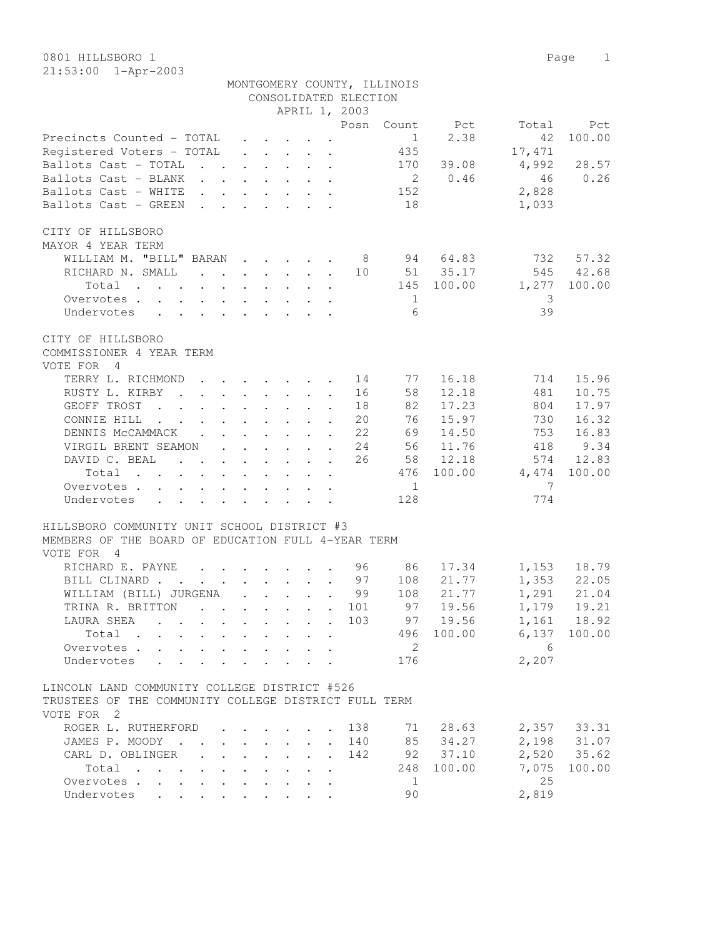21:53:00 1-Apr-2003

|                                                                                                                                                                                                                                                           |                                            |                  |                      |                                                                          | CONSOLIDATED ELECTION |                |          |        |             |
|-----------------------------------------------------------------------------------------------------------------------------------------------------------------------------------------------------------------------------------------------------------|--------------------------------------------|------------------|----------------------|--------------------------------------------------------------------------|-----------------------|----------------|----------|--------|-------------|
|                                                                                                                                                                                                                                                           |                                            |                  |                      |                                                                          | APRIL 1, 2003         |                |          |        |             |
|                                                                                                                                                                                                                                                           |                                            |                  |                      |                                                                          | Posn                  | Count          | Pct      | Total  | Pct         |
| Precincts Counted - TOTAL                                                                                                                                                                                                                                 |                                            |                  |                      | $\cdot$ $\cdot$ $\cdot$ $\cdot$ $\cdot$                                  |                       | $\mathbf{1}$   | 2.38     | 42     | 100.00      |
| Registered Voters - TOTAL                                                                                                                                                                                                                                 |                                            |                  |                      | $\cdot$ $\cdot$ $\cdot$ $\cdot$ $\cdot$ $\cdot$                          |                       | 435            |          | 17,471 |             |
| Ballots Cast - TOTAL<br>$\mathbf{r}$ , $\mathbf{r}$ , $\mathbf{r}$ , $\mathbf{r}$ , $\mathbf{r}$ , $\mathbf{r}$                                                                                                                                           |                                            |                  |                      |                                                                          |                       | 170            | 39.08    | 4,992  | 28.57       |
| Ballots Cast - BLANK                                                                                                                                                                                                                                      |                                            |                  |                      |                                                                          |                       | $\overline{2}$ | 0.46     | 46     | 0.26        |
| Ballots Cast - WHITE<br>$\sim$ $\sim$                                                                                                                                                                                                                     |                                            |                  |                      | $\mathbf{r}$ , $\mathbf{r}$ , $\mathbf{r}$ , $\mathbf{r}$ , $\mathbf{r}$ |                       | 152            |          | 2,828  |             |
| Ballots Cast - GREEN<br>$\mathbf{r}$ . The set of the set of the set of the set of the set of the set of the set of the set of the set of the set of the set of the set of the set of the set of the set of the set of the set of the set of the set of t |                                            |                  |                      |                                                                          |                       | 18             |          | 1,033  |             |
| CITY OF HILLSBORO                                                                                                                                                                                                                                         |                                            |                  |                      |                                                                          |                       |                |          |        |             |
| MAYOR 4 YEAR TERM                                                                                                                                                                                                                                         |                                            |                  |                      |                                                                          |                       |                |          |        |             |
| WILLIAM M. "BILL" BARAN                                                                                                                                                                                                                                   |                                            |                  |                      |                                                                          | - 8                   |                | 94 64.83 | 732    | 57.32       |
| RICHARD N. SMALL<br>$\mathcal{A}$ . The set of the set of the set of the set of the set of the set of the set of the set of the set of the set of the set of the set of the set of the set of the set of the set of the set of the set of the set of t    |                                            |                  |                      |                                                                          | 10                    |                | 51 35.17 | 545    | 42.68       |
| Total                                                                                                                                                                                                                                                     |                                            |                  |                      |                                                                          |                       | 145            | 100.00   | 1,277  | 100.00      |
| Overvotes                                                                                                                                                                                                                                                 |                                            |                  |                      |                                                                          |                       | 1              |          | 3      |             |
| Undervotes<br>$\mathbf{r}$ , $\mathbf{r}$ , $\mathbf{r}$ , $\mathbf{r}$ , $\mathbf{r}$ , $\mathbf{r}$<br>$\ddot{\phantom{0}}$                                                                                                                             |                                            |                  |                      |                                                                          |                       | 6              |          | 39     |             |
| CITY OF HILLSBORO                                                                                                                                                                                                                                         |                                            |                  |                      |                                                                          |                       |                |          |        |             |
| COMMISSIONER 4 YEAR TERM                                                                                                                                                                                                                                  |                                            |                  |                      |                                                                          |                       |                |          |        |             |
| VOTE FOR<br>4                                                                                                                                                                                                                                             |                                            |                  |                      |                                                                          |                       |                |          |        |             |
| TERRY L. RICHMOND<br>$\ddot{\phantom{a}}$                                                                                                                                                                                                                 |                                            |                  |                      | $\mathbf{r}$ , and $\mathbf{r}$ , and $\mathbf{r}$ , and $\mathbf{r}$    | 14                    | 77             | 16.18    | 714    | 15.96       |
| RUSTY L. KIRBY .<br>$\mathbf{r} = \mathbf{r} + \mathbf{r} + \mathbf{r} + \mathbf{r} + \mathbf{r} + \mathbf{r} + \mathbf{r} + \mathbf{r}$                                                                                                                  |                                            |                  |                      |                                                                          | 16                    | 58             | 12.18    | 481    | 10.75       |
| GEOFF TROST<br>$\mathbf{r}$ , and $\mathbf{r}$ , and $\mathbf{r}$ , and $\mathbf{r}$ , and $\mathbf{r}$                                                                                                                                                   |                                            |                  |                      |                                                                          | 18                    | 82             | 17.23    | 804    | 17.97       |
| CONNIE HILL<br>$\mathcal{A}$ . The set of the set of the set of the set of the set of the set of the set of the set of the set of the set of the set of the set of the set of the set of the set of the set of the set of the set of the set of t         |                                            |                  |                      |                                                                          | 20                    | 76             | 15.97    | 730    | 16.32       |
| DENNIS MCCAMMACK .                                                                                                                                                                                                                                        |                                            |                  |                      | $\mathbf{r}$ , $\mathbf{r}$ , $\mathbf{r}$ , $\mathbf{r}$ , $\mathbf{r}$ | 22                    | 69             | 14.50    | 753    | 16.83       |
| VIRGIL BRENT SEAMON                                                                                                                                                                                                                                       |                                            |                  |                      |                                                                          | 24                    | 56             | 11.76    | 418    | 9.34        |
| DAVID C. BEAL                                                                                                                                                                                                                                             |                                            |                  |                      |                                                                          | 26                    | 58             | 12.18    | 574    | 12.83       |
| Total                                                                                                                                                                                                                                                     |                                            |                  |                      |                                                                          |                       | 476            | 100.00   | 4,474  | 100.00      |
| Overvotes.                                                                                                                                                                                                                                                |                                            |                  |                      |                                                                          |                       | 1              |          | 7      |             |
| Undervotes                                                                                                                                                                                                                                                |                                            |                  |                      |                                                                          |                       | 128            |          | 774    |             |
| HILLSBORO COMMUNITY UNIT SCHOOL DISTRICT #3                                                                                                                                                                                                               |                                            |                  |                      |                                                                          |                       |                |          |        |             |
| MEMBERS OF THE BOARD OF EDUCATION FULL 4-YEAR TERM                                                                                                                                                                                                        |                                            |                  |                      |                                                                          |                       |                |          |        |             |
| VOTE FOR<br>$\overline{4}$                                                                                                                                                                                                                                |                                            |                  |                      |                                                                          |                       |                |          |        |             |
| RICHARD E. PAYNE<br>$\mathbf{r}$ , $\mathbf{r}$ , $\mathbf{r}$ , $\mathbf{r}$ , $\mathbf{r}$                                                                                                                                                              |                                            |                  |                      |                                                                          | 96                    | 86             | 17.34    | 1,153  | 18.79       |
| $\mathbf{r}$ , $\mathbf{r}$ , $\mathbf{r}$ , $\mathbf{r}$ , $\mathbf{r}$ , $\mathbf{r}$ , $\mathbf{r}$<br>BILL CLINARD.                                                                                                                                   |                                            |                  |                      |                                                                          | 97                    | 108            | 21.77    | 1,353  | 22.05       |
| WILLIAM (BILL) JURGENA                                                                                                                                                                                                                                    |                                            |                  |                      |                                                                          | 99                    | 108            | 21.77    | 1,291  | 21.04       |
| TRINA R. BRITTON<br>$\mathbf{r}$ , and $\mathbf{r}$ , and $\mathbf{r}$ , and $\mathbf{r}$                                                                                                                                                                 |                                            |                  |                      |                                                                          | 101                   | 97             | 19.56    | 1,179  | 19.21       |
| LAURA SHEA<br>the contract of the contract of the contract of the contract of the contract of the contract of the contract of                                                                                                                             |                                            |                  |                      |                                                                          | 103                   | 97             | 19.56    | 1,161  | 18.92       |
| Total                                                                                                                                                                                                                                                     |                                            |                  |                      |                                                                          |                       | 496            | 100.00   | 6,137  | 100.00      |
| Overvotes                                                                                                                                                                                                                                                 |                                            |                  |                      |                                                                          |                       | 2              |          | - 6    |             |
| Undervotes                                                                                                                                                                                                                                                |                                            |                  |                      |                                                                          |                       | 176            |          | 2,207  |             |
|                                                                                                                                                                                                                                                           |                                            |                  |                      |                                                                          |                       |                |          |        |             |
| LINCOLN LAND COMMUNITY COLLEGE DISTRICT #526                                                                                                                                                                                                              |                                            |                  |                      |                                                                          |                       |                |          |        |             |
| TRUSTEES OF THE COMMUNITY COLLEGE DISTRICT FULL TERM                                                                                                                                                                                                      |                                            |                  |                      |                                                                          |                       |                |          |        |             |
| VOTE FOR 2                                                                                                                                                                                                                                                |                                            |                  |                      |                                                                          |                       |                |          |        |             |
| ROGER L. RUTHERFORD                                                                                                                                                                                                                                       |                                            |                  |                      |                                                                          | 138                   | 71             | 28.63    |        | 2,357 33.31 |
| JAMES P. MOODY                                                                                                                                                                                                                                            | $\mathbf{r}$ , $\mathbf{r}$ , $\mathbf{r}$ |                  |                      |                                                                          | 140                   | 85             | 34.27    |        | 2,198 31.07 |
| CARL D. OBLINGER<br>$\ddot{\phantom{0}}$                                                                                                                                                                                                                  | $\ddot{\phantom{0}}$                       | $\sim$ 100 $\pm$ | $\ddot{\phantom{0}}$ |                                                                          | 142                   |                | 92 37.10 |        | 2,520 35.62 |
| Total                                                                                                                                                                                                                                                     | $\sim$                                     | $\sim$           |                      |                                                                          |                       | 248            | 100.00   | 7,075  | 100.00      |
| Overvotes                                                                                                                                                                                                                                                 |                                            |                  |                      |                                                                          |                       | 1              |          | 25     |             |
| Undervotes<br>$\mathbf{r}$ , $\mathbf{r}$ , $\mathbf{r}$ , $\mathbf{r}$                                                                                                                                                                                   |                                            |                  |                      |                                                                          |                       | 90             |          | 2,819  |             |
|                                                                                                                                                                                                                                                           |                                            |                  |                      |                                                                          |                       |                |          |        |             |

MONTGOMERY COUNTY, ILLINOIS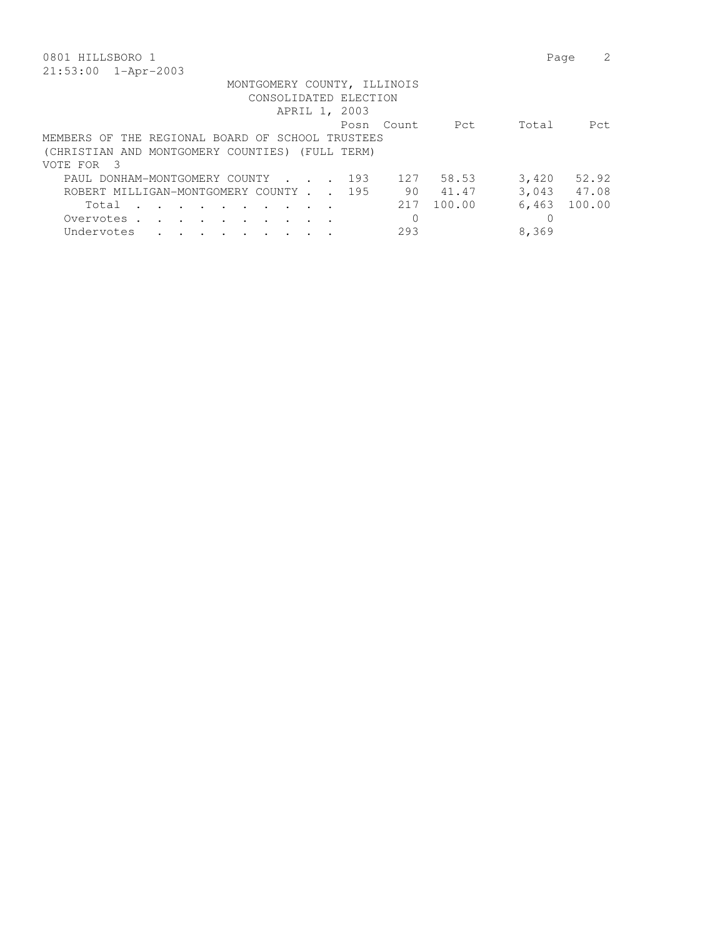| 0801 HILLSBORO 1                                                                                    | Page            |       |
|-----------------------------------------------------------------------------------------------------|-----------------|-------|
| $21:53:00$ $1 - Appr-2003$                                                                          |                 |       |
| MONTGOMERY COUNTY, ILLINOIS<br>CONSOLIDATED ELECTION<br>APRIL 1, 2003                               |                 |       |
| Pct.<br>Posn Count                                                                                  | Total           | Pct.  |
| MEMBERS OF THE REGIONAL BOARD OF SCHOOL TRUSTEES                                                    |                 |       |
| (CHRISTIAN AND MONTGOMERY COUNTIES) (FULL TERM)                                                     |                 |       |
| VOTE FOR 3                                                                                          |                 |       |
| 127<br>58.53<br>PAUL DONHAM-MONTGOMERY COUNTY<br>193                                                | 3,420           | 52.92 |
| 90 —<br>41.47<br>ROBERT MILLIGAN-MONTGOMERY COUNTY.<br>195                                          | 3,043 47.08     |       |
| 100.00<br>217<br>Total<br>$\cdots$<br>$\sim$ $\sim$ $\sim$                                          | 100.00<br>6,463 |       |
| Overvotes.<br>$\sim$ $\sim$<br>$\sim 100$ km s $^{-1}$<br>$\sim$ $\sim$<br>$\sim$ $\sim$<br>$\cdot$ | 0               |       |
| 293<br>Undervotes<br>$\ddot{\phantom{a}}$                                                           | 8,369           |       |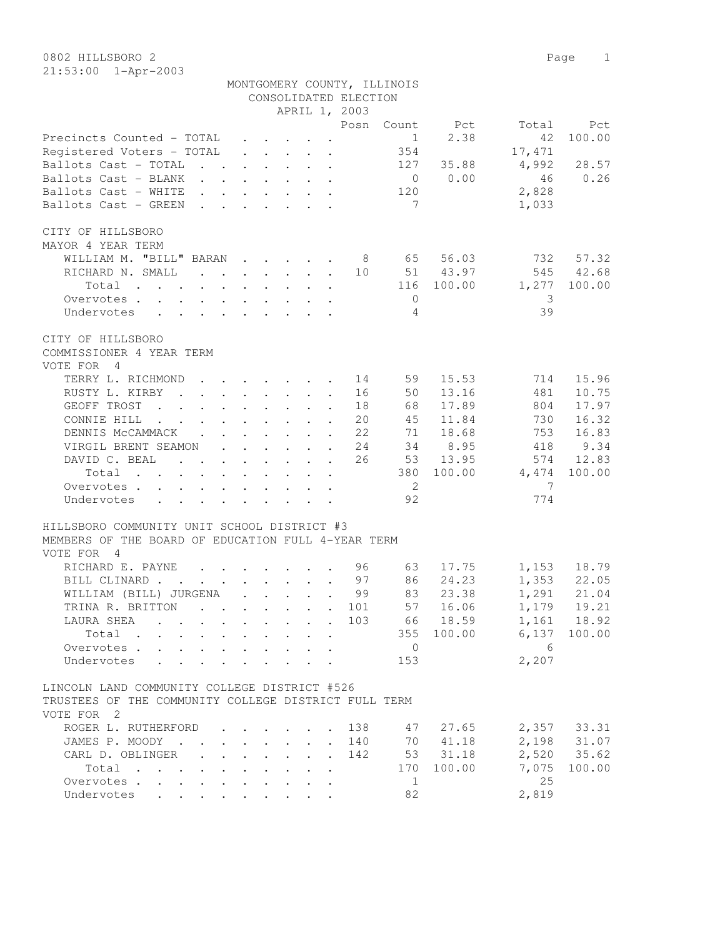|                                                                                                                                                                                                                                                    |  |                                                                 |              | CONSOLIDATED ELECTION                                      | MONTGOMERY COUNTY, ILLINOIS |             |                |                            |
|----------------------------------------------------------------------------------------------------------------------------------------------------------------------------------------------------------------------------------------------------|--|-----------------------------------------------------------------|--------------|------------------------------------------------------------|-----------------------------|-------------|----------------|----------------------------|
|                                                                                                                                                                                                                                                    |  |                                                                 |              | APRIL 1, 2003                                              |                             |             |                |                            |
|                                                                                                                                                                                                                                                    |  |                                                                 |              | Posn                                                       | Count                       | Pct         | Total          | Pct                        |
| Precincts Counted - TOTAL                                                                                                                                                                                                                          |  |                                                                 |              |                                                            | $\frac{1}{1}$               | 2.38        | 42             | 100.00                     |
| Registered Voters - TOTAL                                                                                                                                                                                                                          |  |                                                                 |              |                                                            | 354                         |             | 17,471         |                            |
| Ballots Cast - TOTAL                                                                                                                                                                                                                               |  |                                                                 |              |                                                            |                             | 127 35.88   | 4,992          | 28.57                      |
| Ballots Cast - BLANK                                                                                                                                                                                                                               |  |                                                                 |              |                                                            |                             | $0 \t 0.00$ | 46             | 0.26                       |
| Ballots Cast - WHITE                                                                                                                                                                                                                               |  |                                                                 |              |                                                            | 120                         |             | 2,828          |                            |
| Ballots Cast - GREEN                                                                                                                                                                                                                               |  |                                                                 |              |                                                            | $\overline{7}$              |             | 1,033          |                            |
| CITY OF HILLSBORO                                                                                                                                                                                                                                  |  |                                                                 |              |                                                            |                             |             |                |                            |
| MAYOR 4 YEAR TERM                                                                                                                                                                                                                                  |  |                                                                 |              |                                                            |                             |             |                |                            |
| WILLIAM M. "BILL" BARAN 8                                                                                                                                                                                                                          |  |                                                                 |              |                                                            | 65                          | 56.03       | 732            | 57.32                      |
| RICHARD N. SMALL 10                                                                                                                                                                                                                                |  |                                                                 |              |                                                            |                             | 51 43.97    |                | 545 42.68                  |
| Total                                                                                                                                                                                                                                              |  |                                                                 |              |                                                            |                             | 116 100.00  | 1,277          | 100.00                     |
| Overvotes.                                                                                                                                                                                                                                         |  |                                                                 |              |                                                            | $\overline{0}$              |             | -3             |                            |
| Undervotes                                                                                                                                                                                                                                         |  |                                                                 |              |                                                            | $\overline{4}$              |             | 39             |                            |
| CITY OF HILLSBORO<br>COMMISSIONER 4 YEAR TERM                                                                                                                                                                                                      |  |                                                                 |              |                                                            |                             |             |                |                            |
| VOTE FOR 4                                                                                                                                                                                                                                         |  |                                                                 |              |                                                            |                             |             |                |                            |
| TERRY L. RICHMOND                                                                                                                                                                                                                                  |  | $\cdot$ $\cdot$ $\cdot$ $\cdot$ $\cdot$ $\cdot$ $\cdot$ $\cdot$ |              | 14                                                         | 59                          | 15.53       | 714            | 15.96                      |
| RUSTY L. KIRBY                                                                                                                                                                                                                                     |  |                                                                 |              | 16                                                         | 50                          | 13.16       | 481            | 10.75                      |
| GEOFF TROST                                                                                                                                                                                                                                        |  |                                                                 |              | 18                                                         | 68                          | 17.89       | 804            | 17.97                      |
| CONNIE HILL                                                                                                                                                                                                                                        |  |                                                                 |              | 20                                                         | 45                          | 11.84       | 730            | 16.32                      |
| DENNIS MCCAMMACK                                                                                                                                                                                                                                   |  |                                                                 |              | 22                                                         | 71                          | 18.68       | 753            | 16.83                      |
| VIRGIL BRENT SEAMON                                                                                                                                                                                                                                |  |                                                                 |              | 24                                                         |                             | 34 8.95     | 418            | 9.34                       |
| DAVID C. BEAL                                                                                                                                                                                                                                      |  |                                                                 |              | 26                                                         |                             | 53 13.95    |                | 574 12.83                  |
| Total                                                                                                                                                                                                                                              |  |                                                                 |              |                                                            |                             | 380 100.00  | 4,474          | 100.00                     |
| Overvotes                                                                                                                                                                                                                                          |  |                                                                 |              |                                                            | $\overline{\phantom{0}}^2$  |             | $\overline{7}$ |                            |
| Undervotes<br>$\mathbf{r}$ and $\mathbf{r}$ are the set of the set of the set of the set of the set of the set of the set of the set of the set of the set of the set of the set of the set of the set of the set of the set of the set of the set |  |                                                                 |              |                                                            | 92                          |             | 774            |                            |
| HILLSBORO COMMUNITY UNIT SCHOOL DISTRICT #3                                                                                                                                                                                                        |  |                                                                 |              |                                                            |                             |             |                |                            |
| MEMBERS OF THE BOARD OF EDUCATION FULL 4-YEAR TERM                                                                                                                                                                                                 |  |                                                                 |              |                                                            |                             |             |                |                            |
| VOTE FOR 4                                                                                                                                                                                                                                         |  |                                                                 |              |                                                            |                             |             |                |                            |
| RICHARD E. PAYNE                                                                                                                                                                                                                                   |  |                                                                 |              | 96                                                         | 63                          | 17.75       |                |                            |
| BILL CLINARD                                                                                                                                                                                                                                       |  |                                                                 |              |                                                            |                             | 24.23       |                | 1,153 18.79                |
|                                                                                                                                                                                                                                                    |  |                                                                 |              | $\cdot$ $\cdot$ $\cdot$ $\cdot$ $\cdot$ $\cdot$ $\cdot$ 97 | 86                          |             |                | 1,353 22.05<br>1,291 21.04 |
| WILLIAM (BILL) JURGENA                                                                                                                                                                                                                             |  |                                                                 |              | 99                                                         | 83                          | 23.38       |                |                            |
| TRINA R. BRITTON                                                                                                                                                                                                                                   |  |                                                                 |              | . 101                                                      |                             | 57 16.06    |                | 1,179 19.21                |
| LAURA SHEA                                                                                                                                                                                                                                         |  |                                                                 |              | 103                                                        |                             | 66 18.59    |                | 1,161 18.92                |
| Total                                                                                                                                                                                                                                              |  |                                                                 |              |                                                            |                             | 355 100.00  |                | $6,137$ 100.00             |
| Overvotes                                                                                                                                                                                                                                          |  |                                                                 |              |                                                            | $\overline{0}$              |             | - 6            |                            |
| Undervotes                                                                                                                                                                                                                                         |  |                                                                 |              |                                                            | 153                         |             | 2,207          |                            |
| LINCOLN LAND COMMUNITY COLLEGE DISTRICT #526<br>TRUSTEES OF THE COMMUNITY COLLEGE DISTRICT FULL TERM                                                                                                                                               |  |                                                                 |              |                                                            |                             |             |                |                            |
| VOTE FOR 2                                                                                                                                                                                                                                         |  |                                                                 |              |                                                            |                             |             |                |                            |
| ROGER L. RUTHERFORD                                                                                                                                                                                                                                |  |                                                                 |              | 138                                                        | 47                          | 27.65       |                | 2,357 33.31                |
| JAMES P. MOODY                                                                                                                                                                                                                                     |  |                                                                 | $\mathbf{L}$ | 140                                                        | 70                          | 41.18       |                | 2,198 31.07                |
| CARL D. OBLINGER.                                                                                                                                                                                                                                  |  |                                                                 | $\mathbf{L}$ | 142                                                        |                             | 53 31.18    |                | 2,520 35.62                |
| Total                                                                                                                                                                                                                                              |  |                                                                 |              |                                                            | 170                         | 100.00      | 7,075          | 100.00                     |
| Overvotes                                                                                                                                                                                                                                          |  |                                                                 |              |                                                            | 1                           |             | 25             |                            |
| Undervotes                                                                                                                                                                                                                                         |  |                                                                 |              |                                                            | 82                          |             | 2,819          |                            |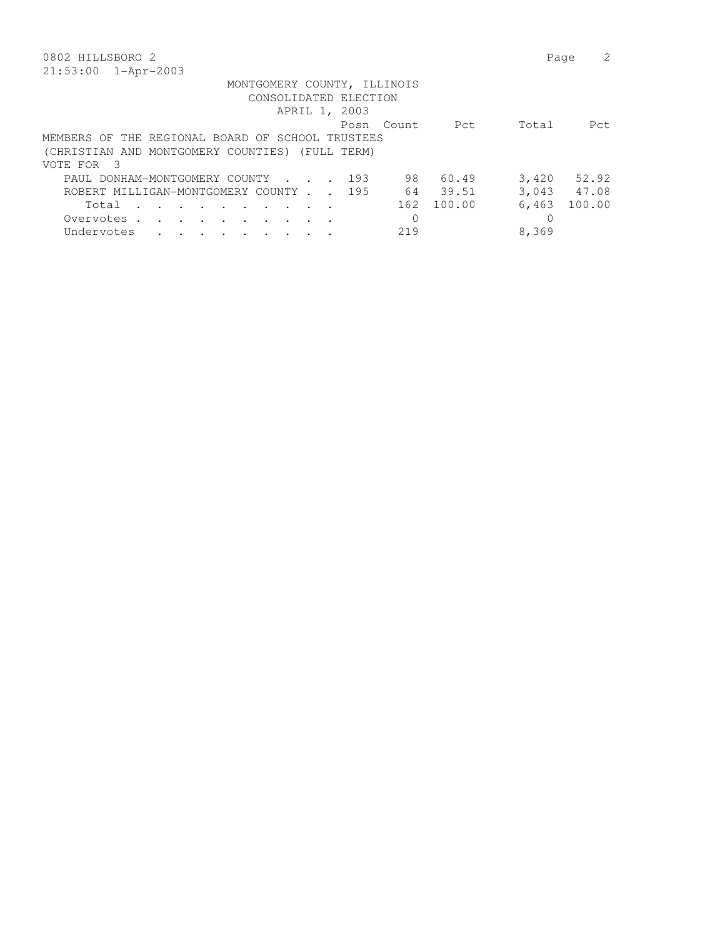| 0802 HILLSBORO 2                                                    |      |          |            | Page  |             |
|---------------------------------------------------------------------|------|----------|------------|-------|-------------|
| 21:53:00 1-Apr-2003                                                 |      |          |            |       |             |
| MONTGOMERY COUNTY, ILLINOIS                                         |      |          |            |       |             |
| CONSOLIDATED ELECTION                                               |      |          |            |       |             |
| APRIL 1, 2003                                                       |      |          |            |       |             |
|                                                                     | Posn | - Count. | Pct        | Total | Pct.        |
| MEMBERS OF THE REGIONAL BOARD OF SCHOOL TRUSTEES                    |      |          |            |       |             |
| (CHRISTIAN AND MONTGOMERY COUNTIES) (FULL TERM)                     |      |          |            |       |             |
| VOTE FOR 3                                                          |      |          |            |       |             |
| PAUL DONHAM-MONTGOMERY COUNTY                                       | 193  | 98       | 60.49      | 3,420 | 52.92       |
| ROBERT MILLIGAN-MONTGOMERY COUNTY 195                               |      | 64       | 39.51      |       | 3,043 47.08 |
| Total<br>$\sim$ $\sim$ $\sim$ $\sim$ $\sim$ $\sim$<br>$\sim$ $\sim$ |      |          | 162 100.00 | 6,463 | 100.00      |
| Overvotes.                                                          |      |          |            |       |             |
| Undervotes                                                          |      | 219      |            | 8,369 |             |
|                                                                     |      |          |            |       |             |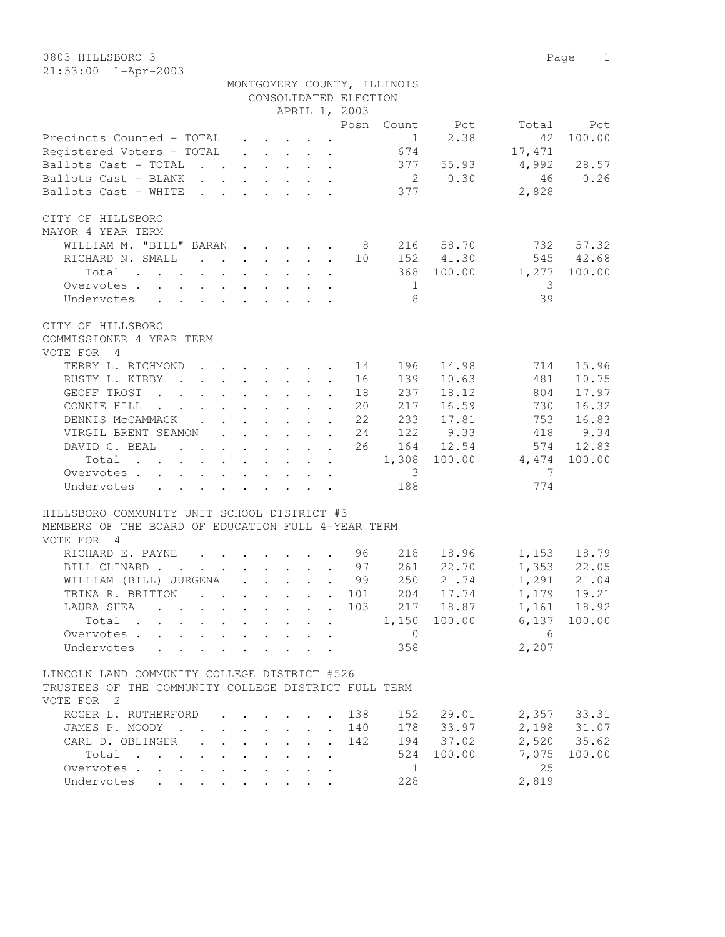|                                                                                              |                                                                          |  |                                                 |                                                                                         | MONTGOMERY COUNTY, ILLINOIS |                                |                |                                              |
|----------------------------------------------------------------------------------------------|--------------------------------------------------------------------------|--|-------------------------------------------------|-----------------------------------------------------------------------------------------|-----------------------------|--------------------------------|----------------|----------------------------------------------|
|                                                                                              |                                                                          |  |                                                 | CONSOLIDATED ELECTION                                                                   |                             |                                |                |                                              |
|                                                                                              |                                                                          |  |                                                 | APRIL 1, 2003                                                                           |                             |                                |                |                                              |
|                                                                                              |                                                                          |  |                                                 | Posn                                                                                    |                             | Count Pct                      | Total          | Pct                                          |
| Precincts Counted - TOTAL                                                                    |                                                                          |  |                                                 | $\mathbf{r}$ , $\mathbf{r}$ , $\mathbf{r}$ , $\mathbf{r}$ , $\mathbf{r}$ , $\mathbf{r}$ |                             | 2.38<br>$1 \quad \blacksquare$ | 42             | 100.00                                       |
| Registered Voters - TOTAL                                                                    |                                                                          |  |                                                 | $\mathbf{r}$ , $\mathbf{r}$ , $\mathbf{r}$ , $\mathbf{r}$                               | 674                         |                                | 17,471         |                                              |
| Ballots Cast - TOTAL 377 55.93                                                               |                                                                          |  |                                                 |                                                                                         |                             |                                | 4,992          | 28.57                                        |
| Ballots Cast - BLANK                                                                         |                                                                          |  |                                                 |                                                                                         |                             | 2 0.30                         | 46             | 0.26                                         |
| Ballots Cast - WHITE                                                                         | $\mathbf{r}$ , and $\mathbf{r}$ , and $\mathbf{r}$ , and $\mathbf{r}$    |  |                                                 |                                                                                         | 377                         |                                | 2,828          |                                              |
| CITY OF HILLSBORO                                                                            |                                                                          |  |                                                 |                                                                                         |                             |                                |                |                                              |
| MAYOR 4 YEAR TERM                                                                            |                                                                          |  |                                                 |                                                                                         |                             |                                |                |                                              |
| WILLIAM M. "BILL" BARAN                                                                      |                                                                          |  |                                                 | 8 <sup>8</sup>                                                                          |                             | 216 58.70                      | 732            | 57.32                                        |
| RICHARD N. SMALL                                                                             |                                                                          |  |                                                 | 10                                                                                      |                             | 152 41.30                      |                | 545 42.68                                    |
| Total                                                                                        |                                                                          |  |                                                 |                                                                                         |                             | 368 100.00                     | 1,277          | 100.00                                       |
| Overvotes                                                                                    |                                                                          |  |                                                 |                                                                                         | $\overline{1}$              |                                | - 3            |                                              |
| Undervotes                                                                                   |                                                                          |  |                                                 |                                                                                         | 8                           |                                | 39             |                                              |
|                                                                                              |                                                                          |  |                                                 |                                                                                         |                             |                                |                |                                              |
| CITY OF HILLSBORO<br>COMMISSIONER 4 YEAR TERM                                                |                                                                          |  |                                                 |                                                                                         |                             |                                |                |                                              |
| VOTE FOR 4                                                                                   |                                                                          |  |                                                 |                                                                                         |                             |                                |                |                                              |
| TERRY L. RICHMOND                                                                            | $\mathbf{r}$ , $\mathbf{r}$ , $\mathbf{r}$ , $\mathbf{r}$ , $\mathbf{r}$ |  |                                                 | 14                                                                                      | 196                         | 14.98                          | 714            | 15.96                                        |
| RUSTY L. KIRBY                                                                               |                                                                          |  |                                                 | 16                                                                                      | 139                         | 10.63                          | 481            | 10.75                                        |
| GEOFF TROST<br>$\mathcal{A}$ . The set of the set of the set of the set of the $\mathcal{A}$ |                                                                          |  |                                                 | 18                                                                                      | 237                         | 18.12                          | 804            | 17.97                                        |
| CONNIE HILL                                                                                  |                                                                          |  |                                                 | 20                                                                                      | 217                         | 16.59                          | 730            | 16.32                                        |
| DENNIS MCCAMMACK                                                                             |                                                                          |  |                                                 | 22                                                                                      | 233                         | 17.81                          | 753            | 16.83                                        |
| VIRGIL BRENT SEAMON 24                                                                       |                                                                          |  |                                                 |                                                                                         | 122                         | 9.33                           | 418            | 9.34                                         |
| DAVID C. BEAL                                                                                |                                                                          |  |                                                 | 26                                                                                      |                             | 164 12.54                      |                | 574 12.83                                    |
|                                                                                              |                                                                          |  |                                                 |                                                                                         |                             | 1,308 100.00                   | 4,474          |                                              |
| Total                                                                                        |                                                                          |  |                                                 |                                                                                         |                             |                                | $\overline{7}$ | 100.00                                       |
| Overvotes                                                                                    |                                                                          |  |                                                 |                                                                                         | $\overline{\mathbf{3}}$     |                                |                |                                              |
| Undervotes                                                                                   |                                                                          |  |                                                 |                                                                                         | 188                         |                                | 774            |                                              |
| HILLSBORO COMMUNITY UNIT SCHOOL DISTRICT #3                                                  |                                                                          |  |                                                 |                                                                                         |                             |                                |                |                                              |
| MEMBERS OF THE BOARD OF EDUCATION FULL 4-YEAR TERM                                           |                                                                          |  |                                                 |                                                                                         |                             |                                |                |                                              |
| VOTE FOR 4                                                                                   |                                                                          |  |                                                 |                                                                                         |                             |                                |                |                                              |
| RICHARD E. PAYNE                                                                             |                                                                          |  |                                                 | 96                                                                                      | 218                         | 18.96                          |                | 1, 153 18.79<br>1, 353 22.05<br>1, 291 21.04 |
| BILL CLINARD                                                                                 |                                                                          |  |                                                 | 97                                                                                      | 261                         | 22.70                          |                |                                              |
| WILLIAM (BILL) JURGENA                                                                       |                                                                          |  |                                                 | 99                                                                                      | 250                         | 21.74                          |                |                                              |
| . 101<br>TRINA R. BRITTON                                                                    |                                                                          |  |                                                 |                                                                                         | 204                         | 17.74                          | 1,179          | 19.21                                        |
| . 103<br>LAURA SHEA                                                                          |                                                                          |  |                                                 |                                                                                         |                             | 217 18.87                      |                | 1,161 18.92                                  |
| Total $\cdots$                                                                               |                                                                          |  |                                                 |                                                                                         |                             | 1,150 100.00                   | $6,137$ 100.00 |                                              |
| Overvotes                                                                                    |                                                                          |  | $\cdot$ $\cdot$ $\cdot$ $\cdot$ $\cdot$ $\cdot$ |                                                                                         | $\overline{0}$              |                                | 6              |                                              |
| Undervotes                                                                                   |                                                                          |  |                                                 |                                                                                         | 358                         |                                | 2,207          |                                              |
| LINCOLN LAND COMMUNITY COLLEGE DISTRICT #526                                                 |                                                                          |  |                                                 |                                                                                         |                             |                                |                |                                              |
| TRUSTEES OF THE COMMUNITY COLLEGE DISTRICT FULL TERM                                         |                                                                          |  |                                                 |                                                                                         |                             |                                |                |                                              |
| VOTE FOR 2                                                                                   |                                                                          |  |                                                 |                                                                                         |                             |                                |                |                                              |
| ROGER L. RUTHERFORD 138                                                                      |                                                                          |  |                                                 |                                                                                         | 152                         | 29.01                          |                | 2,357 33.31                                  |

 JAMES P. MOODY . . . . . . . . 140 178 33.97 2,198 31.07 CARL D. OBLINGER . . . . . . . 142 194 37.02 2,520 35.62

Overvotes . . . . . . . . . . . . . . . 25<br>
Undervotes . . . . . . . . . . 228 2,819

Undervotes . . . . . . . . . 228

Total . . . . . . . . . . 524 100.00 7,075 100.00<br>ervotes . . . . . . . . . . 1 25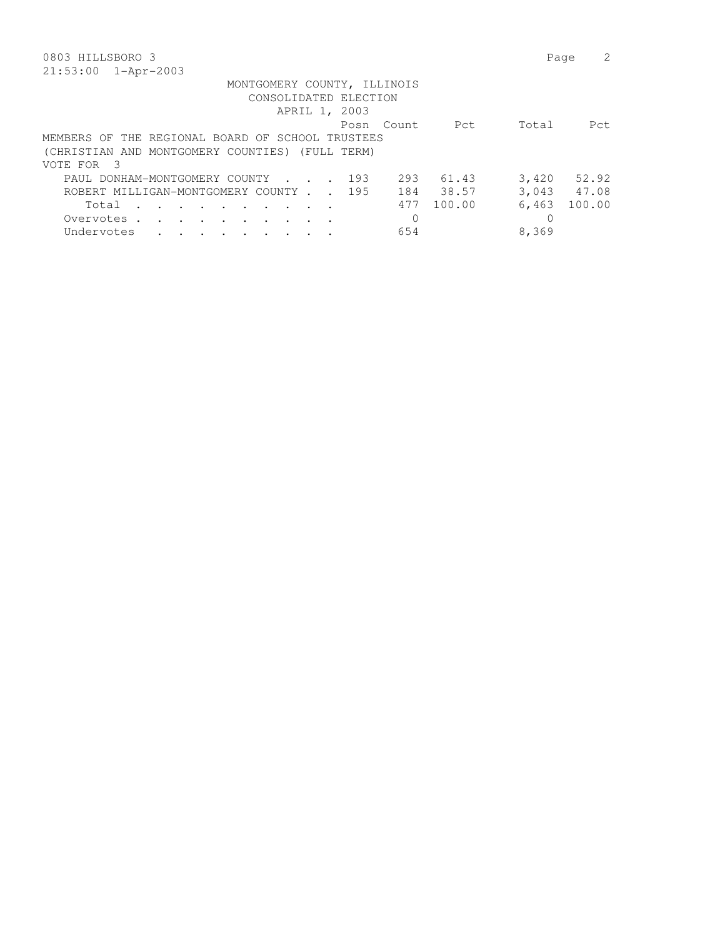| 0803 HILLSBORO 3                                 |               |               |                       |          |        | Page  |             |
|--------------------------------------------------|---------------|---------------|-----------------------|----------|--------|-------|-------------|
| $21:53:00$ $1 - Appr-2003$                       |               |               |                       |          |        |       |             |
| MONTGOMERY COUNTY, ILLINOIS                      |               |               |                       |          |        |       |             |
|                                                  |               |               | CONSOLIDATED ELECTION |          |        |       |             |
|                                                  |               | APRIL 1, 2003 |                       |          |        |       |             |
|                                                  |               |               | Posn                  | Count    | Pct    | Total | Pct.        |
| MEMBERS OF THE REGIONAL BOARD OF SCHOOL TRUSTEES |               |               |                       |          |        |       |             |
| (CHRISTIAN AND MONTGOMERY COUNTIES) (FULL TERM)  |               |               |                       |          |        |       |             |
| VOTE FOR 3                                       |               |               |                       |          |        |       |             |
| PAUL DONHAM-MONTGOMERY COUNTY 193                |               |               |                       | 293      | 61.43  | 3,420 | 52.92       |
| ROBERT MILLIGAN-MONTGOMERY COUNTY 195            |               |               |                       | 184      | 38.57  |       | 3,043 47.08 |
| Total<br>$\sim$ $\sim$<br>$\sim$ $\sim$          | $\sim$ $\sim$ |               |                       | 477      | 100.00 | 6,463 | 100.00      |
| Overvotes.<br>$\sim$ $\sim$ $\sim$ $\sim$        |               |               |                       | $\Omega$ |        |       |             |
| Undervotes                                       |               |               |                       | 654      |        | 8,369 |             |
|                                                  |               |               |                       |          |        |       |             |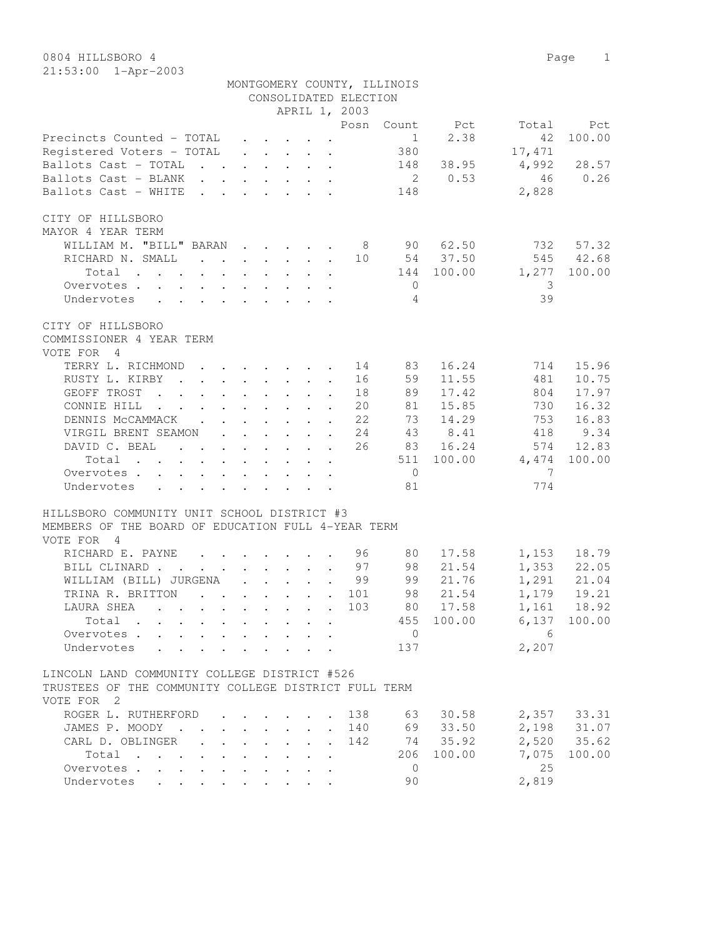|                                                                                      |  |                                                 |                       | MONTGOMERY COUNTY, ILLINOIS |                      |                |                                           |
|--------------------------------------------------------------------------------------|--|-------------------------------------------------|-----------------------|-----------------------------|----------------------|----------------|-------------------------------------------|
|                                                                                      |  |                                                 | CONSOLIDATED ELECTION |                             |                      |                |                                           |
|                                                                                      |  |                                                 | APRIL 1, 2003         |                             |                      |                |                                           |
|                                                                                      |  |                                                 | Posn                  |                             | Count Pct            | Total          | Pct                                       |
| Precincts Counted - TOTAL                                                            |  |                                                 |                       | $\sim$ 1                    | 2.38                 | 42             | 100.00                                    |
| Registered Voters - TOTAL                                                            |  |                                                 |                       | 380                         |                      | 17,471         |                                           |
| Ballots Cast - TOTAL                                                                 |  |                                                 |                       |                             | 148 38.95            | $4,992$ 28.57  |                                           |
| Ballots Cast - BLANK                                                                 |  |                                                 |                       |                             | 2 0.53               | 46             | 0.26                                      |
| Ballots Cast - WHITE                                                                 |  |                                                 |                       | 148                         |                      | 2,828          |                                           |
| CITY OF HILLSBORO                                                                    |  |                                                 |                       |                             |                      |                |                                           |
| MAYOR 4 YEAR TERM                                                                    |  |                                                 |                       |                             |                      |                |                                           |
| WILLIAM M. "BILL" BARAN 8 90 62.50                                                   |  |                                                 |                       |                             |                      |                | 732 57.32                                 |
| RICHARD N. SMALL 10 54 37.50                                                         |  |                                                 |                       |                             |                      |                | 545 42.68                                 |
| Total                                                                                |  |                                                 |                       |                             | 144 100.00           | 1,277 100.00   |                                           |
| Overvotes.                                                                           |  |                                                 |                       | $\overline{0}$              |                      | - 3            |                                           |
| Undervotes                                                                           |  |                                                 |                       | $\overline{4}$              |                      | 39             |                                           |
|                                                                                      |  |                                                 |                       |                             |                      |                |                                           |
| CITY OF HILLSBORO                                                                    |  |                                                 |                       |                             |                      |                |                                           |
| COMMISSIONER 4 YEAR TERM                                                             |  |                                                 |                       |                             |                      |                |                                           |
| VOTE FOR 4                                                                           |  |                                                 |                       |                             |                      |                |                                           |
| TERRY L. RICHMOND 14                                                                 |  |                                                 |                       | 83                          | 16.24                | 714            | 15.96                                     |
| RUSTY L. KIRBY                                                                       |  |                                                 | 16                    | 59                          | 11.55                | 481            | 10.75                                     |
| GEOFF TROST<br>$\mathbf{r}$ , and $\mathbf{r}$ , and $\mathbf{r}$ , and $\mathbf{r}$ |  |                                                 | 18                    | 89                          | 17.42                | 804            | 17.97                                     |
| CONNIE HILL                                                                          |  |                                                 | 20                    | 81                          | 15.85                | 730            | 16.32                                     |
|                                                                                      |  |                                                 | 22                    | 73                          | 14.29                | 753            | 16.83                                     |
| DENNIS MCCAMMACK                                                                     |  |                                                 |                       |                             |                      |                |                                           |
| VIRGIL BRENT SEAMON 24                                                               |  |                                                 |                       |                             | 43 8.41              | 418            | 9.34                                      |
| DAVID C. BEAL                                                                        |  |                                                 | 26                    |                             | 83 16.24             |                | 574 12.83                                 |
| Total                                                                                |  |                                                 |                       |                             | 511 100.00           | 4,474          | 100.00                                    |
| Overvotes.                                                                           |  |                                                 |                       | $\overline{0}$              |                      | $\overline{7}$ |                                           |
| Undervotes                                                                           |  |                                                 |                       | 81                          |                      | 774            |                                           |
| HILLSBORO COMMUNITY UNIT SCHOOL DISTRICT #3                                          |  |                                                 |                       |                             |                      |                |                                           |
| MEMBERS OF THE BOARD OF EDUCATION FULL 4-YEAR TERM                                   |  |                                                 |                       |                             |                      |                |                                           |
| VOTE FOR 4                                                                           |  |                                                 |                       |                             |                      |                |                                           |
| RICHARD E. PAYNE 96                                                                  |  |                                                 |                       | 80                          | 17.58                | 1,153 18.79    |                                           |
| BILL CLINARD 97                                                                      |  |                                                 |                       | 98                          | 21.54                |                |                                           |
| WILLIAM (BILL) JURGENA                                                               |  |                                                 | 99                    |                             | 99 21.76             |                | 1,353 22.05<br>1,291 21.04<br>1,179 19.21 |
| TRINA R. BRITTON<br>$\cdot$ 101                                                      |  |                                                 |                       | 98                          | 21.54                | 1,179          | 19.21                                     |
| LAURA SHEA                                                                           |  |                                                 |                       |                             | $\cdot$ 103 80 17.58 |                | 1,161 18.92                               |
|                                                                                      |  |                                                 |                       |                             |                      |                |                                           |
| Total                                                                                |  |                                                 |                       |                             | 455 100.00           |                | $6,137$ 100.00                            |
| Overvotes                                                                            |  | $\cdot$ $\cdot$ $\cdot$ $\cdot$ $\cdot$ $\cdot$ |                       | $\overline{0}$              |                      | 6              |                                           |
| Undervotes                                                                           |  |                                                 |                       | 137                         |                      | 2,207          |                                           |
| LINCOLN LAND COMMUNITY COLLEGE DISTRICT #526                                         |  |                                                 |                       |                             |                      |                |                                           |
| TRUSTEES OF THE COMMUNITY COLLEGE DISTRICT FULL TERM                                 |  |                                                 |                       |                             |                      |                |                                           |
| VOTE FOR 2                                                                           |  |                                                 |                       |                             |                      |                |                                           |
| ROGER L. RUTHERFORD                                                                  |  |                                                 | 138                   | 63                          | 30.58                |                | $2,357$ 33.31                             |
| JAMES P. MOODY                                                                       |  |                                                 | 140                   | 69                          | 33.50                | 2,198          | 31.07                                     |
|                                                                                      |  |                                                 |                       |                             |                      |                |                                           |

| 2,357 33.31<br>ROGER L. RUTHERFORD 138<br>63 30.58<br>2,198 31.07<br>33.50<br>JAMES P. MOODY 140<br>69<br>2,520 35.62<br>74 35.92<br>CARL D. OBLINGER 142<br>7,075 100.00<br>206 100.00<br>$Total \cdot \cdot \cdot \cdot \cdot \cdot \cdot \cdot \cdot$<br>2.5<br>Overvotes.<br>2,819<br>90<br>Undervotes | VUILLE LUINE LA |  |  |  |  |  |  |  |  |
|------------------------------------------------------------------------------------------------------------------------------------------------------------------------------------------------------------------------------------------------------------------------------------------------------------|-----------------|--|--|--|--|--|--|--|--|
|                                                                                                                                                                                                                                                                                                            |                 |  |  |  |  |  |  |  |  |
|                                                                                                                                                                                                                                                                                                            |                 |  |  |  |  |  |  |  |  |
|                                                                                                                                                                                                                                                                                                            |                 |  |  |  |  |  |  |  |  |
|                                                                                                                                                                                                                                                                                                            |                 |  |  |  |  |  |  |  |  |
|                                                                                                                                                                                                                                                                                                            |                 |  |  |  |  |  |  |  |  |
|                                                                                                                                                                                                                                                                                                            |                 |  |  |  |  |  |  |  |  |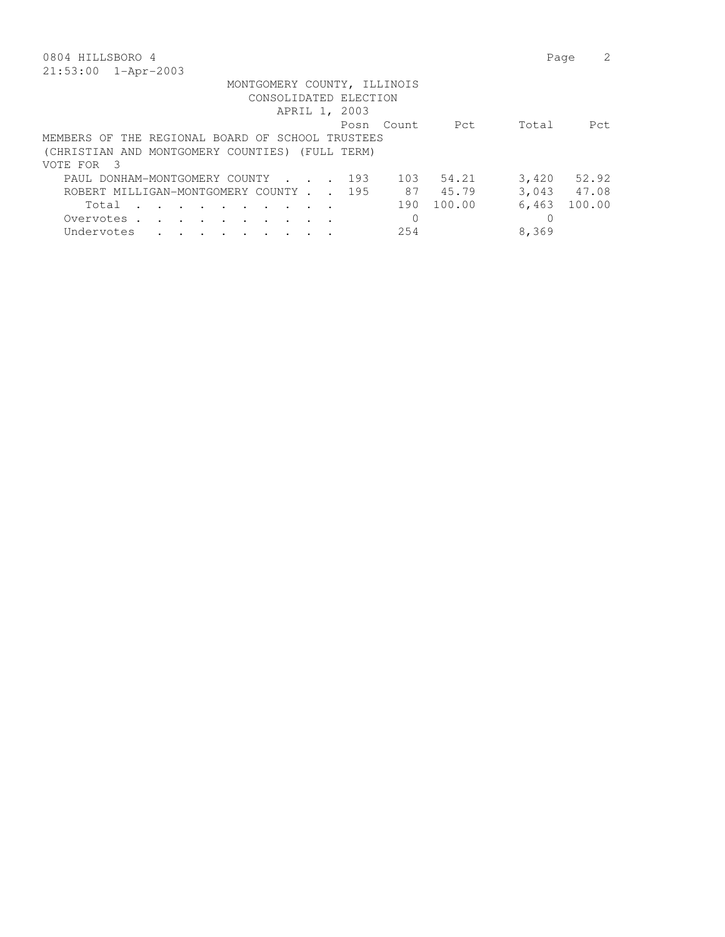| 0804 HILLSBORO 4                                     | Page  |       |
|------------------------------------------------------|-------|-------|
| $21:53:00$ $1-Apr-2003$                              |       |       |
| MONTGOMERY COUNTY, ILLINOIS                          |       |       |
| CONSOLIDATED ELECTION                                |       |       |
| APRIL 1, 2003                                        |       |       |
| Pct<br>Posn Count                                    | Total | Pct.  |
| MEMBERS OF THE REGIONAL BOARD OF SCHOOL TRUSTEES     |       |       |
| (CHRISTIAN AND MONTGOMERY COUNTIES) (FULL TERM)      |       |       |
| VOTE FOR 3                                           |       |       |
| 103<br>54.21<br>193<br>PAUL DONHAM-MONTGOMERY COUNTY | 3,420 | 52.92 |
| 87<br>45.79<br>ROBERT MILLIGAN-MONTGOMERY COUNTY 195 | 3.043 | 47.08 |

Total . . . . . . . . . . 190 100.00 6,463 100.00

 Overvotes . . . . . . . . . . 0 0 Undervotes . . . . . . . . . 254 8,369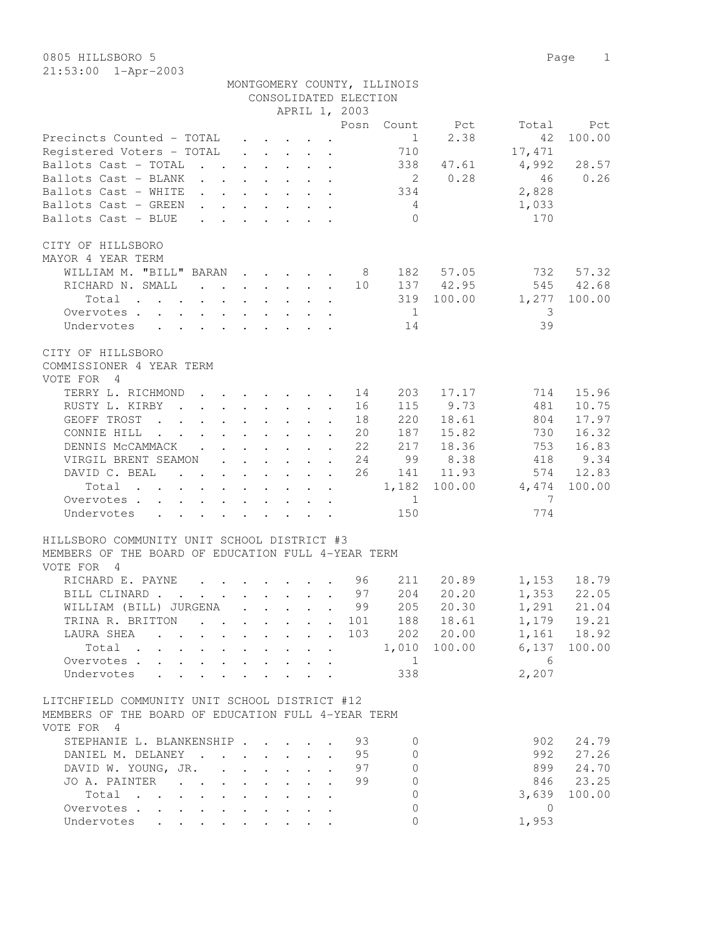| APRIL 1, 2003<br>Posn<br>Pct<br>Count<br>Total<br>Pct<br>2.38<br>100.00<br>Precincts Counted - TOTAL<br>$\sim$ 1<br>42<br>$\mathbf{r} = \mathbf{r} + \mathbf{r}$<br>Registered Voters - TOTAL<br>710<br>17,471<br>338<br>4,992<br>28.57<br>Ballots Cast - TOTAL<br>47.61<br>2 0.28<br>0.26<br>Ballots Cast - BLANK<br>46<br>334<br>2,828<br>Ballots Cast - WHITE<br>Ballots Cast - GREEN<br>1,033<br>$4\phantom{.0000}\phantom{.0000}\phantom{.0000}\phantom{.0000}\phantom{.0000}\phantom{.0000}\phantom{.0000}\phantom{.0000}\phantom{.0000}\phantom{.0000}\phantom{.0000}\phantom{.0000}\phantom{.0000}\phantom{.0000}\phantom{.0000}\phantom{.0000}\phantom{.0000}\phantom{.0000}\phantom{.0000}\phantom{.0000}\phantom{.0000}\phantom{.0000}\phantom{.0000}\phantom{.0000}\phantom$<br>$\mathbf{r} = \mathbf{r} - \mathbf{r}$ , where $\mathbf{r} = \mathbf{r} - \mathbf{r}$ , where<br>$\bigcirc$<br>170<br>Ballots Cast - BLUE<br>$\cdot$ $\cdot$ $\cdot$ $\cdot$ $\cdot$ $\cdot$ $\cdot$ $\cdot$<br>CITY OF HILLSBORO<br>MAYOR 4 YEAR TERM<br>WILLIAM M. "BILL" BARAN<br>182 57.05<br>732<br>57.32<br>8 <sup>8</sup><br>137 42.95<br>545 42.68<br>RICHARD N. SMALL<br>10<br>319<br>100.00<br>1,277<br>100.00<br>Total<br>$\frac{1}{1}$<br>Overvotes<br>-3<br>39<br>Undervotes<br>14<br>CITY OF HILLSBORO<br>COMMISSIONER 4 YEAR TERM<br>VOTE FOR 4<br>TERRY L. RICHMOND<br>203<br>17.17<br>15.96<br>14<br>714<br>$\mathbf{L}$<br>$\mathbf{r}$ , $\mathbf{r}$ , $\mathbf{r}$ , $\mathbf{r}$<br>115 9.73<br>481<br>10.75<br>RUSTY L. KIRBY<br>16<br>$\mathbf{r}$ , $\mathbf{r}$ , $\mathbf{r}$ , $\mathbf{r}$ , $\mathbf{r}$ , $\mathbf{r}$<br>220<br>18.61<br>17.97<br>GEOFF TROST<br>18<br>804<br>187<br>15.82<br>16.32<br>CONNIE HILL<br>20<br>730<br>217<br>18.36<br>753<br>DENNIS MCCAMMACK<br>22<br>16.83<br>418<br>VIRGIL BRENT SEAMON<br>24<br>99<br>8.38<br>9.34<br>DAVID C. BEAL<br>26<br>141 11.93<br>574<br>12.83<br>1,182 100.00<br>4,474<br>Total<br>100.00<br>$\mathbf{1} \qquad \mathbf{1} \qquad \mathbf{1} \qquad \mathbf{1} \qquad \mathbf{1} \qquad \mathbf{1} \qquad \mathbf{1} \qquad \mathbf{1} \qquad \mathbf{1} \qquad \mathbf{1} \qquad \mathbf{1} \qquad \mathbf{1} \qquad \mathbf{1} \qquad \mathbf{1} \qquad \mathbf{1} \qquad \mathbf{1} \qquad \mathbf{1} \qquad \mathbf{1} \qquad \mathbf{1} \qquad \mathbf{1} \qquad \mathbf{1} \qquad \mathbf{1} \qquad \mathbf{1} \qquad \mathbf{1} \qquad \mathbf{$<br>$\overline{7}$<br>$\overline{1}$<br>Overvotes<br>150<br>774<br>Undervotes<br>HILLSBORO COMMUNITY UNIT SCHOOL DISTRICT #3<br>MEMBERS OF THE BOARD OF EDUCATION FULL 4-YEAR TERM<br>VOTE FOR 4<br>211<br>20.89<br>1,153 18.79<br>1,353 22.05<br>RICHARD E. PAYNE<br>96<br>204<br>20.20<br>BILL CLINARD<br>97<br>205 20.30 1,291 21.04<br>99<br>WILLIAM (BILL) JURGENA<br>TRINA R. BRITTON 101<br>188 18.61<br>1,179 19.21<br>1,161 18.92<br>202 20.00<br>LAURA SHEA 103<br>$6,137$ 100.00<br>1,010 100.00<br>Total<br>$6\overline{6}$<br>Overvotes.<br>$\begin{array}{ccc} & & 1 \end{array}$<br>338<br>2,207<br>Undervotes<br>LITCHFIELD COMMUNITY UNIT SCHOOL DISTRICT #12<br>MEMBERS OF THE BOARD OF EDUCATION FULL 4-YEAR TERM<br>VOTE FOR 4<br>STEPHANIE L. BLANKENSHIP<br>902<br>24.79<br>93<br>$\Omega$<br>992<br>27.26<br>DANIEL M. DELANEY<br>95<br>$\Omega$<br>DAVID W. YOUNG, JR.<br>97<br>899<br>24.70<br>$\circ$<br>$\ddot{\phantom{a}}$<br>$\Omega$<br>846 23.25<br>JO A. PAINTER<br>99<br>Total<br>$\circ$<br>3,639<br>100.00<br>$\circ$<br>Overvotes<br>$\overline{0}$<br>1,953<br>Undervotes<br>$\circ$ |  |  | CONSOLIDATED ELECTION | MONTGOMERY COUNTY, ILLINOIS |  |  |
|-------------------------------------------------------------------------------------------------------------------------------------------------------------------------------------------------------------------------------------------------------------------------------------------------------------------------------------------------------------------------------------------------------------------------------------------------------------------------------------------------------------------------------------------------------------------------------------------------------------------------------------------------------------------------------------------------------------------------------------------------------------------------------------------------------------------------------------------------------------------------------------------------------------------------------------------------------------------------------------------------------------------------------------------------------------------------------------------------------------------------------------------------------------------------------------------------------------------------------------------------------------------------------------------------------------------------------------------------------------------------------------------------------------------------------------------------------------------------------------------------------------------------------------------------------------------------------------------------------------------------------------------------------------------------------------------------------------------------------------------------------------------------------------------------------------------------------------------------------------------------------------------------------------------------------------------------------------------------------------------------------------------------------------------------------------------------------------------------------------------------------------------------------------------------------------------------------------------------------------------------------------------------------------------------------------------------------------------------------------------------------------------------------------------------------------------------------------------------------------------------------------------------------------------------------------------------------------------------------------------------------------------------------------------------------------------------------------------------------------------------------------------------------------------------------------------------------------------------------------------------------------------------------------------------------------------------------------------------------------------------------------------------------------------------------------------------------------------------------------------------------------------------------------------------------------------------------------------------------------------------------------------------------------------------------------------------------------------------------------------------------------------------------------------------------------------------------------------------------------------------------------------------------------------------------------------------|--|--|-----------------------|-----------------------------|--|--|
|                                                                                                                                                                                                                                                                                                                                                                                                                                                                                                                                                                                                                                                                                                                                                                                                                                                                                                                                                                                                                                                                                                                                                                                                                                                                                                                                                                                                                                                                                                                                                                                                                                                                                                                                                                                                                                                                                                                                                                                                                                                                                                                                                                                                                                                                                                                                                                                                                                                                                                                                                                                                                                                                                                                                                                                                                                                                                                                                                                                                                                                                                                                                                                                                                                                                                                                                                                                                                                                                                                                                                                         |  |  |                       |                             |  |  |
|                                                                                                                                                                                                                                                                                                                                                                                                                                                                                                                                                                                                                                                                                                                                                                                                                                                                                                                                                                                                                                                                                                                                                                                                                                                                                                                                                                                                                                                                                                                                                                                                                                                                                                                                                                                                                                                                                                                                                                                                                                                                                                                                                                                                                                                                                                                                                                                                                                                                                                                                                                                                                                                                                                                                                                                                                                                                                                                                                                                                                                                                                                                                                                                                                                                                                                                                                                                                                                                                                                                                                                         |  |  |                       |                             |  |  |
|                                                                                                                                                                                                                                                                                                                                                                                                                                                                                                                                                                                                                                                                                                                                                                                                                                                                                                                                                                                                                                                                                                                                                                                                                                                                                                                                                                                                                                                                                                                                                                                                                                                                                                                                                                                                                                                                                                                                                                                                                                                                                                                                                                                                                                                                                                                                                                                                                                                                                                                                                                                                                                                                                                                                                                                                                                                                                                                                                                                                                                                                                                                                                                                                                                                                                                                                                                                                                                                                                                                                                                         |  |  |                       |                             |  |  |
|                                                                                                                                                                                                                                                                                                                                                                                                                                                                                                                                                                                                                                                                                                                                                                                                                                                                                                                                                                                                                                                                                                                                                                                                                                                                                                                                                                                                                                                                                                                                                                                                                                                                                                                                                                                                                                                                                                                                                                                                                                                                                                                                                                                                                                                                                                                                                                                                                                                                                                                                                                                                                                                                                                                                                                                                                                                                                                                                                                                                                                                                                                                                                                                                                                                                                                                                                                                                                                                                                                                                                                         |  |  |                       |                             |  |  |
|                                                                                                                                                                                                                                                                                                                                                                                                                                                                                                                                                                                                                                                                                                                                                                                                                                                                                                                                                                                                                                                                                                                                                                                                                                                                                                                                                                                                                                                                                                                                                                                                                                                                                                                                                                                                                                                                                                                                                                                                                                                                                                                                                                                                                                                                                                                                                                                                                                                                                                                                                                                                                                                                                                                                                                                                                                                                                                                                                                                                                                                                                                                                                                                                                                                                                                                                                                                                                                                                                                                                                                         |  |  |                       |                             |  |  |
|                                                                                                                                                                                                                                                                                                                                                                                                                                                                                                                                                                                                                                                                                                                                                                                                                                                                                                                                                                                                                                                                                                                                                                                                                                                                                                                                                                                                                                                                                                                                                                                                                                                                                                                                                                                                                                                                                                                                                                                                                                                                                                                                                                                                                                                                                                                                                                                                                                                                                                                                                                                                                                                                                                                                                                                                                                                                                                                                                                                                                                                                                                                                                                                                                                                                                                                                                                                                                                                                                                                                                                         |  |  |                       |                             |  |  |
|                                                                                                                                                                                                                                                                                                                                                                                                                                                                                                                                                                                                                                                                                                                                                                                                                                                                                                                                                                                                                                                                                                                                                                                                                                                                                                                                                                                                                                                                                                                                                                                                                                                                                                                                                                                                                                                                                                                                                                                                                                                                                                                                                                                                                                                                                                                                                                                                                                                                                                                                                                                                                                                                                                                                                                                                                                                                                                                                                                                                                                                                                                                                                                                                                                                                                                                                                                                                                                                                                                                                                                         |  |  |                       |                             |  |  |
|                                                                                                                                                                                                                                                                                                                                                                                                                                                                                                                                                                                                                                                                                                                                                                                                                                                                                                                                                                                                                                                                                                                                                                                                                                                                                                                                                                                                                                                                                                                                                                                                                                                                                                                                                                                                                                                                                                                                                                                                                                                                                                                                                                                                                                                                                                                                                                                                                                                                                                                                                                                                                                                                                                                                                                                                                                                                                                                                                                                                                                                                                                                                                                                                                                                                                                                                                                                                                                                                                                                                                                         |  |  |                       |                             |  |  |
|                                                                                                                                                                                                                                                                                                                                                                                                                                                                                                                                                                                                                                                                                                                                                                                                                                                                                                                                                                                                                                                                                                                                                                                                                                                                                                                                                                                                                                                                                                                                                                                                                                                                                                                                                                                                                                                                                                                                                                                                                                                                                                                                                                                                                                                                                                                                                                                                                                                                                                                                                                                                                                                                                                                                                                                                                                                                                                                                                                                                                                                                                                                                                                                                                                                                                                                                                                                                                                                                                                                                                                         |  |  |                       |                             |  |  |
|                                                                                                                                                                                                                                                                                                                                                                                                                                                                                                                                                                                                                                                                                                                                                                                                                                                                                                                                                                                                                                                                                                                                                                                                                                                                                                                                                                                                                                                                                                                                                                                                                                                                                                                                                                                                                                                                                                                                                                                                                                                                                                                                                                                                                                                                                                                                                                                                                                                                                                                                                                                                                                                                                                                                                                                                                                                                                                                                                                                                                                                                                                                                                                                                                                                                                                                                                                                                                                                                                                                                                                         |  |  |                       |                             |  |  |
|                                                                                                                                                                                                                                                                                                                                                                                                                                                                                                                                                                                                                                                                                                                                                                                                                                                                                                                                                                                                                                                                                                                                                                                                                                                                                                                                                                                                                                                                                                                                                                                                                                                                                                                                                                                                                                                                                                                                                                                                                                                                                                                                                                                                                                                                                                                                                                                                                                                                                                                                                                                                                                                                                                                                                                                                                                                                                                                                                                                                                                                                                                                                                                                                                                                                                                                                                                                                                                                                                                                                                                         |  |  |                       |                             |  |  |
|                                                                                                                                                                                                                                                                                                                                                                                                                                                                                                                                                                                                                                                                                                                                                                                                                                                                                                                                                                                                                                                                                                                                                                                                                                                                                                                                                                                                                                                                                                                                                                                                                                                                                                                                                                                                                                                                                                                                                                                                                                                                                                                                                                                                                                                                                                                                                                                                                                                                                                                                                                                                                                                                                                                                                                                                                                                                                                                                                                                                                                                                                                                                                                                                                                                                                                                                                                                                                                                                                                                                                                         |  |  |                       |                             |  |  |
|                                                                                                                                                                                                                                                                                                                                                                                                                                                                                                                                                                                                                                                                                                                                                                                                                                                                                                                                                                                                                                                                                                                                                                                                                                                                                                                                                                                                                                                                                                                                                                                                                                                                                                                                                                                                                                                                                                                                                                                                                                                                                                                                                                                                                                                                                                                                                                                                                                                                                                                                                                                                                                                                                                                                                                                                                                                                                                                                                                                                                                                                                                                                                                                                                                                                                                                                                                                                                                                                                                                                                                         |  |  |                       |                             |  |  |
|                                                                                                                                                                                                                                                                                                                                                                                                                                                                                                                                                                                                                                                                                                                                                                                                                                                                                                                                                                                                                                                                                                                                                                                                                                                                                                                                                                                                                                                                                                                                                                                                                                                                                                                                                                                                                                                                                                                                                                                                                                                                                                                                                                                                                                                                                                                                                                                                                                                                                                                                                                                                                                                                                                                                                                                                                                                                                                                                                                                                                                                                                                                                                                                                                                                                                                                                                                                                                                                                                                                                                                         |  |  |                       |                             |  |  |
|                                                                                                                                                                                                                                                                                                                                                                                                                                                                                                                                                                                                                                                                                                                                                                                                                                                                                                                                                                                                                                                                                                                                                                                                                                                                                                                                                                                                                                                                                                                                                                                                                                                                                                                                                                                                                                                                                                                                                                                                                                                                                                                                                                                                                                                                                                                                                                                                                                                                                                                                                                                                                                                                                                                                                                                                                                                                                                                                                                                                                                                                                                                                                                                                                                                                                                                                                                                                                                                                                                                                                                         |  |  |                       |                             |  |  |
|                                                                                                                                                                                                                                                                                                                                                                                                                                                                                                                                                                                                                                                                                                                                                                                                                                                                                                                                                                                                                                                                                                                                                                                                                                                                                                                                                                                                                                                                                                                                                                                                                                                                                                                                                                                                                                                                                                                                                                                                                                                                                                                                                                                                                                                                                                                                                                                                                                                                                                                                                                                                                                                                                                                                                                                                                                                                                                                                                                                                                                                                                                                                                                                                                                                                                                                                                                                                                                                                                                                                                                         |  |  |                       |                             |  |  |
|                                                                                                                                                                                                                                                                                                                                                                                                                                                                                                                                                                                                                                                                                                                                                                                                                                                                                                                                                                                                                                                                                                                                                                                                                                                                                                                                                                                                                                                                                                                                                                                                                                                                                                                                                                                                                                                                                                                                                                                                                                                                                                                                                                                                                                                                                                                                                                                                                                                                                                                                                                                                                                                                                                                                                                                                                                                                                                                                                                                                                                                                                                                                                                                                                                                                                                                                                                                                                                                                                                                                                                         |  |  |                       |                             |  |  |
|                                                                                                                                                                                                                                                                                                                                                                                                                                                                                                                                                                                                                                                                                                                                                                                                                                                                                                                                                                                                                                                                                                                                                                                                                                                                                                                                                                                                                                                                                                                                                                                                                                                                                                                                                                                                                                                                                                                                                                                                                                                                                                                                                                                                                                                                                                                                                                                                                                                                                                                                                                                                                                                                                                                                                                                                                                                                                                                                                                                                                                                                                                                                                                                                                                                                                                                                                                                                                                                                                                                                                                         |  |  |                       |                             |  |  |
|                                                                                                                                                                                                                                                                                                                                                                                                                                                                                                                                                                                                                                                                                                                                                                                                                                                                                                                                                                                                                                                                                                                                                                                                                                                                                                                                                                                                                                                                                                                                                                                                                                                                                                                                                                                                                                                                                                                                                                                                                                                                                                                                                                                                                                                                                                                                                                                                                                                                                                                                                                                                                                                                                                                                                                                                                                                                                                                                                                                                                                                                                                                                                                                                                                                                                                                                                                                                                                                                                                                                                                         |  |  |                       |                             |  |  |
|                                                                                                                                                                                                                                                                                                                                                                                                                                                                                                                                                                                                                                                                                                                                                                                                                                                                                                                                                                                                                                                                                                                                                                                                                                                                                                                                                                                                                                                                                                                                                                                                                                                                                                                                                                                                                                                                                                                                                                                                                                                                                                                                                                                                                                                                                                                                                                                                                                                                                                                                                                                                                                                                                                                                                                                                                                                                                                                                                                                                                                                                                                                                                                                                                                                                                                                                                                                                                                                                                                                                                                         |  |  |                       |                             |  |  |
|                                                                                                                                                                                                                                                                                                                                                                                                                                                                                                                                                                                                                                                                                                                                                                                                                                                                                                                                                                                                                                                                                                                                                                                                                                                                                                                                                                                                                                                                                                                                                                                                                                                                                                                                                                                                                                                                                                                                                                                                                                                                                                                                                                                                                                                                                                                                                                                                                                                                                                                                                                                                                                                                                                                                                                                                                                                                                                                                                                                                                                                                                                                                                                                                                                                                                                                                                                                                                                                                                                                                                                         |  |  |                       |                             |  |  |
|                                                                                                                                                                                                                                                                                                                                                                                                                                                                                                                                                                                                                                                                                                                                                                                                                                                                                                                                                                                                                                                                                                                                                                                                                                                                                                                                                                                                                                                                                                                                                                                                                                                                                                                                                                                                                                                                                                                                                                                                                                                                                                                                                                                                                                                                                                                                                                                                                                                                                                                                                                                                                                                                                                                                                                                                                                                                                                                                                                                                                                                                                                                                                                                                                                                                                                                                                                                                                                                                                                                                                                         |  |  |                       |                             |  |  |
|                                                                                                                                                                                                                                                                                                                                                                                                                                                                                                                                                                                                                                                                                                                                                                                                                                                                                                                                                                                                                                                                                                                                                                                                                                                                                                                                                                                                                                                                                                                                                                                                                                                                                                                                                                                                                                                                                                                                                                                                                                                                                                                                                                                                                                                                                                                                                                                                                                                                                                                                                                                                                                                                                                                                                                                                                                                                                                                                                                                                                                                                                                                                                                                                                                                                                                                                                                                                                                                                                                                                                                         |  |  |                       |                             |  |  |
|                                                                                                                                                                                                                                                                                                                                                                                                                                                                                                                                                                                                                                                                                                                                                                                                                                                                                                                                                                                                                                                                                                                                                                                                                                                                                                                                                                                                                                                                                                                                                                                                                                                                                                                                                                                                                                                                                                                                                                                                                                                                                                                                                                                                                                                                                                                                                                                                                                                                                                                                                                                                                                                                                                                                                                                                                                                                                                                                                                                                                                                                                                                                                                                                                                                                                                                                                                                                                                                                                                                                                                         |  |  |                       |                             |  |  |
|                                                                                                                                                                                                                                                                                                                                                                                                                                                                                                                                                                                                                                                                                                                                                                                                                                                                                                                                                                                                                                                                                                                                                                                                                                                                                                                                                                                                                                                                                                                                                                                                                                                                                                                                                                                                                                                                                                                                                                                                                                                                                                                                                                                                                                                                                                                                                                                                                                                                                                                                                                                                                                                                                                                                                                                                                                                                                                                                                                                                                                                                                                                                                                                                                                                                                                                                                                                                                                                                                                                                                                         |  |  |                       |                             |  |  |
|                                                                                                                                                                                                                                                                                                                                                                                                                                                                                                                                                                                                                                                                                                                                                                                                                                                                                                                                                                                                                                                                                                                                                                                                                                                                                                                                                                                                                                                                                                                                                                                                                                                                                                                                                                                                                                                                                                                                                                                                                                                                                                                                                                                                                                                                                                                                                                                                                                                                                                                                                                                                                                                                                                                                                                                                                                                                                                                                                                                                                                                                                                                                                                                                                                                                                                                                                                                                                                                                                                                                                                         |  |  |                       |                             |  |  |
|                                                                                                                                                                                                                                                                                                                                                                                                                                                                                                                                                                                                                                                                                                                                                                                                                                                                                                                                                                                                                                                                                                                                                                                                                                                                                                                                                                                                                                                                                                                                                                                                                                                                                                                                                                                                                                                                                                                                                                                                                                                                                                                                                                                                                                                                                                                                                                                                                                                                                                                                                                                                                                                                                                                                                                                                                                                                                                                                                                                                                                                                                                                                                                                                                                                                                                                                                                                                                                                                                                                                                                         |  |  |                       |                             |  |  |
|                                                                                                                                                                                                                                                                                                                                                                                                                                                                                                                                                                                                                                                                                                                                                                                                                                                                                                                                                                                                                                                                                                                                                                                                                                                                                                                                                                                                                                                                                                                                                                                                                                                                                                                                                                                                                                                                                                                                                                                                                                                                                                                                                                                                                                                                                                                                                                                                                                                                                                                                                                                                                                                                                                                                                                                                                                                                                                                                                                                                                                                                                                                                                                                                                                                                                                                                                                                                                                                                                                                                                                         |  |  |                       |                             |  |  |
|                                                                                                                                                                                                                                                                                                                                                                                                                                                                                                                                                                                                                                                                                                                                                                                                                                                                                                                                                                                                                                                                                                                                                                                                                                                                                                                                                                                                                                                                                                                                                                                                                                                                                                                                                                                                                                                                                                                                                                                                                                                                                                                                                                                                                                                                                                                                                                                                                                                                                                                                                                                                                                                                                                                                                                                                                                                                                                                                                                                                                                                                                                                                                                                                                                                                                                                                                                                                                                                                                                                                                                         |  |  |                       |                             |  |  |
|                                                                                                                                                                                                                                                                                                                                                                                                                                                                                                                                                                                                                                                                                                                                                                                                                                                                                                                                                                                                                                                                                                                                                                                                                                                                                                                                                                                                                                                                                                                                                                                                                                                                                                                                                                                                                                                                                                                                                                                                                                                                                                                                                                                                                                                                                                                                                                                                                                                                                                                                                                                                                                                                                                                                                                                                                                                                                                                                                                                                                                                                                                                                                                                                                                                                                                                                                                                                                                                                                                                                                                         |  |  |                       |                             |  |  |
|                                                                                                                                                                                                                                                                                                                                                                                                                                                                                                                                                                                                                                                                                                                                                                                                                                                                                                                                                                                                                                                                                                                                                                                                                                                                                                                                                                                                                                                                                                                                                                                                                                                                                                                                                                                                                                                                                                                                                                                                                                                                                                                                                                                                                                                                                                                                                                                                                                                                                                                                                                                                                                                                                                                                                                                                                                                                                                                                                                                                                                                                                                                                                                                                                                                                                                                                                                                                                                                                                                                                                                         |  |  |                       |                             |  |  |
|                                                                                                                                                                                                                                                                                                                                                                                                                                                                                                                                                                                                                                                                                                                                                                                                                                                                                                                                                                                                                                                                                                                                                                                                                                                                                                                                                                                                                                                                                                                                                                                                                                                                                                                                                                                                                                                                                                                                                                                                                                                                                                                                                                                                                                                                                                                                                                                                                                                                                                                                                                                                                                                                                                                                                                                                                                                                                                                                                                                                                                                                                                                                                                                                                                                                                                                                                                                                                                                                                                                                                                         |  |  |                       |                             |  |  |
|                                                                                                                                                                                                                                                                                                                                                                                                                                                                                                                                                                                                                                                                                                                                                                                                                                                                                                                                                                                                                                                                                                                                                                                                                                                                                                                                                                                                                                                                                                                                                                                                                                                                                                                                                                                                                                                                                                                                                                                                                                                                                                                                                                                                                                                                                                                                                                                                                                                                                                                                                                                                                                                                                                                                                                                                                                                                                                                                                                                                                                                                                                                                                                                                                                                                                                                                                                                                                                                                                                                                                                         |  |  |                       |                             |  |  |
|                                                                                                                                                                                                                                                                                                                                                                                                                                                                                                                                                                                                                                                                                                                                                                                                                                                                                                                                                                                                                                                                                                                                                                                                                                                                                                                                                                                                                                                                                                                                                                                                                                                                                                                                                                                                                                                                                                                                                                                                                                                                                                                                                                                                                                                                                                                                                                                                                                                                                                                                                                                                                                                                                                                                                                                                                                                                                                                                                                                                                                                                                                                                                                                                                                                                                                                                                                                                                                                                                                                                                                         |  |  |                       |                             |  |  |
|                                                                                                                                                                                                                                                                                                                                                                                                                                                                                                                                                                                                                                                                                                                                                                                                                                                                                                                                                                                                                                                                                                                                                                                                                                                                                                                                                                                                                                                                                                                                                                                                                                                                                                                                                                                                                                                                                                                                                                                                                                                                                                                                                                                                                                                                                                                                                                                                                                                                                                                                                                                                                                                                                                                                                                                                                                                                                                                                                                                                                                                                                                                                                                                                                                                                                                                                                                                                                                                                                                                                                                         |  |  |                       |                             |  |  |
|                                                                                                                                                                                                                                                                                                                                                                                                                                                                                                                                                                                                                                                                                                                                                                                                                                                                                                                                                                                                                                                                                                                                                                                                                                                                                                                                                                                                                                                                                                                                                                                                                                                                                                                                                                                                                                                                                                                                                                                                                                                                                                                                                                                                                                                                                                                                                                                                                                                                                                                                                                                                                                                                                                                                                                                                                                                                                                                                                                                                                                                                                                                                                                                                                                                                                                                                                                                                                                                                                                                                                                         |  |  |                       |                             |  |  |
|                                                                                                                                                                                                                                                                                                                                                                                                                                                                                                                                                                                                                                                                                                                                                                                                                                                                                                                                                                                                                                                                                                                                                                                                                                                                                                                                                                                                                                                                                                                                                                                                                                                                                                                                                                                                                                                                                                                                                                                                                                                                                                                                                                                                                                                                                                                                                                                                                                                                                                                                                                                                                                                                                                                                                                                                                                                                                                                                                                                                                                                                                                                                                                                                                                                                                                                                                                                                                                                                                                                                                                         |  |  |                       |                             |  |  |
|                                                                                                                                                                                                                                                                                                                                                                                                                                                                                                                                                                                                                                                                                                                                                                                                                                                                                                                                                                                                                                                                                                                                                                                                                                                                                                                                                                                                                                                                                                                                                                                                                                                                                                                                                                                                                                                                                                                                                                                                                                                                                                                                                                                                                                                                                                                                                                                                                                                                                                                                                                                                                                                                                                                                                                                                                                                                                                                                                                                                                                                                                                                                                                                                                                                                                                                                                                                                                                                                                                                                                                         |  |  |                       |                             |  |  |
|                                                                                                                                                                                                                                                                                                                                                                                                                                                                                                                                                                                                                                                                                                                                                                                                                                                                                                                                                                                                                                                                                                                                                                                                                                                                                                                                                                                                                                                                                                                                                                                                                                                                                                                                                                                                                                                                                                                                                                                                                                                                                                                                                                                                                                                                                                                                                                                                                                                                                                                                                                                                                                                                                                                                                                                                                                                                                                                                                                                                                                                                                                                                                                                                                                                                                                                                                                                                                                                                                                                                                                         |  |  |                       |                             |  |  |
|                                                                                                                                                                                                                                                                                                                                                                                                                                                                                                                                                                                                                                                                                                                                                                                                                                                                                                                                                                                                                                                                                                                                                                                                                                                                                                                                                                                                                                                                                                                                                                                                                                                                                                                                                                                                                                                                                                                                                                                                                                                                                                                                                                                                                                                                                                                                                                                                                                                                                                                                                                                                                                                                                                                                                                                                                                                                                                                                                                                                                                                                                                                                                                                                                                                                                                                                                                                                                                                                                                                                                                         |  |  |                       |                             |  |  |
|                                                                                                                                                                                                                                                                                                                                                                                                                                                                                                                                                                                                                                                                                                                                                                                                                                                                                                                                                                                                                                                                                                                                                                                                                                                                                                                                                                                                                                                                                                                                                                                                                                                                                                                                                                                                                                                                                                                                                                                                                                                                                                                                                                                                                                                                                                                                                                                                                                                                                                                                                                                                                                                                                                                                                                                                                                                                                                                                                                                                                                                                                                                                                                                                                                                                                                                                                                                                                                                                                                                                                                         |  |  |                       |                             |  |  |
|                                                                                                                                                                                                                                                                                                                                                                                                                                                                                                                                                                                                                                                                                                                                                                                                                                                                                                                                                                                                                                                                                                                                                                                                                                                                                                                                                                                                                                                                                                                                                                                                                                                                                                                                                                                                                                                                                                                                                                                                                                                                                                                                                                                                                                                                                                                                                                                                                                                                                                                                                                                                                                                                                                                                                                                                                                                                                                                                                                                                                                                                                                                                                                                                                                                                                                                                                                                                                                                                                                                                                                         |  |  |                       |                             |  |  |
|                                                                                                                                                                                                                                                                                                                                                                                                                                                                                                                                                                                                                                                                                                                                                                                                                                                                                                                                                                                                                                                                                                                                                                                                                                                                                                                                                                                                                                                                                                                                                                                                                                                                                                                                                                                                                                                                                                                                                                                                                                                                                                                                                                                                                                                                                                                                                                                                                                                                                                                                                                                                                                                                                                                                                                                                                                                                                                                                                                                                                                                                                                                                                                                                                                                                                                                                                                                                                                                                                                                                                                         |  |  |                       |                             |  |  |
|                                                                                                                                                                                                                                                                                                                                                                                                                                                                                                                                                                                                                                                                                                                                                                                                                                                                                                                                                                                                                                                                                                                                                                                                                                                                                                                                                                                                                                                                                                                                                                                                                                                                                                                                                                                                                                                                                                                                                                                                                                                                                                                                                                                                                                                                                                                                                                                                                                                                                                                                                                                                                                                                                                                                                                                                                                                                                                                                                                                                                                                                                                                                                                                                                                                                                                                                                                                                                                                                                                                                                                         |  |  |                       |                             |  |  |
|                                                                                                                                                                                                                                                                                                                                                                                                                                                                                                                                                                                                                                                                                                                                                                                                                                                                                                                                                                                                                                                                                                                                                                                                                                                                                                                                                                                                                                                                                                                                                                                                                                                                                                                                                                                                                                                                                                                                                                                                                                                                                                                                                                                                                                                                                                                                                                                                                                                                                                                                                                                                                                                                                                                                                                                                                                                                                                                                                                                                                                                                                                                                                                                                                                                                                                                                                                                                                                                                                                                                                                         |  |  |                       |                             |  |  |
|                                                                                                                                                                                                                                                                                                                                                                                                                                                                                                                                                                                                                                                                                                                                                                                                                                                                                                                                                                                                                                                                                                                                                                                                                                                                                                                                                                                                                                                                                                                                                                                                                                                                                                                                                                                                                                                                                                                                                                                                                                                                                                                                                                                                                                                                                                                                                                                                                                                                                                                                                                                                                                                                                                                                                                                                                                                                                                                                                                                                                                                                                                                                                                                                                                                                                                                                                                                                                                                                                                                                                                         |  |  |                       |                             |  |  |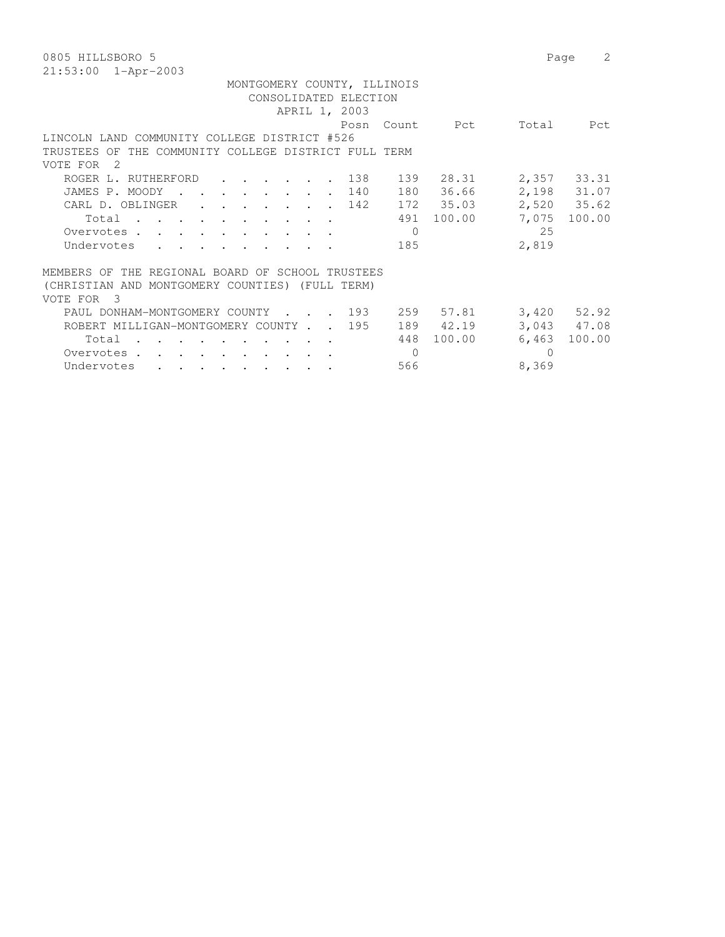| 0805 HILLSBORO 5                                                                                                                                                                                                                                                 | Page            | 2               |
|------------------------------------------------------------------------------------------------------------------------------------------------------------------------------------------------------------------------------------------------------------------|-----------------|-----------------|
| $21:53:00$ $1 - Appr-2003$                                                                                                                                                                                                                                       |                 |                 |
| MONTGOMERY COUNTY, ILLINOIS                                                                                                                                                                                                                                      |                 |                 |
| CONSOLIDATED ELECTION                                                                                                                                                                                                                                            |                 |                 |
| APRIL 1, 2003                                                                                                                                                                                                                                                    |                 |                 |
| Count.<br>Posn                                                                                                                                                                                                                                                   | Pct<br>Total    | Pct             |
| LINCOLN LAND COMMUNITY COLLEGE DISTRICT #526                                                                                                                                                                                                                     |                 |                 |
| TRUSTEES OF THE COMMUNITY COLLEGE DISTRICT FULL TERM                                                                                                                                                                                                             |                 |                 |
| VOTE FOR<br>- 2                                                                                                                                                                                                                                                  |                 |                 |
| 139<br>ROGER L. RUTHERFORD<br>138                                                                                                                                                                                                                                | 28.31           | 2,357 33.31     |
| 140<br>180<br>JAMES P. MOODY<br>$\cdot$<br>$\sim$                                                                                                                                                                                                                | 36.66           | 2,198 31.07     |
| 142<br>CARL D. OBLINGER<br>$\cdot$ $\cdot$ $\cdot$                                                                                                                                                                                                               | 172 35.03       | 2,520 35.62     |
| 491<br>Total                                                                                                                                                                                                                                                     | 100.00<br>7,075 | 100.00          |
| $\Omega$<br>Overvotes.                                                                                                                                                                                                                                           | 25              |                 |
| Undervotes<br>185                                                                                                                                                                                                                                                | 2,819           |                 |
|                                                                                                                                                                                                                                                                  |                 |                 |
| THE REGIONAL BOARD OF SCHOOL TRUSTEES<br>MEMBERS OF                                                                                                                                                                                                              |                 |                 |
| (CHRISTIAN AND MONTGOMERY COUNTIES) (FULL TERM)                                                                                                                                                                                                                  |                 |                 |
| $\mathcal{E}$<br>VOTE FOR                                                                                                                                                                                                                                        |                 |                 |
| 193<br>PAUL DONHAM-MONTGOMERY COUNTY<br>$\sim 10$                                                                                                                                                                                                                | 259 57.81       | $3,420$ $52.92$ |
| ROBERT MILLIGAN-MONTGOMERY COUNTY<br>195                                                                                                                                                                                                                         | 189 42.19       | 3,043 47.08     |
| 448<br>Total                                                                                                                                                                                                                                                     | 100.00<br>6,463 | 100.00          |
| $\mathbf{0}$<br>Overvotes .<br>$\mathbf{r}$ . The contract of the contract of the contract of the contract of the contract of the contract of the contract of the contract of the contract of the contract of the contract of the contract of the contract of th | $\Omega$        |                 |
| Undervotes<br>566<br>$\sim$ $\sim$ $\sim$<br>$\sim$ $\sim$ $\sim$ $\sim$ $\sim$ $\sim$                                                                                                                                                                           | 8,369           |                 |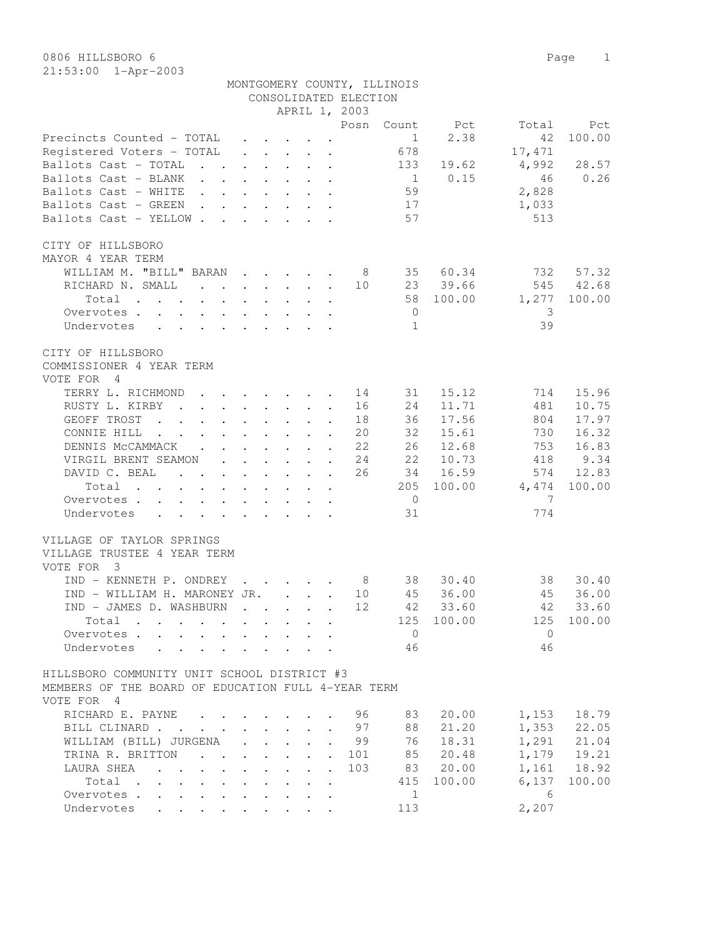|                                                                                                                 |                                                 |  |                                                           |                                                           |                            | CONSOLIDATED ELECTION<br>APRIL 1, 2003 | MONTGOMERY COUNTY, ILLINOIS |            |          |             |
|-----------------------------------------------------------------------------------------------------------------|-------------------------------------------------|--|-----------------------------------------------------------|-----------------------------------------------------------|----------------------------|----------------------------------------|-----------------------------|------------|----------|-------------|
|                                                                                                                 |                                                 |  |                                                           |                                                           |                            | Posn                                   | Count                       | Pct        | Total    | Pct         |
| Precincts Counted - TOTAL                                                                                       |                                                 |  |                                                           |                                                           |                            |                                        | 1                           | 2.38       | 42       | 100.00      |
| Registered Voters - TOTAL                                                                                       |                                                 |  | $\mathbf{r}$ , $\mathbf{r}$ , $\mathbf{r}$ , $\mathbf{r}$ |                                                           |                            |                                        | 678                         |            | 17,471   |             |
| Ballots Cast - TOTAL<br>and the contract of the contract of                                                     |                                                 |  |                                                           |                                                           |                            |                                        | 133                         | 19.62      | 4,992    | 28.57       |
| Ballots Cast - BLANK                                                                                            |                                                 |  |                                                           |                                                           |                            |                                        | $\frac{1}{1}$               | 0.15       | 46       | 0.26        |
| Ballots Cast - WHITE                                                                                            |                                                 |  |                                                           |                                                           |                            |                                        | 59                          |            |          |             |
|                                                                                                                 |                                                 |  |                                                           |                                                           |                            |                                        |                             |            | 2,828    |             |
| Ballots Cast - GREEN                                                                                            |                                                 |  |                                                           |                                                           |                            |                                        | 17                          |            | 1,033    |             |
| Ballots Cast - YELLOW                                                                                           |                                                 |  |                                                           |                                                           |                            |                                        | 57                          |            | 513      |             |
| CITY OF HILLSBORO<br>MAYOR 4 YEAR TERM                                                                          |                                                 |  |                                                           |                                                           |                            |                                        |                             |            |          |             |
| WILLIAM M. "BILL" BARAN                                                                                         |                                                 |  |                                                           |                                                           |                            | 8                                      | 35                          | 60.34      | 732      | 57.32       |
| RICHARD N. SMALL                                                                                                |                                                 |  |                                                           |                                                           |                            | 10                                     |                             | 23 39.66   | 545      | 42.68       |
| Total<br>$\mathbf{r}$ , and $\mathbf{r}$ , and $\mathbf{r}$ , and $\mathbf{r}$ , and $\mathbf{r}$               |                                                 |  |                                                           |                                                           |                            |                                        | 58                          | 100.00     | 1,277    | 100.00      |
| Overvotes                                                                                                       |                                                 |  |                                                           |                                                           |                            |                                        | $\overline{0}$              |            | -3       |             |
| Undervotes                                                                                                      |                                                 |  |                                                           |                                                           |                            |                                        | 1                           |            | 39       |             |
|                                                                                                                 |                                                 |  |                                                           |                                                           |                            |                                        |                             |            |          |             |
| CITY OF HILLSBORO<br>COMMISSIONER 4 YEAR TERM<br>VOTE FOR 4                                                     |                                                 |  |                                                           |                                                           |                            |                                        |                             |            |          |             |
| TERRY L. RICHMOND                                                                                               |                                                 |  |                                                           |                                                           | $\sim$                     | 14                                     | 31                          | 15.12      | 714      | 15.96       |
| RUSTY L. KIRBY<br>$\mathbf{r}$ , and $\mathbf{r}$ , and $\mathbf{r}$ , and $\mathbf{r}$                         |                                                 |  |                                                           |                                                           |                            | 16                                     | 24                          | 11.71      | 481      | 10.75       |
| GEOFF TROST<br>$\mathbf{r}$ , $\mathbf{r}$ , $\mathbf{r}$ , $\mathbf{r}$ , $\mathbf{r}$ , $\mathbf{r}$          |                                                 |  |                                                           |                                                           | $\sim$                     | 18                                     | 36                          | 17.56      | 804      | 17.97       |
| CONNIE HILL                                                                                                     |                                                 |  |                                                           |                                                           |                            | 20                                     | 32                          | 15.61      | 730      | 16.32       |
| DENNIS MCCAMMACK.                                                                                               | $\ddot{\phantom{a}}$                            |  | $\mathbf{r} = \mathbf{r} + \mathbf{r}$                    |                                                           | $\cdot$ $\cdot$            | 22                                     | 26                          | 12.68      | 753      | 16.83       |
| VIRGIL BRENT SEAMON                                                                                             |                                                 |  | $\mathbf{r}$ , $\mathbf{r}$ , $\mathbf{r}$ , $\mathbf{r}$ |                                                           |                            | 24                                     | 22                          | 10.73      | 418      | 9.34        |
| DAVID C. BEAL                                                                                                   |                                                 |  |                                                           |                                                           |                            | 26                                     | 34                          | 16.59      | 574      | 12.83       |
|                                                                                                                 | $\sim$                                          |  | $\cdot$ $\cdot$ $\cdot$ $\cdot$ $\cdot$                   |                                                           | $\cdot$                    |                                        |                             |            |          |             |
| Total<br>$\mathbf{r}$ , $\mathbf{r}$ , $\mathbf{r}$ , $\mathbf{r}$ , $\mathbf{r}$                               |                                                 |  |                                                           | $\mathbf{L}^{\text{max}}$ , and $\mathbf{L}^{\text{max}}$ | $\ddot{\phantom{a}}$       |                                        | 205                         | 100.00     | 4,474    | 100.00      |
| Overvotes                                                                                                       |                                                 |  |                                                           |                                                           |                            |                                        | $\overline{0}$              |            | 7        |             |
| Undervotes                                                                                                      |                                                 |  |                                                           |                                                           |                            |                                        | 31                          |            | 774      |             |
| VILLAGE OF TAYLOR SPRINGS<br>VILLAGE TRUSTEE 4 YEAR TERM<br>VOTE FOR 3                                          |                                                 |  |                                                           |                                                           |                            |                                        |                             |            |          |             |
| IND - KENNETH P. ONDREY                                                                                         |                                                 |  | $\cdot$ $\cdot$ $\cdot$ $\cdot$ $\cdot$ $\cdot$           |                                                           |                            |                                        | 38<br>$8 - 8$               | 30.40      | 38       | 30.40       |
| IND - WILLIAM H. MARONEY JR.                                                                                    |                                                 |  |                                                           |                                                           |                            | 10                                     | 45                          | 36.00      | 45       | 36.00       |
| IND - JAMES D. WASHBURN                                                                                         |                                                 |  |                                                           |                                                           |                            | 12                                     |                             | 42 33.60   |          | 42 33.60    |
| Total                                                                                                           |                                                 |  |                                                           |                                                           |                            |                                        |                             | 125 100.00 | 125      | 100.00      |
| Overvotes                                                                                                       |                                                 |  |                                                           |                                                           |                            |                                        | $\overline{0}$              |            | $\Omega$ |             |
| Undervotes                                                                                                      |                                                 |  |                                                           |                                                           |                            |                                        | 46                          |            | 46       |             |
| HILLSBORO COMMUNITY UNIT SCHOOL DISTRICT #3<br>MEMBERS OF THE BOARD OF EDUCATION FULL 4-YEAR TERM<br>VOTE FOR 4 |                                                 |  |                                                           |                                                           |                            |                                        |                             |            |          |             |
| RICHARD E. PAYNE                                                                                                | $\cdot$ $\cdot$ $\cdot$ $\cdot$ $\cdot$ $\cdot$ |  |                                                           |                                                           |                            | 96                                     | 83                          | 20.00      | 1,153    | 18.79       |
|                                                                                                                 |                                                 |  |                                                           |                                                           |                            | 97                                     |                             | 21.20      | 1,353    |             |
| BILL CLINARD                                                                                                    |                                                 |  |                                                           |                                                           | $\mathbf{r}$               |                                        | 88                          |            |          | 22.05       |
| WILLIAM (BILL) JURGENA                                                                                          |                                                 |  | $\mathbf{r}$ , $\mathbf{r}$ , $\mathbf{r}$                |                                                           | $\cdot$                    | 99                                     | 76                          | 18.31      | 1,291    | 21.04       |
| TRINA R. BRITTON                                                                                                |                                                 |  |                                                           |                                                           | $\mathcal{L}^{\text{max}}$ | 101                                    | 85                          | 20.48      |          | 1,179 19.21 |
| LAURA SHEA<br>$\mathbf{r}$ , $\mathbf{r}$ , $\mathbf{r}$ , $\mathbf{r}$ , $\mathbf{r}$ , $\mathbf{r}$           |                                                 |  |                                                           |                                                           |                            | 103                                    | 83                          | 20.00      |          | 1,161 18.92 |
| Total<br>$\mathbf{r}$ , and $\mathbf{r}$ , and $\mathbf{r}$ , and $\mathbf{r}$ , and $\mathbf{r}$               |                                                 |  |                                                           |                                                           |                            |                                        | 415                         | 100.00     | 6,137    | 100.00      |
| Overvotes                                                                                                       |                                                 |  |                                                           |                                                           |                            |                                        | 1                           |            | 6        |             |
| Undervotes                                                                                                      |                                                 |  |                                                           |                                                           |                            |                                        | 113                         |            | 2,207    |             |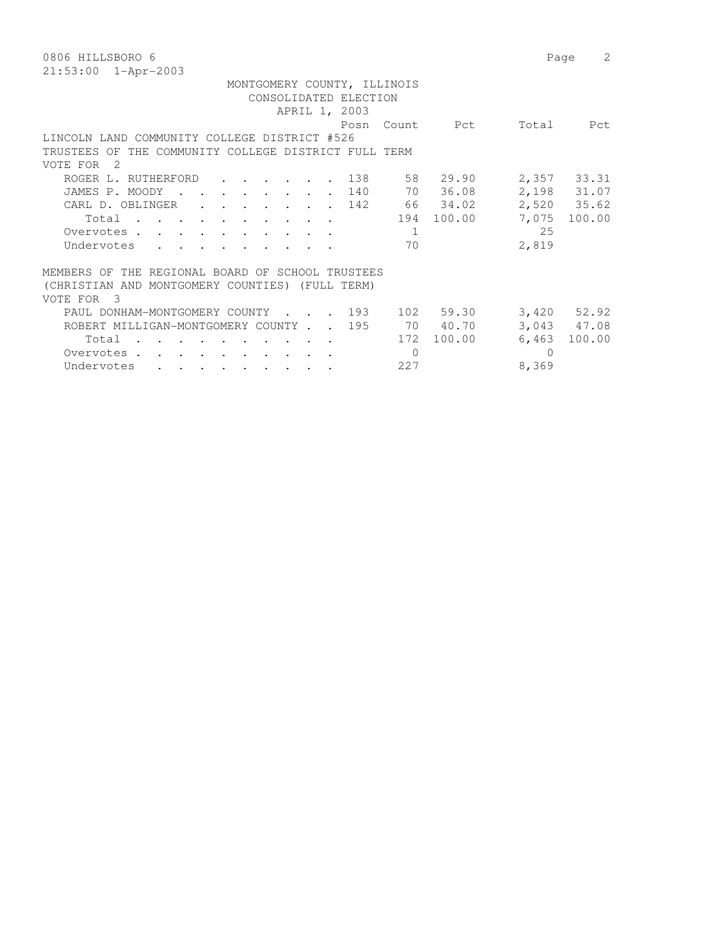| 0806 HILLSBORO 6                                                                                                                                                                                                                                                 | 2<br>Page                 |
|------------------------------------------------------------------------------------------------------------------------------------------------------------------------------------------------------------------------------------------------------------------|---------------------------|
| $21:53:00$ $1 - Appr-2003$                                                                                                                                                                                                                                       |                           |
| MONTGOMERY COUNTY, ILLINOIS                                                                                                                                                                                                                                      |                           |
| CONSOLIDATED ELECTION                                                                                                                                                                                                                                            |                           |
| APRIL 1, 2003                                                                                                                                                                                                                                                    |                           |
| Count.<br>Posn                                                                                                                                                                                                                                                   | Pct<br>Total<br>Pct       |
| LINCOLN LAND COMMUNITY COLLEGE DISTRICT #526                                                                                                                                                                                                                     |                           |
| TRUSTEES OF THE COMMUNITY COLLEGE DISTRICT FULL TERM                                                                                                                                                                                                             |                           |
| VOTE FOR<br>- 2                                                                                                                                                                                                                                                  |                           |
| 58 29.90<br>ROGER L. RUTHERFORD<br>138<br>$\cdots$                                                                                                                                                                                                               | 2,357 33.31               |
| 140<br>70<br>JAMES P. MOODY<br>$\sim$                                                                                                                                                                                                                            | 2,198 31.07<br>36.08      |
| 66 34.02<br>142<br>CARL D. OBLINGER<br>$\mathbf{r}$ , $\mathbf{r}$                                                                                                                                                                                               | 2,520 35.62               |
| 194<br>Total                                                                                                                                                                                                                                                     | 100.00<br>7,075<br>100.00 |
| Overvotes.<br>-1                                                                                                                                                                                                                                                 | 25                        |
| Undervotes<br>70                                                                                                                                                                                                                                                 | 2,819                     |
|                                                                                                                                                                                                                                                                  |                           |
| THE REGIONAL BOARD OF SCHOOL TRUSTEES<br>MEMBERS OF                                                                                                                                                                                                              |                           |
| (CHRISTIAN AND MONTGOMERY COUNTIES) (FULL TERM)                                                                                                                                                                                                                  |                           |
| $\mathcal{E}$<br>VOTE FOR                                                                                                                                                                                                                                        |                           |
| 102 59.30<br>. 193<br>PAUL DONHAM-MONTGOMERY COUNTY                                                                                                                                                                                                              | $3,420$ $52.92$           |
| 70 40.70<br>ROBERT MILLIGAN-MONTGOMERY COUNTY<br>195                                                                                                                                                                                                             | 3,043 47.08               |
| 172<br>Total                                                                                                                                                                                                                                                     | 100.00<br>6,463<br>100.00 |
| $\mathbf{0}$<br>Overvotes .<br>$\mathbf{r}$ . The contract of the contract of the contract of the contract of the contract of the contract of the contract of the contract of the contract of the contract of the contract of the contract of the contract of th | $\Omega$                  |
| Undervotes<br>227<br>$\sim$ $\sim$ $\sim$                                                                                                                                                                                                                        | 8,369                     |
|                                                                                                                                                                                                                                                                  |                           |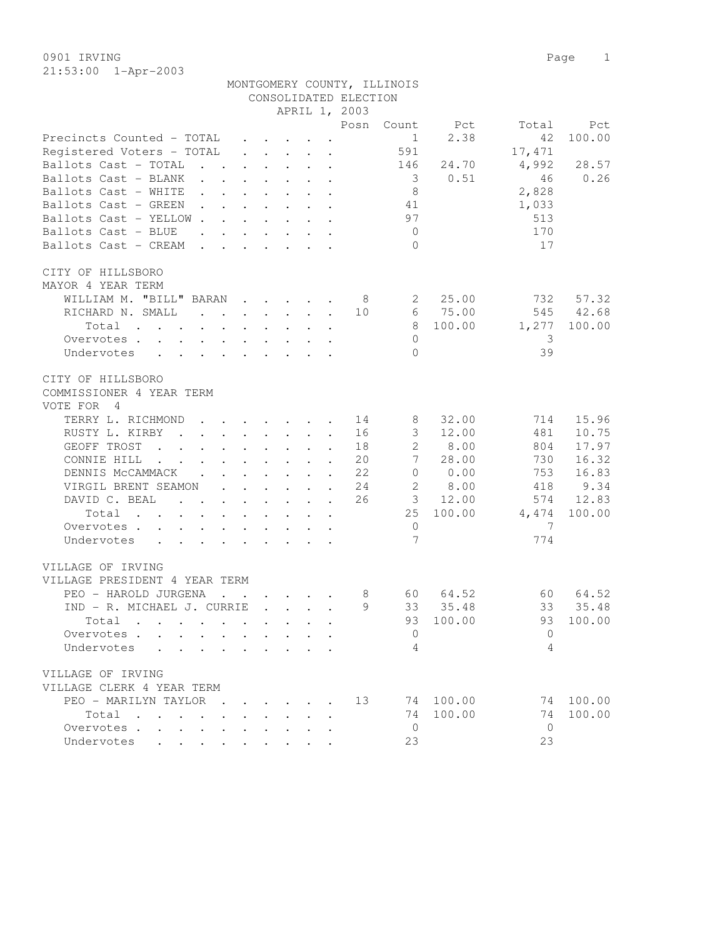21:53:00 1-Apr-2003

|                                                                                                                                                                                                                                                         |                               |                                         |                                                                          | CONSOLIDATED ELECTION      |                 |        |              |        |
|---------------------------------------------------------------------------------------------------------------------------------------------------------------------------------------------------------------------------------------------------------|-------------------------------|-----------------------------------------|--------------------------------------------------------------------------|----------------------------|-----------------|--------|--------------|--------|
|                                                                                                                                                                                                                                                         |                               |                                         |                                                                          | APRIL 1, 2003              |                 |        |              |        |
|                                                                                                                                                                                                                                                         |                               |                                         |                                                                          | Posn                       | Count           | Pct    | Total        | Pct    |
| Precincts Counted - TOTAL                                                                                                                                                                                                                               |                               |                                         | $\cdot$ $\cdot$ $\cdot$ $\cdot$ $\cdot$ $\cdot$                          |                            | $\mathbf{1}$    | 2.38   | 42           | 100.00 |
| Registered Voters - TOTAL                                                                                                                                                                                                                               | $\ddot{\phantom{0}}$          |                                         | $\mathbf{r} = \mathbf{r} + \mathbf{r} + \mathbf{r} + \mathbf{r}$         |                            | 591             |        | 17,471       |        |
| Ballots Cast - TOTAL<br>$\mathbf{r}$ , $\mathbf{r}$ , $\mathbf{r}$ , $\mathbf{r}$ , $\mathbf{r}$                                                                                                                                                        |                               |                                         |                                                                          |                            | 146             | 24.70  | 4,992        | 28.57  |
| Ballots Cast - BLANK                                                                                                                                                                                                                                    |                               | $\cdot$ $\cdot$ $\cdot$ $\cdot$ $\cdot$ |                                                                          |                            | $\overline{3}$  | 0.51   | 46           | 0.26   |
| Ballots Cast - WHITE<br><b>Contract</b>                                                                                                                                                                                                                 |                               | $\cdot$ $\cdot$ $\cdot$ $\cdot$         | $\mathbf{L}$ and $\mathbf{L}$                                            |                            | 8               |        | 2,828        |        |
| Ballots Cast - GREEN<br>$\mathbf{r}$ , $\mathbf{r}$ , $\mathbf{r}$ , $\mathbf{r}$ , $\mathbf{r}$                                                                                                                                                        |                               |                                         | $\cdot$ $\cdot$                                                          |                            | 41              |        | 1,033        |        |
| Ballots Cast - YELLOW                                                                                                                                                                                                                                   |                               |                                         |                                                                          |                            | 97              |        | 513          |        |
| Ballots Cast - BLUE<br>$\mathbf{r}$ , and $\mathbf{r}$ , and $\mathbf{r}$ , and $\mathbf{r}$                                                                                                                                                            |                               |                                         |                                                                          |                            | $\overline{0}$  |        | 170          |        |
| Ballots Cast - CREAM                                                                                                                                                                                                                                    |                               |                                         |                                                                          |                            | $\Omega$        |        | 17           |        |
|                                                                                                                                                                                                                                                         |                               |                                         |                                                                          |                            |                 |        |              |        |
| CITY OF HILLSBORO                                                                                                                                                                                                                                       |                               |                                         |                                                                          |                            |                 |        |              |        |
| MAYOR 4 YEAR TERM                                                                                                                                                                                                                                       |                               |                                         |                                                                          |                            |                 |        |              |        |
| WILLIAM M. "BILL" BARAN                                                                                                                                                                                                                                 |                               |                                         |                                                                          | - 8                        | 2               | 25.00  | 732          | 57.32  |
| RICHARD N. SMALL                                                                                                                                                                                                                                        |                               |                                         |                                                                          | 10                         | 6               | 75.00  | 545          | 42.68  |
| Total<br>$\mathbf{r}$ , and $\mathbf{r}$ , and $\mathbf{r}$ , and $\mathbf{r}$ , and $\mathbf{r}$                                                                                                                                                       |                               |                                         |                                                                          |                            | 8               | 100.00 | 1,277        | 100.00 |
| Overvotes.                                                                                                                                                                                                                                              |                               |                                         |                                                                          |                            | $\Omega$        |        | 3            |        |
| Undervotes<br>$\mathcal{L}^{\mathcal{A}}$ . The contribution of the contribution of the contribution of the contribution of the contribution of the contribution of the contribution of the contribution of the contribution of the contribution of the |                               |                                         |                                                                          |                            | $\Omega$        |        | 39           |        |
|                                                                                                                                                                                                                                                         |                               |                                         |                                                                          |                            |                 |        |              |        |
| CITY OF HILLSBORO                                                                                                                                                                                                                                       |                               |                                         |                                                                          |                            |                 |        |              |        |
| COMMISSIONER 4 YEAR TERM                                                                                                                                                                                                                                |                               |                                         |                                                                          |                            |                 |        |              |        |
| VOTE FOR<br>4                                                                                                                                                                                                                                           |                               |                                         |                                                                          |                            |                 |        |              |        |
|                                                                                                                                                                                                                                                         |                               |                                         |                                                                          |                            |                 |        |              | 15.96  |
| TERRY L. RICHMOND                                                                                                                                                                                                                                       |                               |                                         |                                                                          | 14                         | 8               | 32.00  | 714          |        |
| RUSTY L. KIRBY<br>$\mathbf{r}$ , and $\mathbf{r}$ , and $\mathbf{r}$ , and $\mathbf{r}$                                                                                                                                                                 |                               |                                         | $\cdot$                                                                  | 16                         | 3               | 12.00  | 481          | 10.75  |
| GEOFF TROST<br>$\mathbf{r}$ , and $\mathbf{r}$ , and $\mathbf{r}$ , and $\mathbf{r}$                                                                                                                                                                    |                               |                                         | $\mathbf{L}$                                                             | 18                         | $\mathbf{2}$    | 8.00   | 804          | 17.97  |
| CONNIE HILL<br>$\mathbf{r}$ , $\mathbf{r}$ , $\mathbf{r}$ , $\mathbf{r}$ , $\mathbf{r}$ , $\mathbf{r}$<br>$\ddot{\phantom{a}}$                                                                                                                          |                               |                                         | $\ddot{\phantom{a}}$                                                     | 20                         | $7\phantom{.0}$ | 28.00  | 730          | 16.32  |
| DENNIS MCCAMMACK                                                                                                                                                                                                                                        |                               |                                         |                                                                          | 22                         | $\overline{0}$  | 0.00   | 753          | 16.83  |
| VIRGIL BRENT SEAMON                                                                                                                                                                                                                                     |                               |                                         |                                                                          | 24<br>$\ddot{\phantom{a}}$ | 2               | 8.00   | 418          | 9.34   |
| DAVID C. BEAL<br>$\mathbf{r}$ , and $\mathbf{r}$ , and $\mathbf{r}$ , and $\mathbf{r}$ , and $\mathbf{r}$                                                                                                                                               |                               |                                         |                                                                          | 26                         | 3               | 12.00  | 574          | 12.83  |
| Total<br>the contract of the contract of the contract of the contract of the contract of the contract of the contract of                                                                                                                                |                               |                                         |                                                                          |                            | 25              | 100.00 | 4,474        | 100.00 |
| Overvotes                                                                                                                                                                                                                                               |                               |                                         |                                                                          |                            | $\mathbf{0}$    |        | 7            |        |
| Undervotes                                                                                                                                                                                                                                              |                               |                                         |                                                                          |                            | 7               |        | 774          |        |
|                                                                                                                                                                                                                                                         |                               |                                         |                                                                          |                            |                 |        |              |        |
| VILLAGE OF IRVING                                                                                                                                                                                                                                       |                               |                                         |                                                                          |                            |                 |        |              |        |
| VILLAGE PRESIDENT 4 YEAR TERM                                                                                                                                                                                                                           |                               |                                         |                                                                          |                            |                 |        |              |        |
| PEO - HAROLD JURGENA                                                                                                                                                                                                                                    |                               |                                         | $\mathbf{r}$ , $\mathbf{r}$ , $\mathbf{r}$ , $\mathbf{r}$ , $\mathbf{r}$ | 8                          | 60 —            | 64.52  | 60           | 64.52  |
| IND - R. MICHAEL J. CURRIE                                                                                                                                                                                                                              |                               |                                         | $\mathbf{r}$ . The set of $\mathbf{r}$                                   | 9                          | 33              | 35.48  | 33           | 35.48  |
| Total                                                                                                                                                                                                                                                   |                               |                                         |                                                                          |                            | 93              | 100.00 | 93           | 100.00 |
| Overvotes .                                                                                                                                                                                                                                             |                               |                                         |                                                                          |                            | 0               |        | $\mathbf{0}$ |        |
| Undervotes<br>$\ddot{\phantom{0}}$                                                                                                                                                                                                                      |                               |                                         |                                                                          |                            | 4               |        | 4            |        |
|                                                                                                                                                                                                                                                         |                               |                                         |                                                                          |                            |                 |        |              |        |
| VILLAGE OF IRVING                                                                                                                                                                                                                                       |                               |                                         |                                                                          |                            |                 |        |              |        |
| VILLAGE CLERK 4 YEAR TERM                                                                                                                                                                                                                               |                               |                                         |                                                                          |                            |                 |        |              |        |
| PEO - MARILYN TAYLOR<br>$\sim$ $\sim$                                                                                                                                                                                                                   |                               | $\cdot$ $\cdot$ $\cdot$ $\cdot$         |                                                                          | 13                         | 74              | 100.00 | 74           | 100.00 |
| $Total \cdot \cdot \cdot \cdot \cdot$                                                                                                                                                                                                                   | and the state of the state of |                                         |                                                                          |                            | 74              | 100.00 | 74           | 100.00 |
| Overvotes.                                                                                                                                                                                                                                              |                               |                                         | $\ddot{\phantom{0}}$                                                     |                            | $\mathbf{0}$    |        | $\mathbf{0}$ |        |
| Undervotes                                                                                                                                                                                                                                              |                               |                                         | $\sim$                                                                   |                            | 23              |        | 23           |        |

MONTGOMERY COUNTY, ILLINOIS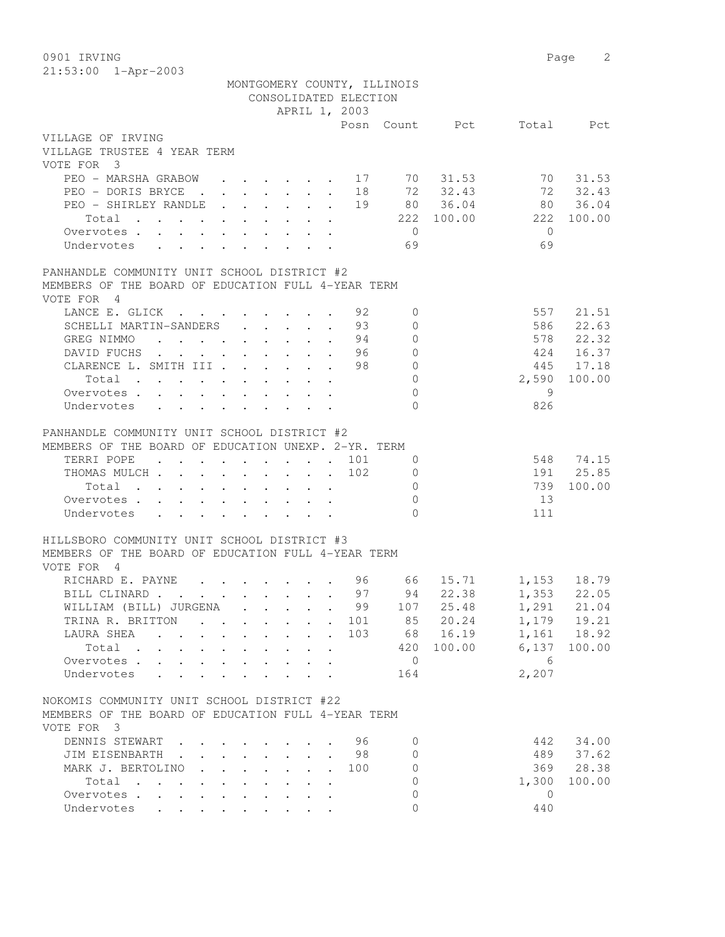0901 IRVING 2

| 21:53:00 1-Apr-2003                                                                                             |                                                                                  |                                                                                            |                                                   |            | MONTGOMERY COUNTY, ILLINOIS |                |                         |              |
|-----------------------------------------------------------------------------------------------------------------|----------------------------------------------------------------------------------|--------------------------------------------------------------------------------------------|---------------------------------------------------|------------|-----------------------------|----------------|-------------------------|--------------|
|                                                                                                                 |                                                                                  | CONSOLIDATED ELECTION                                                                      |                                                   |            |                             |                |                         |              |
|                                                                                                                 |                                                                                  | APRIL 1, 2003                                                                              |                                                   |            |                             |                |                         |              |
| VILLAGE OF IRVING<br>VILLAGE TRUSTEE 4 YEAR TERM<br>VOTE FOR 3                                                  |                                                                                  |                                                                                            |                                                   |            |                             | Posn Count Pct |                         | Total Pct    |
| PEO - MARSHA GRABOW                                                                                             |                                                                                  |                                                                                            |                                                   | . 17       |                             | 70 31.53       | 70                      | 31.53        |
| PEO - DORIS BRYCE.                                                                                              |                                                                                  | $\cdot$ $\cdot$ $\cdot$ $\cdot$ $\cdot$ $\cdot$                                            |                                                   | $\cdot$ 18 |                             | 72 32.43       | 72                      | 32.43        |
| PEO - SHIRLEY RANDLE                                                                                            | $\ddot{\phantom{a}}$                                                             | $\cdot$ $\cdot$ $\cdot$ $\cdot$ $\cdot$                                                    |                                                   |            |                             | 19 80 36.04    |                         | 80 36.04     |
| Total                                                                                                           | $\sim$                                                                           | $\mathbf{L}$                                                                               |                                                   |            |                             | 222 100.00     | 222                     | 100.00       |
| Overvotes                                                                                                       | $\sim$                                                                           |                                                                                            |                                                   |            | $\overline{0}$              |                | $\bigcirc$              |              |
| Undervotes<br>$\mathbf{L}$<br>$\mathbf{L}$<br>$\mathbf{L}$                                                      | $\mathbf{L}$<br>$\sim$                                                           |                                                                                            |                                                   |            | 69                          |                | 69                      |              |
| PANHANDLE COMMUNITY UNIT SCHOOL DISTRICT #2<br>MEMBERS OF THE BOARD OF EDUCATION FULL 4-YEAR TERM<br>VOTE FOR 4 |                                                                                  |                                                                                            |                                                   |            |                             |                |                         |              |
| LANCE E. GLICK                                                                                                  |                                                                                  |                                                                                            |                                                   | 92         | $\mathbf{0}$                |                | 557                     | 21.51        |
| SCHELLI MARTIN-SANDERS                                                                                          |                                                                                  | $\mathbf{r}$ , $\mathbf{r}$ , $\mathbf{r}$                                                 |                                                   | 93         | 0                           |                | 586                     | 22.63        |
| GREG NIMMO<br>$\mathbf{r}$ , and $\mathbf{r}$ , and $\mathbf{r}$ , and $\mathbf{r}$                             |                                                                                  |                                                                                            |                                                   | 94         | $\mathbf{0}$                |                |                         | 578 22.32    |
| DAVID FUCHS<br>$\mathbf{L}^{\text{max}}$<br>$\sim$ $\sim$                                                       | $\ddot{\phantom{0}}$                                                             | $\mathbf{1}$ $\mathbf{1}$ $\mathbf{1}$ $\mathbf{1}$ $\mathbf{1}$ $\mathbf{1}$ $\mathbf{1}$ |                                                   | 96         | $\mathbf{0}$                |                |                         | 424 16.37    |
| CLARENCE L. SMITH III                                                                                           |                                                                                  |                                                                                            | $\mathbf{L}$                                      | 98         | $\Omega$                    |                | 445                     | 17.18        |
| Total<br>$\mathbf{r}$ , and $\mathbf{r}$ , and $\mathbf{r}$ , and $\mathbf{r}$ , and $\mathbf{r}$               |                                                                                  |                                                                                            |                                                   |            | $\mathbf{0}$                |                | 2,590                   | 100.00       |
| Overvotes.                                                                                                      |                                                                                  |                                                                                            |                                                   |            | $\Omega$                    |                | 9                       |              |
| Undervotes                                                                                                      |                                                                                  |                                                                                            |                                                   |            | $\cap$                      |                | 826                     |              |
| PANHANDLE COMMUNITY UNIT SCHOOL DISTRICT #2                                                                     |                                                                                  |                                                                                            |                                                   |            |                             |                |                         |              |
| MEMBERS OF THE BOARD OF EDUCATION UNEXP. 2-YR. TERM                                                             |                                                                                  |                                                                                            |                                                   |            |                             |                |                         |              |
| TERRI POPE<br>and the contract of the con-                                                                      | . 101                                                                            |                                                                                            |                                                   |            | $\mathbf{0}$                |                |                         | 548 74.15    |
| THOMAS MULCH 102                                                                                                |                                                                                  |                                                                                            |                                                   |            | $\mathbf{0}$                |                |                         | 191 25.85    |
| Total<br>and the state of the state of the                                                                      | $\cdot$ $\cdot$ $\cdot$ $\cdot$ $\cdot$ $\cdot$ $\cdot$                          |                                                                                            | $\mathbf{L}^{\text{max}}$<br>$\ddot{\phantom{a}}$ |            | $\Omega$                    |                | 739                     | 100.00       |
| Overvotes .<br>$\mathbf{r} = \mathbf{r}$                                                                        | $\mathbf{r}$ and $\mathbf{r}$ and $\mathbf{r}$ and $\mathbf{r}$ and $\mathbf{r}$ |                                                                                            |                                                   |            | $\Omega$                    |                | 13                      |              |
| Undervotes<br>$\mathbf{r}$ , and $\mathbf{r}$ , and $\mathbf{r}$ , and $\mathbf{r}$ , and $\mathbf{r}$          |                                                                                  |                                                                                            |                                                   |            | $\Omega$                    |                | 111                     |              |
| HILLSBORO COMMUNITY UNIT SCHOOL DISTRICT #3<br>MEMBERS OF THE BOARD OF EDUCATION FULL 4-YEAR TERM<br>VOTE FOR 4 |                                                                                  |                                                                                            |                                                   |            |                             |                |                         |              |
| RICHARD E. PAYNE                                                                                                |                                                                                  |                                                                                            |                                                   | 96         |                             |                | 66 15.71 1,153 18.79    |              |
| BILL CLINARD                                                                                                    |                                                                                  |                                                                                            |                                                   |            |                             |                | 97 94 22.38 1,353 22.05 |              |
| WILLIAM (BILL) JURGENA                                                                                          |                                                                                  |                                                                                            |                                                   | 99         | 107                         | 25.48          |                         | 1,291 21.04  |
| TRINA R. BRITTON                                                                                                |                                                                                  |                                                                                            |                                                   | 101        |                             | 85 20.24       |                         | 1,179 19.21  |
| LAURA SHEA<br>$\mathbf{r}$ , and $\mathbf{r}$ , and $\mathbf{r}$ , and $\mathbf{r}$ , and $\mathbf{r}$          |                                                                                  |                                                                                            |                                                   | 103        |                             | 68 16.19       |                         | 1,161 18.92  |
| Total<br>$\mathbf{r}$ , and $\mathbf{r}$ , and $\mathbf{r}$ , and $\mathbf{r}$ , and $\mathbf{r}$               |                                                                                  |                                                                                            |                                                   |            | 420                         | 100.00         |                         | 6,137 100.00 |
| Overvotes                                                                                                       |                                                                                  |                                                                                            |                                                   |            | $\overline{0}$              |                | 6                       |              |
| Undervotes                                                                                                      |                                                                                  |                                                                                            |                                                   |            | 164                         |                | 2,207                   |              |
| NOKOMIS COMMUNITY UNIT SCHOOL DISTRICT #22<br>MEMBERS OF THE BOARD OF EDUCATION FULL 4-YEAR TERM<br>VOTE FOR 3  |                                                                                  |                                                                                            |                                                   |            |                             |                |                         |              |
| DENNIS STEWART                                                                                                  |                                                                                  |                                                                                            |                                                   | 96         | $\Omega$                    |                | 442                     | 34.00        |
| JIM EISENBARTH                                                                                                  |                                                                                  |                                                                                            | $\ddot{\phantom{0}}$                              | 98         | $\Omega$                    |                |                         | 489 37.62    |
| MARK J. BERTOLINO                                                                                               |                                                                                  |                                                                                            | $\sim$ $\sim$<br>$\mathbf{r}$                     | 100        | $\Omega$                    |                | 369                     | 28.38        |
| Total                                                                                                           |                                                                                  |                                                                                            |                                                   |            | $\Omega$                    |                | 1,300                   | 100.00       |
| Overvotes                                                                                                       |                                                                                  |                                                                                            |                                                   |            | 0                           |                | $\overline{0}$          |              |
| Undervotes                                                                                                      |                                                                                  |                                                                                            |                                                   |            | $\circ$                     |                | 440                     |              |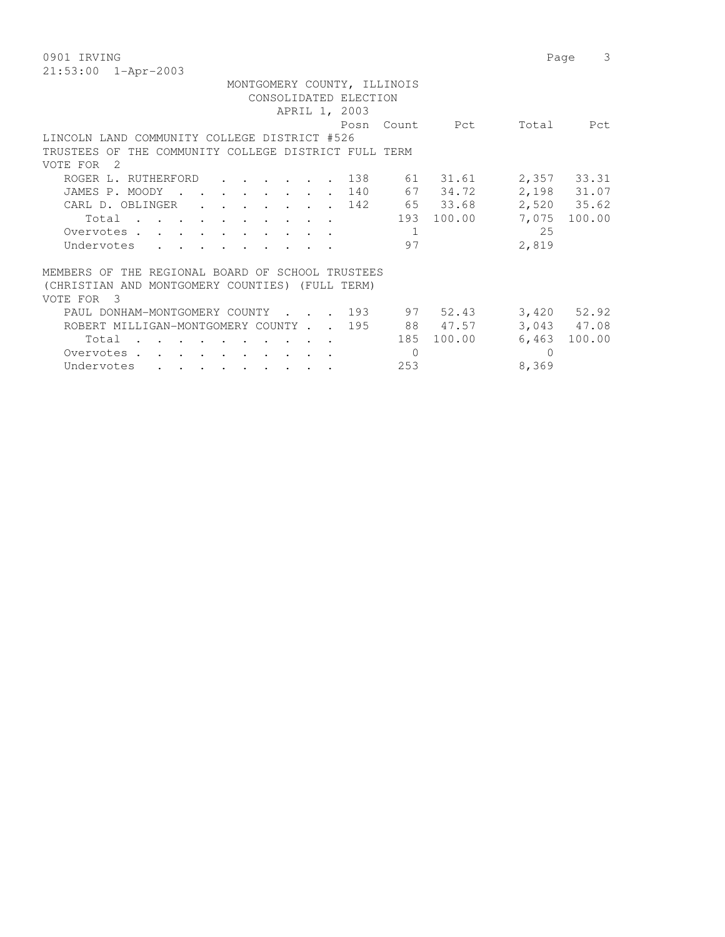0901 IRVING Page 3 21:53:00 1-Apr-2003

| MONTGOMERY COUNTY, ILLINOIS                                                                                                                                                                                                                |                                   |  |  |  |  |  |
|--------------------------------------------------------------------------------------------------------------------------------------------------------------------------------------------------------------------------------------------|-----------------------------------|--|--|--|--|--|
| CONSOLIDATED ELECTION                                                                                                                                                                                                                      |                                   |  |  |  |  |  |
| APRIL 1, 2003                                                                                                                                                                                                                              |                                   |  |  |  |  |  |
|                                                                                                                                                                                                                                            | Posn Count<br>Total<br>Pct<br>Pct |  |  |  |  |  |
| LINCOLN LAND COMMUNITY COLLEGE DISTRICT #526                                                                                                                                                                                               |                                   |  |  |  |  |  |
| TRUSTEES OF THE COMMUNITY COLLEGE DISTRICT FULL TERM                                                                                                                                                                                       |                                   |  |  |  |  |  |
| VOTE FOR 2                                                                                                                                                                                                                                 |                                   |  |  |  |  |  |
| . 138<br>ROGER L. RUTHERFORD                                                                                                                                                                                                               | 2,357 33.31<br>61 31.61           |  |  |  |  |  |
| JAMES P. MOODY<br>the contract of the contract of the contract of the contract of the contract of the contract of the contract of                                                                                                          | 67<br>2,198 31.07<br>34.72<br>140 |  |  |  |  |  |
| CARL D. OBLINGER 142                                                                                                                                                                                                                       | 65 33.68<br>2,520 35.62           |  |  |  |  |  |
| Total                                                                                                                                                                                                                                      | 193 100.00<br>7,075<br>100.00     |  |  |  |  |  |
| Overvotes                                                                                                                                                                                                                                  | 25<br>1                           |  |  |  |  |  |
| Undervotes<br>$\cdot$ , , , , , , , , , ,                                                                                                                                                                                                  | 2,819<br>97                       |  |  |  |  |  |
|                                                                                                                                                                                                                                            |                                   |  |  |  |  |  |
| MEMBERS OF THE REGIONAL BOARD OF SCHOOL TRUSTEES                                                                                                                                                                                           |                                   |  |  |  |  |  |
| (CHRISTIAN AND MONTGOMERY COUNTIES) (FULL TERM)                                                                                                                                                                                            |                                   |  |  |  |  |  |
| VOTE FOR 3                                                                                                                                                                                                                                 |                                   |  |  |  |  |  |
| PAUL DONHAM-MONTGOMERY COUNTY 193                                                                                                                                                                                                          | 97 52.43<br>$3,420$ $52.92$       |  |  |  |  |  |
| ROBERT MILLIGAN-MONTGOMERY COUNTY 195                                                                                                                                                                                                      | 88 47.57<br>3,043 47.08           |  |  |  |  |  |
| Total<br>$\mathbf{r}$ . The set of the set of the set of the set of the set of the set of the set of the set of the set of the set of the set of the set of the set of the set of the set of the set of the set of the set of the set of t | 185 100.00<br>6,463 100.00        |  |  |  |  |  |
| Overvotes.                                                                                                                                                                                                                                 | $\Omega$<br>$\Omega$              |  |  |  |  |  |
| Undervotes<br>$\mathbf{r}$ , and $\mathbf{r}$ , and $\mathbf{r}$ , and $\mathbf{r}$ , and $\mathbf{r}$                                                                                                                                     | 8,369<br>253                      |  |  |  |  |  |
|                                                                                                                                                                                                                                            |                                   |  |  |  |  |  |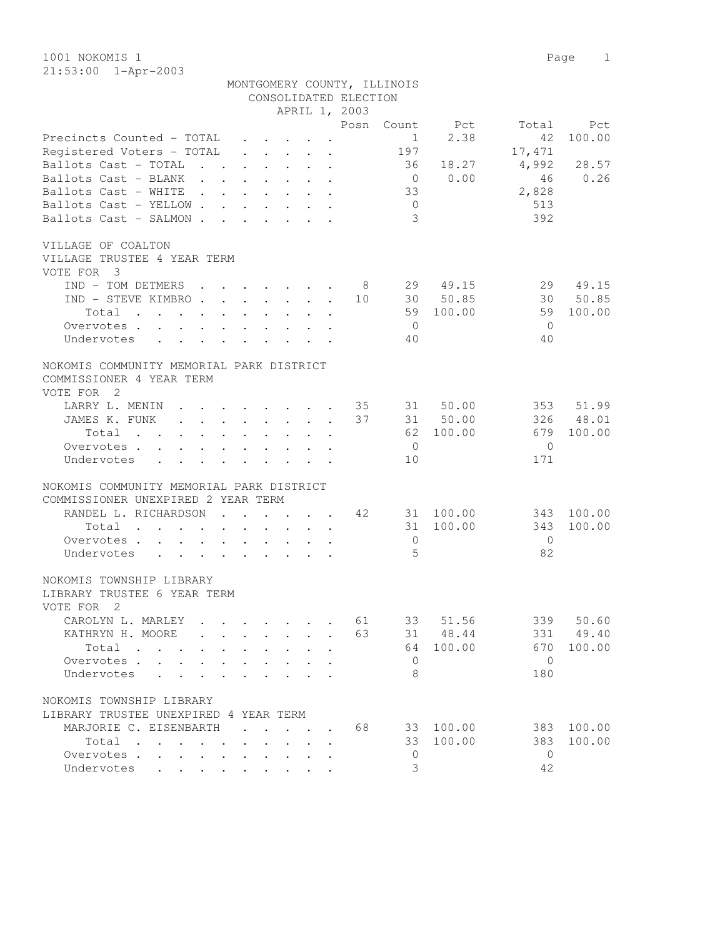MONTGOMERY COUNTY, ILLINOIS

|                                                                                                                         |              |                                                  |                                                                       | CONSOLIDATED ELECTION |                |           |                |        |
|-------------------------------------------------------------------------------------------------------------------------|--------------|--------------------------------------------------|-----------------------------------------------------------------------|-----------------------|----------------|-----------|----------------|--------|
|                                                                                                                         |              |                                                  | APRIL 1, 2003                                                         |                       |                |           |                |        |
|                                                                                                                         |              |                                                  |                                                                       | Posn                  | Count          | Pct       | Total          | Pct    |
| Precincts Counted - TOTAL                                                                                               |              |                                                  | $\cdot$ $\cdot$ $\cdot$ $\cdot$ $\cdot$                               |                       | $\mathbf{1}$   | 2.38      | 42             | 100.00 |
| Registered Voters - TOTAL                                                                                               |              |                                                  | $\cdot$ $\cdot$ $\cdot$ $\cdot$ $\cdot$                               |                       | 197            |           | 17,471         |        |
| Ballots Cast - TOTAL<br>$\mathbf{r}$ . The set of $\mathbf{r}$                                                          |              | $\sim$                                           | $\ddot{\phantom{a}}$                                                  |                       | 36             | 18.27     | 4,992          | 28.57  |
| Ballots Cast - BLANK<br>$\mathbf{r}$ , $\mathbf{r}$ , $\mathbf{r}$<br>$\sim 100$ km s $^{-1}$                           |              |                                                  |                                                                       |                       | $\overline{0}$ | 0.00      | 46             | 0.26   |
| Ballots Cast - WHITE<br>$\mathcal{L}^{\text{max}}$ and $\mathcal{L}^{\text{max}}$<br><b>Contract Contract</b>           |              | $\mathbf{L}$ . The set of $\mathbf{L}$           | $\mathbf{L} = \mathbf{L}$                                             |                       | 33             |           | 2,828          |        |
| Ballots Cast - YELLOW                                                                                                   |              |                                                  | $\cdot$ $\cdot$                                                       |                       | $\overline{0}$ |           | 513            |        |
| Ballots Cast - SALMON.<br>$\sim$                                                                                        |              |                                                  | $\cdot$ $\cdot$ $\cdot$ $\cdot$ $\cdot$ $\cdot$                       |                       | 3              |           | 392            |        |
|                                                                                                                         |              |                                                  |                                                                       |                       |                |           |                |        |
| VILLAGE OF COALTON                                                                                                      |              |                                                  |                                                                       |                       |                |           |                |        |
| VILLAGE TRUSTEE 4 YEAR TERM                                                                                             |              |                                                  |                                                                       |                       |                |           |                |        |
| VOTE FOR 3                                                                                                              |              |                                                  |                                                                       |                       |                |           |                |        |
|                                                                                                                         |              |                                                  |                                                                       |                       |                |           |                |        |
| IND - TOM DETMERS.                                                                                                      |              | $\cdot$ $\cdot$ $\cdot$ $\cdot$ $\cdot$          |                                                                       | - 8                   |                | 29 49.15  | 29             | 49.15  |
| IND - STEVE KIMBRO                                                                                                      |              |                                                  |                                                                       | 10                    |                | 30 50.85  | 30             | 50.85  |
| Total<br>$\cdot$<br>$\mathbf{r}$                                                                                        | $\mathbf{L}$ | $\ddot{\phantom{0}}$                             |                                                                       |                       | 59             | 100.00    | 59             | 100.00 |
| Overvotes                                                                                                               |              | $\cdot$ $\cdot$ $\cdot$                          |                                                                       |                       | $\overline{0}$ |           | $\overline{0}$ |        |
| Undervotes<br>$\mathbf{r} = \mathbf{r}$<br>$\mathbf{L}^{\text{max}}$<br>$\mathbf{r}$                                    | $\mathbf{L}$ | $\mathbf{L}^{\text{max}}$<br>$\mathbf{L}$        | $\mathbf{r}$<br>$\ddot{\phantom{a}}$                                  |                       | 40             |           | 40             |        |
|                                                                                                                         |              |                                                  |                                                                       |                       |                |           |                |        |
| NOKOMIS COMMUNITY MEMORIAL PARK DISTRICT                                                                                |              |                                                  |                                                                       |                       |                |           |                |        |
| COMMISSIONER 4 YEAR TERM                                                                                                |              |                                                  |                                                                       |                       |                |           |                |        |
| VOTE FOR<br>$\overline{2}$                                                                                              |              |                                                  |                                                                       |                       |                |           |                |        |
| LARRY L. MENIN                                                                                                          |              |                                                  | $\sim$                                                                | 35                    | 31             | 50.00     | 353            | 51.99  |
| JAMES K. FUNK                                                                                                           |              |                                                  |                                                                       | 37                    |                | 50.00     | 326            | 48.01  |
| $\mathbf{r} = \mathbf{r} - \mathbf{r}$ , where $\mathbf{r} = \mathbf{r} - \mathbf{r}$ , where $\mathbf{r} = \mathbf{r}$ |              |                                                  |                                                                       |                       | 31             |           |                |        |
| Total<br>$\mathbf{r}$ , $\mathbf{r}$ , $\mathbf{r}$                                                                     |              | $\mathbf{L}$                                     |                                                                       |                       |                | 62 100.00 | 679            | 100.00 |
| Overvotes                                                                                                               |              |                                                  |                                                                       |                       | $\overline{0}$ |           | $\mathbf{0}$   |        |
| Undervotes<br>$\mathcal{L}^{\text{max}}$<br>$\ddot{\phantom{a}}$<br>$\mathbf{A}$                                        | $\mathbf{A}$ | $\mathbf{L}$<br>$\mathbf{L}$                     |                                                                       |                       | 10             |           | 171            |        |
|                                                                                                                         |              |                                                  |                                                                       |                       |                |           |                |        |
| NOKOMIS COMMUNITY MEMORIAL PARK DISTRICT                                                                                |              |                                                  |                                                                       |                       |                |           |                |        |
| COMMISSIONER UNEXPIRED 2 YEAR TERM                                                                                      |              |                                                  |                                                                       |                       |                |           |                |        |
| RANDEL L. RICHARDSON                                                                                                    |              |                                                  | $\mathbf{r}$ , and $\mathbf{r}$ , and $\mathbf{r}$ , and $\mathbf{r}$ | 42                    |                | 31 100.00 | 343            | 100.00 |
| Total<br>the contract of the contract of the contract of                                                                |              |                                                  | $\bullet$                                                             |                       | 31             | 100.00    | 343            | 100.00 |
| Overvotes.<br>$\mathbf{L} = \mathbf{L} \mathbf{L} + \mathbf{L} \mathbf{L}$                                              |              | $\sim$ $\sim$ $\sim$ $\sim$ $\sim$ $\sim$ $\sim$ |                                                                       |                       | 0              |           | $\overline{0}$ |        |
| Undervotes<br>$\cdot$ $\cdot$ $\cdot$ $\cdot$<br>$\ddot{\phantom{0}}$                                                   |              | $\mathbf{L} = \mathbf{L} \mathbf{L}$             |                                                                       |                       | 5              |           | 82             |        |
|                                                                                                                         |              |                                                  |                                                                       |                       |                |           |                |        |
| NOKOMIS TOWNSHIP LIBRARY                                                                                                |              |                                                  |                                                                       |                       |                |           |                |        |
| LIBRARY TRUSTEE 6 YEAR TERM                                                                                             |              |                                                  |                                                                       |                       |                |           |                |        |
| VOTE FOR 2                                                                                                              |              |                                                  |                                                                       |                       |                |           |                |        |
|                                                                                                                         |              |                                                  |                                                                       |                       |                |           |                |        |
| CAROLYN L. MARLEY 61                                                                                                    |              |                                                  |                                                                       |                       | 33             | 51.56     | 339            | 50.60  |
| KATHRYN H. MOORE                                                                                                        |              |                                                  |                                                                       | 63                    | 31             | 48.44     | 331            | 49.40  |
| Total<br>$\cdots$ $\cdots$                                                                                              |              |                                                  |                                                                       |                       | 64             | 100.00    | 670            | 100.00 |
| Overvotes .                                                                                                             |              |                                                  |                                                                       |                       | $\mathbf{0}$   |           | $\overline{0}$ |        |
| Undervotes                                                                                                              |              |                                                  |                                                                       |                       | 8              |           | 180            |        |
|                                                                                                                         |              |                                                  |                                                                       |                       |                |           |                |        |
| NOKOMIS TOWNSHIP LIBRARY                                                                                                |              |                                                  |                                                                       |                       |                |           |                |        |
| LIBRARY TRUSTEE UNEXPIRED 4 YEAR TERM                                                                                   |              |                                                  |                                                                       |                       |                |           |                |        |
| MARJORIE C. EISENBARTH                                                                                                  |              |                                                  | $\cdot$ $\cdot$ $\cdot$                                               | 68                    | 33             | 100.00    | 383            | 100.00 |
| Total                                                                                                                   |              |                                                  |                                                                       |                       | 33             | 100.00    | 383            | 100.00 |
|                                                                                                                         |              |                                                  |                                                                       |                       |                |           |                |        |
| Overvotes                                                                                                               |              |                                                  |                                                                       |                       | 0              |           | $\mathbf{0}$   |        |
| Undervotes<br>and the contract of the con-                                                                              |              |                                                  |                                                                       |                       | 3              |           | 42             |        |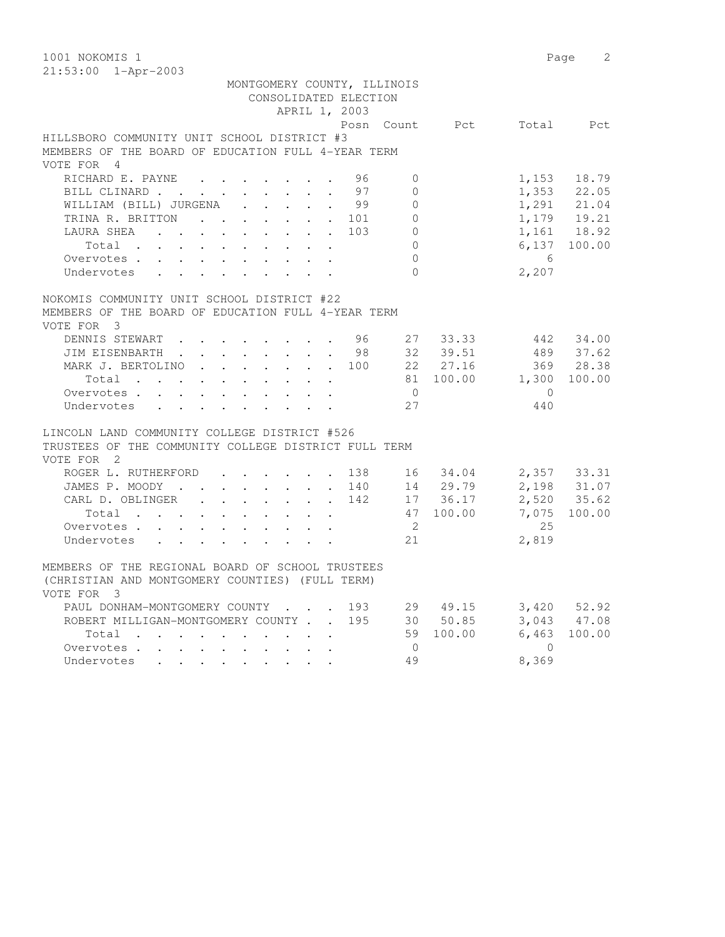| 1001 NOKOMIS 1                                                          |                    | 2<br>Page       |
|-------------------------------------------------------------------------|--------------------|-----------------|
| 21:53:00 1-Apr-2003                                                     |                    |                 |
| MONTGOMERY COUNTY, ILLINOIS                                             |                    |                 |
| CONSOLIDATED ELECTION                                                   |                    |                 |
| APRIL 1, 2003                                                           |                    |                 |
|                                                                         | Posn Count Pct     | Total<br>Pct    |
| HILLSBORO COMMUNITY UNIT SCHOOL DISTRICT #3                             |                    |                 |
| MEMBERS OF THE BOARD OF EDUCATION FULL 4-YEAR TERM                      |                    |                 |
| VOTE FOR 4                                                              |                    |                 |
| RICHARD E. PAYNE<br>96<br>$\mathbf{0}$                                  | 1,153              | 18.79           |
| 97<br>BILL CLINARD<br>$\Omega$<br>$\mathbf{L}^{\text{max}}$             |                    | 1,353 22.05     |
| WILLIAM (BILL) JURGENA<br>. 99<br>$\Omega$                              |                    | 1,291 21.04     |
| $\circ$<br>TRINA R. BRITTON<br>101                                      |                    | 1,179 19.21     |
| $\overline{0}$<br>LAURA SHEA<br>103                                     |                    | 1,161 18.92     |
| $\Omega$<br>Total                                                       |                    | 6,137 100.00    |
| $\Omega$<br>Overvotes                                                   | $6\overline{6}$    |                 |
| $\Omega$<br>Undervotes                                                  | 2,207              |                 |
|                                                                         |                    |                 |
| NOKOMIS COMMUNITY UNIT SCHOOL DISTRICT #22                              |                    |                 |
| MEMBERS OF THE BOARD OF EDUCATION FULL 4-YEAR TERM                      |                    |                 |
| VOTE FOR 3                                                              |                    |                 |
| DENNIS STEWART 96                                                       | 27 33.33           | 442 34.00       |
| JIM EISENBARTH 98 32 39.51                                              |                    | 489 37.62       |
| MARK J. BERTOLINO                                                       | 100 22 27.16       | 369 28.38       |
| Total 81 100.00 1,300                                                   |                    | 100.00          |
| Overvotes<br>$\overline{0}$                                             |                    | $\overline{0}$  |
| 27<br>Undervotes                                                        | 440                |                 |
| LINCOLN LAND COMMUNITY COLLEGE DISTRICT #526                            |                    |                 |
| TRUSTEES OF THE COMMUNITY COLLEGE DISTRICT FULL TERM                    |                    |                 |
| VOTE FOR 2                                                              |                    |                 |
| ROGER L. RUTHERFORD<br>138                                              | 16 34.04           | 2,357 33.31     |
| JAMES P. MOODY<br>140                                                   | 14 29.79           | 2,198 31.07     |
| CARL D. OBLINGER<br>142                                                 | 17 36.17           | 2,520 35.62     |
| Total                                                                   | 47 100.00<br>7,075 | 100.00          |
| $\overline{2}$<br>Overvotes.                                            |                    | 25              |
| 21<br>Undervotes                                                        | 2,819              |                 |
|                                                                         |                    |                 |
| MEMBERS OF THE REGIONAL BOARD OF SCHOOL TRUSTEES                        |                    |                 |
| (CHRISTIAN AND MONTGOMERY COUNTIES) (FULL TERM)                         |                    |                 |
| VOTE FOR 3                                                              |                    |                 |
| 193<br>PAUL DONHAM-MONTGOMERY COUNTY                                    | 29 49.15           | $3,420$ $52.92$ |
| 195<br>ROBERT MILLIGAN-MONTGOMERY COUNTY                                | 30 50.85           | 3,043 47.08     |
| Total<br>59                                                             | 6,463<br>100.00    | 100.00          |
| $\overline{0}$<br>Overvotes                                             | $\overline{0}$     |                 |
| 49<br>Undervotes<br>$\Delta \sim 10^{-11}$<br>$\mathbf{L}^{\text{max}}$ | 8,369              |                 |
|                                                                         |                    |                 |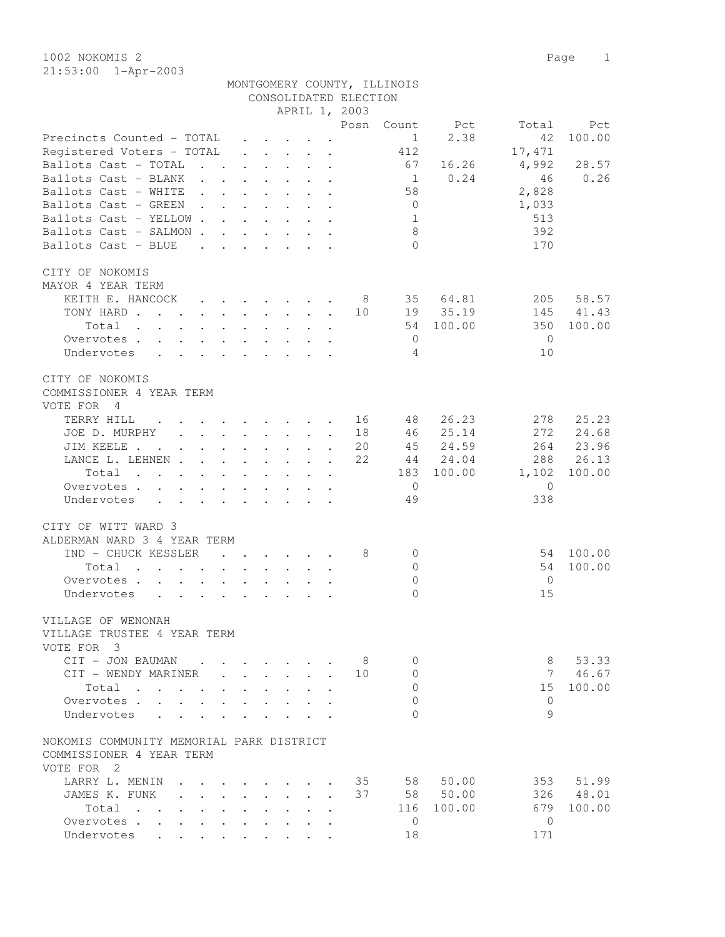| 1002 NOKOMIS 2                     |        |                 |  |                       |                             |        |        | Page<br>1 |
|------------------------------------|--------|-----------------|--|-----------------------|-----------------------------|--------|--------|-----------|
| 21:53:00 1-Apr-2003                |        |                 |  |                       |                             |        |        |           |
|                                    |        |                 |  |                       | MONTGOMERY COUNTY, ILLINOIS |        |        |           |
|                                    |        |                 |  | CONSOLIDATED ELECTION |                             |        |        |           |
|                                    |        |                 |  | APRIL 1, 2003         |                             |        |        |           |
|                                    |        |                 |  | Posn                  | Count                       | Pct    | Total  | Pct       |
| Precincts Counted - TOTAL          |        |                 |  |                       | 1                           | 2.38   | 42     | 100.00    |
| Registered Voters - TOTAL          |        | $\cdot$ $\cdot$ |  |                       | 412                         |        | 17,471 |           |
| Ballots Cast - TOTAL               |        |                 |  |                       | 67                          | 16.26  | 4,992  | 28.57     |
| Ballots Cast - BLANK               | $\sim$ |                 |  |                       | 1                           | 0.24   | 46     | 0.26      |
| Ballots Cast - WHITE               |        |                 |  |                       | 58                          |        | 2,828  |           |
| Ballots Cast - GREEN               |        |                 |  |                       | $\Omega$                    |        | 1,033  |           |
| Ballots Cast - YELLOW.             |        |                 |  |                       | 1                           |        | 513    |           |
| Ballots Cast - SALMON              |        |                 |  |                       | 8                           |        | 392    |           |
| Ballots Cast - BLUE                |        |                 |  |                       | $\Omega$                    |        | 170    |           |
| CITY OF NOKOMIS                    |        |                 |  |                       |                             |        |        |           |
| MAYOR 4<br>YEAR TERM               |        |                 |  |                       |                             |        |        |           |
| KEITH E. HANCOCK                   |        |                 |  | 8                     | 35                          | 64.81  | 205    | 58.57     |
| TONY HARD                          |        |                 |  | 10                    | 19                          | 35.19  | 145    | 41.43     |
| Total                              |        |                 |  |                       | 54                          | 100.00 | 350    | 100.00    |
| Overvotes.                         |        |                 |  |                       | $\Omega$                    |        | 0      |           |
| Undervotes<br>$\ddot{\phantom{0}}$ |        |                 |  |                       | 4                           |        | 10     |           |

| CITY OF NOKOMIS                                                                                  |                      |                                                                                                                 |                |     |              |          |                 |        |
|--------------------------------------------------------------------------------------------------|----------------------|-----------------------------------------------------------------------------------------------------------------|----------------|-----|--------------|----------|-----------------|--------|
| COMMISSIONER 4 YEAR TERM                                                                         |                      |                                                                                                                 |                |     |              |          |                 |        |
| VOTE FOR<br>$\overline{4}$                                                                       |                      |                                                                                                                 |                |     |              |          |                 |        |
| TERRY HILL                                                                                       |                      |                                                                                                                 |                | 16  | 48           | 26.23    | 278             | 25.23  |
| JOE D. MURPHY                                                                                    |                      |                                                                                                                 |                | 18  | 46           | 25.14    | 2.72            | 24.68  |
| JIM KEELE<br>$\sim$                                                                              |                      |                                                                                                                 |                | 20  | 45           | 24.59    | 264             | 23.96  |
| LANCE L. LEHNEN                                                                                  |                      | $\ddot{\phantom{a}}$                                                                                            |                | 22  | 44           | 24.04    | 288             | 26.13  |
| Total                                                                                            |                      |                                                                                                                 |                |     | 183          | 100.00   | 1,102           | 100.00 |
| Overvotes .<br>$\mathbb{R}^{\mathbb{Z}}$                                                         |                      |                                                                                                                 |                |     | $\bigcirc$   |          | $\Omega$        |        |
| Undervotes                                                                                       |                      |                                                                                                                 |                |     | 49           |          | 338             |        |
| CITY OF WITT WARD 3                                                                              |                      |                                                                                                                 |                |     |              |          |                 |        |
| ALDERMAN WARD 3 4 YEAR TERM                                                                      |                      |                                                                                                                 |                |     |              |          |                 |        |
| IND - CHUCK KESSLER                                                                              |                      |                                                                                                                 |                | 8   | $\bigcap$    |          | 54              | 100.00 |
| Total<br>$\sim$                                                                                  |                      |                                                                                                                 |                |     | $\mathbf{0}$ |          | 54              | 100.00 |
| Overvotes .                                                                                      |                      |                                                                                                                 |                |     | $\Omega$     |          | $\bigcirc$      |        |
| Undervotes                                                                                       | $\ddot{\phantom{a}}$ | $\sim$                                                                                                          |                |     | $\cap$       |          | 15              |        |
| VILLAGE OF WENONAH                                                                               |                      |                                                                                                                 |                |     |              |          |                 |        |
| VILLAGE TRUSTEE 4 YEAR TERM                                                                      |                      |                                                                                                                 |                |     |              |          |                 |        |
| VOTE FOR<br>3                                                                                    |                      |                                                                                                                 |                |     |              |          |                 |        |
| CIT - JON BAUMAN                                                                                 |                      | the contract of the contract of the contract of the contract of the contract of the contract of the contract of |                | - 8 | $\Omega$     |          | 8               | 53.33  |
| CIT - WENDY MARINER                                                                              |                      | $\mathbf{r} = \mathbf{r} \times \mathbf{r} = \mathbf{r} \times \mathbf{r}$                                      |                | 10  | $\mathbf{0}$ |          | $7\phantom{.0}$ | 46.67  |
| Total.<br>$\sim$ $\sim$                                                                          |                      |                                                                                                                 |                |     | $\Omega$     |          | 15              | 100.00 |
| Overvotes .                                                                                      |                      |                                                                                                                 |                |     | $\Omega$     |          | $\Omega$        |        |
| Undervotes                                                                                       |                      |                                                                                                                 |                |     | $\bigcap$    |          | $\circ$         |        |
| NOKOMIS COMMUNITY MEMORIAL PARK DISTRICT                                                         |                      |                                                                                                                 |                |     |              |          |                 |        |
| COMMISSIONER 4 YEAR TERM                                                                         |                      |                                                                                                                 |                |     |              |          |                 |        |
| VOTE FOR<br>$\overline{2}$                                                                       |                      |                                                                                                                 |                |     |              |          |                 |        |
| LARRY L. MENIN                                                                                   |                      | $\cdot$ $\cdot$ $\cdot$ $\cdot$                                                                                 |                | 35  | 58           | 50.00    | 353             | 51.99  |
| JAMES K. FUNK<br>$\mathbf{r}$ . The set of $\mathbf{r}$<br>$\sim$                                |                      |                                                                                                                 | $\overline{a}$ | 37  |              | 58 50.00 | 326             | 48.01  |
| Total<br>$\mathbf{L}$ $\mathbf{L}$<br>$\sim$<br><b>Contract Contract</b><br>$\ddot{\phantom{a}}$ |                      |                                                                                                                 |                |     | 116          | 100.00   | 679             | 100.00 |
| Overvotes .                                                                                      |                      |                                                                                                                 |                |     | $\Omega$     |          | $\Omega$        |        |

Undervotes . . . . . . . . . 18 171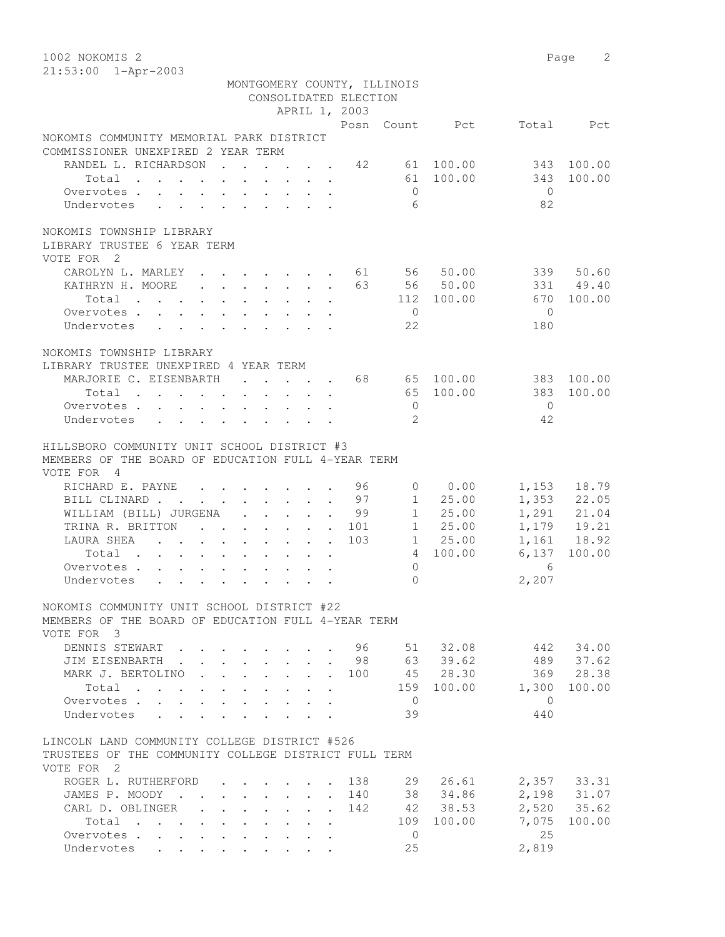1002 NOKOMIS 2 Page 2 21:53:00 1-Apr-2003

|                                                                                                                                        |                                                                          |  | CONSOLIDATED ELECTION | MONTGOMERY COUNTY, ILLINOIS |                      |                         |                                                                                  |
|----------------------------------------------------------------------------------------------------------------------------------------|--------------------------------------------------------------------------|--|-----------------------|-----------------------------|----------------------|-------------------------|----------------------------------------------------------------------------------|
|                                                                                                                                        |                                                                          |  | APRIL 1, 2003         |                             |                      |                         |                                                                                  |
|                                                                                                                                        |                                                                          |  |                       |                             | Posn Count Pct       |                         | Total Pct                                                                        |
| NOKOMIS COMMUNITY MEMORIAL PARK DISTRICT<br>COMMISSIONER UNEXPIRED 2 YEAR TERM                                                         |                                                                          |  |                       |                             |                      |                         |                                                                                  |
| RANDEL L. RICHARDSON 42 61 100.00                                                                                                      |                                                                          |  |                       |                             |                      |                         | 343 100.00                                                                       |
| Total                                                                                                                                  |                                                                          |  |                       |                             | 61 100.00            | 343                     | 100.00                                                                           |
| Overvotes                                                                                                                              |                                                                          |  |                       | $\overline{0}$              |                      | $\bigcirc$              |                                                                                  |
| Undervotes                                                                                                                             |                                                                          |  |                       | 6                           |                      | 82                      |                                                                                  |
| NOKOMIS TOWNSHIP LIBRARY                                                                                                               |                                                                          |  |                       |                             |                      |                         |                                                                                  |
| LIBRARY TRUSTEE 6 YEAR TERM                                                                                                            |                                                                          |  |                       |                             |                      |                         |                                                                                  |
| VOTE FOR 2                                                                                                                             |                                                                          |  |                       |                             |                      |                         |                                                                                  |
| CAROLYN L. MARLEY 61 56 50.00                                                                                                          |                                                                          |  |                       |                             |                      |                         | 339 50.60                                                                        |
| KATHRYN H. MOORE 63 56 50.00                                                                                                           |                                                                          |  |                       |                             |                      |                         | 331 49.40                                                                        |
| Total                                                                                                                                  |                                                                          |  |                       |                             | 112 100.00           | 670                     | 100.00                                                                           |
| Overvotes.                                                                                                                             |                                                                          |  |                       | $\overline{0}$              |                      | $\bigcirc$              |                                                                                  |
| Undervotes                                                                                                                             |                                                                          |  |                       | 22                          |                      | 180                     |                                                                                  |
| NOKOMIS TOWNSHIP LIBRARY                                                                                                               |                                                                          |  |                       |                             |                      |                         |                                                                                  |
| LIBRARY TRUSTEE UNEXPIRED 4 YEAR TERM                                                                                                  |                                                                          |  |                       |                             |                      |                         |                                                                                  |
| MARJORIE C. EISENBARTH 68 65 100.00                                                                                                    |                                                                          |  |                       |                             |                      |                         | 383 100.00                                                                       |
| Total                                                                                                                                  |                                                                          |  |                       |                             | 65 100.00            | 383                     | 100.00                                                                           |
| Overvotes                                                                                                                              |                                                                          |  |                       | $\overline{0}$              |                      | $\overline{0}$          |                                                                                  |
| Undervotes                                                                                                                             |                                                                          |  |                       | 2                           |                      | 42                      |                                                                                  |
| HILLSBORO COMMUNITY UNIT SCHOOL DISTRICT #3<br>MEMBERS OF THE BOARD OF EDUCATION FULL 4-YEAR TERM<br>VOTE FOR 4<br>RICHARD E. PAYNE 96 |                                                                          |  |                       |                             | 0 0.00               | 1,153                   | 18.79                                                                            |
| BILL CLINARD 97                                                                                                                        |                                                                          |  |                       |                             | 1 25.00              |                         | 1,353 22.05                                                                      |
| WILLIAM (BILL) JURGENA 99                                                                                                              |                                                                          |  |                       |                             | $1 \t 25.00$         |                         |                                                                                  |
| TRINA R. BRITTON 101                                                                                                                   |                                                                          |  |                       |                             | 1 25.00              |                         | $\begin{array}{ccc} 1,291 & 21.04 \\ 1,179 & 19.21 \\ 1,161 & 18.92 \end{array}$ |
| LAURA SHEA 103                                                                                                                         |                                                                          |  |                       |                             | 1 25.00              |                         |                                                                                  |
| Total                                                                                                                                  |                                                                          |  |                       |                             | 4 100.00             |                         | $6,137$ 100.00                                                                   |
| Overvotes                                                                                                                              |                                                                          |  |                       | $\overline{0}$              |                      | $6\overline{6}$         |                                                                                  |
| Undervotes                                                                                                                             |                                                                          |  |                       | $\Omega$                    |                      | 2,207                   |                                                                                  |
| NOKOMIS COMMUNITY UNIT SCHOOL DISTRICT #22                                                                                             |                                                                          |  |                       |                             |                      |                         |                                                                                  |
| MEMBERS OF THE BOARD OF EDUCATION FULL 4-YEAR TERM<br>VOTE FOR 3                                                                       |                                                                          |  |                       |                             |                      |                         |                                                                                  |
| DENNIS STEWART.                                                                                                                        |                                                                          |  |                       |                             | 96 51 32.08          |                         | 442 34.00                                                                        |
| JIM EISENBARTH .                                                                                                                       | $\mathbf{r}$ , $\mathbf{r}$ , $\mathbf{r}$ , $\mathbf{r}$ , $\mathbf{r}$ |  | 98                    |                             | 63 39.62             |                         | 489 37.62                                                                        |
| MARK J. BERTOLINO<br>$\mathbf{L}$                                                                                                      |                                                                          |  |                       |                             | $\cdot$ 100 45 28.30 |                         | 369 28.38                                                                        |
| Total                                                                                                                                  |                                                                          |  |                       |                             | 159 100.00           | 1,300                   | 100.00                                                                           |
|                                                                                                                                        |                                                                          |  |                       | $\overline{0}$              |                      |                         |                                                                                  |
| Overvotes                                                                                                                              |                                                                          |  |                       |                             |                      | $\overline{0}$          |                                                                                  |
| Undervotes                                                                                                                             |                                                                          |  |                       | 39                          |                      | 440                     |                                                                                  |
| LINCOLN LAND COMMUNITY COLLEGE DISTRICT #526                                                                                           |                                                                          |  |                       |                             |                      |                         |                                                                                  |
| TRUSTEES OF THE COMMUNITY COLLEGE DISTRICT FULL TERM<br>VOTE FOR 2                                                                     |                                                                          |  |                       |                             |                      |                         |                                                                                  |
| ROGER L. RUTHERFORD                                                                                                                    | $\cdot$ $\cdot$ $\cdot$ $\cdot$ $\cdot$ $\cdot$ $\cdot$ $\cdot$          |  | 138                   | 29                          |                      | 26.61 2,357 33.31       |                                                                                  |
| JAMES P. MOODY                                                                                                                         | $\mathbf{r}$ , $\mathbf{r}$ , $\mathbf{r}$ , $\mathbf{r}$                |  | . 140                 |                             | 38 34.86             | $2,198$ 31.07           |                                                                                  |
| CARL D. OBLINGER 142                                                                                                                   |                                                                          |  |                       |                             | 42 38.53             |                         | 2,520 35.62                                                                      |
| Total                                                                                                                                  |                                                                          |  |                       |                             |                      | 109 100.00 7,075 100.00 |                                                                                  |
| Overvotes                                                                                                                              |                                                                          |  |                       | $\overline{0}$              |                      | 25                      |                                                                                  |
| Undervotes                                                                                                                             |                                                                          |  |                       | 25                          |                      | 2,819                   |                                                                                  |
|                                                                                                                                        |                                                                          |  |                       |                             |                      |                         |                                                                                  |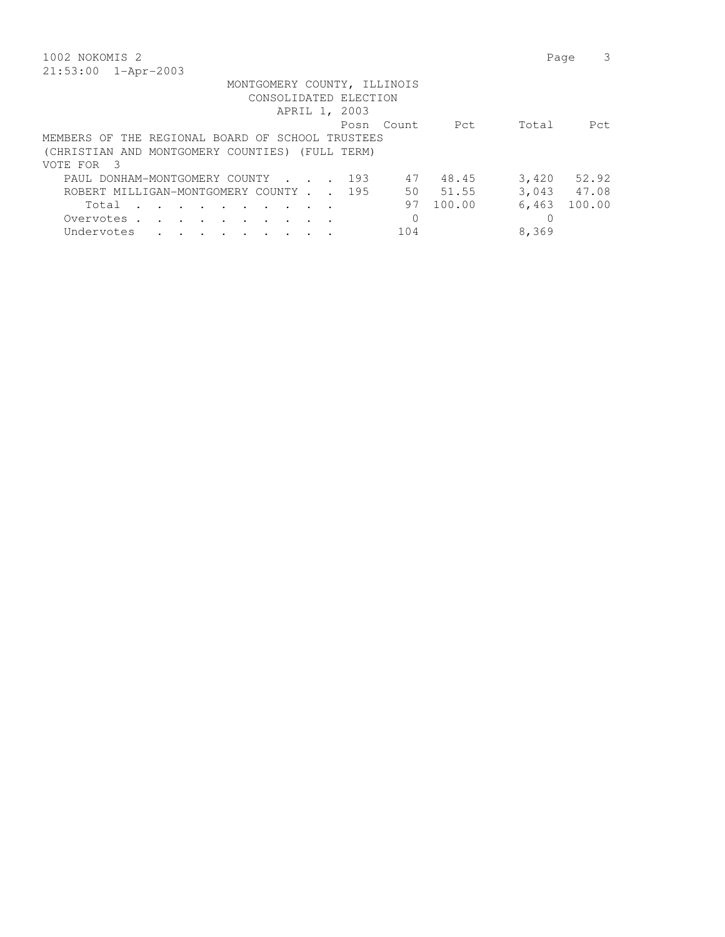| 1002 NOKOMIS 2                                          | 3<br>Page       |
|---------------------------------------------------------|-----------------|
| 21:53:00 1-Apr-2003                                     |                 |
| MONTGOMERY COUNTY, ILLINOIS                             |                 |
| CONSOLIDATED ELECTION                                   |                 |
| APRIL 1, 2003                                           |                 |
| Count.<br>Pct<br>Posn                                   | Total<br>Pct    |
| MEMBERS OF THE REGIONAL BOARD OF SCHOOL TRUSTEES        |                 |
| (CHRISTIAN AND MONTGOMERY COUNTIES) (FULL TERM)         |                 |
| VOTE FOR 3                                              |                 |
| 48.45<br>PAUL DONHAM-MONTGOMERY COUNTY 193<br>47        | $3,420$ $52.92$ |
| 51.55<br>ROBERT MILLIGAN-MONTGOMERY COUNTY 195<br>50    | 3,043 47.08     |
| 100.00<br>97<br>Total                                   | 6,463<br>100.00 |
| Overvotes.<br>$\sim$ $\sim$ $\sim$ $\sim$ $\sim$ $\sim$ |                 |
| 104<br>Undervotes<br>and the state of the state of      | 8,369           |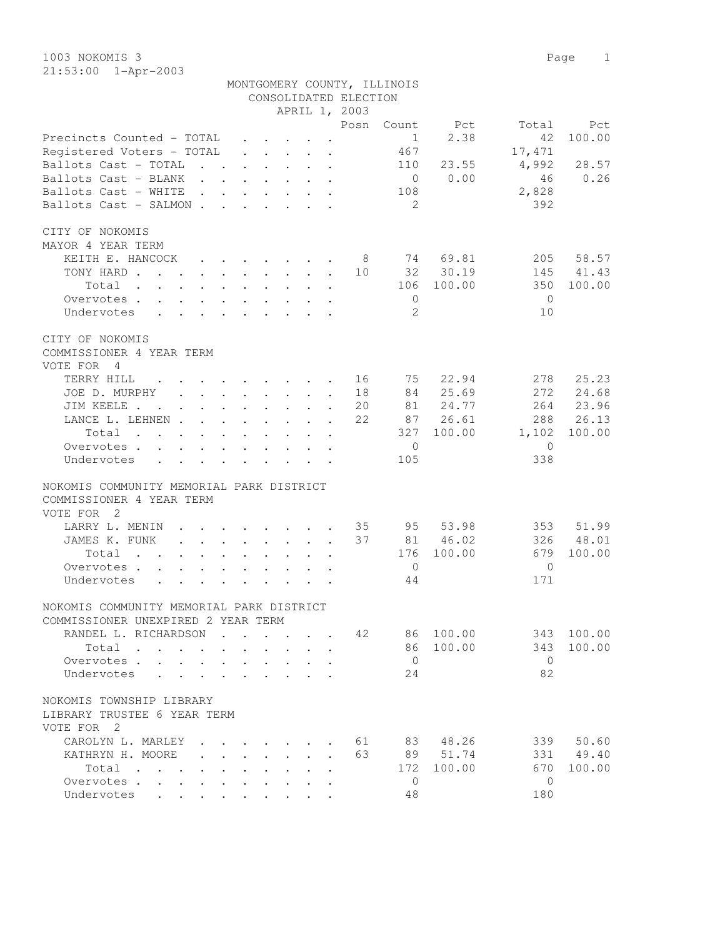1003 NOKOMIS 3 Page 1 21:53:00 1-Apr-2003

|                                                                                                                                                   |                                                                                                                                                                                                                                    |                                         |  | CONSOLIDATED ELECTION<br>APRIL 1, 2003 | MONTGOMERY COUNTY, ILLINOIS |                     |                |           |
|---------------------------------------------------------------------------------------------------------------------------------------------------|------------------------------------------------------------------------------------------------------------------------------------------------------------------------------------------------------------------------------------|-----------------------------------------|--|----------------------------------------|-----------------------------|---------------------|----------------|-----------|
|                                                                                                                                                   |                                                                                                                                                                                                                                    |                                         |  | Posn                                   |                             | Count Pct           | Total          | Pct       |
| Precincts Counted - TOTAL                                                                                                                         |                                                                                                                                                                                                                                    |                                         |  |                                        | $\sim$ 1                    | 2.38                | 42             | 100.00    |
| Registered Voters - TOTAL                                                                                                                         |                                                                                                                                                                                                                                    |                                         |  |                                        | 467                         |                     | 17,471         |           |
| Ballots Cast - TOTAL                                                                                                                              |                                                                                                                                                                                                                                    |                                         |  |                                        | 110                         | 23.55               | 4,992 28.57    |           |
| Ballots Cast - BLANK                                                                                                                              |                                                                                                                                                                                                                                    |                                         |  |                                        |                             | $0 \t 0.00$         | 46             | 0.26      |
| Ballots Cast - WHITE                                                                                                                              |                                                                                                                                                                                                                                    |                                         |  |                                        | 108                         |                     | 2,828          |           |
| Ballots Cast - SALMON                                                                                                                             |                                                                                                                                                                                                                                    |                                         |  |                                        | $\overline{2}$              |                     | 392            |           |
|                                                                                                                                                   |                                                                                                                                                                                                                                    |                                         |  |                                        |                             |                     |                |           |
| CITY OF NOKOMIS                                                                                                                                   |                                                                                                                                                                                                                                    |                                         |  |                                        |                             |                     |                |           |
| MAYOR 4 YEAR TERM                                                                                                                                 |                                                                                                                                                                                                                                    |                                         |  |                                        |                             |                     |                |           |
| KEITH E. HANCOCK 8 74 69.81                                                                                                                       |                                                                                                                                                                                                                                    |                                         |  |                                        |                             |                     |                | 205 58.57 |
| TONY HARD 10 32 30.19                                                                                                                             |                                                                                                                                                                                                                                    |                                         |  |                                        |                             |                     |                | 145 41.43 |
| Total                                                                                                                                             |                                                                                                                                                                                                                                    |                                         |  |                                        |                             | 106 100.00          | 350            | 100.00    |
| Overvotes.                                                                                                                                        |                                                                                                                                                                                                                                    |                                         |  |                                        | $\overline{0}$              |                     | $\bigcirc$     |           |
| Undervotes                                                                                                                                        |                                                                                                                                                                                                                                    |                                         |  |                                        | -2                          |                     | 10             |           |
|                                                                                                                                                   |                                                                                                                                                                                                                                    |                                         |  |                                        |                             |                     |                |           |
| CITY OF NOKOMIS                                                                                                                                   |                                                                                                                                                                                                                                    |                                         |  |                                        |                             |                     |                |           |
| COMMISSIONER 4 YEAR TERM<br>VOTE FOR 4                                                                                                            |                                                                                                                                                                                                                                    |                                         |  |                                        |                             |                     |                |           |
| TERRY HILL                                                                                                                                        |                                                                                                                                                                                                                                    |                                         |  |                                        |                             | 16 75 22.94         | 278            | 25.23     |
| $\mathbf{r} = \mathbf{r} - \mathbf{r}$ , and $\mathbf{r} = \mathbf{r} - \mathbf{r}$ , and $\mathbf{r} = \mathbf{r} - \mathbf{r}$<br>JOE D. MURPHY |                                                                                                                                                                                                                                    |                                         |  | 18                                     |                             | 84 25.69            |                | 272 24.68 |
|                                                                                                                                                   |                                                                                                                                                                                                                                    |                                         |  |                                        |                             |                     |                |           |
| JIM KEELE 20                                                                                                                                      |                                                                                                                                                                                                                                    |                                         |  |                                        |                             | 81 24.77            |                | 264 23.96 |
| LANCE L. LEHNEN 22                                                                                                                                |                                                                                                                                                                                                                                    |                                         |  |                                        |                             | 87 26.61            |                | 288 26.13 |
| Total                                                                                                                                             |                                                                                                                                                                                                                                    |                                         |  |                                        |                             | 327 100.00          | 1,102          | 100.00    |
| Overvotes                                                                                                                                         |                                                                                                                                                                                                                                    |                                         |  |                                        | $\overline{0}$              |                     | $\overline{0}$ |           |
| Undervotes                                                                                                                                        |                                                                                                                                                                                                                                    |                                         |  |                                        | 105                         |                     | 338            |           |
| NOKOMIS COMMUNITY MEMORIAL PARK DISTRICT                                                                                                          |                                                                                                                                                                                                                                    |                                         |  |                                        |                             |                     |                |           |
| COMMISSIONER 4 YEAR TERM                                                                                                                          |                                                                                                                                                                                                                                    |                                         |  |                                        |                             |                     |                |           |
| VOTE FOR 2                                                                                                                                        |                                                                                                                                                                                                                                    |                                         |  |                                        |                             |                     |                |           |
| LARRY L. MENIN 35 95 53.98                                                                                                                        |                                                                                                                                                                                                                                    |                                         |  |                                        |                             |                     |                | 353 51.99 |
| JAMES K. FUNK 37 81 46.02                                                                                                                         |                                                                                                                                                                                                                                    |                                         |  |                                        |                             |                     |                | 326 48.01 |
| Total $\cdot$                                                                                                                                     |                                                                                                                                                                                                                                    |                                         |  |                                        |                             | 176 100.00          | 679            | 100.00    |
| Overvotes.                                                                                                                                        |                                                                                                                                                                                                                                    |                                         |  |                                        | $\overline{0}$              |                     | $\overline{0}$ |           |
| Undervotes                                                                                                                                        |                                                                                                                                                                                                                                    |                                         |  |                                        | 44                          |                     | 171            |           |
|                                                                                                                                                   |                                                                                                                                                                                                                                    |                                         |  |                                        |                             |                     |                |           |
| NOKOMIS COMMUNITY MEMORIAL PARK DISTRICT                                                                                                          |                                                                                                                                                                                                                                    |                                         |  |                                        |                             |                     |                |           |
| COMMISSIONER UNEXPIRED 2 YEAR TERM                                                                                                                |                                                                                                                                                                                                                                    |                                         |  |                                        |                             |                     |                |           |
| RANDEL L. RICHARDSON                                                                                                                              | $\mathcal{A}$ . The set of the set of the set of the set of the set of the set of the set of the set of the set of the set of the set of the set of the set of the set of the set of the set of the set of the set of the set of t |                                         |  | 42                                     |                             | 86 100.00           | 343            | 100.00    |
| Total                                                                                                                                             |                                                                                                                                                                                                                                    |                                         |  |                                        |                             | 86 100.00           | 343            | 100.00    |
| Overvotes                                                                                                                                         |                                                                                                                                                                                                                                    | $\cdot$ $\cdot$ $\cdot$ $\cdot$ $\cdot$ |  |                                        | $\overline{0}$              |                     | $\overline{0}$ |           |
| Undervotes                                                                                                                                        |                                                                                                                                                                                                                                    |                                         |  |                                        | 24                          |                     | 82             |           |
|                                                                                                                                                   |                                                                                                                                                                                                                                    |                                         |  |                                        |                             |                     |                |           |
| NOKOMIS TOWNSHIP LIBRARY                                                                                                                          |                                                                                                                                                                                                                                    |                                         |  |                                        |                             |                     |                |           |
| LIBRARY TRUSTEE 6 YEAR TERM<br>VOTE FOR <sub>2</sub>                                                                                              |                                                                                                                                                                                                                                    |                                         |  |                                        |                             |                     |                |           |
| CAROLYN L. MARLEY                                                                                                                                 |                                                                                                                                                                                                                                    |                                         |  |                                        |                             | $\cdot$ 61 83 48.26 |                | 339 50.60 |
| KATHRYN H. MOORE                                                                                                                                  |                                                                                                                                                                                                                                    |                                         |  | 63                                     |                             | 89 51.74            |                | 331 49.40 |
| Total                                                                                                                                             |                                                                                                                                                                                                                                    |                                         |  |                                        | 172                         | 100.00              | 670            | 100.00    |
| Overvotes                                                                                                                                         |                                                                                                                                                                                                                                    |                                         |  |                                        | $\Omega$                    |                     | $\Omega$       |           |
|                                                                                                                                                   |                                                                                                                                                                                                                                    |                                         |  |                                        |                             |                     |                |           |

Undervotes . . . . . . . . . . 48 180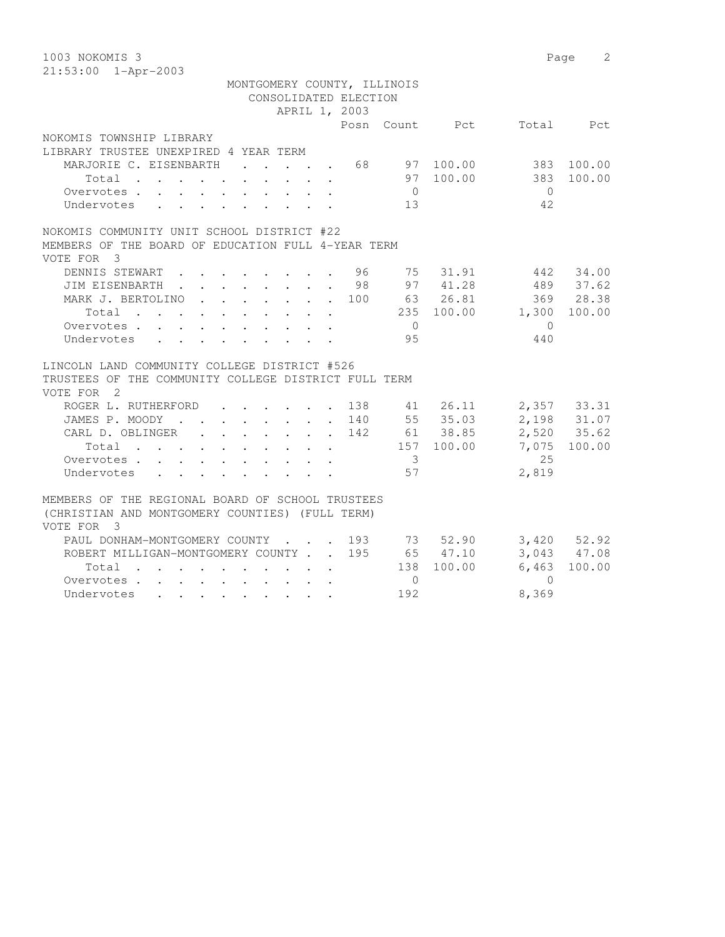| 1003 NOKOMIS 3<br>21:53:00 1-Apr-2003                                                                                                                               |            |            | $\mathfrak{L}$<br>Page |
|---------------------------------------------------------------------------------------------------------------------------------------------------------------------|------------|------------|------------------------|
| MONTGOMERY COUNTY, ILLINOIS                                                                                                                                         |            |            |                        |
| CONSOLIDATED ELECTION                                                                                                                                               |            |            |                        |
| APRIL 1, 2003                                                                                                                                                       |            |            |                        |
| Posn Count Pct                                                                                                                                                      |            |            | Total Pct              |
| NOKOMIS TOWNSHIP LIBRARY                                                                                                                                            |            |            |                        |
| LIBRARY TRUSTEE UNEXPIRED 4 YEAR TERM                                                                                                                               |            |            |                        |
| MARJORIE C. EISENBARTH<br>68<br>$\mathbf{L} = \mathbf{L} \mathbf{L}$<br>$\mathbf{L} = \mathbf{L}$                                                                   | 97 100.00  |            | 383 100.00             |
| Total<br>$\ddot{\phantom{a}}$                                                                                                                                       | 97 100.00  | 383        | 100.00                 |
| $\overline{0}$<br>Overvotes.                                                                                                                                        |            | $\bigcirc$ |                        |
| 13<br>Undervotes                                                                                                                                                    |            | 42         |                        |
| NOKOMIS COMMUNITY UNIT SCHOOL DISTRICT #22                                                                                                                          |            |            |                        |
| MEMBERS OF THE BOARD OF EDUCATION FULL 4-YEAR TERM                                                                                                                  |            |            |                        |
| VOTE FOR 3                                                                                                                                                          |            |            |                        |
| DENNIS STEWART.<br>. 96<br>75                                                                                                                                       | 31.91      |            | 442 34.00              |
| JIM EISENBARTH 98 97 41.28                                                                                                                                          |            |            | 489 37.62              |
| 100 63 26.81<br>MARK J. BERTOLINO.<br>$\mathbf{L}$                                                                                                                  |            |            | 369 28.38              |
| Total                                                                                                                                                               | 235 100.00 |            | 1,300 100.00           |
| $\bigcirc$<br>Overvotes.                                                                                                                                            |            | $\bigcirc$ |                        |
| 95<br>Undervotes<br>$\mathbf{r}$ , and $\mathbf{r}$ , and $\mathbf{r}$ , and $\mathbf{r}$                                                                           |            | 440        |                        |
| LINCOLN LAND COMMUNITY COLLEGE DISTRICT #526                                                                                                                        |            |            |                        |
| TRUSTEES OF THE COMMUNITY COLLEGE DISTRICT FULL TERM                                                                                                                |            |            |                        |
| VOTE FOR 2                                                                                                                                                          |            |            |                        |
| ROGER L. RUTHERFORD<br>$\cdot$ $\cdot$ 138 41 26.11<br>$\cdot$ $\cdot$ $\cdot$ $\cdot$ $\cdot$                                                                      |            |            | 2,357 33.31            |
| JAMES P. MOODY 140 55 35.03                                                                                                                                         |            |            | 2,198 31.07            |
| CARL D. OBLINGER<br>$\cdot$ 142 61 38.85<br>$\mathbf{L}$                                                                                                            |            |            | 2,520 35.62            |
| $Total \cdot \cdot \cdot \cdot \cdot \cdot \cdot \cdot \cdot \cdot$                                                                                                 | 157 100.00 |            | 7,075 100.00           |
| $\overline{\mathbf{3}}$<br>Overvotes<br>$\mathbf{r}$ , $\mathbf{r}$ , $\mathbf{r}$ , $\mathbf{r}$ , $\mathbf{r}$                                                    |            | 25         |                        |
| 57<br>Undervotes<br>$\mathbf{r}$ , $\mathbf{r}$ , $\mathbf{r}$ , $\mathbf{r}$ , $\mathbf{r}$<br>$\mathbf{L}$<br>$\mathbf{L}$                                        |            | 2,819      |                        |
|                                                                                                                                                                     |            |            |                        |
| MEMBERS OF THE REGIONAL BOARD OF SCHOOL TRUSTEES                                                                                                                    |            |            |                        |
| (CHRISTIAN AND MONTGOMERY COUNTIES) (FULL TERM)                                                                                                                     |            |            |                        |
| VOTE FOR 3                                                                                                                                                          |            |            |                        |
| PAUL DONHAM-MONTGOMERY COUNTY<br>$\cdot$ $\cdot$ $\cdot$ 193 73 52.90                                                                                               |            |            | $3,420$ $52.92$        |
| ROBERT MILLIGAN-MONTGOMERY COUNTY 195 65 47.10                                                                                                                      |            |            | 3,043 47.08            |
| Total<br>the contract of the contract of the contract of the contract of the contract of the contract of the contract of                                            | 138 100.00 | 6,463      | 100.00                 |
| Overvotes<br>$\circ$                                                                                                                                                |            | $\Omega$   |                        |
| 192<br>Undervotes<br>$\mathbf{a} = \mathbf{a} + \mathbf{a} + \mathbf{a} + \mathbf{a} + \mathbf{a} + \mathbf{a} + \mathbf{a} + \mathbf{a} + \mathbf{a} + \mathbf{a}$ |            | 8,369      |                        |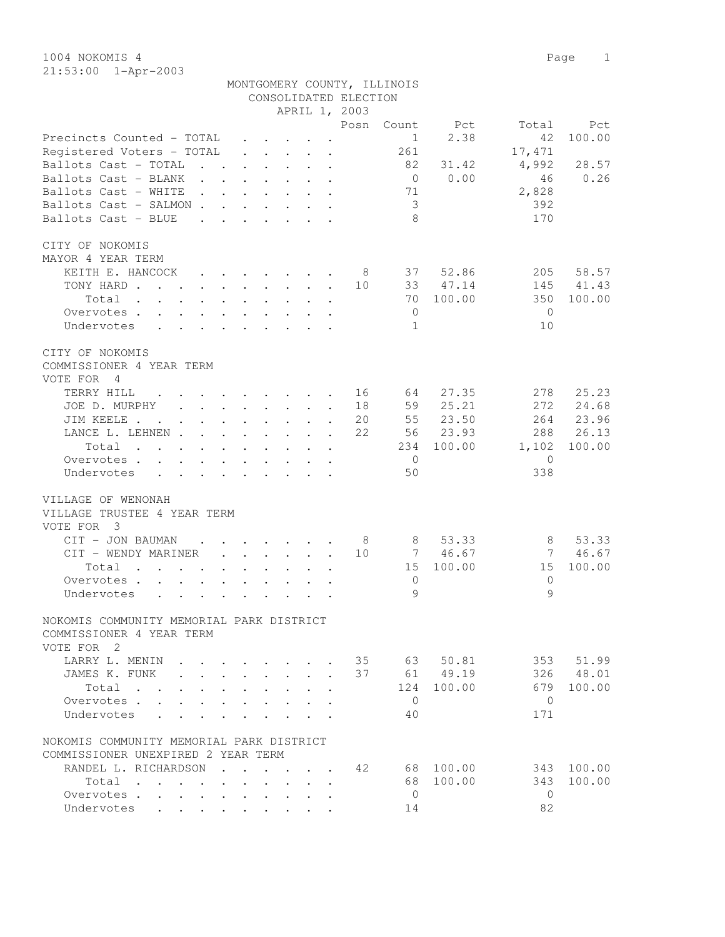|                                                                                         | CONSOLIDATED ELECTION                                                                                                    |                |                 |        |
|-----------------------------------------------------------------------------------------|--------------------------------------------------------------------------------------------------------------------------|----------------|-----------------|--------|
|                                                                                         | APRIL 1, 2003                                                                                                            |                |                 |        |
|                                                                                         |                                                                                                                          | Posn<br>Count  | Pct<br>Total    | Pct    |
| Precincts Counted - TOTAL                                                               |                                                                                                                          | 1              | 2.38<br>42      | 100.00 |
| Registered Voters - TOTAL                                                               | $\mathbf{r}$ , $\mathbf{r}$ , $\mathbf{r}$<br>$\ddot{\phantom{a}}$                                                       | 261            | 17,471          |        |
| Ballots Cast - TOTAL<br>$\ddot{\phantom{a}}$<br>$\mathbf{r}$                            | $\mathbf{L}$ and $\mathbf{L}$<br>$\ddot{\phantom{0}}$<br>$\ddot{\phantom{0}}$<br>$\ddot{\phantom{a}}$                    | 82             | 4,992<br>31.42  | 28.57  |
| Ballots Cast - BLANK<br>$\ddot{\phantom{a}}$                                            | $\bullet$                                                                                                                | $\overline{0}$ | 0.00<br>46      | 0.26   |
| Ballots Cast - WHITE<br>$\ddot{\phantom{a}}$                                            | $\ddot{\phantom{a}}$                                                                                                     | 71             | 2,828           |        |
| Ballots Cast - SALMON.                                                                  |                                                                                                                          | 3              | 392             |        |
| Ballots Cast - BLUE                                                                     |                                                                                                                          | 8              | 170             |        |
| CITY OF NOKOMIS                                                                         |                                                                                                                          |                |                 |        |
| MAYOR 4 YEAR TERM                                                                       |                                                                                                                          |                |                 |        |
| KEITH E. HANCOCK                                                                        |                                                                                                                          | 37<br>- 8      | 52.86<br>205    | 58.57  |
| TONY HARD.<br>$\mathbf{r}$ . The set of $\mathbf{r}$<br>$\sim$<br>$\ddot{\phantom{0}}$  | $\mathbf{r} = \mathbf{r} + \mathbf{r}$ , where $\mathbf{r} = \mathbf{r}$<br>$\ddot{\phantom{a}}$<br>$\ddot{\phantom{a}}$ | 10<br>33       | 145<br>47.14    | 41.43  |
| Total<br>$\sim$<br>$\ddot{\phantom{0}}$<br>$\sim$<br>$\ddot{\phantom{0}}$<br>$\sim$ $-$ | $\bullet$ .<br>$\bullet$ .<br>$\ddot{\phantom{0}}$<br>$\ddot{\phantom{a}}$                                               | 70             | 100.00<br>350   | 100.00 |
| Overvotes .<br>$\ddot{\phantom{a}}$                                                     | $\ddot{\phantom{a}}$                                                                                                     | $\mathbf 0$    | $\mathbf{0}$    |        |
| Undervotes                                                                              |                                                                                                                          | $\mathbf{1}$   | 10              |        |
| CITY OF NOKOMIS                                                                         |                                                                                                                          |                |                 |        |
| COMMISSIONER 4 YEAR TERM                                                                |                                                                                                                          |                |                 |        |
| VOTE FOR<br>- 4                                                                         |                                                                                                                          |                |                 |        |
| TERRY HILL                                                                              | $\ddot{\phantom{0}}$<br>$\cdot$ $\cdot$                                                                                  | 64<br>16       | 27.35<br>278    | 25.23  |
| JOE D. MURPHY<br>$\ddot{\phantom{0}}$                                                   | $\ddot{\phantom{0}}$<br>$\ddot{\phantom{0}}$                                                                             | 59<br>18       | 25.21<br>272    | 24.68  |
| JIM KEELE .<br>$\ddot{\phantom{a}}$                                                     | $\bullet$ .<br>$\sim$<br>$\ddot{\phantom{0}}$<br>$\ddot{\phantom{a}}$                                                    | 55<br>20       | 23.50<br>264    | 23.96  |
| LANCE L. LEHNEN .                                                                       | $\ddot{\phantom{a}}$<br>$\bullet$<br>$\ddot{\phantom{0}}$<br>$\bullet$<br>$\bullet$                                      | 22<br>56       | 23.93<br>288    | 26.13  |
| Total<br>$\ddot{\phantom{a}}$<br>$\sim$                                                 | $\ddot{\phantom{a}}$                                                                                                     | 234            | 100.00<br>1,102 | 100.00 |
| Overvotes .                                                                             |                                                                                                                          | $\mathbf{0}$   | $\mathbf{0}$    |        |
| Undervotes                                                                              |                                                                                                                          | 50             | 338             |        |
| VILLAGE OF WENONAH                                                                      |                                                                                                                          |                |                 |        |
| VILLAGE TRUSTEE 4 YEAR TERM                                                             |                                                                                                                          |                |                 |        |
| VOTE FOR 3                                                                              |                                                                                                                          |                |                 |        |
| CIT - JON BAUMAN                                                                        | $\ddot{\phantom{0}}$                                                                                                     | - 8<br>8       | 53.33<br>8      | 53.33  |
| CIT - WENDY MARINER<br>$\ddot{\phantom{a}}$                                             | $\ddot{\phantom{0}}$<br>$\ddot{\phantom{a}}$<br>$\mathbf{L}$<br>$\ddot{\phantom{a}}$                                     | 10<br>7        | 46.67<br>7      | 46.67  |
| Total<br>$\sim$<br>$\cdot$ $\cdot$ $\cdot$                                              |                                                                                                                          | 15             | 100.00<br>15    | 100.00 |
| Overvotes .<br>$\mathbf{L}$<br>$\mathbf{L}$                                             |                                                                                                                          | $\mathbf 0$    | $\overline{0}$  |        |
| Undervotes<br>$\ddot{\phantom{0}}$<br>$\ddot{\phantom{a}}$                              |                                                                                                                          | $\mathcal{Q}$  | $\circ$         |        |
|                                                                                         |                                                                                                                          |                |                 |        |
| NOKOMIS COMMUNITY MEMORIAL PARK DISTRICT                                                |                                                                                                                          |                |                 |        |
| COMMISSIONER 4 YEAR TERM<br>VOTE FOR 2                                                  |                                                                                                                          |                |                 |        |
| LARRY L. MENIN                                                                          |                                                                                                                          | 35<br>63       | 50.81<br>353    | 51.99  |
| JAMES K. FUNK                                                                           |                                                                                                                          | 37<br>61       | 49.19<br>326    | 48.01  |
| Total .                                                                                 |                                                                                                                          | 124            | 100.00<br>679   | 100.00 |
| Overvotes .                                                                             |                                                                                                                          | $\mathbf{0}$   | $\mathbf{0}$    |        |
| Undervotes                                                                              |                                                                                                                          | 40             | 171             |        |
|                                                                                         |                                                                                                                          |                |                 |        |
| NOKOMIS COMMUNITY MEMORIAL PARK DISTRICT                                                |                                                                                                                          |                |                 |        |
| COMMISSIONER UNEXPIRED 2 YEAR TERM                                                      |                                                                                                                          |                |                 |        |
| RANDEL L. RICHARDSON                                                                    | $\sim$ $\sim$                                                                                                            | 42<br>68       | 100.00<br>343   | 100.00 |
| Total<br>$\sim$ $\sim$<br>$\ddot{\phantom{a}}$                                          |                                                                                                                          | 68             | 100.00<br>343   | 100.00 |
| Overvotes .<br>$\bullet$                                                                |                                                                                                                          | $\overline{0}$ | $\mathbf{0}$    |        |
| Undervotes                                                                              |                                                                                                                          | 14             | 82              |        |

MONTGOMERY COUNTY, ILLINOIS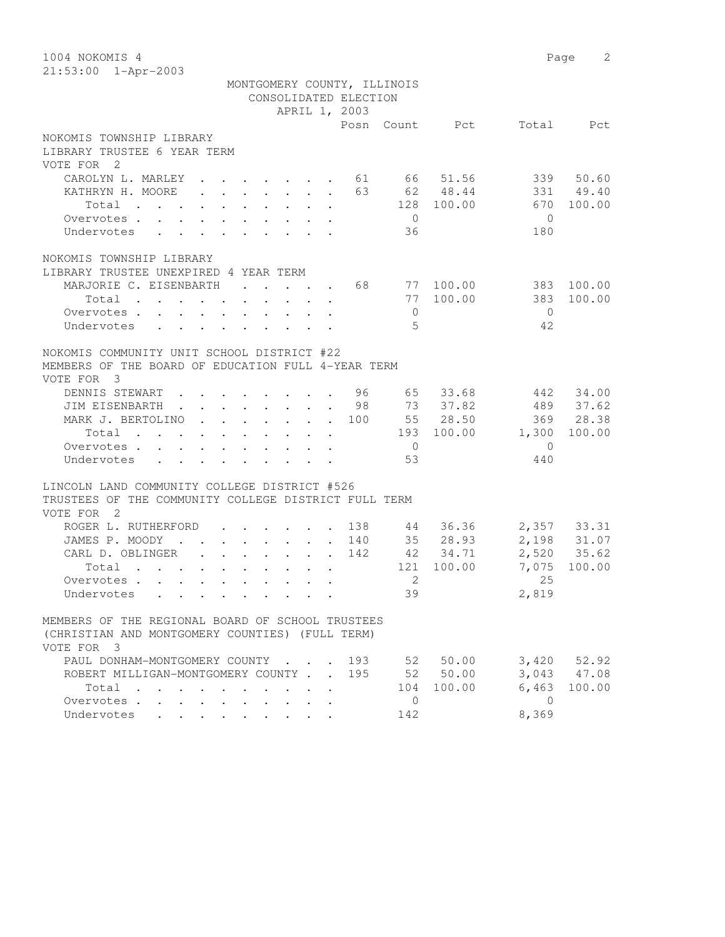1004 NOKOMIS 4 Page 2 21:53:00 1-Apr-2003 MONTGOMERY COUNTY, ILLINOIS CONSOLIDATED ELECTION APRIL 1, 2003 Posn Count Pct Total Pct NOKOMIS TOWNSHIP LIBRARY LIBRARY TRUSTEE 6 YEAR TERM VOTE FOR 2 CAROLYN L. MARLEY . . . . . . . 61 66 51.56 339 50.60 KATHRYN H. MOORE . . . . . . . 63 62 48.44 331 49.40 Total . . . . . . . . . . 128 100.00 670 100.00 Overvotes . . . . . . . . . . 0 0 Undervotes . . . . . . . . . 36 180 NOKOMIS TOWNSHIP LIBRARY LIBRARY TRUSTEE UNEXPIRED 4 YEAR TERM MARJORIE C. EISENBARTH . . . . . 68 77 100.00 383 100.00 Total . . . . . . . . . . 77 100.00 383 100.00 Overvotes . . . . . . . . . . 0 0 Overvotes . . . . . . . . . . . 0<br>Undervotes . . . . . . . . . . . 5 42 NOKOMIS COMMUNITY UNIT SCHOOL DISTRICT #22 MEMBERS OF THE BOARD OF EDUCATION FULL 4-YEAR TERM VOTE FOR 3 DENNIS STEWART . . . . . . . . 96 65 33.68 442 34.00 JIM EISENBARTH . . . . . . . . 98 73 37.82 489 37.62 MARK J. BERTOLINO . . . . . . . 100 55 28.50 369 28.38 Total . . . . . . . . . . 193 100.00 1,300 100.00 Overvotes . . . . . . . . . . . 0 0<br>
Undervotes . . . . . . . . . . 53 440 Undervotes . . . . . . . . . 53 53 440 LINCOLN LAND COMMUNITY COLLEGE DISTRICT #526 TRUSTEES OF THE COMMUNITY COLLEGE DISTRICT FULL TERM VOTE FOR 2 ROGER L. RUTHERFORD . . . . . 138 44 36.36 2,357 33.31 JAMES P. MOODY . . . . . . . . 140 35 28.93 2,198 31.07 CARL D. OBLINGER . . . . . . . 142 42 34.71 2,520 35.62 Total . . . . . . . . . . 121 100.00 7,075 100.00 Overvotes . . . . . . . . . . . 2 25 0 vervotes . . . . . . . . . . . . . . 2<br>
Undervotes . . . . . . . . . . . 39 2,819 MEMBERS OF THE REGIONAL BOARD OF SCHOOL TRUSTEES (CHRISTIAN AND MONTGOMERY COUNTIES) (FULL TERM) VOTE FOR 3 PAUL DONHAM-MONTGOMERY COUNTY . . . 193 52 50.00 3,420 52.92 ROBERT MILLIGAN-MONTGOMERY COUNTY . . 195 52 50.00 3,043 47.08 Total . . . . . . . . . . 104 100.00 6,463 100.00 Overvotes . . . . . . . . . . 0 0 Undervotes . . . . . . . . . 142 8,369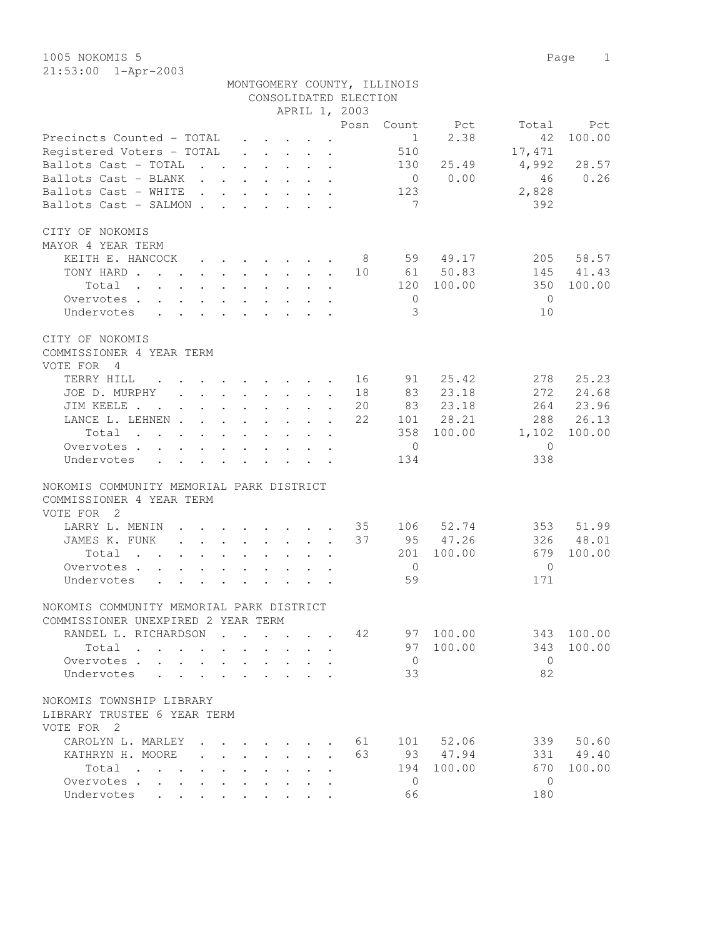1005 NOKOMIS 5 Page 1 21:53:00 1-Apr-2003

|                                                                                                                                                                |  |                                                                          |  |                       | MONTGOMERY COUNTY, ILLINOIS |            |                |           |
|----------------------------------------------------------------------------------------------------------------------------------------------------------------|--|--------------------------------------------------------------------------|--|-----------------------|-----------------------------|------------|----------------|-----------|
|                                                                                                                                                                |  |                                                                          |  | CONSOLIDATED ELECTION |                             |            |                |           |
|                                                                                                                                                                |  |                                                                          |  | APRIL 1, 2003         |                             |            |                |           |
|                                                                                                                                                                |  |                                                                          |  | Posn                  |                             | Count Pct  | Total          | Pct       |
| Precincts Counted - TOTAL                                                                                                                                      |  |                                                                          |  |                       | 1                           | 2.38       | 42             | 100.00    |
| Registered Voters - TOTAL                                                                                                                                      |  | $\mathbf{r}$ , $\mathbf{r}$ , $\mathbf{r}$ , $\mathbf{r}$ , $\mathbf{r}$ |  |                       | 510                         |            | 17,471         |           |
| Ballots Cast - TOTAL                                                                                                                                           |  |                                                                          |  |                       | 130                         | 25.49      | 4,992          | 28.57     |
| Ballots Cast - BLANK                                                                                                                                           |  |                                                                          |  |                       | $\overline{0}$              | 0.00       | 46             | 0.26      |
| Ballots Cast - WHITE                                                                                                                                           |  |                                                                          |  |                       | 123                         |            | 2,828          |           |
| Ballots Cast - SALMON                                                                                                                                          |  |                                                                          |  |                       | $7\phantom{.0}$             |            | 392            |           |
| CITY OF NOKOMIS                                                                                                                                                |  |                                                                          |  |                       |                             |            |                |           |
| MAYOR 4 YEAR TERM                                                                                                                                              |  |                                                                          |  |                       |                             |            |                |           |
| KEITH E. HANCOCK                                                                                                                                               |  |                                                                          |  |                       |                             | 59 49.17   | 205            | 58.57     |
| TONY HARD                                                                                                                                                      |  |                                                                          |  | 10                    |                             | 61 50.83   | 145            | 41.43     |
| Total                                                                                                                                                          |  |                                                                          |  |                       |                             | 120 100.00 | 350            | 100.00    |
| Overvotes                                                                                                                                                      |  |                                                                          |  |                       | $\overline{0}$              |            | $\overline{0}$ |           |
| Undervotes                                                                                                                                                     |  |                                                                          |  |                       | 3                           |            | 10             |           |
|                                                                                                                                                                |  |                                                                          |  |                       |                             |            |                |           |
| CITY OF NOKOMIS                                                                                                                                                |  |                                                                          |  |                       |                             |            |                |           |
| COMMISSIONER 4 YEAR TERM                                                                                                                                       |  |                                                                          |  |                       |                             |            |                |           |
| VOTE FOR<br>4                                                                                                                                                  |  |                                                                          |  |                       |                             |            |                |           |
| TERRY HILL<br>the contract of the contract of the contract of the contract of the contract of the contract of the contract of                                  |  |                                                                          |  | 16                    | 91                          | 25.42      | 2.78           | 25.23     |
| JOE D. MURPHY                                                                                                                                                  |  |                                                                          |  | 18                    | 83                          | 23.18      | 272            | 24.68     |
| JIM KEELE                                                                                                                                                      |  |                                                                          |  | 20                    | 83                          | 23.18      |                | 264 23.96 |
| LANCE L. LEHNEN                                                                                                                                                |  |                                                                          |  | 22                    |                             | 101 28.21  | 288            | 26.13     |
| Total                                                                                                                                                          |  |                                                                          |  |                       |                             | 358 100.00 | 1,102          | 100.00    |
| Overvotes.                                                                                                                                                     |  |                                                                          |  |                       | $\overline{0}$              |            | $\bigcirc$     |           |
| Undervotes                                                                                                                                                     |  |                                                                          |  |                       | 134                         |            | 338            |           |
|                                                                                                                                                                |  |                                                                          |  |                       |                             |            |                |           |
| NOKOMIS COMMUNITY MEMORIAL PARK DISTRICT                                                                                                                       |  |                                                                          |  |                       |                             |            |                |           |
| COMMISSIONER 4 YEAR TERM                                                                                                                                       |  |                                                                          |  |                       |                             |            |                |           |
| VOTE FOR 2                                                                                                                                                     |  |                                                                          |  |                       |                             |            |                |           |
| LARRY L. MENIN<br>$\mathbf{r} = \mathbf{r} \cdot \mathbf{r}$ , and $\mathbf{r} = \mathbf{r} \cdot \mathbf{r}$ , and $\mathbf{r} = \mathbf{r} \cdot \mathbf{r}$ |  |                                                                          |  | 35                    |                             | 106 52.74  | 353            | 51.99     |
| JAMES K. FUNK                                                                                                                                                  |  |                                                                          |  | 37                    |                             | 95 47.26   | 326            | 48.01     |
| Total                                                                                                                                                          |  |                                                                          |  |                       |                             | 201 100.00 | 679            | 100.00    |
| Overvotes                                                                                                                                                      |  |                                                                          |  |                       | $\overline{0}$              |            | $\Omega$       |           |
| Undervotes                                                                                                                                                     |  |                                                                          |  |                       | 59                          |            | 171            |           |
|                                                                                                                                                                |  |                                                                          |  |                       |                             |            |                |           |
| NOKOMIS COMMUNITY MEMORIAL PARK DISTRICT                                                                                                                       |  |                                                                          |  |                       |                             |            |                |           |
| COMMISSIONER UNEXPIRED 2 YEAR TERM                                                                                                                             |  |                                                                          |  |                       |                             |            |                |           |
| RANDEL L. RICHARDSON                                                                                                                                           |  |                                                                          |  | 42                    |                             | 97 100.00  | 343            | 100.00    |
| Total                                                                                                                                                          |  |                                                                          |  |                       | 97                          | 100.00     | 343            | 100.00    |
| Overvotes.<br>$\ddot{\phantom{a}}$                                                                                                                             |  |                                                                          |  |                       | $\overline{0}$              |            | $\Omega$       |           |
| Undervotes                                                                                                                                                     |  |                                                                          |  |                       | 33                          |            | 82             |           |
|                                                                                                                                                                |  |                                                                          |  |                       |                             |            |                |           |
| NOKOMIS TOWNSHIP LIBRARY                                                                                                                                       |  |                                                                          |  |                       |                             |            |                |           |

LIBRARY TRUSTEE 6 YEAR TERM

VOTE FOR 2 CAROLYN L. MARLEY . . . . . . . 61 101 52.06 339 50.60<br>
KATHRYN H. MOORE . . . . . . . 63 93 47.94 331 49.40 XATHRYN H. MOORE . . . . . . . 63 93 47.94 331 49.40<br>Total . . . . . . . . . 194 100.00 670 100.00 Total . . . . . . . . . . 194 100.00 670 100.00 Overvotes . . . . . . . . . . 0 0 Undervotes . . . . . . . . . . 66 180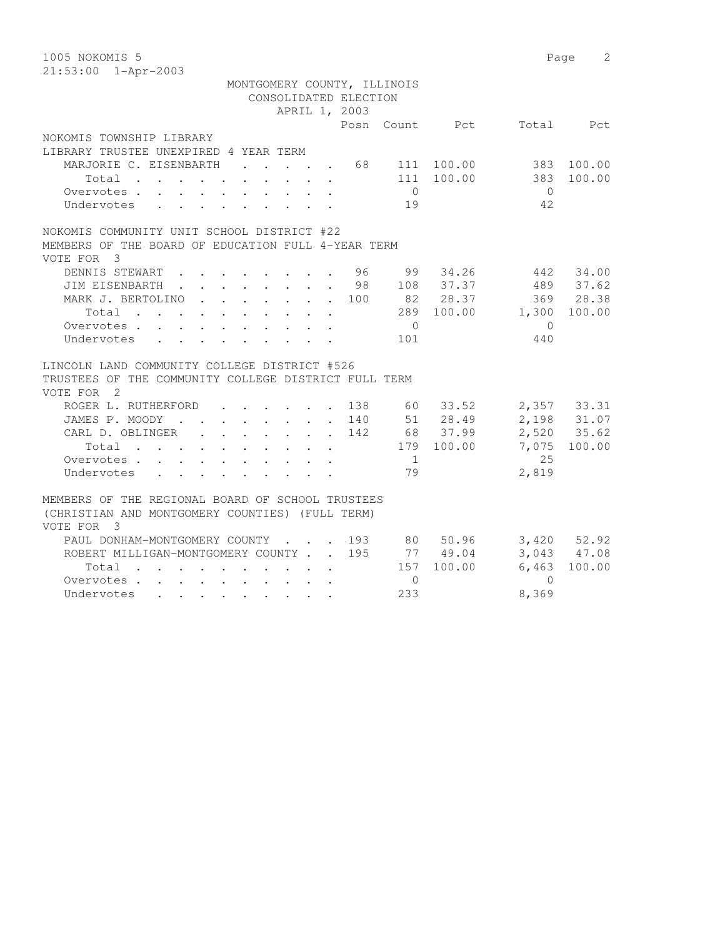| 1005 NOKOMIS 5                                                                                                                                                                                                                         |                |            |              | Page<br>2       |
|----------------------------------------------------------------------------------------------------------------------------------------------------------------------------------------------------------------------------------------|----------------|------------|--------------|-----------------|
| 21:53:00 1-Apr-2003                                                                                                                                                                                                                    |                |            |              |                 |
| MONTGOMERY COUNTY, ILLINOIS                                                                                                                                                                                                            |                |            |              |                 |
| CONSOLIDATED ELECTION                                                                                                                                                                                                                  |                |            |              |                 |
| APRIL 1, 2003                                                                                                                                                                                                                          |                |            |              |                 |
|                                                                                                                                                                                                                                        | Posn Count Pct |            | Total        | Pct             |
| NOKOMIS TOWNSHIP LIBRARY                                                                                                                                                                                                               |                |            |              |                 |
| LIBRARY TRUSTEE UNEXPIRED 4 YEAR TERM                                                                                                                                                                                                  |                |            |              |                 |
| MARJORIE C. EISENBARTH                                                                                                                                                                                                                 | 68 111 100.00  |            |              | 383 100.00      |
| Total<br>$\cdot$ $\cdot$ $\cdot$ $\cdot$ $\cdot$                                                                                                                                                                                       |                | 111 100.00 | 383          | 100.00          |
| Overvotes                                                                                                                                                                                                                              | $\overline{0}$ |            | $\bigcirc$   |                 |
| Undervotes                                                                                                                                                                                                                             | 19             |            | 42           |                 |
| NOKOMIS COMMUNITY UNIT SCHOOL DISTRICT #22                                                                                                                                                                                             |                |            |              |                 |
| MEMBERS OF THE BOARD OF EDUCATION FULL 4-YEAR TERM                                                                                                                                                                                     |                |            |              |                 |
| VOTE FOR 3                                                                                                                                                                                                                             |                |            |              |                 |
| DENNIS STEWART<br>. 96                                                                                                                                                                                                                 | 99             | 34.26      | 442          | 34.00           |
| JIM EISENBARTH<br>98                                                                                                                                                                                                                   |                | 108 37.37  |              | 489 37.62       |
| MARK J. BERTOLINO<br>$\mathbf{r}$ , $\mathbf{r}$ , $\mathbf{r}$ , $\mathbf{r}$ , $\mathbf{r}$<br>100                                                                                                                                   |                | 82 28.37   |              | 369 28.38       |
| Total                                                                                                                                                                                                                                  |                | 289 100.00 | 1,300        | 100.00          |
| Overvotes.                                                                                                                                                                                                                             | $\overline{0}$ |            | $\mathbf{0}$ |                 |
| Undervotes                                                                                                                                                                                                                             | 101            |            | 440          |                 |
|                                                                                                                                                                                                                                        |                |            |              |                 |
| LINCOLN LAND COMMUNITY COLLEGE DISTRICT #526                                                                                                                                                                                           |                |            |              |                 |
| TRUSTEES OF THE COMMUNITY COLLEGE DISTRICT FULL TERM                                                                                                                                                                                   |                |            |              |                 |
| VOTE FOR 2                                                                                                                                                                                                                             |                |            |              |                 |
| ROGER L. RUTHERFORD 138 60 33.52                                                                                                                                                                                                       |                |            |              | 2,357 33.31     |
| JAMES P. MOODY 140 51 28.49                                                                                                                                                                                                            |                |            |              | 2,198 31.07     |
| CARL D. OBLINGER<br>142                                                                                                                                                                                                                |                | 68 37.99   |              | 2,520 35.62     |
|                                                                                                                                                                                                                                        |                | 179 100.00 | 7,075        | 100.00          |
| Overvotes.                                                                                                                                                                                                                             | $\sim$ 1       |            | 25           |                 |
| Undervotes                                                                                                                                                                                                                             | 79             |            | 2,819        |                 |
|                                                                                                                                                                                                                                        |                |            |              |                 |
| MEMBERS OF THE REGIONAL BOARD OF SCHOOL TRUSTEES                                                                                                                                                                                       |                |            |              |                 |
| (CHRISTIAN AND MONTGOMERY COUNTIES) (FULL TERM)                                                                                                                                                                                        |                |            |              |                 |
| VOTE FOR<br>- 3                                                                                                                                                                                                                        |                |            |              |                 |
| PAUL DONHAM-MONTGOMERY COUNTY 193 80 50.96                                                                                                                                                                                             |                |            |              | $3,420$ $52.92$ |
| ROBERT MILLIGAN-MONTGOMERY COUNTY 195                                                                                                                                                                                                  |                | 77 49.04   |              | 3,043 47.08     |
| Total<br>. The contract of the contract of the contract of the contract of the contract of the contract of the contract of the contract of the contract of the contract of the contract of the contract of the contract of the contrac | 157            | 100.00     |              | $6,463$ 100.00  |
| Overvotes                                                                                                                                                                                                                              | $\Omega$       |            | $\Omega$     |                 |

Undervotes . . . . . . . . . 233 8,369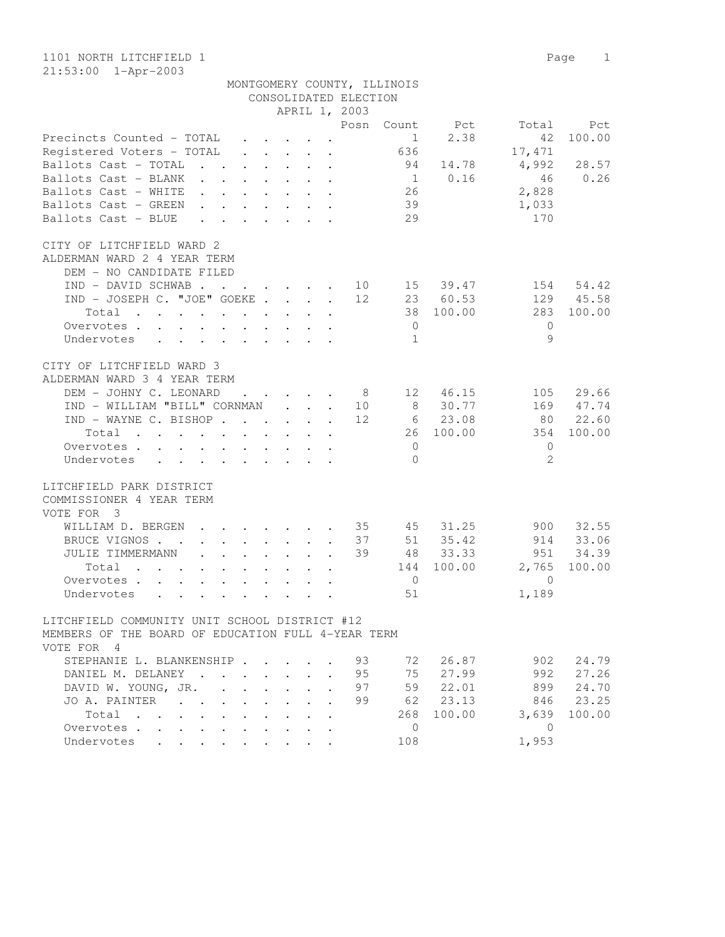| CONSOLIDATED ELECTION<br>APRIL 1, 2003<br>Posn<br>Count<br>Pct<br>Total<br>Pct<br>2.38<br>100.00<br>Precincts Counted - TOTAL<br>42<br>$\mathbf{1}$<br>$\cdot$ $\cdot$ $\cdot$ $\cdot$ $\cdot$ $\cdot$ $\cdot$<br>Registered Voters - TOTAL<br>636<br>17,471<br>$\cdot$ $\cdot$ $\cdot$ $\cdot$ $\cdot$ $\cdot$<br>4,992<br>28.57<br>Ballots Cast - TOTAL<br>94<br>14.78<br>$\mathbf{r}$ , $\mathbf{r}$ , $\mathbf{r}$ , $\mathbf{r}$ , $\mathbf{r}$<br>0.16<br>0.26<br>Ballots Cast - BLANK<br>46<br>1<br>$\mathbf{r}$ , $\mathbf{r}$ , $\mathbf{r}$ , $\mathbf{r}$ , $\mathbf{r}$ , $\mathbf{r}$<br>2,828<br>Ballots Cast - WHITE<br>26<br>$\cdot$ $\cdot$ $\cdot$ $\cdot$ $\cdot$ $\cdot$ $\cdot$ $\cdot$<br>39<br>Ballots Cast - GREEN<br>1,033<br>$\mathbf{r} = \mathbf{r} - \mathbf{r} = \mathbf{r} - \mathbf{r} = \mathbf{r}$<br>29<br>170<br>Ballots Cast - BLUE<br>$\mathbf{L}$<br>$\mathbf{r}$ and $\mathbf{r}$ and $\mathbf{r}$<br>CITY OF LITCHFIELD WARD 2<br>ALDERMAN WARD 2 4 YEAR TERM<br>DEM - NO CANDIDATE FILED<br>IND - DAVID SCHWAB.<br>15 39.47<br>154<br>54.42<br>$\cdot$ $\cdot$ $\cdot$ $\cdot$ $\cdot$ $\cdot$ $\cdot$ 10<br>IND - JOSEPH C. "JOE" GOEKE<br>23 60.53<br>129<br>45.58<br>12<br>100.00<br>38<br>283<br>100.00<br>Total<br>. The second contract of the second contract $\mathcal{L}_\text{c}$<br>$\circ$<br>$\mathbf{0}$<br>Overvotes.<br>$\ddot{\phantom{1}}$<br>$\mathbf{L}$<br>$\mathbf{L} = \mathbf{L}$<br>$\sim$<br>$\mathbf{L}$<br>$\circ$<br>Undervotes<br>1<br>$\mathbf{L} = \mathbf{L} \mathbf{L} + \mathbf{L} \mathbf{L} + \mathbf{L} \mathbf{L}$<br>$\cdot$ $\cdot$<br>$\cdot$ $\cdot$<br>$\ddot{\phantom{0}}$<br>CITY OF LITCHFIELD WARD 3<br>ALDERMAN WARD 3 4 YEAR TERM<br>DEM - JOHNY C. LEONARD<br>12 46.15<br>105<br>29.66<br>- 8<br>$\cdot$ $\cdot$ $\cdot$ $\cdot$ $\cdot$ $\cdot$<br>8 30.77<br>IND - WILLIAM "BILL" CORNMAN<br>169<br>47.74<br>10<br>$\mathbf{L}$ $\mathbf{L}$<br>$\sim$<br>IND - WAYNE C. BISHOP<br>12<br>6 23.08<br>22.60<br>80<br>100.00<br>100.00<br>26<br>354<br>Total<br>$\mathbf{0}$<br>$\mathbf{0}$<br>Overvotes.<br>$\overline{2}$<br>Undervotes<br>$\Omega$<br>$\mathbf{r}$ , and $\mathbf{r}$ , and $\mathbf{r}$ , and $\mathbf{r}$<br>LITCHFIELD PARK DISTRICT<br>COMMISSIONER 4 YEAR TERM<br>VOTE FOR 3<br>32.55<br>WILLIAM D. BERGEN<br>. 35<br>45<br>31.25<br>900<br>$\ddot{\phantom{0}}$<br>$\mathbf{r}$ , and $\mathbf{r}$ , and $\mathbf{r}$<br>35.42<br>33.06<br>BRUCE VIGNOS.<br>37<br>51<br>914<br>$\cdot$ $\cdot$ $\cdot$ $\cdot$ $\cdot$ $\cdot$ $\cdot$<br>$\sim$ $\sim$<br>34.39<br>JULIE TIMMERMANN<br>39<br>48<br>33.33<br>951<br>$\ddot{\phantom{0}}$<br>$\mathbf{r}$ , $\mathbf{r}$ , $\mathbf{r}$ , $\mathbf{r}$<br>100.00<br>2,765<br>100.00<br>Total<br>144<br>$\cdot$ $\cdot$ $\cdot$<br>Overvotes<br>$\Omega$<br>$\overline{0}$<br>$\ddot{\phantom{0}}$<br>$\sim$<br>51<br>1,189<br>Undervotes<br>$\ddot{\phantom{a}}$<br>LITCHFIELD COMMUNITY UNIT SCHOOL DISTRICT #12<br>MEMBERS OF THE BOARD OF EDUCATION FULL 4-YEAR TERM<br>VOTE FOR 4<br>STEPHANIE L. BLANKENSHIP<br>93<br>72<br>26.87<br>902<br>24.79<br>27.99<br>27.26<br>DANIEL M. DELANEY<br>95<br>75<br>992<br>24.70<br>DAVID W. YOUNG, JR.<br>97<br>59<br>22.01<br>899<br>$\sim$<br>23.13<br>23.25<br>JO A. PAINTER<br>99<br>62<br>846<br>$\mathbf{L}$<br>$\mathbf{L}$<br>100.00<br>3,639<br>100.00<br>Total<br>268<br>$\mathbf{r}$<br>$\mathbf{r}$<br>Overvotes.<br>$\mathbf{0}$<br>$\mathbf{0}$<br>$\ddot{\phantom{a}}$<br>$\mathbf{r} = \mathbf{r}$<br>$\mathbf{r}$<br>$\sim$<br>$\sim$<br>$\ddot{\phantom{a}}$ |                                                  |        |        |                      | MONTGOMERY COUNTY, ILLINOIS |       |  |
|-----------------------------------------------------------------------------------------------------------------------------------------------------------------------------------------------------------------------------------------------------------------------------------------------------------------------------------------------------------------------------------------------------------------------------------------------------------------------------------------------------------------------------------------------------------------------------------------------------------------------------------------------------------------------------------------------------------------------------------------------------------------------------------------------------------------------------------------------------------------------------------------------------------------------------------------------------------------------------------------------------------------------------------------------------------------------------------------------------------------------------------------------------------------------------------------------------------------------------------------------------------------------------------------------------------------------------------------------------------------------------------------------------------------------------------------------------------------------------------------------------------------------------------------------------------------------------------------------------------------------------------------------------------------------------------------------------------------------------------------------------------------------------------------------------------------------------------------------------------------------------------------------------------------------------------------------------------------------------------------------------------------------------------------------------------------------------------------------------------------------------------------------------------------------------------------------------------------------------------------------------------------------------------------------------------------------------------------------------------------------------------------------------------------------------------------------------------------------------------------------------------------------------------------------------------------------------------------------------------------------------------------------------------------------------------------------------------------------------------------------------------------------------------------------------------------------------------------------------------------------------------------------------------------------------------------------------------------------------------------------------------------------------------------------------------------------------------------------------------------------------------------------------------------------------------------------------------------------------------------------------------------------------------------------------------------------------------------------------------------------------------------------------------------------------------------------------------------------------------------------------------------------------------------------------------------------------------------------|--------------------------------------------------|--------|--------|----------------------|-----------------------------|-------|--|
|                                                                                                                                                                                                                                                                                                                                                                                                                                                                                                                                                                                                                                                                                                                                                                                                                                                                                                                                                                                                                                                                                                                                                                                                                                                                                                                                                                                                                                                                                                                                                                                                                                                                                                                                                                                                                                                                                                                                                                                                                                                                                                                                                                                                                                                                                                                                                                                                                                                                                                                                                                                                                                                                                                                                                                                                                                                                                                                                                                                                                                                                                                                                                                                                                                                                                                                                                                                                                                                                                                                                                                                               |                                                  |        |        |                      |                             |       |  |
|                                                                                                                                                                                                                                                                                                                                                                                                                                                                                                                                                                                                                                                                                                                                                                                                                                                                                                                                                                                                                                                                                                                                                                                                                                                                                                                                                                                                                                                                                                                                                                                                                                                                                                                                                                                                                                                                                                                                                                                                                                                                                                                                                                                                                                                                                                                                                                                                                                                                                                                                                                                                                                                                                                                                                                                                                                                                                                                                                                                                                                                                                                                                                                                                                                                                                                                                                                                                                                                                                                                                                                                               |                                                  |        |        |                      |                             |       |  |
|                                                                                                                                                                                                                                                                                                                                                                                                                                                                                                                                                                                                                                                                                                                                                                                                                                                                                                                                                                                                                                                                                                                                                                                                                                                                                                                                                                                                                                                                                                                                                                                                                                                                                                                                                                                                                                                                                                                                                                                                                                                                                                                                                                                                                                                                                                                                                                                                                                                                                                                                                                                                                                                                                                                                                                                                                                                                                                                                                                                                                                                                                                                                                                                                                                                                                                                                                                                                                                                                                                                                                                                               |                                                  |        |        |                      |                             |       |  |
|                                                                                                                                                                                                                                                                                                                                                                                                                                                                                                                                                                                                                                                                                                                                                                                                                                                                                                                                                                                                                                                                                                                                                                                                                                                                                                                                                                                                                                                                                                                                                                                                                                                                                                                                                                                                                                                                                                                                                                                                                                                                                                                                                                                                                                                                                                                                                                                                                                                                                                                                                                                                                                                                                                                                                                                                                                                                                                                                                                                                                                                                                                                                                                                                                                                                                                                                                                                                                                                                                                                                                                                               |                                                  |        |        |                      |                             |       |  |
|                                                                                                                                                                                                                                                                                                                                                                                                                                                                                                                                                                                                                                                                                                                                                                                                                                                                                                                                                                                                                                                                                                                                                                                                                                                                                                                                                                                                                                                                                                                                                                                                                                                                                                                                                                                                                                                                                                                                                                                                                                                                                                                                                                                                                                                                                                                                                                                                                                                                                                                                                                                                                                                                                                                                                                                                                                                                                                                                                                                                                                                                                                                                                                                                                                                                                                                                                                                                                                                                                                                                                                                               |                                                  |        |        |                      |                             |       |  |
|                                                                                                                                                                                                                                                                                                                                                                                                                                                                                                                                                                                                                                                                                                                                                                                                                                                                                                                                                                                                                                                                                                                                                                                                                                                                                                                                                                                                                                                                                                                                                                                                                                                                                                                                                                                                                                                                                                                                                                                                                                                                                                                                                                                                                                                                                                                                                                                                                                                                                                                                                                                                                                                                                                                                                                                                                                                                                                                                                                                                                                                                                                                                                                                                                                                                                                                                                                                                                                                                                                                                                                                               |                                                  |        |        |                      |                             |       |  |
|                                                                                                                                                                                                                                                                                                                                                                                                                                                                                                                                                                                                                                                                                                                                                                                                                                                                                                                                                                                                                                                                                                                                                                                                                                                                                                                                                                                                                                                                                                                                                                                                                                                                                                                                                                                                                                                                                                                                                                                                                                                                                                                                                                                                                                                                                                                                                                                                                                                                                                                                                                                                                                                                                                                                                                                                                                                                                                                                                                                                                                                                                                                                                                                                                                                                                                                                                                                                                                                                                                                                                                                               |                                                  |        |        |                      |                             |       |  |
|                                                                                                                                                                                                                                                                                                                                                                                                                                                                                                                                                                                                                                                                                                                                                                                                                                                                                                                                                                                                                                                                                                                                                                                                                                                                                                                                                                                                                                                                                                                                                                                                                                                                                                                                                                                                                                                                                                                                                                                                                                                                                                                                                                                                                                                                                                                                                                                                                                                                                                                                                                                                                                                                                                                                                                                                                                                                                                                                                                                                                                                                                                                                                                                                                                                                                                                                                                                                                                                                                                                                                                                               |                                                  |        |        |                      |                             |       |  |
|                                                                                                                                                                                                                                                                                                                                                                                                                                                                                                                                                                                                                                                                                                                                                                                                                                                                                                                                                                                                                                                                                                                                                                                                                                                                                                                                                                                                                                                                                                                                                                                                                                                                                                                                                                                                                                                                                                                                                                                                                                                                                                                                                                                                                                                                                                                                                                                                                                                                                                                                                                                                                                                                                                                                                                                                                                                                                                                                                                                                                                                                                                                                                                                                                                                                                                                                                                                                                                                                                                                                                                                               |                                                  |        |        |                      |                             |       |  |
|                                                                                                                                                                                                                                                                                                                                                                                                                                                                                                                                                                                                                                                                                                                                                                                                                                                                                                                                                                                                                                                                                                                                                                                                                                                                                                                                                                                                                                                                                                                                                                                                                                                                                                                                                                                                                                                                                                                                                                                                                                                                                                                                                                                                                                                                                                                                                                                                                                                                                                                                                                                                                                                                                                                                                                                                                                                                                                                                                                                                                                                                                                                                                                                                                                                                                                                                                                                                                                                                                                                                                                                               |                                                  |        |        |                      |                             |       |  |
|                                                                                                                                                                                                                                                                                                                                                                                                                                                                                                                                                                                                                                                                                                                                                                                                                                                                                                                                                                                                                                                                                                                                                                                                                                                                                                                                                                                                                                                                                                                                                                                                                                                                                                                                                                                                                                                                                                                                                                                                                                                                                                                                                                                                                                                                                                                                                                                                                                                                                                                                                                                                                                                                                                                                                                                                                                                                                                                                                                                                                                                                                                                                                                                                                                                                                                                                                                                                                                                                                                                                                                                               |                                                  |        |        |                      |                             |       |  |
|                                                                                                                                                                                                                                                                                                                                                                                                                                                                                                                                                                                                                                                                                                                                                                                                                                                                                                                                                                                                                                                                                                                                                                                                                                                                                                                                                                                                                                                                                                                                                                                                                                                                                                                                                                                                                                                                                                                                                                                                                                                                                                                                                                                                                                                                                                                                                                                                                                                                                                                                                                                                                                                                                                                                                                                                                                                                                                                                                                                                                                                                                                                                                                                                                                                                                                                                                                                                                                                                                                                                                                                               |                                                  |        |        |                      |                             |       |  |
|                                                                                                                                                                                                                                                                                                                                                                                                                                                                                                                                                                                                                                                                                                                                                                                                                                                                                                                                                                                                                                                                                                                                                                                                                                                                                                                                                                                                                                                                                                                                                                                                                                                                                                                                                                                                                                                                                                                                                                                                                                                                                                                                                                                                                                                                                                                                                                                                                                                                                                                                                                                                                                                                                                                                                                                                                                                                                                                                                                                                                                                                                                                                                                                                                                                                                                                                                                                                                                                                                                                                                                                               |                                                  |        |        |                      |                             |       |  |
|                                                                                                                                                                                                                                                                                                                                                                                                                                                                                                                                                                                                                                                                                                                                                                                                                                                                                                                                                                                                                                                                                                                                                                                                                                                                                                                                                                                                                                                                                                                                                                                                                                                                                                                                                                                                                                                                                                                                                                                                                                                                                                                                                                                                                                                                                                                                                                                                                                                                                                                                                                                                                                                                                                                                                                                                                                                                                                                                                                                                                                                                                                                                                                                                                                                                                                                                                                                                                                                                                                                                                                                               |                                                  |        |        |                      |                             |       |  |
|                                                                                                                                                                                                                                                                                                                                                                                                                                                                                                                                                                                                                                                                                                                                                                                                                                                                                                                                                                                                                                                                                                                                                                                                                                                                                                                                                                                                                                                                                                                                                                                                                                                                                                                                                                                                                                                                                                                                                                                                                                                                                                                                                                                                                                                                                                                                                                                                                                                                                                                                                                                                                                                                                                                                                                                                                                                                                                                                                                                                                                                                                                                                                                                                                                                                                                                                                                                                                                                                                                                                                                                               |                                                  |        |        |                      |                             |       |  |
|                                                                                                                                                                                                                                                                                                                                                                                                                                                                                                                                                                                                                                                                                                                                                                                                                                                                                                                                                                                                                                                                                                                                                                                                                                                                                                                                                                                                                                                                                                                                                                                                                                                                                                                                                                                                                                                                                                                                                                                                                                                                                                                                                                                                                                                                                                                                                                                                                                                                                                                                                                                                                                                                                                                                                                                                                                                                                                                                                                                                                                                                                                                                                                                                                                                                                                                                                                                                                                                                                                                                                                                               |                                                  |        |        |                      |                             |       |  |
|                                                                                                                                                                                                                                                                                                                                                                                                                                                                                                                                                                                                                                                                                                                                                                                                                                                                                                                                                                                                                                                                                                                                                                                                                                                                                                                                                                                                                                                                                                                                                                                                                                                                                                                                                                                                                                                                                                                                                                                                                                                                                                                                                                                                                                                                                                                                                                                                                                                                                                                                                                                                                                                                                                                                                                                                                                                                                                                                                                                                                                                                                                                                                                                                                                                                                                                                                                                                                                                                                                                                                                                               |                                                  |        |        |                      |                             |       |  |
|                                                                                                                                                                                                                                                                                                                                                                                                                                                                                                                                                                                                                                                                                                                                                                                                                                                                                                                                                                                                                                                                                                                                                                                                                                                                                                                                                                                                                                                                                                                                                                                                                                                                                                                                                                                                                                                                                                                                                                                                                                                                                                                                                                                                                                                                                                                                                                                                                                                                                                                                                                                                                                                                                                                                                                                                                                                                                                                                                                                                                                                                                                                                                                                                                                                                                                                                                                                                                                                                                                                                                                                               |                                                  |        |        |                      |                             |       |  |
|                                                                                                                                                                                                                                                                                                                                                                                                                                                                                                                                                                                                                                                                                                                                                                                                                                                                                                                                                                                                                                                                                                                                                                                                                                                                                                                                                                                                                                                                                                                                                                                                                                                                                                                                                                                                                                                                                                                                                                                                                                                                                                                                                                                                                                                                                                                                                                                                                                                                                                                                                                                                                                                                                                                                                                                                                                                                                                                                                                                                                                                                                                                                                                                                                                                                                                                                                                                                                                                                                                                                                                                               |                                                  |        |        |                      |                             |       |  |
|                                                                                                                                                                                                                                                                                                                                                                                                                                                                                                                                                                                                                                                                                                                                                                                                                                                                                                                                                                                                                                                                                                                                                                                                                                                                                                                                                                                                                                                                                                                                                                                                                                                                                                                                                                                                                                                                                                                                                                                                                                                                                                                                                                                                                                                                                                                                                                                                                                                                                                                                                                                                                                                                                                                                                                                                                                                                                                                                                                                                                                                                                                                                                                                                                                                                                                                                                                                                                                                                                                                                                                                               |                                                  |        |        |                      |                             |       |  |
|                                                                                                                                                                                                                                                                                                                                                                                                                                                                                                                                                                                                                                                                                                                                                                                                                                                                                                                                                                                                                                                                                                                                                                                                                                                                                                                                                                                                                                                                                                                                                                                                                                                                                                                                                                                                                                                                                                                                                                                                                                                                                                                                                                                                                                                                                                                                                                                                                                                                                                                                                                                                                                                                                                                                                                                                                                                                                                                                                                                                                                                                                                                                                                                                                                                                                                                                                                                                                                                                                                                                                                                               |                                                  |        |        |                      |                             |       |  |
|                                                                                                                                                                                                                                                                                                                                                                                                                                                                                                                                                                                                                                                                                                                                                                                                                                                                                                                                                                                                                                                                                                                                                                                                                                                                                                                                                                                                                                                                                                                                                                                                                                                                                                                                                                                                                                                                                                                                                                                                                                                                                                                                                                                                                                                                                                                                                                                                                                                                                                                                                                                                                                                                                                                                                                                                                                                                                                                                                                                                                                                                                                                                                                                                                                                                                                                                                                                                                                                                                                                                                                                               |                                                  |        |        |                      |                             |       |  |
|                                                                                                                                                                                                                                                                                                                                                                                                                                                                                                                                                                                                                                                                                                                                                                                                                                                                                                                                                                                                                                                                                                                                                                                                                                                                                                                                                                                                                                                                                                                                                                                                                                                                                                                                                                                                                                                                                                                                                                                                                                                                                                                                                                                                                                                                                                                                                                                                                                                                                                                                                                                                                                                                                                                                                                                                                                                                                                                                                                                                                                                                                                                                                                                                                                                                                                                                                                                                                                                                                                                                                                                               |                                                  |        |        |                      |                             |       |  |
|                                                                                                                                                                                                                                                                                                                                                                                                                                                                                                                                                                                                                                                                                                                                                                                                                                                                                                                                                                                                                                                                                                                                                                                                                                                                                                                                                                                                                                                                                                                                                                                                                                                                                                                                                                                                                                                                                                                                                                                                                                                                                                                                                                                                                                                                                                                                                                                                                                                                                                                                                                                                                                                                                                                                                                                                                                                                                                                                                                                                                                                                                                                                                                                                                                                                                                                                                                                                                                                                                                                                                                                               |                                                  |        |        |                      |                             |       |  |
|                                                                                                                                                                                                                                                                                                                                                                                                                                                                                                                                                                                                                                                                                                                                                                                                                                                                                                                                                                                                                                                                                                                                                                                                                                                                                                                                                                                                                                                                                                                                                                                                                                                                                                                                                                                                                                                                                                                                                                                                                                                                                                                                                                                                                                                                                                                                                                                                                                                                                                                                                                                                                                                                                                                                                                                                                                                                                                                                                                                                                                                                                                                                                                                                                                                                                                                                                                                                                                                                                                                                                                                               |                                                  |        |        |                      |                             |       |  |
|                                                                                                                                                                                                                                                                                                                                                                                                                                                                                                                                                                                                                                                                                                                                                                                                                                                                                                                                                                                                                                                                                                                                                                                                                                                                                                                                                                                                                                                                                                                                                                                                                                                                                                                                                                                                                                                                                                                                                                                                                                                                                                                                                                                                                                                                                                                                                                                                                                                                                                                                                                                                                                                                                                                                                                                                                                                                                                                                                                                                                                                                                                                                                                                                                                                                                                                                                                                                                                                                                                                                                                                               |                                                  |        |        |                      |                             |       |  |
|                                                                                                                                                                                                                                                                                                                                                                                                                                                                                                                                                                                                                                                                                                                                                                                                                                                                                                                                                                                                                                                                                                                                                                                                                                                                                                                                                                                                                                                                                                                                                                                                                                                                                                                                                                                                                                                                                                                                                                                                                                                                                                                                                                                                                                                                                                                                                                                                                                                                                                                                                                                                                                                                                                                                                                                                                                                                                                                                                                                                                                                                                                                                                                                                                                                                                                                                                                                                                                                                                                                                                                                               |                                                  |        |        |                      |                             |       |  |
|                                                                                                                                                                                                                                                                                                                                                                                                                                                                                                                                                                                                                                                                                                                                                                                                                                                                                                                                                                                                                                                                                                                                                                                                                                                                                                                                                                                                                                                                                                                                                                                                                                                                                                                                                                                                                                                                                                                                                                                                                                                                                                                                                                                                                                                                                                                                                                                                                                                                                                                                                                                                                                                                                                                                                                                                                                                                                                                                                                                                                                                                                                                                                                                                                                                                                                                                                                                                                                                                                                                                                                                               |                                                  |        |        |                      |                             |       |  |
|                                                                                                                                                                                                                                                                                                                                                                                                                                                                                                                                                                                                                                                                                                                                                                                                                                                                                                                                                                                                                                                                                                                                                                                                                                                                                                                                                                                                                                                                                                                                                                                                                                                                                                                                                                                                                                                                                                                                                                                                                                                                                                                                                                                                                                                                                                                                                                                                                                                                                                                                                                                                                                                                                                                                                                                                                                                                                                                                                                                                                                                                                                                                                                                                                                                                                                                                                                                                                                                                                                                                                                                               |                                                  |        |        |                      |                             |       |  |
|                                                                                                                                                                                                                                                                                                                                                                                                                                                                                                                                                                                                                                                                                                                                                                                                                                                                                                                                                                                                                                                                                                                                                                                                                                                                                                                                                                                                                                                                                                                                                                                                                                                                                                                                                                                                                                                                                                                                                                                                                                                                                                                                                                                                                                                                                                                                                                                                                                                                                                                                                                                                                                                                                                                                                                                                                                                                                                                                                                                                                                                                                                                                                                                                                                                                                                                                                                                                                                                                                                                                                                                               |                                                  |        |        |                      |                             |       |  |
|                                                                                                                                                                                                                                                                                                                                                                                                                                                                                                                                                                                                                                                                                                                                                                                                                                                                                                                                                                                                                                                                                                                                                                                                                                                                                                                                                                                                                                                                                                                                                                                                                                                                                                                                                                                                                                                                                                                                                                                                                                                                                                                                                                                                                                                                                                                                                                                                                                                                                                                                                                                                                                                                                                                                                                                                                                                                                                                                                                                                                                                                                                                                                                                                                                                                                                                                                                                                                                                                                                                                                                                               |                                                  |        |        |                      |                             |       |  |
|                                                                                                                                                                                                                                                                                                                                                                                                                                                                                                                                                                                                                                                                                                                                                                                                                                                                                                                                                                                                                                                                                                                                                                                                                                                                                                                                                                                                                                                                                                                                                                                                                                                                                                                                                                                                                                                                                                                                                                                                                                                                                                                                                                                                                                                                                                                                                                                                                                                                                                                                                                                                                                                                                                                                                                                                                                                                                                                                                                                                                                                                                                                                                                                                                                                                                                                                                                                                                                                                                                                                                                                               |                                                  |        |        |                      |                             |       |  |
|                                                                                                                                                                                                                                                                                                                                                                                                                                                                                                                                                                                                                                                                                                                                                                                                                                                                                                                                                                                                                                                                                                                                                                                                                                                                                                                                                                                                                                                                                                                                                                                                                                                                                                                                                                                                                                                                                                                                                                                                                                                                                                                                                                                                                                                                                                                                                                                                                                                                                                                                                                                                                                                                                                                                                                                                                                                                                                                                                                                                                                                                                                                                                                                                                                                                                                                                                                                                                                                                                                                                                                                               |                                                  |        |        |                      |                             |       |  |
|                                                                                                                                                                                                                                                                                                                                                                                                                                                                                                                                                                                                                                                                                                                                                                                                                                                                                                                                                                                                                                                                                                                                                                                                                                                                                                                                                                                                                                                                                                                                                                                                                                                                                                                                                                                                                                                                                                                                                                                                                                                                                                                                                                                                                                                                                                                                                                                                                                                                                                                                                                                                                                                                                                                                                                                                                                                                                                                                                                                                                                                                                                                                                                                                                                                                                                                                                                                                                                                                                                                                                                                               |                                                  |        |        |                      |                             |       |  |
|                                                                                                                                                                                                                                                                                                                                                                                                                                                                                                                                                                                                                                                                                                                                                                                                                                                                                                                                                                                                                                                                                                                                                                                                                                                                                                                                                                                                                                                                                                                                                                                                                                                                                                                                                                                                                                                                                                                                                                                                                                                                                                                                                                                                                                                                                                                                                                                                                                                                                                                                                                                                                                                                                                                                                                                                                                                                                                                                                                                                                                                                                                                                                                                                                                                                                                                                                                                                                                                                                                                                                                                               |                                                  |        |        |                      |                             |       |  |
|                                                                                                                                                                                                                                                                                                                                                                                                                                                                                                                                                                                                                                                                                                                                                                                                                                                                                                                                                                                                                                                                                                                                                                                                                                                                                                                                                                                                                                                                                                                                                                                                                                                                                                                                                                                                                                                                                                                                                                                                                                                                                                                                                                                                                                                                                                                                                                                                                                                                                                                                                                                                                                                                                                                                                                                                                                                                                                                                                                                                                                                                                                                                                                                                                                                                                                                                                                                                                                                                                                                                                                                               |                                                  |        |        |                      |                             |       |  |
|                                                                                                                                                                                                                                                                                                                                                                                                                                                                                                                                                                                                                                                                                                                                                                                                                                                                                                                                                                                                                                                                                                                                                                                                                                                                                                                                                                                                                                                                                                                                                                                                                                                                                                                                                                                                                                                                                                                                                                                                                                                                                                                                                                                                                                                                                                                                                                                                                                                                                                                                                                                                                                                                                                                                                                                                                                                                                                                                                                                                                                                                                                                                                                                                                                                                                                                                                                                                                                                                                                                                                                                               |                                                  |        |        |                      |                             |       |  |
|                                                                                                                                                                                                                                                                                                                                                                                                                                                                                                                                                                                                                                                                                                                                                                                                                                                                                                                                                                                                                                                                                                                                                                                                                                                                                                                                                                                                                                                                                                                                                                                                                                                                                                                                                                                                                                                                                                                                                                                                                                                                                                                                                                                                                                                                                                                                                                                                                                                                                                                                                                                                                                                                                                                                                                                                                                                                                                                                                                                                                                                                                                                                                                                                                                                                                                                                                                                                                                                                                                                                                                                               |                                                  |        |        |                      |                             |       |  |
|                                                                                                                                                                                                                                                                                                                                                                                                                                                                                                                                                                                                                                                                                                                                                                                                                                                                                                                                                                                                                                                                                                                                                                                                                                                                                                                                                                                                                                                                                                                                                                                                                                                                                                                                                                                                                                                                                                                                                                                                                                                                                                                                                                                                                                                                                                                                                                                                                                                                                                                                                                                                                                                                                                                                                                                                                                                                                                                                                                                                                                                                                                                                                                                                                                                                                                                                                                                                                                                                                                                                                                                               |                                                  |        |        |                      |                             |       |  |
|                                                                                                                                                                                                                                                                                                                                                                                                                                                                                                                                                                                                                                                                                                                                                                                                                                                                                                                                                                                                                                                                                                                                                                                                                                                                                                                                                                                                                                                                                                                                                                                                                                                                                                                                                                                                                                                                                                                                                                                                                                                                                                                                                                                                                                                                                                                                                                                                                                                                                                                                                                                                                                                                                                                                                                                                                                                                                                                                                                                                                                                                                                                                                                                                                                                                                                                                                                                                                                                                                                                                                                                               |                                                  |        |        |                      |                             |       |  |
|                                                                                                                                                                                                                                                                                                                                                                                                                                                                                                                                                                                                                                                                                                                                                                                                                                                                                                                                                                                                                                                                                                                                                                                                                                                                                                                                                                                                                                                                                                                                                                                                                                                                                                                                                                                                                                                                                                                                                                                                                                                                                                                                                                                                                                                                                                                                                                                                                                                                                                                                                                                                                                                                                                                                                                                                                                                                                                                                                                                                                                                                                                                                                                                                                                                                                                                                                                                                                                                                                                                                                                                               |                                                  |        |        |                      |                             |       |  |
|                                                                                                                                                                                                                                                                                                                                                                                                                                                                                                                                                                                                                                                                                                                                                                                                                                                                                                                                                                                                                                                                                                                                                                                                                                                                                                                                                                                                                                                                                                                                                                                                                                                                                                                                                                                                                                                                                                                                                                                                                                                                                                                                                                                                                                                                                                                                                                                                                                                                                                                                                                                                                                                                                                                                                                                                                                                                                                                                                                                                                                                                                                                                                                                                                                                                                                                                                                                                                                                                                                                                                                                               |                                                  |        |        |                      |                             |       |  |
|                                                                                                                                                                                                                                                                                                                                                                                                                                                                                                                                                                                                                                                                                                                                                                                                                                                                                                                                                                                                                                                                                                                                                                                                                                                                                                                                                                                                                                                                                                                                                                                                                                                                                                                                                                                                                                                                                                                                                                                                                                                                                                                                                                                                                                                                                                                                                                                                                                                                                                                                                                                                                                                                                                                                                                                                                                                                                                                                                                                                                                                                                                                                                                                                                                                                                                                                                                                                                                                                                                                                                                                               |                                                  |        |        |                      |                             |       |  |
|                                                                                                                                                                                                                                                                                                                                                                                                                                                                                                                                                                                                                                                                                                                                                                                                                                                                                                                                                                                                                                                                                                                                                                                                                                                                                                                                                                                                                                                                                                                                                                                                                                                                                                                                                                                                                                                                                                                                                                                                                                                                                                                                                                                                                                                                                                                                                                                                                                                                                                                                                                                                                                                                                                                                                                                                                                                                                                                                                                                                                                                                                                                                                                                                                                                                                                                                                                                                                                                                                                                                                                                               |                                                  |        |        |                      |                             |       |  |
|                                                                                                                                                                                                                                                                                                                                                                                                                                                                                                                                                                                                                                                                                                                                                                                                                                                                                                                                                                                                                                                                                                                                                                                                                                                                                                                                                                                                                                                                                                                                                                                                                                                                                                                                                                                                                                                                                                                                                                                                                                                                                                                                                                                                                                                                                                                                                                                                                                                                                                                                                                                                                                                                                                                                                                                                                                                                                                                                                                                                                                                                                                                                                                                                                                                                                                                                                                                                                                                                                                                                                                                               |                                                  |        |        |                      |                             |       |  |
|                                                                                                                                                                                                                                                                                                                                                                                                                                                                                                                                                                                                                                                                                                                                                                                                                                                                                                                                                                                                                                                                                                                                                                                                                                                                                                                                                                                                                                                                                                                                                                                                                                                                                                                                                                                                                                                                                                                                                                                                                                                                                                                                                                                                                                                                                                                                                                                                                                                                                                                                                                                                                                                                                                                                                                                                                                                                                                                                                                                                                                                                                                                                                                                                                                                                                                                                                                                                                                                                                                                                                                                               |                                                  |        |        |                      |                             |       |  |
|                                                                                                                                                                                                                                                                                                                                                                                                                                                                                                                                                                                                                                                                                                                                                                                                                                                                                                                                                                                                                                                                                                                                                                                                                                                                                                                                                                                                                                                                                                                                                                                                                                                                                                                                                                                                                                                                                                                                                                                                                                                                                                                                                                                                                                                                                                                                                                                                                                                                                                                                                                                                                                                                                                                                                                                                                                                                                                                                                                                                                                                                                                                                                                                                                                                                                                                                                                                                                                                                                                                                                                                               |                                                  |        |        |                      |                             |       |  |
|                                                                                                                                                                                                                                                                                                                                                                                                                                                                                                                                                                                                                                                                                                                                                                                                                                                                                                                                                                                                                                                                                                                                                                                                                                                                                                                                                                                                                                                                                                                                                                                                                                                                                                                                                                                                                                                                                                                                                                                                                                                                                                                                                                                                                                                                                                                                                                                                                                                                                                                                                                                                                                                                                                                                                                                                                                                                                                                                                                                                                                                                                                                                                                                                                                                                                                                                                                                                                                                                                                                                                                                               |                                                  |        |        |                      |                             |       |  |
|                                                                                                                                                                                                                                                                                                                                                                                                                                                                                                                                                                                                                                                                                                                                                                                                                                                                                                                                                                                                                                                                                                                                                                                                                                                                                                                                                                                                                                                                                                                                                                                                                                                                                                                                                                                                                                                                                                                                                                                                                                                                                                                                                                                                                                                                                                                                                                                                                                                                                                                                                                                                                                                                                                                                                                                                                                                                                                                                                                                                                                                                                                                                                                                                                                                                                                                                                                                                                                                                                                                                                                                               |                                                  |        |        |                      |                             |       |  |
|                                                                                                                                                                                                                                                                                                                                                                                                                                                                                                                                                                                                                                                                                                                                                                                                                                                                                                                                                                                                                                                                                                                                                                                                                                                                                                                                                                                                                                                                                                                                                                                                                                                                                                                                                                                                                                                                                                                                                                                                                                                                                                                                                                                                                                                                                                                                                                                                                                                                                                                                                                                                                                                                                                                                                                                                                                                                                                                                                                                                                                                                                                                                                                                                                                                                                                                                                                                                                                                                                                                                                                                               |                                                  |        |        |                      |                             |       |  |
|                                                                                                                                                                                                                                                                                                                                                                                                                                                                                                                                                                                                                                                                                                                                                                                                                                                                                                                                                                                                                                                                                                                                                                                                                                                                                                                                                                                                                                                                                                                                                                                                                                                                                                                                                                                                                                                                                                                                                                                                                                                                                                                                                                                                                                                                                                                                                                                                                                                                                                                                                                                                                                                                                                                                                                                                                                                                                                                                                                                                                                                                                                                                                                                                                                                                                                                                                                                                                                                                                                                                                                                               | Undervotes<br>$\sim$ $\sim$ $\sim$ $\sim$ $\sim$ | $\sim$ | $\sim$ | $\ddot{\phantom{a}}$ | 108                         | 1,953 |  |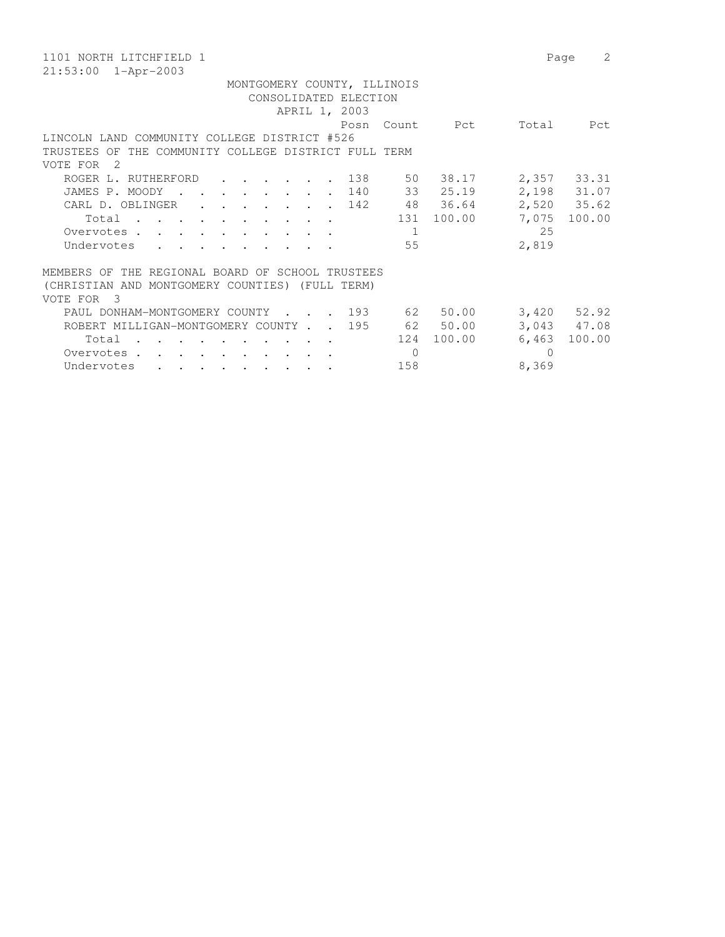| 1101 NORTH LITCHFIELD 1                                                        | Page            | 2      |  |  |  |  |  |  |  |  |  |
|--------------------------------------------------------------------------------|-----------------|--------|--|--|--|--|--|--|--|--|--|
| $21:53:00$ $1 - Appr-2003$                                                     |                 |        |  |  |  |  |  |  |  |  |  |
| MONTGOMERY COUNTY, ILLINOIS                                                    |                 |        |  |  |  |  |  |  |  |  |  |
| CONSOLIDATED ELECTION                                                          |                 |        |  |  |  |  |  |  |  |  |  |
| APRIL 1, 2003                                                                  |                 |        |  |  |  |  |  |  |  |  |  |
| Posn<br>Count Pct                                                              | Total           | Pct    |  |  |  |  |  |  |  |  |  |
| LINCOLN LAND COMMUNITY COLLEGE DISTRICT #526                                   |                 |        |  |  |  |  |  |  |  |  |  |
| TRUSTEES OF THE COMMUNITY COLLEGE DISTRICT FULL TERM                           |                 |        |  |  |  |  |  |  |  |  |  |
| VOTE FOR<br>- 2                                                                |                 |        |  |  |  |  |  |  |  |  |  |
| 50 38.17<br>138<br>ROGER L. RUTHERFORD<br>$\cdot$ $\cdot$                      | 2,357 33.31     |        |  |  |  |  |  |  |  |  |  |
| 33 25.19<br>JAMES P. MOODY<br>140<br>$\sim$ $\sim$ $\sim$ $\sim$ $\sim$ $\sim$ | 2,198 31.07     |        |  |  |  |  |  |  |  |  |  |
| 48 36.64<br>CARL D. OBLINGER<br>142<br>$\cdot$ $\cdot$ $\cdot$                 | 2,520 35.62     |        |  |  |  |  |  |  |  |  |  |
| 100.00<br>131<br>Total<br>$\cdots$                                             | 7,075           | 100.00 |  |  |  |  |  |  |  |  |  |
| Overvotes<br>1                                                                 | 25              |        |  |  |  |  |  |  |  |  |  |
| Undervotes<br>55                                                               | 2,819           |        |  |  |  |  |  |  |  |  |  |
|                                                                                |                 |        |  |  |  |  |  |  |  |  |  |
| MEMBERS OF THE REGIONAL BOARD OF SCHOOL TRUSTEES                               |                 |        |  |  |  |  |  |  |  |  |  |
| (CHRISTIAN AND MONTGOMERY COUNTIES) (FULL TERM)                                |                 |        |  |  |  |  |  |  |  |  |  |
| $\overline{\mathbf{3}}$<br>VOTE FOR                                            |                 |        |  |  |  |  |  |  |  |  |  |
| . 193<br>50.00<br>62<br>PAUL DONHAM-MONTGOMERY COUNTY                          | $3,420$ $52.92$ |        |  |  |  |  |  |  |  |  |  |
| 62 50.00<br>195<br>ROBERT MILLIGAN-MONTGOMERY COUNTY.                          | 3,043 47.08     |        |  |  |  |  |  |  |  |  |  |
| 100.00<br>124<br>Total                                                         | 6,463           | 100.00 |  |  |  |  |  |  |  |  |  |
| $\Omega$<br>Overvotes .                                                        | $\cup$          |        |  |  |  |  |  |  |  |  |  |
| 158<br>Undervotes<br>$\sim$ $\sim$ $\sim$ $\sim$                               | 8,369           |        |  |  |  |  |  |  |  |  |  |
|                                                                                |                 |        |  |  |  |  |  |  |  |  |  |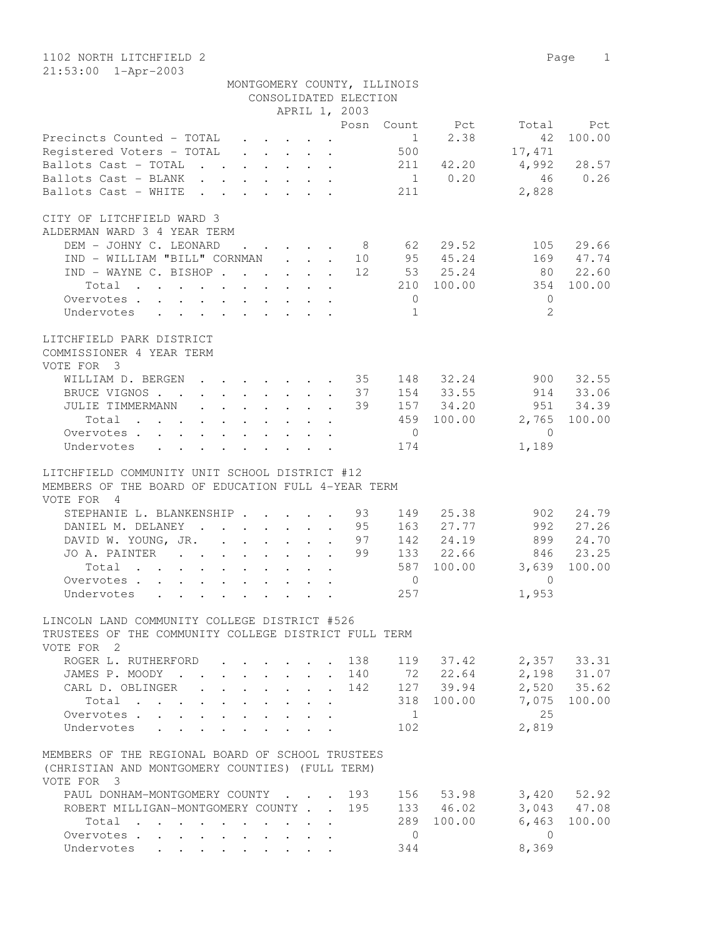1102 NORTH LITCHFIELD 2 Page 1 21:53:00 1-Apr-2003

|                                                                                                                    |                                                                          |                                                                                           |                                                         |                                                 | MONTGOMERY COUNTY, ILLINOIS |                                |              |                            |
|--------------------------------------------------------------------------------------------------------------------|--------------------------------------------------------------------------|-------------------------------------------------------------------------------------------|---------------------------------------------------------|-------------------------------------------------|-----------------------------|--------------------------------|--------------|----------------------------|
|                                                                                                                    |                                                                          |                                                                                           |                                                         | CONSOLIDATED ELECTION                           |                             |                                |              |                            |
|                                                                                                                    |                                                                          |                                                                                           |                                                         | APRIL 1, 2003                                   |                             |                                |              |                            |
|                                                                                                                    |                                                                          |                                                                                           |                                                         |                                                 |                             | Posn Count Pct                 | Total        | Pct                        |
| Precincts Counted - TOTAL                                                                                          |                                                                          |                                                                                           | $\cdot$ $\cdot$ $\cdot$ $\cdot$ $\cdot$ $\cdot$ $\cdot$ |                                                 |                             | 2.38<br>$1 \quad \blacksquare$ | 42           | 100.00                     |
| Registered Voters - TOTAL                                                                                          |                                                                          |                                                                                           |                                                         |                                                 | 500                         |                                | 17,471       |                            |
| Ballots Cast - TOTAL                                                                                               |                                                                          |                                                                                           |                                                         |                                                 | 211                         | 42.20                          | 4,992        | 28.57                      |
| Ballots Cast - BLANK                                                                                               |                                                                          |                                                                                           |                                                         |                                                 |                             | $1 \t 0.20$                    | 46           | 0.26                       |
| Ballots Cast - WHITE                                                                                               | $\mathbf{r}$ , $\mathbf{r}$ , $\mathbf{r}$ , $\mathbf{r}$ , $\mathbf{r}$ |                                                                                           |                                                         |                                                 | 211                         |                                | 2,828        |                            |
| CITY OF LITCHFIELD WARD 3<br>ALDERMAN WARD 3 4 YEAR TERM                                                           |                                                                          |                                                                                           |                                                         |                                                 |                             |                                |              |                            |
| DEM - JOHNY C. LEONARD<br>IND - WILLIAM "BILL" CORNMAN                                                             |                                                                          |                                                                                           |                                                         | $\cdot$ $\cdot$ $\cdot$ $\cdot$ $\cdot$ 8<br>10 | 62                          | 29.52<br>95 45.24              | 105<br>169   | 29.66<br>47.74             |
| IND - WAYNE C. BISHOP                                                                                              |                                                                          |                                                                                           |                                                         | 12                                              |                             | 53 25.24                       | 80           | 22.60                      |
| Total                                                                                                              |                                                                          |                                                                                           |                                                         |                                                 |                             | 210 100.00                     | 354          | 100.00                     |
| Overvotes                                                                                                          |                                                                          |                                                                                           |                                                         |                                                 | $\overline{0}$              |                                | $\mathbf{0}$ |                            |
| Undervotes<br>$\mathbf{r}$ , and $\mathbf{r}$ , and $\mathbf{r}$ , and $\mathbf{r}$ , and $\mathbf{r}$             |                                                                          |                                                                                           |                                                         |                                                 | $\mathbf{1}$                |                                | 2            |                            |
|                                                                                                                    |                                                                          |                                                                                           |                                                         |                                                 |                             |                                |              |                            |
| LITCHFIELD PARK DISTRICT<br>COMMISSIONER 4 YEAR TERM<br>VOTE FOR 3                                                 |                                                                          |                                                                                           |                                                         |                                                 |                             |                                |              |                            |
| WILLIAM D. BERGEN 35                                                                                               |                                                                          |                                                                                           |                                                         |                                                 |                             | 148 32.24                      | 900          | 32.55                      |
| BRUCE VIGNOS                                                                                                       |                                                                          |                                                                                           |                                                         | 37                                              |                             | 154 33.55                      | 914          | 33.06                      |
| JULIE TIMMERMANN 39                                                                                                |                                                                          |                                                                                           |                                                         |                                                 | 157                         | 34.20                          | 951          | 34.39                      |
| Total                                                                                                              |                                                                          |                                                                                           |                                                         |                                                 |                             | 459 100.00                     | 2,765        | 100.00                     |
| Overvotes                                                                                                          |                                                                          |                                                                                           |                                                         |                                                 | $\overline{0}$              |                                | $\bigcirc$   |                            |
| Undervotes<br>$\mathbf{r}$ , and $\mathbf{r}$ , and $\mathbf{r}$ , and $\mathbf{r}$                                |                                                                          |                                                                                           |                                                         |                                                 | 174                         |                                | 1,189        |                            |
| LITCHFIELD COMMUNITY UNIT SCHOOL DISTRICT #12<br>MEMBERS OF THE BOARD OF EDUCATION FULL 4-YEAR TERM<br>VOTE FOR 4  |                                                                          |                                                                                           |                                                         |                                                 |                             |                                |              |                            |
| STEPHANIE L. BLANKENSHIP 93                                                                                        |                                                                          |                                                                                           |                                                         |                                                 | 149                         | 25.38                          | 902          | 24.79                      |
| DANIEL M. DELANEY 95                                                                                               |                                                                          |                                                                                           |                                                         |                                                 | 163                         | 27.77                          | 992          | 27.26                      |
| DAVID W. YOUNG, JR.                                                                                                |                                                                          |                                                                                           |                                                         | 97                                              | 142                         | 24.19                          | 899          | 24.70                      |
| JO A. PAINTER                                                                                                      |                                                                          |                                                                                           |                                                         | 99                                              |                             | 133 22.66                      | 846          | 23.25                      |
| Total<br>$\mathbf{r}$ , and $\mathbf{r}$ , and $\mathbf{r}$ , and $\mathbf{r}$                                     |                                                                          |                                                                                           |                                                         |                                                 | 587                         | 100.00                         | 3,639        | 100.00                     |
| Overvotes.                                                                                                         |                                                                          |                                                                                           |                                                         |                                                 | $\mathbf{0}$                |                                | $\Omega$     |                            |
| Undervotes                                                                                                         |                                                                          |                                                                                           |                                                         |                                                 | 257                         |                                | 1,953        |                            |
| LINCOLN LAND COMMUNITY COLLEGE DISTRICT #526<br>TRUSTEES OF THE COMMUNITY COLLEGE DISTRICT FULL TERM<br>VOTE FOR 2 |                                                                          |                                                                                           |                                                         |                                                 |                             |                                |              |                            |
| ROGER L. RUTHERFORD                                                                                                |                                                                          |                                                                                           |                                                         | . 138                                           |                             | 119 37.42                      |              | 2,357 33.31<br>2,198 31.07 |
| JAMES P. MOODY                                                                                                     | $\mathbf{r} = \mathbf{r} + \mathbf{r} + \mathbf{r} + \mathbf{r}$         |                                                                                           |                                                         | . 140                                           |                             | 72 22.64                       |              |                            |
| CARL D. OBLINGER<br>$\mathcal{L}^{\text{max}}$                                                                     | $\mathbb{Z}^{n-1}$                                                       | $\mathbf{r} = \mathbf{r} \cdot \mathbf{r}$ and $\mathbf{r} = \mathbf{r} \cdot \mathbf{r}$ |                                                         | . 142                                           |                             | 127 39.94                      |              | $2,520$ 35.62              |
| Total                                                                                                              |                                                                          |                                                                                           |                                                         |                                                 |                             | 318 100.00                     |              | 7,075 100.00               |
| Overvotes.                                                                                                         |                                                                          |                                                                                           |                                                         |                                                 | $\overline{1}$              |                                | 25           |                            |
| Undervotes                                                                                                         |                                                                          |                                                                                           |                                                         |                                                 | 102                         |                                | 2,819        |                            |
| MEMBERS OF THE REGIONAL BOARD OF SCHOOL TRUSTEES<br>(CHRISTIAN AND MONTGOMERY COUNTIES) (FULL TERM)<br>VOTE FOR 3  |                                                                          |                                                                                           |                                                         |                                                 |                             |                                |              |                            |
| PAUL DONHAM-MONTGOMERY COUNTY 193                                                                                  |                                                                          |                                                                                           |                                                         |                                                 |                             | 156 53.98                      |              | $3,420$ $52.92$            |
| ROBERT MILLIGAN-MONTGOMERY COUNTY 195                                                                              |                                                                          |                                                                                           |                                                         |                                                 |                             | 133 46.02                      |              | 3,043 47.08                |
| Total $\cdots$                                                                                                     |                                                                          |                                                                                           |                                                         |                                                 | 289                         | 100.00                         | 6,463        | 100.00                     |
| Overvotes.                                                                                                         |                                                                          |                                                                                           |                                                         |                                                 | $\overline{0}$              |                                | $\bigcirc$   |                            |
| Undervotes                                                                                                         |                                                                          |                                                                                           |                                                         |                                                 | 344                         |                                | 8,369        |                            |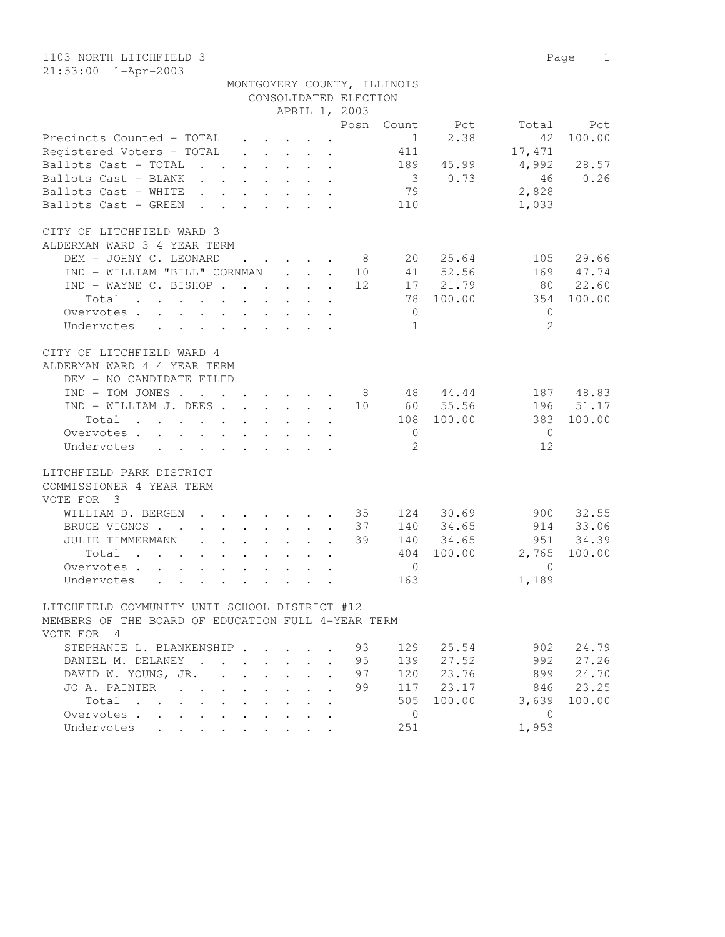1103 NORTH LITCHFIELD 3 Page 1 21:53:00 1-Apr-2003

|                                                                 |  |                                                           |  |                       | MONTGOMERY COUNTY, ILLINOIS |             |                      |           |
|-----------------------------------------------------------------|--|-----------------------------------------------------------|--|-----------------------|-----------------------------|-------------|----------------------|-----------|
|                                                                 |  |                                                           |  | CONSOLIDATED ELECTION |                             |             |                      |           |
|                                                                 |  |                                                           |  | APRIL 1, 2003         |                             |             |                      |           |
|                                                                 |  |                                                           |  |                       |                             |             | Posn Count Pct Total | Pct       |
| Precincts Counted - TOTAL $\quad \cdot \quad \cdot \quad \cdot$ |  |                                                           |  |                       | 1                           | 2.38        | 42                   | 100.00    |
| Registered Voters – TOTAL                                       |  | $\mathbf{r}$ , $\mathbf{r}$ , $\mathbf{r}$ , $\mathbf{r}$ |  |                       | 411                         |             | 17,471               |           |
| Ballots Cast - TOTAL                                            |  | $\cdot$ $\cdot$ $\cdot$ $\cdot$ $\cdot$ $\cdot$           |  |                       |                             | 189 45.99   | 4,992                | 28.57     |
| Ballots Cast - BLANK                                            |  |                                                           |  |                       |                             | 3 0.73      | 46                   | 0.26      |
| Ballots Cast - WHITE                                            |  |                                                           |  |                       | 79                          |             | 2,828                |           |
| Ballots Cast - GREEN                                            |  |                                                           |  |                       | 110                         |             | 1,033                |           |
| CITY OF LITCHFIELD WARD 3                                       |  |                                                           |  |                       |                             |             |                      |           |
| ALDERMAN WARD 3 4 YEAR TERM                                     |  |                                                           |  |                       |                             |             |                      |           |
| DEM - JOHNY C. LEONARD                                          |  |                                                           |  | . 8                   |                             | 20 25.64    | 105                  | 29.66     |
| IND - WILLIAM "BILL" CORNMAN                                    |  |                                                           |  | 10                    |                             | 41 52.56    | 169                  | 47.74     |
| IND - WAYNE C. BISHOP                                           |  |                                                           |  | 12                    |                             | 17 21.79    | 80                   | 22.60     |
| Total                                                           |  |                                                           |  |                       |                             | 78 100.00   | 354                  | 100.00    |
| Overvotes                                                       |  |                                                           |  |                       | $\overline{0}$              |             | $\mathbf{0}$         |           |
| Undervotes                                                      |  |                                                           |  |                       | $\overline{1}$              |             | $\mathfrak{D}$       |           |
| CITY OF LITCHFIELD WARD 4<br>ALDERMAN WARD 4 4 YEAR TERM        |  |                                                           |  |                       |                             |             |                      |           |
| DEM - NO CANDIDATE FILED                                        |  |                                                           |  |                       |                             |             |                      |           |
| IND - TOM JONES 8 48 44.44                                      |  |                                                           |  |                       |                             |             | 187                  | 48.83     |
| IND - WILLIAM J. DEES                                           |  |                                                           |  |                       |                             | 10 60 55.56 | 196                  | 51.17     |
| Total                                                           |  | $\cdot$ $\cdot$ $\cdot$ $\cdot$                           |  |                       |                             | 108 100.00  | 383                  | 100.00    |
| Overvotes                                                       |  |                                                           |  |                       | $\overline{0}$              |             | $\overline{0}$       |           |
| Undervotes                                                      |  |                                                           |  |                       | $\overline{2}$              |             | 12                   |           |
| LITCHFIELD PARK DISTRICT                                        |  |                                                           |  |                       |                             |             |                      |           |
| COMMISSIONER 4 YEAR TERM<br>VOTE FOR 3                          |  |                                                           |  |                       |                             |             |                      |           |
| WILLIAM D. BERGEN 35 124 30.69                                  |  |                                                           |  |                       |                             |             | 900                  | 32.55     |
| BRUCE VIGNOS                                                    |  |                                                           |  | 37                    |                             | 140 34.65   | 914                  | 33.06     |
| JULIE TIMMERMANN                                                |  |                                                           |  | 39                    |                             | 140 34.65   | 951                  | 34.39     |
| Total                                                           |  |                                                           |  |                       |                             | 404 100.00  | 2,765                | 100.00    |
| Overvotes                                                       |  |                                                           |  |                       | $\overline{0}$              |             | $\overline{0}$       |           |
| Undervotes                                                      |  |                                                           |  |                       | 163                         |             | 1,189                |           |
|                                                                 |  |                                                           |  |                       |                             |             |                      |           |
| LITCHFIELD COMMUNITY UNIT SCHOOL DISTRICT #12                   |  |                                                           |  |                       |                             |             |                      |           |
| MEMBERS OF THE BOARD OF EDUCATION FULL 4-YEAR TERM              |  |                                                           |  |                       |                             |             |                      |           |
| VOTE FOR 4                                                      |  |                                                           |  |                       |                             |             |                      |           |
| STEPHANIE L. BLANKENSHIP 93                                     |  |                                                           |  |                       | 129                         | 25.54       | 902                  | 24.79     |
| DANIEL M. DELANEY 95                                            |  |                                                           |  |                       | 139                         | 27.52       | 992                  | 27.26     |
| סד ״זעזור∨ ועם חדשגרת                                           |  |                                                           |  | Q <sub>7</sub>        |                             |             |                      | 999 24 20 |

| UINNILLILLE DILLINILLE JU LUI AI .UA |  |  |  |  |                                               |            | $\overline{\phantom{a}}$ | $\sim$ $\sim$ $\sim$ $\sim$ $\sim$ $\sim$ |
|--------------------------------------|--|--|--|--|-----------------------------------------------|------------|--------------------------|-------------------------------------------|
| DAVID W. YOUNG, JR. 97 120 23.76     |  |  |  |  |                                               |            |                          | 899 24.70                                 |
| JO A. PAINTER 99 117 23.17           |  |  |  |  |                                               |            |                          | 846 23.25                                 |
| Total                                |  |  |  |  |                                               | 505 100.00 |                          | 3,639 100.00                              |
| Overvotes.                           |  |  |  |  | $\left( \begin{array}{c} \end{array} \right)$ |            |                          |                                           |
| Undervotes                           |  |  |  |  | 251                                           |            | 1,953                    |                                           |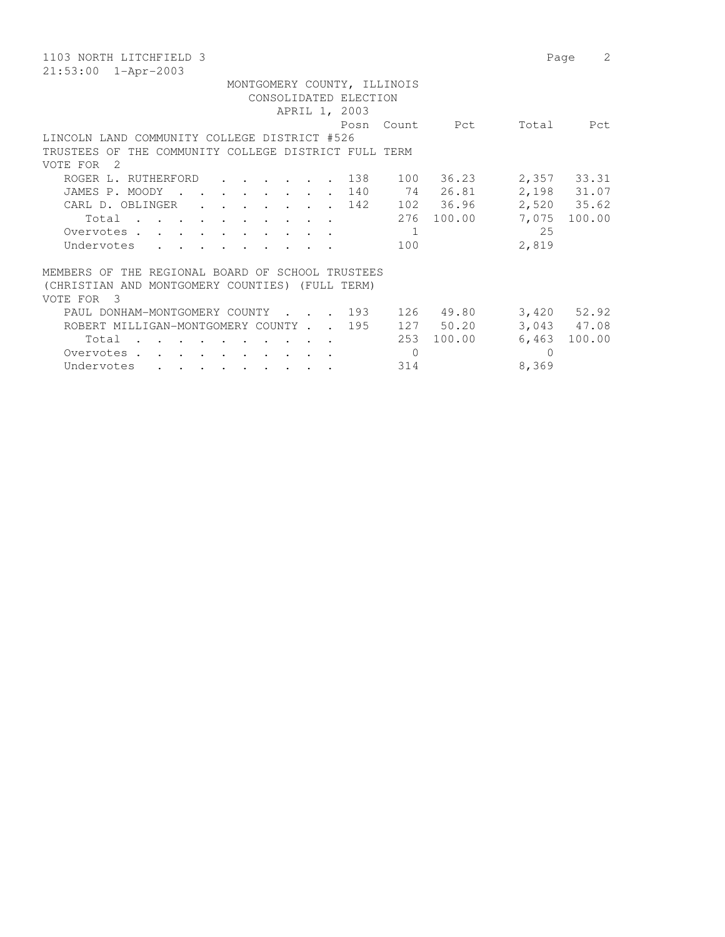| 1103 NORTH LITCHFIELD 3                                                                                                                                            | 2<br>Page       |  |  |  |  |  |  |  |  |  |  |
|--------------------------------------------------------------------------------------------------------------------------------------------------------------------|-----------------|--|--|--|--|--|--|--|--|--|--|
| $21:53:00$ $1 - Appr-2003$                                                                                                                                         |                 |  |  |  |  |  |  |  |  |  |  |
| MONTGOMERY COUNTY, ILLINOIS                                                                                                                                        |                 |  |  |  |  |  |  |  |  |  |  |
| CONSOLIDATED ELECTION                                                                                                                                              |                 |  |  |  |  |  |  |  |  |  |  |
| APRIL 1, 2003                                                                                                                                                      |                 |  |  |  |  |  |  |  |  |  |  |
| Count Pct<br>Posn                                                                                                                                                  | Total<br>Pct    |  |  |  |  |  |  |  |  |  |  |
| LINCOLN LAND COMMUNITY COLLEGE DISTRICT #526                                                                                                                       |                 |  |  |  |  |  |  |  |  |  |  |
| THE COMMUNITY COLLEGE DISTRICT FULL TERM<br>TRUSTEES OF                                                                                                            |                 |  |  |  |  |  |  |  |  |  |  |
| VOTE FOR<br>- 2                                                                                                                                                    |                 |  |  |  |  |  |  |  |  |  |  |
| 36.23<br>100<br>ROGER L. RUTHERFORD<br>138<br>$\mathbf{r}$ , $\mathbf{r}$ , $\mathbf{r}$ , $\mathbf{r}$                                                            | 2,357 33.31     |  |  |  |  |  |  |  |  |  |  |
| 74<br>26.81<br>JAMES P. MOODY<br>140<br>$\mathbf{r}$ , $\mathbf{r}$ , $\mathbf{r}$ , $\mathbf{r}$                                                                  | 2,198 31.07     |  |  |  |  |  |  |  |  |  |  |
| 102 36.96<br>CARL D. OBLINGER<br>142<br>$\cdot$ $\cdot$ $\cdot$                                                                                                    | 2,520 35.62     |  |  |  |  |  |  |  |  |  |  |
| 100.00<br>276<br>Total<br>$\cdots$                                                                                                                                 | 7,075<br>100.00 |  |  |  |  |  |  |  |  |  |  |
| Overvotes .<br>1<br>$\sim$ $\sim$ $\sim$ $\sim$                                                                                                                    | 25              |  |  |  |  |  |  |  |  |  |  |
| Undervotes<br>100                                                                                                                                                  | 2,819           |  |  |  |  |  |  |  |  |  |  |
|                                                                                                                                                                    |                 |  |  |  |  |  |  |  |  |  |  |
| MEMBERS OF THE REGIONAL BOARD OF SCHOOL TRUSTEES                                                                                                                   |                 |  |  |  |  |  |  |  |  |  |  |
| (CHRISTIAN AND MONTGOMERY COUNTIES) (FULL TERM)                                                                                                                    |                 |  |  |  |  |  |  |  |  |  |  |
| $\overline{\mathbf{3}}$<br>VOTE FOR                                                                                                                                |                 |  |  |  |  |  |  |  |  |  |  |
| 193<br>49.80<br>126<br>PAUL DONHAM-MONTGOMERY COUNTY<br>$\cdot$ $\cdot$ $\cdot$ $\cdot$ $\cdot$                                                                    | $3,420$ $52.92$ |  |  |  |  |  |  |  |  |  |  |
| 127 50.20<br>195<br>ROBERT MILLIGAN-MONTGOMERY COUNTY.                                                                                                             | 3,043 47.08     |  |  |  |  |  |  |  |  |  |  |
| 253<br>100.00<br>Total                                                                                                                                             | 6,463<br>100.00 |  |  |  |  |  |  |  |  |  |  |
| $\mathbf{0}$<br>Overvotes .<br>$\begin{array}{cccccccccccccc} \bullet & \bullet & \bullet & \bullet & \bullet & \bullet & \bullet & \bullet & \bullet \end{array}$ | $\cup$          |  |  |  |  |  |  |  |  |  |  |
| Undervotes<br>314<br>$\sim$ $\sim$ $\sim$                                                                                                                          | 8,369           |  |  |  |  |  |  |  |  |  |  |
|                                                                                                                                                                    |                 |  |  |  |  |  |  |  |  |  |  |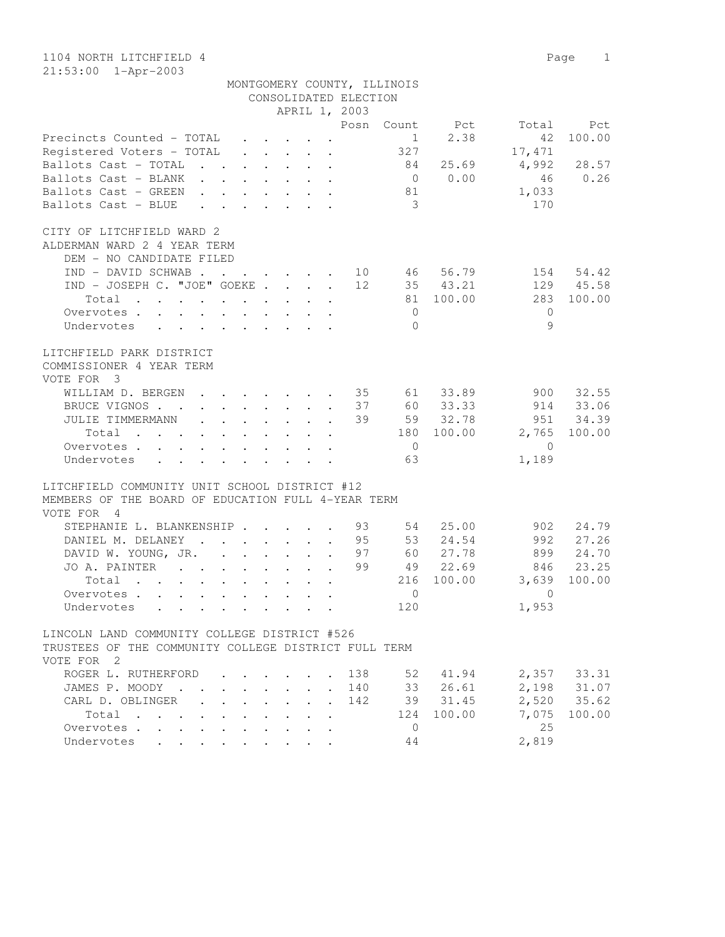|                                                                                                                                                                                                                                                         |                      |        |                                                |                                                                                                                                                         | CONSOLIDATED ELECTION           |                |          |              |             |
|---------------------------------------------------------------------------------------------------------------------------------------------------------------------------------------------------------------------------------------------------------|----------------------|--------|------------------------------------------------|---------------------------------------------------------------------------------------------------------------------------------------------------------|---------------------------------|----------------|----------|--------------|-------------|
|                                                                                                                                                                                                                                                         |                      |        |                                                |                                                                                                                                                         | APRIL 1, 2003                   |                |          |              |             |
|                                                                                                                                                                                                                                                         |                      |        |                                                |                                                                                                                                                         | Posn                            | Count          | Pct      | Total        | Pct         |
| Precincts Counted - TOTAL                                                                                                                                                                                                                               |                      |        |                                                | $\cdot$ $\cdot$ $\cdot$ $\cdot$                                                                                                                         |                                 | $\mathbf{1}$   | 2.38     | 42           | 100.00      |
| Registered Voters - TOTAL                                                                                                                                                                                                                               |                      |        |                                                | $\begin{array}{cccccccccccccc} \bullet & \bullet & \bullet & \bullet & \bullet & \bullet & \bullet \end{array}$                                         |                                 | 327            |          | 17,471       |             |
| Ballots Cast - TOTAL<br>$\sim$ $\sim$ $\sim$                                                                                                                                                                                                            |                      |        |                                                | $\cdot$ $\cdot$ $\cdot$ $\cdot$ $\cdot$ $\cdot$                                                                                                         |                                 | 84             | 25.69    | 4,992        | 28.57       |
| Ballots Cast - BLANK                                                                                                                                                                                                                                    |                      |        |                                                | $\mathbf{r}$ , and $\mathbf{r}$ , and $\mathbf{r}$                                                                                                      |                                 | $\overline{0}$ | 0.00     | 46           | 0.26        |
| Ballots Cast - GREEN<br>$\cdot$ $\cdot$<br>$\sim$                                                                                                                                                                                                       |                      |        |                                                | $\cdot$ $\cdot$ $\cdot$ $\cdot$                                                                                                                         |                                 | 81             |          | 1,033        |             |
| Ballots Cast - BLUE<br>$\mathbf{L}$                                                                                                                                                                                                                     | $\mathbf{L}$         |        | $\mathbf{L} = \mathbf{L}$                      | $\cdot$ $\cdot$                                                                                                                                         |                                 | 3              |          | 170          |             |
|                                                                                                                                                                                                                                                         |                      |        |                                                |                                                                                                                                                         |                                 |                |          |              |             |
| CITY OF LITCHFIELD WARD 2                                                                                                                                                                                                                               |                      |        |                                                |                                                                                                                                                         |                                 |                |          |              |             |
| ALDERMAN WARD 2 4 YEAR TERM                                                                                                                                                                                                                             |                      |        |                                                |                                                                                                                                                         |                                 |                |          |              |             |
| DEM - NO CANDIDATE FILED                                                                                                                                                                                                                                |                      |        |                                                |                                                                                                                                                         |                                 |                |          |              |             |
| IND - DAVID SCHWAB.                                                                                                                                                                                                                                     |                      |        |                                                |                                                                                                                                                         | 10                              | 46             | 56.79    | 154          | 54.42       |
| IND - JOSEPH C. "JOE" GOEKE                                                                                                                                                                                                                             |                      |        |                                                | $\begin{array}{cccccccccccccc} \bullet & \bullet & \bullet & \bullet & \bullet & \bullet & \bullet & \bullet & \bullet & \bullet & \bullet \end{array}$ | 12                              | 35             | 43.21    | 129          | 45.58       |
|                                                                                                                                                                                                                                                         |                      |        |                                                |                                                                                                                                                         |                                 |                |          |              |             |
| Total<br>the contract of the contract of the                                                                                                                                                                                                            |                      |        |                                                |                                                                                                                                                         |                                 | 81             | 100.00   | 283          | 100.00      |
| Overvotes.<br>$\mathbf{L} = \mathbf{L} \mathbf{L}$<br>$\mathbf{L}$                                                                                                                                                                                      | $\ddot{\phantom{a}}$ |        | $\cdot$ $\cdot$ $\cdot$                        |                                                                                                                                                         |                                 | $\mathbf{0}$   |          | $\mathbf{0}$ |             |
| Undervotes<br>$\sim$ $-$<br>$\sim$<br>$\ddot{\phantom{0}}$                                                                                                                                                                                              | $\sim$ $\sim$        |        |                                                | $\mathbf{r}$ , $\mathbf{r}$ , $\mathbf{r}$ , $\mathbf{r}$                                                                                               |                                 | $\Omega$       |          | $\circ$      |             |
|                                                                                                                                                                                                                                                         |                      |        |                                                |                                                                                                                                                         |                                 |                |          |              |             |
| LITCHFIELD PARK DISTRICT                                                                                                                                                                                                                                |                      |        |                                                |                                                                                                                                                         |                                 |                |          |              |             |
| COMMISSIONER 4 YEAR TERM                                                                                                                                                                                                                                |                      |        |                                                |                                                                                                                                                         |                                 |                |          |              |             |
| VOTE FOR 3                                                                                                                                                                                                                                              |                      |        |                                                |                                                                                                                                                         |                                 |                |          |              |             |
| WILLIAM D. BERGEN                                                                                                                                                                                                                                       |                      |        | $\cdot$ $\cdot$ $\cdot$ $\cdot$                |                                                                                                                                                         | 35                              | 61             | 33.89    | 900          | 32.55       |
| BRUCE VIGNOS.<br>$\cdot$ $\cdot$ $\cdot$ $\cdot$ $\cdot$ $\cdot$ $\cdot$<br>$\sim$ $\sim$                                                                                                                                                               |                      |        |                                                | $\ddot{\phantom{0}}$                                                                                                                                    | 37                              | 60             | 33.33    | 914          | 33.06       |
| JULIE TIMMERMANN<br>$\ddot{\phantom{0}}$<br>$\cdot$ $\cdot$ $\cdot$ $\cdot$ $\cdot$ $\cdot$ $\cdot$                                                                                                                                                     |                      |        |                                                |                                                                                                                                                         | 39                              | 59             | 32.78    | 951          | 34.39       |
| Total                                                                                                                                                                                                                                                   |                      |        |                                                |                                                                                                                                                         |                                 | 180            | 100.00   | 2,765        | 100.00      |
| Overvotes<br>$\mathbf{r} = \mathbf{r} + \mathbf{r}$<br>$\sim$                                                                                                                                                                                           |                      | $\sim$ |                                                |                                                                                                                                                         |                                 | $\overline{0}$ |          | $\bigcirc$   |             |
| Undervotes<br>$\mathbf{r} = \mathbf{r} + \mathbf{r}$<br>$\sim$                                                                                                                                                                                          | $\mathbf{L}$         | $\sim$ | $\mathbf{L}$                                   |                                                                                                                                                         |                                 | 63             |          | 1,189        |             |
|                                                                                                                                                                                                                                                         |                      |        |                                                |                                                                                                                                                         |                                 |                |          |              |             |
| LITCHFIELD COMMUNITY UNIT SCHOOL DISTRICT #12                                                                                                                                                                                                           |                      |        |                                                |                                                                                                                                                         |                                 |                |          |              |             |
| MEMBERS OF THE BOARD OF EDUCATION FULL 4-YEAR TERM                                                                                                                                                                                                      |                      |        |                                                |                                                                                                                                                         |                                 |                |          |              |             |
| VOTE FOR 4                                                                                                                                                                                                                                              |                      |        |                                                |                                                                                                                                                         |                                 |                |          |              |             |
| STEPHANIE L. BLANKENSHIP                                                                                                                                                                                                                                |                      |        |                                                |                                                                                                                                                         | 93                              | 54             | 25.00    | 902          | 24.79       |
| DANIEL M. DELANEY<br>$\mathbf{r}$ . The contract of the contract of the contract of the contract of the contract of the contract of the contract of the contract of the contract of the contract of the contract of the contract of the contract of th  |                      |        |                                                |                                                                                                                                                         | 95                              | 53             | 24.54    | 992          | 27.26       |
| DAVID W. YOUNG, JR.                                                                                                                                                                                                                                     |                      |        |                                                | $\sim$                                                                                                                                                  | 97                              | 60             | 27.78    | 899          | 24.70       |
| JO A. PAINTER<br>$\mathbf{r}$ , $\mathbf{r}$ , $\mathbf{r}$ , $\mathbf{r}$                                                                                                                                                                              |                      |        |                                                |                                                                                                                                                         | 99<br>$\mathbf{L}^{\text{max}}$ | 49             | 22.69    | 846          | 23.25       |
| Total                                                                                                                                                                                                                                                   |                      |        |                                                |                                                                                                                                                         |                                 | 216            | 100.00   | 3,639        | 100.00      |
| Overvotes.                                                                                                                                                                                                                                              |                      |        |                                                |                                                                                                                                                         |                                 | 0              |          | $\Omega$     |             |
| Undervotes<br>$\mathcal{L}^{\mathcal{A}}$ . The contribution of the contribution of the contribution of the contribution of the contribution of the contribution of the contribution of the contribution of the contribution of the contribution of the |                      |        |                                                |                                                                                                                                                         |                                 | 120            |          | 1,953        |             |
|                                                                                                                                                                                                                                                         |                      |        |                                                |                                                                                                                                                         |                                 |                |          |              |             |
| LINCOLN LAND COMMUNITY COLLEGE DISTRICT #526                                                                                                                                                                                                            |                      |        |                                                |                                                                                                                                                         |                                 |                |          |              |             |
|                                                                                                                                                                                                                                                         |                      |        |                                                |                                                                                                                                                         |                                 |                |          |              |             |
| TRUSTEES OF THE COMMUNITY COLLEGE DISTRICT FULL TERM                                                                                                                                                                                                    |                      |        |                                                |                                                                                                                                                         |                                 |                |          |              |             |
| VOTE FOR 2                                                                                                                                                                                                                                              |                      |        |                                                |                                                                                                                                                         |                                 |                |          |              |             |
| ROGER L. RUTHERFORD                                                                                                                                                                                                                                     |                      |        |                                                |                                                                                                                                                         | 138                             | 52             | 41.94    |              | 2,357 33.31 |
| JAMES P. MOODY<br>$\mathbf{r}$ , $\mathbf{r}$ , $\mathbf{r}$ , $\mathbf{r}$                                                                                                                                                                             |                      |        |                                                | $\sim$                                                                                                                                                  | 140                             | 33             | 26.61    |              | 2,198 31.07 |
| CARL D. OBLINGER.<br>$\mathcal{L}^{\text{max}}$                                                                                                                                                                                                         |                      |        | $\mathbf{r}$ and $\mathbf{r}$ and $\mathbf{r}$ |                                                                                                                                                         | 142<br>$\mathbf{A}$             |                | 39 31.45 |              | 2,520 35.62 |
| Total                                                                                                                                                                                                                                                   |                      |        |                                                |                                                                                                                                                         |                                 | 124            | 100.00   | 7,075        | 100.00      |
| Overvotes.                                                                                                                                                                                                                                              |                      |        |                                                |                                                                                                                                                         |                                 | $\mathbf{0}$   |          | 25           |             |
| Undervotes                                                                                                                                                                                                                                              |                      |        |                                                |                                                                                                                                                         |                                 | 44             |          | 2,819        |             |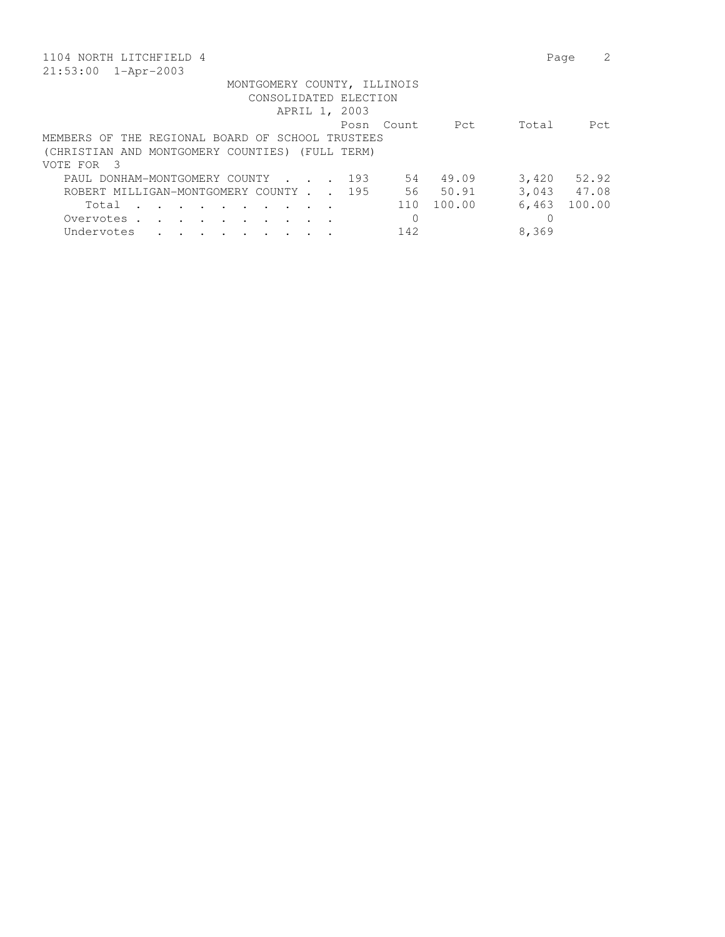| 1104 NORTH LITCHFIELD 4                                                                          | 2<br>Page       |  |  |  |  |  |  |  |  |  |  |
|--------------------------------------------------------------------------------------------------|-----------------|--|--|--|--|--|--|--|--|--|--|
| $21:53:00$ $1 - Appr-2003$                                                                       |                 |  |  |  |  |  |  |  |  |  |  |
| MONTGOMERY COUNTY, ILLINOIS                                                                      |                 |  |  |  |  |  |  |  |  |  |  |
| CONSOLIDATED ELECTION                                                                            |                 |  |  |  |  |  |  |  |  |  |  |
| APRIL 1, 2003                                                                                    |                 |  |  |  |  |  |  |  |  |  |  |
| Pct<br>Posn<br>Count.                                                                            | Total<br>Pct.   |  |  |  |  |  |  |  |  |  |  |
| MEMBERS OF THE REGIONAL BOARD OF SCHOOL TRUSTEES                                                 |                 |  |  |  |  |  |  |  |  |  |  |
| (CHRISTIAN AND MONTGOMERY COUNTIES) (FULL TERM)                                                  |                 |  |  |  |  |  |  |  |  |  |  |
| VOTE FOR<br>- 3                                                                                  |                 |  |  |  |  |  |  |  |  |  |  |
| 49.09<br>PAUL DONHAM-MONTGOMERY COUNTY<br>193<br>54<br>$\sim$ $\sim$ $\sim$ $\sim$ $\sim$ $\sim$ | 3,420<br>52.92  |  |  |  |  |  |  |  |  |  |  |
| 50.91<br>195<br>56 —<br>ROBERT MILLIGAN-MONTGOMERY COUNTY                                        | 3,043 47.08     |  |  |  |  |  |  |  |  |  |  |
| 100.00<br>110<br>Total<br>$\sim$ $\sim$                                                          | 6,463<br>100.00 |  |  |  |  |  |  |  |  |  |  |
| $\Omega$<br>Overvotes .                                                                          | 0               |  |  |  |  |  |  |  |  |  |  |
| 142<br>Undervotes                                                                                | 8,369           |  |  |  |  |  |  |  |  |  |  |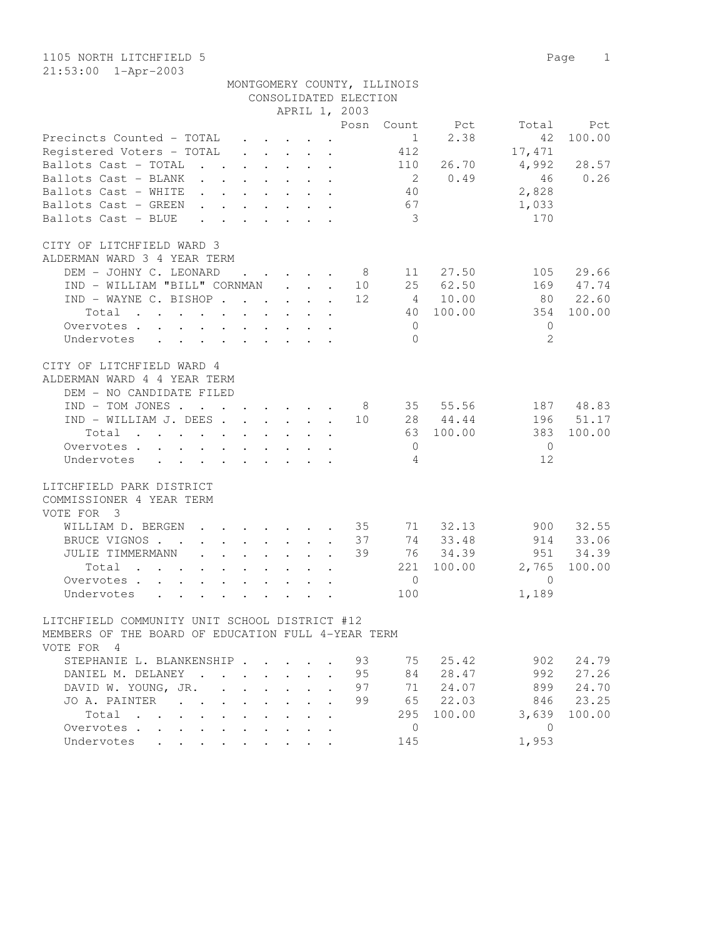| 1105 NORTH LITCHFIELD 5<br>$21:53:00$ $1 - Appr-2003$                                                                |                      |                                              |                                                              |                            |                             |                 |               | Page<br>$\mathbf{1}$ |
|----------------------------------------------------------------------------------------------------------------------|----------------------|----------------------------------------------|--------------------------------------------------------------|----------------------------|-----------------------------|-----------------|---------------|----------------------|
|                                                                                                                      |                      |                                              |                                                              |                            | MONTGOMERY COUNTY, ILLINOIS |                 |               |                      |
|                                                                                                                      |                      |                                              |                                                              | CONSOLIDATED ELECTION      |                             |                 |               |                      |
|                                                                                                                      |                      |                                              |                                                              | APRIL 1, 2003              |                             |                 |               |                      |
| Precincts Counted - TOTAL                                                                                            |                      |                                              | $\ddot{\phantom{a}}$                                         | Posn                       | Count<br>$\mathbf{1}$       | Pct<br>2.38     | Total<br>42   | Pct<br>100.00        |
| Registered Voters - TOTAL                                                                                            |                      |                                              |                                                              |                            | 412                         |                 | 17,471        |                      |
| Ballots Cast - TOTAL<br>$\cdot$ $\cdot$                                                                              | $\ddot{\phantom{0}}$ | $\ddot{\phantom{a}}$<br>$\ddot{\phantom{0}}$ |                                                              | $\ddot{\phantom{a}}$       | 110                         | 26.70           | 4,992         | 28.57                |
| Ballots Cast - BLANK<br>$\mathbf{r}$ , $\mathbf{r}$                                                                  | $\mathbf{L}$         | $\ddot{\phantom{0}}$<br>$\ddot{\phantom{0}}$ | $\ddot{\phantom{a}}$                                         | $\ddot{\phantom{a}}$       | $\overline{2}$              | 0.49            | 46            | 0.26                 |
| Ballots Cast - WHITE<br>$\ddot{\phantom{0}}$                                                                         | $\mathbf{L}$         |                                              | $\ddot{\phantom{a}}$                                         |                            | 40                          |                 | 2,828         |                      |
| Ballots Cast - GREEN<br>$\ddot{\phantom{a}}$                                                                         |                      |                                              |                                                              |                            | 67                          |                 | 1,033         |                      |
| Ballots Cast - BLUE<br>$\ddot{\phantom{0}}$                                                                          |                      | $\sim$<br>$\ddot{\phantom{0}}$               | $\bullet$                                                    |                            | 3                           |                 | 170           |                      |
| CITY OF LITCHFIELD WARD 3                                                                                            |                      |                                              |                                                              |                            |                             |                 |               |                      |
| ALDERMAN WARD 3 4 YEAR TERM                                                                                          |                      |                                              |                                                              |                            |                             |                 |               |                      |
| DEM - JOHNY C. LEONARD                                                                                               | $\ddot{\phantom{a}}$ | $\mathbf{L}$                                 |                                                              | - 8                        | 11                          | 27.50           | 105           | 29.66                |
| IND - WILLIAM "BILL" CORNMAN                                                                                         |                      |                                              | $\mathbf{L} = \mathbf{L} \mathbf{L}$<br>$\ddot{\phantom{a}}$ | 10                         | 25                          | 62.50           | 169           | 47.74                |
| IND - WAYNE C. BISHOP.<br>Total                                                                                      | $\ddot{\phantom{a}}$ | <b>Contract</b><br>$\ddot{\phantom{0}}$      | $\sim$                                                       | 12.                        | 4<br>40                     | 10.00<br>100.00 | 80<br>354     | 22.60<br>100.00      |
| $\sim$<br>$\mathbf{L}$<br>Overvotes.<br>$\mathbf{L}^{\text{max}}$<br>$\sim$<br>$\ddot{\phantom{a}}$<br>$\bullet$     | $\ddot{\phantom{0}}$ | $\ddot{\phantom{0}}$<br>$\ddot{\phantom{a}}$ | $\ddot{\phantom{a}}$<br>$\ddot{\phantom{a}}$                 |                            | $\mathbf{0}$                |                 | $\mathbf{0}$  |                      |
| Undervotes<br>$\bullet$<br>$\ddot{\phantom{0}}$<br>$\bullet$<br>$\sim$                                               | $\bullet$            |                                              |                                                              |                            | $\Omega$                    |                 | $\mathcal{L}$ |                      |
| CITY OF LITCHFIELD WARD 4<br>ALDERMAN WARD 4 4 YEAR TERM<br>DEM - NO CANDIDATE FILED                                 |                      |                                              |                                                              |                            |                             |                 |               |                      |
| $IND - TOM JONES$ .<br>$\mathbf{a}$ and $\mathbf{a}$ and $\mathbf{a}$                                                |                      | $\mathbf{r}$ , $\mathbf{r}$ , $\mathbf{r}$   |                                                              | - 8                        | 35                          | 55.56           | 187           | 48.83                |
| IND - WILLIAM J. DEES .                                                                                              | $\ddot{\phantom{a}}$ | $\ddot{\phantom{0}}$<br>$\ddot{\phantom{0}}$ | $\mathcal{L}^{\text{max}}$<br>$\overline{a}$                 | 10                         | 28                          | 44.44           | 196           | 51.17                |
| Total                                                                                                                | $\ddot{\phantom{a}}$ | $\ddot{\phantom{a}}$<br>$\sim$               | $\mathbf{r}$                                                 |                            |                             | 63 100.00       | 383           | 100.00               |
| Overvotes<br>$\ddot{\phantom{a}}$                                                                                    | $\ddot{\phantom{a}}$ | $\ddot{\phantom{0}}$<br>$\ddot{\phantom{0}}$ |                                                              |                            | $\overline{0}$              |                 | $\mathbf{0}$  |                      |
| Undervotes<br>$\sim$<br>$\bullet$<br>$\bullet$                                                                       |                      |                                              |                                                              |                            | 4                           |                 | 12            |                      |
| LITCHFIELD PARK DISTRICT<br>COMMISSIONER 4 YEAR TERM<br>VOTE FOR 3                                                   |                      |                                              |                                                              |                            |                             |                 |               |                      |
| WILLIAM D. BERGEN                                                                                                    |                      |                                              |                                                              | 35                         | 71                          | 32.13           | 900           | 32.55                |
| BRUCE VIGNOS.<br>$\sim$ $\sim$                                                                                       |                      | $\mathbf{L}$<br>$\ddot{\phantom{0}}$         |                                                              | 37                         | 74                          | 33.48           | 914           | 33.06                |
| JULIE TIMMERMANN<br>$\ddot{\phantom{a}}$<br>$\ddot{\phantom{a}}$                                                     | $\ddot{\phantom{a}}$ | $\ddot{\phantom{0}}$<br>$\ddot{\phantom{0}}$ | $\ddot{\phantom{a}}$                                         | 39<br>$\ddot{\phantom{a}}$ | 76                          | 34.39           | 951           | 34.39                |
| Total<br>$\ddot{\phantom{0}}$                                                                                        | $\bullet$            | $\bullet$                                    |                                                              |                            |                             | 221 100.00      | 2,765         | 100.00               |
| Overvotes.<br>$\mathbf{L}$<br>$\mathbf{L}$<br>$\ddot{\phantom{0}}$                                                   | $\mathbf{r}$         | $\ddot{\phantom{a}}$<br>$\sim$               | $\mathcal{L}^{\text{max}}$                                   |                            | $\overline{0}$              |                 | $\Omega$      |                      |
| Undervotes<br>$\mathbf{L} = \mathbf{L} \mathbf{L}$<br>$\ddot{\phantom{a}}$<br>$\ddot{\phantom{a}}$                   | $\ddot{\phantom{a}}$ | $\ddot{\phantom{a}}$<br>$\ddot{\phantom{0}}$ | $\ddot{\phantom{a}}$<br>$\ddot{\phantom{a}}$                 |                            | 100                         |                 | 1,189         |                      |
| LITCHFIELD COMMUNITY UNIT SCHOOL DISTRICT #12<br>MEMBERS OF THE BOARD OF EDUCATION FULL 4-YEAR TERM<br>VOTE FOR<br>4 |                      |                                              |                                                              |                            |                             |                 |               |                      |

| STEPHANIE L. BLANKENSHIP 93 |  |  |  |  |    |     | 75 25.42 | 902   | 24.79  |
|-----------------------------|--|--|--|--|----|-----|----------|-------|--------|
| DANIEL M. DELANEY           |  |  |  |  | 95 | 84  | 28.47    | 992   | 27.26  |
| DAVID W. YOUNG, JR. 97      |  |  |  |  |    | 71  | 24.07    | 899   | 24.70  |
| JOA. PAINTER                |  |  |  |  | 99 | 6.5 | 22.03    | 846   | 23.25  |
| Total $\cdots$              |  |  |  |  |    | 295 | 100.00   | 3,639 | 100.00 |
| Overvotes.                  |  |  |  |  |    |     |          |       |        |
| Undervotes                  |  |  |  |  |    | 145 |          | 1,953 |        |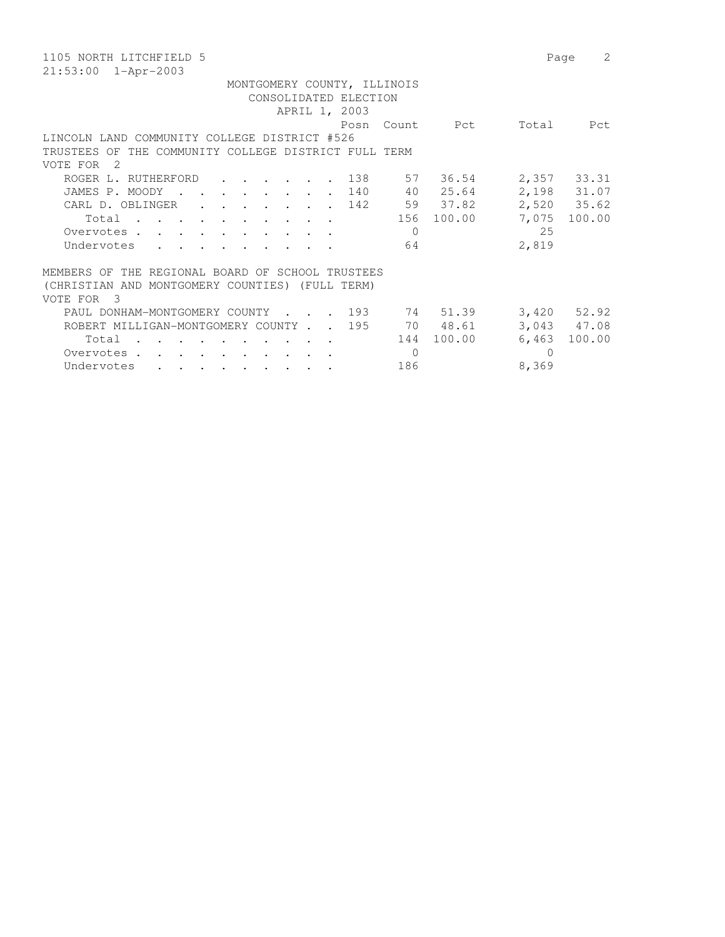| 1105 NORTH LITCHFIELD 5                                                                                                           | Page            | 2      |  |  |  |  |  |  |  |  |  |  |
|-----------------------------------------------------------------------------------------------------------------------------------|-----------------|--------|--|--|--|--|--|--|--|--|--|--|
| $21:53:00$ $1 - Appr-2003$                                                                                                        |                 |        |  |  |  |  |  |  |  |  |  |  |
| MONTGOMERY COUNTY, ILLINOIS                                                                                                       |                 |        |  |  |  |  |  |  |  |  |  |  |
| CONSOLIDATED ELECTION                                                                                                             |                 |        |  |  |  |  |  |  |  |  |  |  |
| APRIL 1, 2003                                                                                                                     |                 |        |  |  |  |  |  |  |  |  |  |  |
| Count Pct<br>Posn                                                                                                                 | Total           | Pct    |  |  |  |  |  |  |  |  |  |  |
| LINCOLN LAND COMMUNITY COLLEGE DISTRICT #526                                                                                      |                 |        |  |  |  |  |  |  |  |  |  |  |
| THE COMMUNITY COLLEGE DISTRICT FULL TERM<br>TRUSTEES OF                                                                           |                 |        |  |  |  |  |  |  |  |  |  |  |
| - 2.<br>VOTE FOR                                                                                                                  |                 |        |  |  |  |  |  |  |  |  |  |  |
| 57 36.54<br>ROGER L. RUTHERFORD<br>138<br>$\cdot$ $\cdot$ $\cdot$ $\cdot$                                                         | 2,357 33.31     |        |  |  |  |  |  |  |  |  |  |  |
| 40 25.64<br>140<br>JAMES P. MOODY<br>$\mathbf{r}$ , $\mathbf{r}$ , $\mathbf{r}$ , $\mathbf{r}$                                    | 2,198 31.07     |        |  |  |  |  |  |  |  |  |  |  |
| 59 37.82<br>142<br>CARL D. OBLINGER<br>$\cdot$ $\cdot$ $\cdot$                                                                    | 2,520 35.62     |        |  |  |  |  |  |  |  |  |  |  |
| 156 100.00<br>Total                                                                                                               | 7,075           | 100.00 |  |  |  |  |  |  |  |  |  |  |
| Overvotes.<br>$\Omega$<br>$\mathbf{r}$ , $\mathbf{r}$ , $\mathbf{r}$                                                              | 25              |        |  |  |  |  |  |  |  |  |  |  |
| Undervotes<br>64                                                                                                                  | 2,819           |        |  |  |  |  |  |  |  |  |  |  |
|                                                                                                                                   |                 |        |  |  |  |  |  |  |  |  |  |  |
| MEMBERS OF THE REGIONAL BOARD OF SCHOOL TRUSTEES                                                                                  |                 |        |  |  |  |  |  |  |  |  |  |  |
| (CHRISTIAN AND MONTGOMERY COUNTIES) (FULL TERM)                                                                                   |                 |        |  |  |  |  |  |  |  |  |  |  |
| VOTE FOR<br>$\overline{\mathbf{3}}$                                                                                               |                 |        |  |  |  |  |  |  |  |  |  |  |
| $\frac{193}{2}$<br>74 51.39<br>PAUL DONHAM-MONTGOMERY COUNTY                                                                      | $3,420$ $52.92$ |        |  |  |  |  |  |  |  |  |  |  |
| 70 48.61<br>195<br>ROBERT MILLIGAN-MONTGOMERY COUNTY.                                                                             | 3,043 47.08     |        |  |  |  |  |  |  |  |  |  |  |
| 100.00<br>144<br>Total                                                                                                            | 6,463           | 100.00 |  |  |  |  |  |  |  |  |  |  |
| $\Omega$<br>Overvotes.<br>$\mathbf{r} = \mathbf{r} + \mathbf{r} + \mathbf{r} + \mathbf{r} + \mathbf{r} + \mathbf{r} + \mathbf{r}$ | $\Omega$        |        |  |  |  |  |  |  |  |  |  |  |
| 186<br>Undervotes<br>$\cdots$                                                                                                     | 8,369           |        |  |  |  |  |  |  |  |  |  |  |
|                                                                                                                                   |                 |        |  |  |  |  |  |  |  |  |  |  |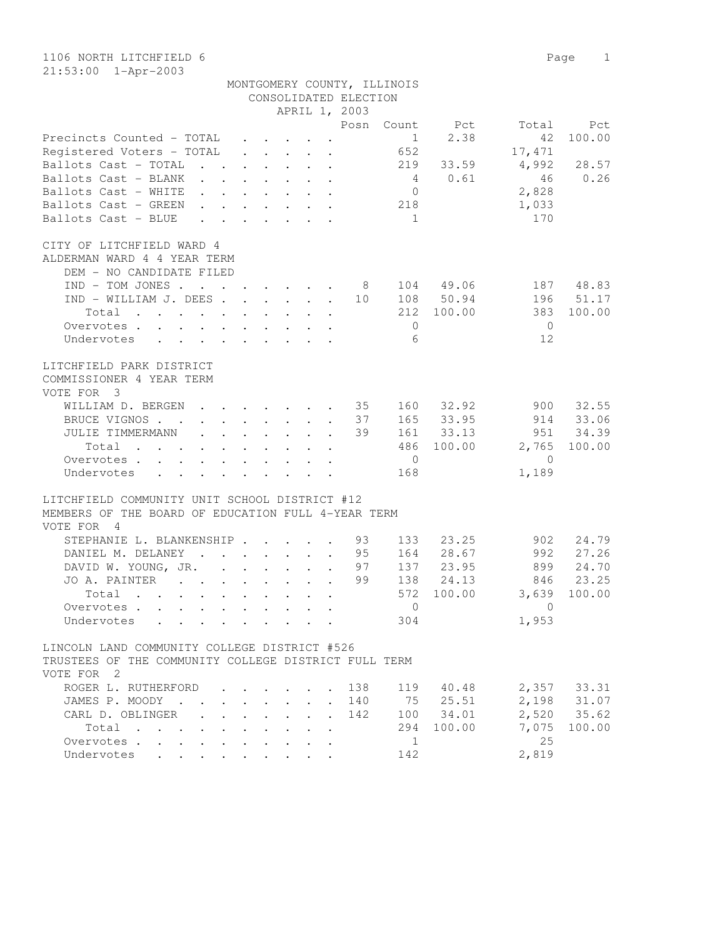1106 NORTH LITCHFIELD 6 Page 1 21:53:00 1-Apr-2003

|                                                                                                                                                                                                                                            |               | APRIL 1, 2003                                                                             |                      |           |                |           |                |        |
|--------------------------------------------------------------------------------------------------------------------------------------------------------------------------------------------------------------------------------------------|---------------|-------------------------------------------------------------------------------------------|----------------------|-----------|----------------|-----------|----------------|--------|
|                                                                                                                                                                                                                                            |               |                                                                                           |                      | Posn      | Count          | Pct       | Total          | Pct    |
| Precincts Counted - TOTAL                                                                                                                                                                                                                  |               |                                                                                           |                      |           | $\sim$ 1       | 2.38      | 42             | 100.00 |
| Registered Voters - TOTAL                                                                                                                                                                                                                  |               | $\mathbf{r}$ , $\mathbf{r}$ , $\mathbf{r}$ , $\mathbf{r}$                                 |                      |           | 652            |           | 17,471         |        |
| Ballots Cast - TOTAL<br>$\mathbf{r}$ , $\mathbf{r}$ , $\mathbf{r}$ , $\mathbf{r}$ , $\mathbf{r}$                                                                                                                                           |               |                                                                                           |                      |           | 219            | 33.59     | 4,992          | 28.57  |
| Ballots Cast - BLANK                                                                                                                                                                                                                       |               |                                                                                           |                      |           | $\overline{4}$ | 0.61      | 46             | 0.26   |
| Ballots Cast - WHITE                                                                                                                                                                                                                       |               | $\mathbf{r}$ , $\mathbf{r}$ , $\mathbf{r}$ , $\mathbf{r}$ , $\mathbf{r}$                  |                      |           | $\overline{0}$ |           | 2,828          |        |
| Ballots Cast - GREEN                                                                                                                                                                                                                       |               | $\begin{array}{cccccccccccccccccc} . & . & . & . & . & . & . & . & . & . & . \end{array}$ |                      |           | 218            |           | 1,033          |        |
| Ballots Cast - BLUE                                                                                                                                                                                                                        |               | $\begin{array}{cccccccccccccccccc} . & . & . & . & . & . & . & . & . & . & . \end{array}$ |                      |           | $\overline{1}$ |           | 170            |        |
| CITY OF LITCHFIELD WARD 4                                                                                                                                                                                                                  |               |                                                                                           |                      |           |                |           |                |        |
| ALDERMAN WARD 4 4 YEAR TERM                                                                                                                                                                                                                |               |                                                                                           |                      |           |                |           |                |        |
| DEM - NO CANDIDATE FILED                                                                                                                                                                                                                   |               |                                                                                           |                      |           |                |           |                |        |
| $IND - TOM JONES$                                                                                                                                                                                                                          |               |                                                                                           |                      | - 8       |                | 104 49.06 | 187            | 48.83  |
| $IND - WILLIAM J. DEES$                                                                                                                                                                                                                    |               |                                                                                           |                      | 10        |                | 108 50.94 | 196            | 51.17  |
| Total<br>$\mathbf{r}$ . The contract of the contract of the contract of the contract of the contract of the contract of the contract of the contract of the contract of the contract of the contract of the contract of the contract of th |               |                                                                                           |                      |           | 212            | 100.00    | 383            | 100.00 |
| Overvotes                                                                                                                                                                                                                                  |               |                                                                                           |                      |           | $\Omega$       |           | $\overline{0}$ |        |
| Undervotes                                                                                                                                                                                                                                 |               |                                                                                           |                      |           | 6              |           | 12             |        |
| LITCHFIELD PARK DISTRICT                                                                                                                                                                                                                   |               |                                                                                           |                      |           |                |           |                |        |
| COMMISSIONER 4 YEAR TERM                                                                                                                                                                                                                   |               |                                                                                           |                      |           |                |           |                |        |
| VOTE FOR 3                                                                                                                                                                                                                                 |               |                                                                                           |                      |           |                |           |                |        |
| WILLIAM D. BERGEN                                                                                                                                                                                                                          |               | $\cdot$ $\cdot$ $\cdot$ $\cdot$ $\cdot$ $\cdot$ $\cdot$                                   |                      | $\sim$ 35 | 160            | 32.92     | 900            | 32.55  |
| BRUCE VIGNOS.<br>. 37                                                                                                                                                                                                                      |               |                                                                                           |                      |           |                | 165 33.95 | 914            | 33.06  |
| JULIE TIMMERMANN                                                                                                                                                                                                                           |               | $\mathbf{r}$ , and $\mathbf{r}$ , and $\mathbf{r}$ , and $\mathbf{r}$                     |                      | 39        |                | 161 33.13 | 951            | 34.39  |
| Total<br>$\mathbf{r}$ , and $\mathbf{r}$ , and $\mathbf{r}$ , and $\mathbf{r}$ , and $\mathbf{r}$ , and $\mathbf{r}$                                                                                                                       |               |                                                                                           |                      |           | 486            | 100.00    | 2,765          | 100.00 |
| Overvotes                                                                                                                                                                                                                                  |               |                                                                                           |                      |           | $\overline{0}$ |           | $\overline{0}$ |        |
| Undervotes                                                                                                                                                                                                                                 |               |                                                                                           |                      |           | 168            |           | 1,189          |        |
| LITCHFIELD COMMUNITY UNIT SCHOOL DISTRICT #12                                                                                                                                                                                              |               |                                                                                           |                      |           |                |           |                |        |
| MEMBERS OF THE BOARD OF EDUCATION FULL 4-YEAR TERM                                                                                                                                                                                         |               |                                                                                           |                      |           |                |           |                |        |
| VOTE FOR 4                                                                                                                                                                                                                                 |               |                                                                                           |                      |           |                |           |                |        |
| STEPHANIE L. BLANKENSHIP                                                                                                                                                                                                                   |               |                                                                                           |                      | 93        | 133            | 23.25     | 902            | 24.79  |
| DANIEL M. DELANEY<br>$\mathbf{r}$ , and $\mathbf{r}$ , and $\mathbf{r}$ , and $\mathbf{r}$                                                                                                                                                 |               |                                                                                           |                      | 95        | 164            | 28.67     | 992            | 27.26  |
| DAVID W. YOUNG, JR.                                                                                                                                                                                                                        |               |                                                                                           | $\ddot{\phantom{a}}$ | 97        | 137            | 23.95     | 899            | 24.70  |
| JO A. PAINTER                                                                                                                                                                                                                              |               |                                                                                           | $\sim$               | 99        | 138            | 24.13     | 846            | 23.25  |
| Total                                                                                                                                                                                                                                      |               |                                                                                           |                      |           | 572            | 100.00    | 3,639          | 100.00 |
| Overvotes<br>$\sim$ $-$                                                                                                                                                                                                                    | $\sim$ $\sim$ |                                                                                           |                      |           | $\circ$        |           | $\Omega$       |        |
| Undervotes<br>$\cdot$ $\cdot$ $\cdot$                                                                                                                                                                                                      |               | $\mathbf{r}$ , and $\mathbf{r}$ , and $\mathbf{r}$ , and $\mathbf{r}$                     |                      |           | 304            |           | 1,953          |        |
| LINCOLN LAND COMMUNITY COLLEGE DISTRICT #526                                                                                                                                                                                               |               |                                                                                           |                      |           |                |           |                |        |
| TRUSTEES OF THE COMMUNITY COLLEGE DISTRICT FULL TERM                                                                                                                                                                                       |               |                                                                                           |                      |           |                |           |                |        |
| VOTE FOR 2                                                                                                                                                                                                                                 |               |                                                                                           |                      |           |                |           |                |        |
| ROGER L. RUTHERFORD                                                                                                                                                                                                                        |               |                                                                                           |                      | 138       | 119            | 40.48     | 2,357          | 33.31  |
| JAMES P. MOODY.                                                                                                                                                                                                                            |               |                                                                                           |                      | 140       | 75             | 25.51     | 2,198          | 31.07  |
| CARL D. OBLINGER                                                                                                                                                                                                                           |               |                                                                                           |                      | 142       | 100            | 34.01     | 2,520          | 35.62  |
| Total<br>$\mathbf{a}$ , $\mathbf{a}$ , $\mathbf{a}$                                                                                                                                                                                        |               |                                                                                           |                      |           | 294            | 100.00    | 7,075<br>25    | 100.00 |
| Overvotes.<br>$\sim$<br>$\sim$                                                                                                                                                                                                             |               |                                                                                           |                      |           | $\mathbf{1}$   |           |                |        |
| Undervotes                                                                                                                                                                                                                                 |               |                                                                                           |                      |           | 142            |           | 2,819          |        |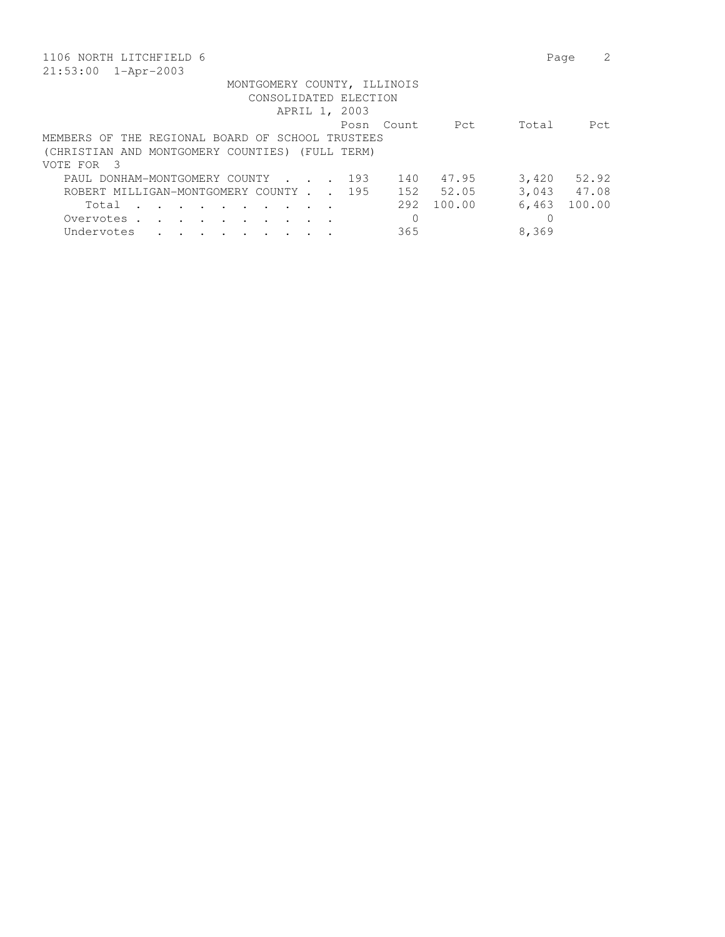| 1106 NORTH LITCHFIELD 6                                                                    | Page            |
|--------------------------------------------------------------------------------------------|-----------------|
| 21:53:00<br>1-Apr-2003                                                                     |                 |
| MONTGOMERY COUNTY, ILLINOIS                                                                |                 |
| CONSOLIDATED ELECTION                                                                      |                 |
| APRIL 1, 2003                                                                              |                 |
| Pct<br>Count.<br>Posn                                                                      | Total<br>Pct.   |
| MEMBERS OF THE REGIONAL BOARD OF SCHOOL TRUSTEES                                           |                 |
| (CHRISTIAN AND MONTGOMERY COUNTIES) (FULL TERM)                                            |                 |
| VOTE FOR<br>$\mathcal{R}$                                                                  |                 |
| 47.95<br>PAUL DONHAM-MONTGOMERY COUNTY<br>193<br>140<br>$\sim$ $\sim$ $\sim$ $\sim$ $\sim$ | 3,420<br>52.92  |
| 52.05<br>152<br>ROBERT MILLIGAN-MONTGOMERY COUNTY 195                                      | 3,043 47.08     |
| 292<br>100.00<br>Total<br>$\sim$ $\sim$ $\sim$<br>$\ddot{\phantom{0}}$                     | 100.00<br>6,463 |
| $\Omega$<br>Overvotes.                                                                     | 0               |
| 365<br>Undervotes                                                                          | 8,369           |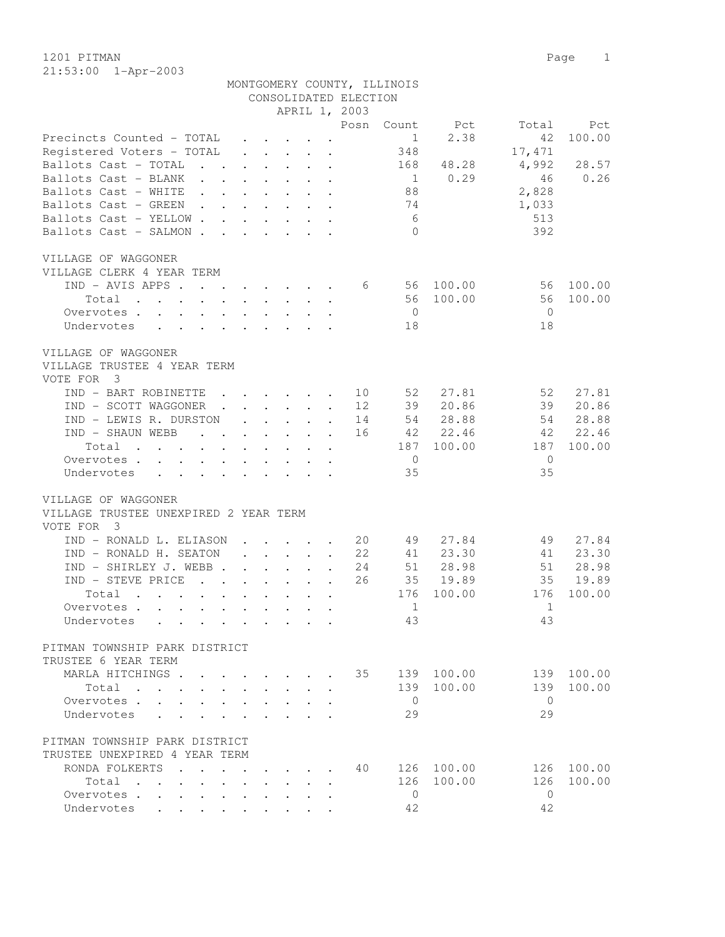1201 PITMAN Page 1 21:53:00 1-Apr-2003

|                                                                                                                                         |                           |                                        |                                                     |                                                                                                  |                       | MONTGOMERY COUNTY, ILLINOIS |               |                |               |
|-----------------------------------------------------------------------------------------------------------------------------------------|---------------------------|----------------------------------------|-----------------------------------------------------|--------------------------------------------------------------------------------------------------|-----------------------|-----------------------------|---------------|----------------|---------------|
|                                                                                                                                         |                           |                                        |                                                     |                                                                                                  | CONSOLIDATED ELECTION |                             |               |                |               |
|                                                                                                                                         |                           |                                        |                                                     |                                                                                                  | APRIL 1, 2003         |                             |               |                |               |
|                                                                                                                                         |                           |                                        |                                                     |                                                                                                  | Posn                  | Count                       | Pct           | Total          | Pct           |
| Precincts Counted - TOTAL                                                                                                               |                           |                                        |                                                     |                                                                                                  | $\sim$                | $\overline{1}$              | 2.38          | 42             | 100.00        |
| Registered Voters - TOTAL                                                                                                               |                           |                                        |                                                     | $\cdot$ $\cdot$ $\cdot$ $\cdot$ $\cdot$ $\cdot$                                                  |                       | 348                         |               | 17,471         |               |
| Ballots Cast - TOTAL<br>$\mathbf{r}$ , $\mathbf{r}$ , $\mathbf{r}$ , $\mathbf{r}$ , $\mathbf{r}$ , $\mathbf{r}$<br>Ballots Cast - BLANK |                           |                                        |                                                     |                                                                                                  |                       | 168                         | 48.28<br>0.29 | 4,992<br>46    | 28.57<br>0.26 |
| Ballots Cast - WHITE                                                                                                                    |                           |                                        |                                                     |                                                                                                  |                       | $\sim$ 1<br>88              |               | 2,828          |               |
| Ballots Cast - GREEN.                                                                                                                   |                           |                                        |                                                     | $\cdot$ $\cdot$<br>$\mathbf{r} = \mathbf{r} - \mathbf{r} = \mathbf{r} - \mathbf{r} = \mathbf{r}$ |                       | 74                          |               | 1,033          |               |
| Ballots Cast - YELLOW.                                                                                                                  | $\mathbf{L}^{\text{max}}$ |                                        |                                                     | $\cdot$ $\cdot$ $\cdot$ $\cdot$ $\cdot$ $\cdot$                                                  |                       | 6                           |               | 513            |               |
| Ballots Cast - SALMON.                                                                                                                  | $\mathbf{L}$              | $\mathbf{L}$                           |                                                     | $\mathbf{r}$ , $\mathbf{r}$ , $\mathbf{r}$                                                       |                       | $\bigcirc$                  |               | 392            |               |
|                                                                                                                                         |                           |                                        |                                                     |                                                                                                  |                       |                             |               |                |               |
| VILLAGE OF WAGGONER                                                                                                                     |                           |                                        |                                                     |                                                                                                  |                       |                             |               |                |               |
| VILLAGE CLERK 4 YEAR TERM                                                                                                               |                           |                                        |                                                     |                                                                                                  |                       |                             |               |                |               |
| $IND - AVIS APPS$                                                                                                                       |                           |                                        |                                                     |                                                                                                  |                       | $6\overline{6}$             | 56 100.00     | 56             | 100.00        |
| Total<br>$\mathcal{A}$ . The second contribution of the second contribution $\mathcal{A}$                                               |                           |                                        |                                                     |                                                                                                  |                       |                             | 56 100.00     | 56             | 100.00        |
| Overvotes.                                                                                                                              |                           |                                        |                                                     |                                                                                                  |                       | $\overline{0}$              |               | $\overline{0}$ |               |
| Undervotes                                                                                                                              |                           |                                        |                                                     |                                                                                                  |                       | 18                          |               | 18             |               |
|                                                                                                                                         |                           |                                        |                                                     |                                                                                                  |                       |                             |               |                |               |
| VILLAGE OF WAGGONER                                                                                                                     |                           |                                        |                                                     |                                                                                                  |                       |                             |               |                |               |
| VILLAGE TRUSTEE 4 YEAR TERM                                                                                                             |                           |                                        |                                                     |                                                                                                  |                       |                             |               |                |               |
| VOTE FOR 3                                                                                                                              |                           |                                        |                                                     |                                                                                                  |                       |                             |               |                |               |
| IND - BART ROBINETTE                                                                                                                    |                           |                                        | $\cdot$ $\cdot$ $\cdot$ $\cdot$                     |                                                                                                  | 10                    | 52                          | 27.81         | 52             | 27.81         |
| IND - SCOTT WAGGONER .                                                                                                                  |                           |                                        |                                                     | $\mathbf{r}$ , $\mathbf{r}$ , $\mathbf{r}$ , $\mathbf{r}$ , $\mathbf{r}$                         | 12                    | 39                          | 20.86         | 39             | 20.86         |
| IND - LEWIS R. DURSTON                                                                                                                  |                           |                                        | $\mathbf{r} = \mathbf{r} + \mathbf{r} + \mathbf{r}$ |                                                                                                  | 14<br>$\sim$          | 54                          | 28.88         | - 54           | 28.88         |
| IND - SHAUN WEBB<br>and the contract of the contract of                                                                                 |                           |                                        |                                                     |                                                                                                  | 16                    |                             | 42 22.46      | -42            | 22.46         |
| Total                                                                                                                                   |                           |                                        |                                                     |                                                                                                  |                       |                             | 187 100.00    | 187            | 100.00        |
| Overvotes                                                                                                                               |                           |                                        |                                                     | $\mathbf{r}$ , and $\mathbf{r}$ , and $\mathbf{r}$ , and $\mathbf{r}$                            |                       | $\overline{0}$              |               | $\mathbf{0}$   |               |
| Undervotes<br>$\mathbf{r} = \mathbf{r} \cdot \mathbf{r}$<br>$\mathbf{L}$                                                                |                           |                                        |                                                     | $\cdot$ $\cdot$ $\cdot$ $\cdot$ $\cdot$                                                          |                       | 35                          |               | 35             |               |
|                                                                                                                                         |                           |                                        |                                                     |                                                                                                  |                       |                             |               |                |               |
| VILLAGE OF WAGGONER                                                                                                                     |                           |                                        |                                                     |                                                                                                  |                       |                             |               |                |               |
| VILLAGE TRUSTEE UNEXPIRED 2 YEAR TERM                                                                                                   |                           |                                        |                                                     |                                                                                                  |                       |                             |               |                |               |
| VOTE FOR<br>$\overline{\phantom{a}}$                                                                                                    |                           |                                        |                                                     |                                                                                                  |                       |                             |               |                |               |
| IND - RONALD L. ELIASON                                                                                                                 |                           |                                        | $\cdot$ $\cdot$ $\cdot$ $\cdot$ $\cdot$             |                                                                                                  | 20                    | 49                          | 27.84         | 49             | 27.84         |
| IND - RONALD H. SEATON                                                                                                                  |                           |                                        |                                                     | $\sim$                                                                                           | 22                    | 41                          | 23.30         | 41             | 23.30         |
| $IND - SHIRLEX J. WEBB.$                                                                                                                |                           | $\mathbf{r} = \mathbf{r} + \mathbf{r}$ |                                                     |                                                                                                  | 24                    | 51                          | 28.98         | 51             | 28.98         |
| IND - STEVE PRICE<br>$\mathbf{r}$ , $\mathbf{r}$                                                                                        |                           | $\mathbf{L}$ and $\mathbf{L}$          |                                                     | $\mathbf{r}$                                                                                     | 26                    | 35                          | 19.89         | 35             | 19.89         |
| Total<br>$\mathbf{r}$ , $\mathbf{r}$ , $\mathbf{r}$ , $\mathbf{r}$<br>$\cdot$ $\cdot$ $\cdot$ $\cdot$ $\cdot$                           |                           |                                        | $\sim$                                              | $\ddot{\phantom{a}}$                                                                             |                       | 176                         | 100.00        | 176            | 100.00        |
| Overvotes                                                                                                                               |                           |                                        |                                                     |                                                                                                  |                       | $\sim$ 1                    |               | 1              |               |
| Undervotes<br>the contract of the contract of the contract of the contract of the contract of the contract of the contract of           |                           |                                        |                                                     |                                                                                                  |                       | 43                          |               | 43             |               |
|                                                                                                                                         |                           |                                        |                                                     |                                                                                                  |                       |                             |               |                |               |
| PITMAN TOWNSHIP PARK DISTRICT                                                                                                           |                           |                                        |                                                     |                                                                                                  |                       |                             |               |                |               |
| TRUSTEE 6 YEAR TERM                                                                                                                     |                           |                                        |                                                     |                                                                                                  |                       |                             |               |                |               |
| MARLA HITCHINGS.                                                                                                                        |                           |                                        |                                                     |                                                                                                  | 35                    |                             | 139 100.00    | 139            | 100.00        |
| Total<br>$\mathbf{r}$ , $\mathbf{r}$ , $\mathbf{r}$ , $\mathbf{r}$                                                                      |                           |                                        |                                                     |                                                                                                  |                       |                             | 139 100.00    | 139            | 100.00        |
| Overvotes .                                                                                                                             |                           |                                        |                                                     |                                                                                                  |                       | $\overline{0}$              |               | $\bigcirc$     |               |
| Undervotes                                                                                                                              |                           |                                        |                                                     |                                                                                                  |                       | 29                          |               | 29             |               |
|                                                                                                                                         |                           |                                        |                                                     |                                                                                                  |                       |                             |               |                |               |
| PITMAN TOWNSHIP PARK DISTRICT                                                                                                           |                           |                                        |                                                     |                                                                                                  |                       |                             |               |                |               |
| TRUSTEE UNEXPIRED 4 YEAR TERM                                                                                                           |                           |                                        |                                                     |                                                                                                  |                       |                             |               |                |               |
| RONDA FOLKERTS                                                                                                                          |                           |                                        | $\ddot{\phantom{0}}$                                |                                                                                                  | 40                    |                             | 126 100.00    | 126            | 100.00        |
| Total<br>$\mathbf{r}$ , $\mathbf{r}$ , $\mathbf{r}$<br>$\bullet$ .                                                                      | $\ddot{\phantom{0}}$      |                                        |                                                     |                                                                                                  |                       | 126                         | 100.00        | 126            | 100.00        |
| Overvotes                                                                                                                               |                           | $\bullet$                              |                                                     |                                                                                                  |                       | $\circ$                     |               | $\mathbf{0}$   |               |
| Undervotes<br>$\mathbf{r}$ , $\mathbf{r}$ , $\mathbf{r}$                                                                                |                           |                                        |                                                     |                                                                                                  |                       | 42                          |               | 42             |               |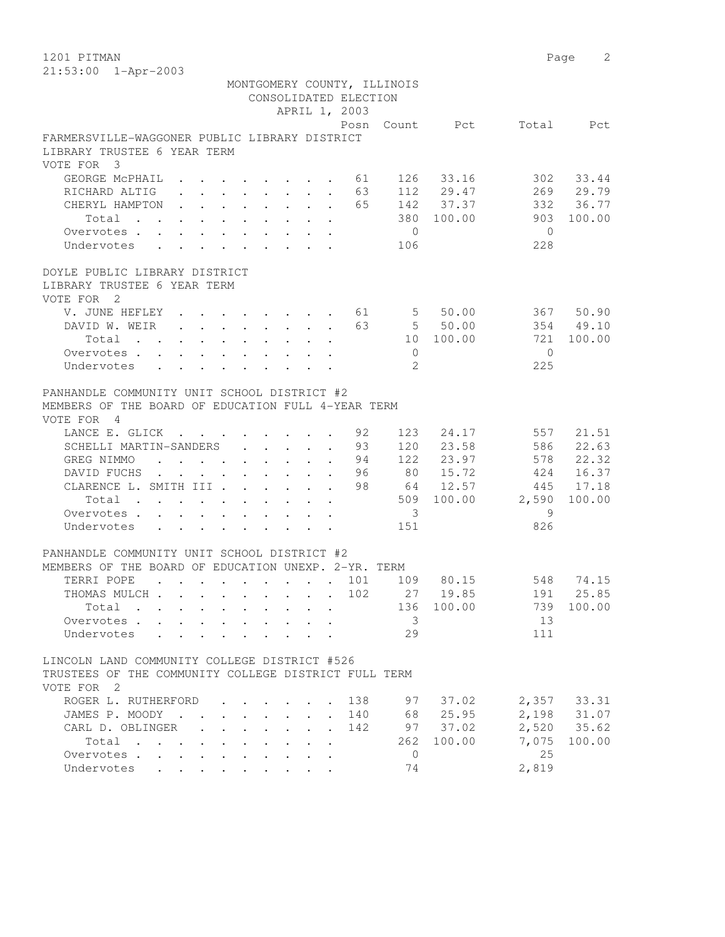|                                                                                                        |                                                                                                                                                 | MONTGOMERY COUNTY, ILLINOIS<br>CONSOLIDATED ELECTION<br>APRIL 1, 2003 |      |                          |                   |            |                            |
|--------------------------------------------------------------------------------------------------------|-------------------------------------------------------------------------------------------------------------------------------------------------|-----------------------------------------------------------------------|------|--------------------------|-------------------|------------|----------------------------|
|                                                                                                        |                                                                                                                                                 |                                                                       |      |                          | Posn Count Pct    |            | Total Pct                  |
| FARMERSVILLE-WAGGONER PUBLIC LIBRARY DISTRICT<br>LIBRARY TRUSTEE 6 YEAR TERM                           |                                                                                                                                                 |                                                                       |      |                          |                   |            |                            |
| VOTE FOR 3                                                                                             |                                                                                                                                                 |                                                                       |      |                          |                   |            |                            |
| GEORGE MCPHAIL 61                                                                                      |                                                                                                                                                 |                                                                       |      |                          | 126 33.16         | 302        | 33.44                      |
| RICHARD ALTIG (a) 63                                                                                   |                                                                                                                                                 |                                                                       |      |                          | 112 29.47         |            | 269 29.79                  |
| CHERYL HAMPTON 65                                                                                      |                                                                                                                                                 |                                                                       |      |                          | 142 37.37         | 332        | 36.77                      |
| Total                                                                                                  |                                                                                                                                                 |                                                                       |      |                          | 380 100.00        | 903        | 100.00                     |
| Overvotes                                                                                              |                                                                                                                                                 |                                                                       |      | $\overline{0}$           |                   | $\bigcirc$ |                            |
| Undervotes<br>$\ddot{\phantom{0}}$                                                                     |                                                                                                                                                 |                                                                       |      | 106                      |                   | 228        |                            |
| DOYLE PUBLIC LIBRARY DISTRICT                                                                          |                                                                                                                                                 |                                                                       |      |                          |                   |            |                            |
| LIBRARY TRUSTEE 6 YEAR TERM                                                                            |                                                                                                                                                 |                                                                       |      |                          |                   |            |                            |
| VOTE FOR 2                                                                                             |                                                                                                                                                 |                                                                       |      |                          |                   |            |                            |
| V. JUNE HEFLEY 61                                                                                      |                                                                                                                                                 |                                                                       |      |                          | 550.00            |            | 367 50.90                  |
| DAVID W. WEIR 63                                                                                       |                                                                                                                                                 |                                                                       |      |                          | 550.00            |            | 354 49.10                  |
| Total                                                                                                  |                                                                                                                                                 |                                                                       |      |                          | 10 100.00         | 721        | 100.00                     |
| Overvotes                                                                                              |                                                                                                                                                 |                                                                       |      | $\overline{0}$           |                   | $\bigcirc$ |                            |
| Undervotes .<br>$\sim$ $\sim$ $\sim$ $\sim$ $\sim$                                                     |                                                                                                                                                 |                                                                       |      | $\mathfrak{L}$           |                   | 225        |                            |
| PANHANDLE COMMUNITY UNIT SCHOOL DISTRICT #2                                                            |                                                                                                                                                 |                                                                       |      |                          |                   |            |                            |
| MEMBERS OF THE BOARD OF EDUCATION FULL 4-YEAR TERM                                                     |                                                                                                                                                 |                                                                       |      |                          |                   |            |                            |
| VOTE FOR 4                                                                                             |                                                                                                                                                 |                                                                       |      |                          |                   |            |                            |
| LANCE E. GLICK 92                                                                                      |                                                                                                                                                 |                                                                       |      | 123                      | 24.17             | 557        | 21.51                      |
| SCHELLI MARTIN-SANDERS 93                                                                              |                                                                                                                                                 |                                                                       |      |                          | 120 23.58         | 586        | 22.63                      |
| GREG NIMMO<br>$\mathbf{r}$ , and $\mathbf{r}$ , and $\mathbf{r}$ , and $\mathbf{r}$ , and $\mathbf{r}$ |                                                                                                                                                 |                                                                       | . 94 |                          | 122 23.97         | 578        | 22.32                      |
| DAVID FUCHS.                                                                                           | $\mathbf{u} = \mathbf{u} \times \mathbf{u}$ , and $\mathbf{u} = \mathbf{u} \times \mathbf{u}$ , and $\mathbf{u} = \mathbf{u} \times \mathbf{u}$ |                                                                       | - 96 |                          | 80 15.72          |            | 424 16.37                  |
| CLARENCE L. SMITH III                                                                                  |                                                                                                                                                 | $\mathbf{r}$                                                          | 98   |                          | 64 12.57          | 445        | 17.18                      |
| Total                                                                                                  |                                                                                                                                                 | $\ddot{\phantom{a}}$                                                  |      |                          | 509 100.00        | 2,590      | 100.00                     |
| Overvotes                                                                                              |                                                                                                                                                 | $\cdot$ $\cdot$ $\cdot$<br>$\ddot{\phantom{a}}$                       |      | $\overline{\phantom{a}}$ |                   | - 9        |                            |
| Undervotes                                                                                             |                                                                                                                                                 |                                                                       |      | 151                      |                   | 826        |                            |
| PANHANDLE COMMUNITY UNIT SCHOOL DISTRICT #2                                                            |                                                                                                                                                 |                                                                       |      |                          |                   |            |                            |
| MEMBERS OF THE BOARD OF EDUCATION UNEXP. 2-YR. TERM                                                    |                                                                                                                                                 |                                                                       |      |                          |                   |            |                            |
| TERRI POPE<br>. 101                                                                                    |                                                                                                                                                 |                                                                       |      |                          | 109 80.15         |            | 548 74.15                  |
| THOMAS MULCH 102                                                                                       |                                                                                                                                                 |                                                                       |      |                          | 27 19.85          | 191        | 25.85                      |
| Total .                                                                                                |                                                                                                                                                 |                                                                       |      |                          | 136 100.00        |            | 739 100.00                 |
| Overvotes                                                                                              |                                                                                                                                                 |                                                                       |      | $\mathcal{S}$            |                   | 13         |                            |
| Undervotes                                                                                             | and a state                                                                                                                                     |                                                                       |      | 29                       |                   | 111        |                            |
| LINCOLN LAND COMMUNITY COLLEGE DISTRICT #526                                                           |                                                                                                                                                 |                                                                       |      |                          |                   |            |                            |
| TRUSTEES OF THE COMMUNITY COLLEGE DISTRICT FULL TERM<br>VOTE FOR 2                                     |                                                                                                                                                 |                                                                       |      |                          |                   |            |                            |
| ROGER L. RUTHERFORD                                                                                    |                                                                                                                                                 |                                                                       | 138  | 97                       |                   |            | 2,357 33.31                |
| JAMES P. MOODY                                                                                         |                                                                                                                                                 |                                                                       | 140  |                          | 37.02<br>68 25.95 |            |                            |
| CARL D. OBLINGER<br>$\mathbb{R}^{\mathbb{Z}}$                                                          |                                                                                                                                                 |                                                                       | 142  |                          | 97 37.02          |            | 2,198 31.07<br>2,520 35.62 |
| Total                                                                                                  |                                                                                                                                                 |                                                                       |      | 262                      | 100.00            | 7,075      | 100.00                     |
| Overvotes.                                                                                             |                                                                                                                                                 |                                                                       |      | $\mathbf{0}$             |                   | 25         |                            |
| Undervotes                                                                                             |                                                                                                                                                 |                                                                       |      | 74                       |                   | 2,819      |                            |
|                                                                                                        |                                                                                                                                                 |                                                                       |      |                          |                   |            |                            |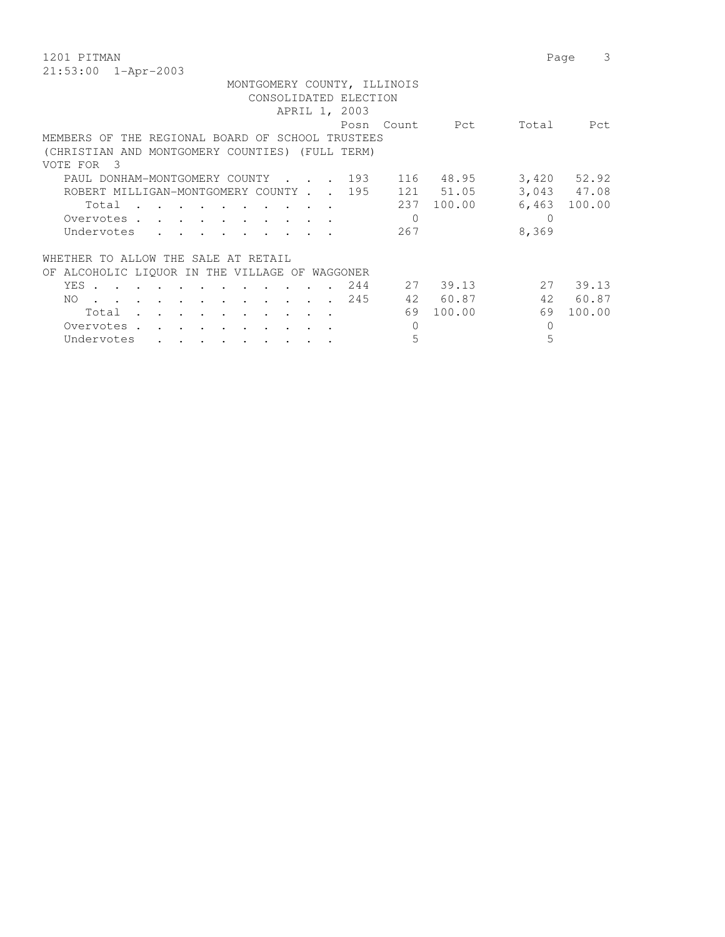1201 PITMAN Page 3 21:53:00 1-Apr-2003

| MONTGOMERY COUNTY, ILLINOIS                                                                                                                 |                 |
|---------------------------------------------------------------------------------------------------------------------------------------------|-----------------|
| CONSOLIDATED ELECTION                                                                                                                       |                 |
| APRIL 1, 2003                                                                                                                               |                 |
| Posn Count Pct<br>Total                                                                                                                     | Pct             |
| MEMBERS OF THE REGIONAL BOARD OF SCHOOL TRUSTEES                                                                                            |                 |
| (CHRISTIAN AND MONTGOMERY COUNTIES) (FULL TERM)                                                                                             |                 |
| VOTE FOR 3                                                                                                                                  |                 |
| PAUL DONHAM-MONTGOMERY COUNTY 193<br>116 48.95                                                                                              | $3,420$ $52.92$ |
| ROBERT MILLIGAN-MONTGOMERY COUNTY 195<br>121 51.05                                                                                          | 3,043 47.08     |
| 6,463<br>237 100.00<br>Total                                                                                                                | 100.00          |
| 0<br>Overvotes.                                                                                                                             |                 |
| 8,369<br>267<br>Undervotes<br>$\mathbf{r}$ . The set of $\mathbf{r}$                                                                        |                 |
| WHETHER TO ALLOW THE SALE AT RETAIL                                                                                                         |                 |
| OF ALCOHOLIC LIOUOR IN THE VILLAGE OF WAGGONER                                                                                              |                 |
| 2.7<br>27 39.13<br>YES .<br>244                                                                                                             | 39.13           |
| 42 60.87<br>42<br>245<br>NO.<br>$\mathbf{r}$ , and $\mathbf{r}$ , and $\mathbf{r}$ , and $\mathbf{r}$ , and $\mathbf{r}$ , and $\mathbf{r}$ | 60.87           |
| 69<br>100.00<br>69<br>Total                                                                                                                 | 100.00          |
| 0<br>Overvotes.<br>0                                                                                                                        |                 |
| 5<br>5<br>Undervotes<br>$\bullet \qquad \bullet \qquad \bullet \qquad \bullet \qquad \bullet \qquad \bullet \qquad \bullet \qquad \bullet$  |                 |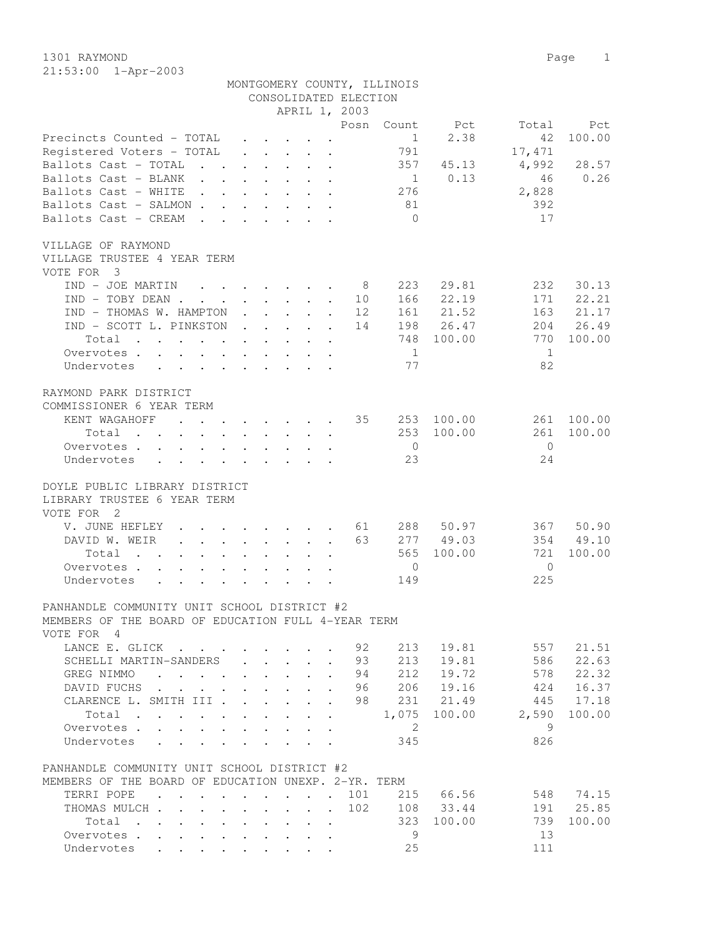1301 RAYMOND Page 1 21:53:00 1-Apr-2003

|                                                                                                                      |                                |                                                           |                                                                                         | CONSOLIDATED ELECTION<br>APRIL 1, 2003 | MONTGOMERY COUNTY, ILLINOIS |            |                |           |
|----------------------------------------------------------------------------------------------------------------------|--------------------------------|-----------------------------------------------------------|-----------------------------------------------------------------------------------------|----------------------------------------|-----------------------------|------------|----------------|-----------|
|                                                                                                                      |                                |                                                           |                                                                                         | Posn                                   | Count                       | Pct        | Total          | Pct       |
| Precincts Counted - TOTAL                                                                                            |                                | $\mathbf{r}$ , $\mathbf{r}$ , $\mathbf{r}$ , $\mathbf{r}$ |                                                                                         |                                        | $\sim$ 1                    | 2.38       | 42             | 100.00    |
| Registered Voters - TOTAL                                                                                            |                                |                                                           | $\mathbf{r}$ , $\mathbf{r}$ , $\mathbf{r}$ , $\mathbf{r}$ , $\mathbf{r}$ , $\mathbf{r}$ |                                        | 791                         |            | 17,471         |           |
| Ballots Cast - TOTAL                                                                                                 |                                |                                                           |                                                                                         |                                        | 357                         | 45.13      | 4,992          | 28.57     |
| Ballots Cast - BLANK                                                                                                 |                                |                                                           |                                                                                         |                                        | $\overline{1}$              | 0.13       | 46             | 0.26      |
| Ballots Cast - WHITE                                                                                                 |                                |                                                           |                                                                                         |                                        | 276                         |            | 2,828          |           |
| Ballots Cast - SALMON                                                                                                |                                |                                                           |                                                                                         |                                        | 81                          |            | 392            |           |
| Ballots Cast - CREAM                                                                                                 |                                |                                                           |                                                                                         |                                        | $\bigcirc$                  |            | 17             |           |
| VILLAGE OF RAYMOND<br>VILLAGE TRUSTEE 4 YEAR TERM<br>VOTE FOR 3                                                      |                                |                                                           |                                                                                         |                                        |                             |            |                |           |
| $IND - JOE MARTIN$ 8                                                                                                 |                                |                                                           |                                                                                         |                                        | 223                         | 29.81      | 232            | 30.13     |
| $IND - TOBY DEAN$                                                                                                    |                                |                                                           |                                                                                         | 10                                     |                             | 166 22.19  | 171            | 22.21     |
| IND - THOMAS W. HAMPTON                                                                                              |                                |                                                           |                                                                                         | 12                                     |                             | 161 21.52  | 163            | 21.17     |
| IND - SCOTT L. PINKSTON                                                                                              |                                |                                                           |                                                                                         | 14                                     |                             | 198 26.47  | 204            | 26.49     |
| Total                                                                                                                |                                |                                                           |                                                                                         |                                        |                             | 748 100.00 | 770            | 100.00    |
| Overvotes                                                                                                            |                                |                                                           |                                                                                         |                                        | $\overline{1}$              |            | 1              |           |
| Undervotes                                                                                                           |                                |                                                           |                                                                                         |                                        | 77                          |            | 82             |           |
| RAYMOND PARK DISTRICT                                                                                                |                                |                                                           |                                                                                         |                                        |                             |            |                |           |
| COMMISSIONER 6 YEAR TERM                                                                                             |                                |                                                           |                                                                                         |                                        |                             |            |                |           |
| KENT WAGAHOFF 35 253 100.00                                                                                          |                                |                                                           |                                                                                         |                                        |                             |            | 261            | 100.00    |
| Total<br>$\mathbf{r}$ , and $\mathbf{r}$ , and $\mathbf{r}$ , and $\mathbf{r}$ , and $\mathbf{r}$ , and $\mathbf{r}$ |                                |                                                           |                                                                                         |                                        | 253                         | 100.00     | 261            | 100.00    |
| Overvotes                                                                                                            |                                |                                                           |                                                                                         |                                        | $\overline{0}$              |            | $\overline{0}$ |           |
| Undervotes                                                                                                           |                                |                                                           |                                                                                         |                                        | 23                          |            | 24             |           |
| DOYLE PUBLIC LIBRARY DISTRICT                                                                                        |                                |                                                           |                                                                                         |                                        |                             |            |                |           |
| LIBRARY TRUSTEE 6 YEAR TERM                                                                                          |                                |                                                           |                                                                                         |                                        |                             |            |                |           |
| VOTE FOR 2                                                                                                           |                                |                                                           |                                                                                         |                                        |                             |            |                |           |
| V. JUNE HEFLEY 61                                                                                                    |                                |                                                           |                                                                                         |                                        |                             | 288 50.97  | 367            | 50.90     |
| DAVID W. WEIR                                                                                                        |                                |                                                           |                                                                                         | 63                                     |                             | 277 49.03  |                | 354 49.10 |
| Total                                                                                                                |                                |                                                           |                                                                                         |                                        | 565                         | 100.00     | 721            | 100.00    |
| Overvotes                                                                                                            |                                |                                                           |                                                                                         |                                        | $\overline{0}$              |            | $\Omega$       |           |
| Undervotes                                                                                                           |                                |                                                           |                                                                                         |                                        | 149                         |            | 225            |           |
| PANHANDLE COMMUNITY UNIT SCHOOL DISTRICT #2                                                                          |                                |                                                           |                                                                                         |                                        |                             |            |                |           |
| MEMBERS OF THE BOARD OF EDUCATION FULL 4-YEAR TERM<br>VOTE FOR 4                                                     |                                |                                                           |                                                                                         |                                        |                             |            |                |           |
| LANCE E. GLICK                                                                                                       |                                |                                                           |                                                                                         | 92                                     | 213                         | 19.81      | 557            | 21.51     |
| SCHELLI MARTIN-SANDERS                                                                                               |                                | $\cdot$ $\cdot$ $\cdot$ $\cdot$ $\cdot$                   | $\ddot{\phantom{a}}$                                                                    | 93                                     | 213                         | 19.81      | 586            | 22.63     |
| GREG NIMMO<br>$\mathbf{r}$ , $\mathbf{r}$ , $\mathbf{r}$ , $\mathbf{r}$                                              | $\ddot{\phantom{0}}$           | $\sim$<br>$\sim$                                          | $\cdot$                                                                                 | 94                                     | 212                         | 19.72      | 578            | 22.32     |
| DAVID FUCHS                                                                                                          | $\ddot{\phantom{0}}$           | $\sim$<br>$\sim$                                          |                                                                                         | 96                                     | 206                         | 19.16      | 424            | 16.37     |
| CLARENCE L. SMITH III .                                                                                              |                                |                                                           |                                                                                         | 98                                     | 231                         | 21.49      | 445            | 17.18     |
| Total .<br>$\sim$ $\sim$                                                                                             |                                |                                                           |                                                                                         |                                        | 1,075                       | 100.00     | 2,590          | 100.00    |
| Overvotes .                                                                                                          |                                |                                                           |                                                                                         |                                        | 2                           |            | 9              |           |
| Undervotes                                                                                                           |                                |                                                           |                                                                                         |                                        | 345                         |            | 826            |           |
| PANHANDLE COMMUNITY UNIT SCHOOL DISTRICT #2                                                                          |                                |                                                           |                                                                                         |                                        |                             |            |                |           |
| MEMBERS OF THE BOARD OF EDUCATION UNEXP. 2-YR. TERM                                                                  |                                |                                                           |                                                                                         |                                        |                             |            |                |           |
| TERRI POPE .<br>$\cdot$ $\cdot$ $\cdot$ $\cdot$ $\cdot$                                                              | $\ddot{\phantom{a}}$           | $\cdot$ $\cdot$                                           | $\ddot{\phantom{a}}$                                                                    | 101<br>$\sim$                          | 215                         | 66.56      | 548            | 74.15     |
| THOMAS MULCH<br>$\ddot{\phantom{0}}$                                                                                 | $\sim$<br>$\ddot{\phantom{a}}$ | $\ddot{\phantom{0}}$<br>$\ddot{\phantom{0}}$              | $\cdot$ $\cdot$                                                                         | 102                                    |                             | 108 33.44  | 191            | 25.85     |
| Total                                                                                                                | $\ddot{\phantom{a}}$           | $\ddot{\phantom{0}}$                                      | $\sim$                                                                                  |                                        | 323                         | 100.00     | 739            | 100.00    |
| Overvotes                                                                                                            |                                |                                                           |                                                                                         |                                        | - 9                         |            | 13             |           |
| Undervotes<br>$\sim$                                                                                                 |                                |                                                           |                                                                                         |                                        | 25                          |            | 111            |           |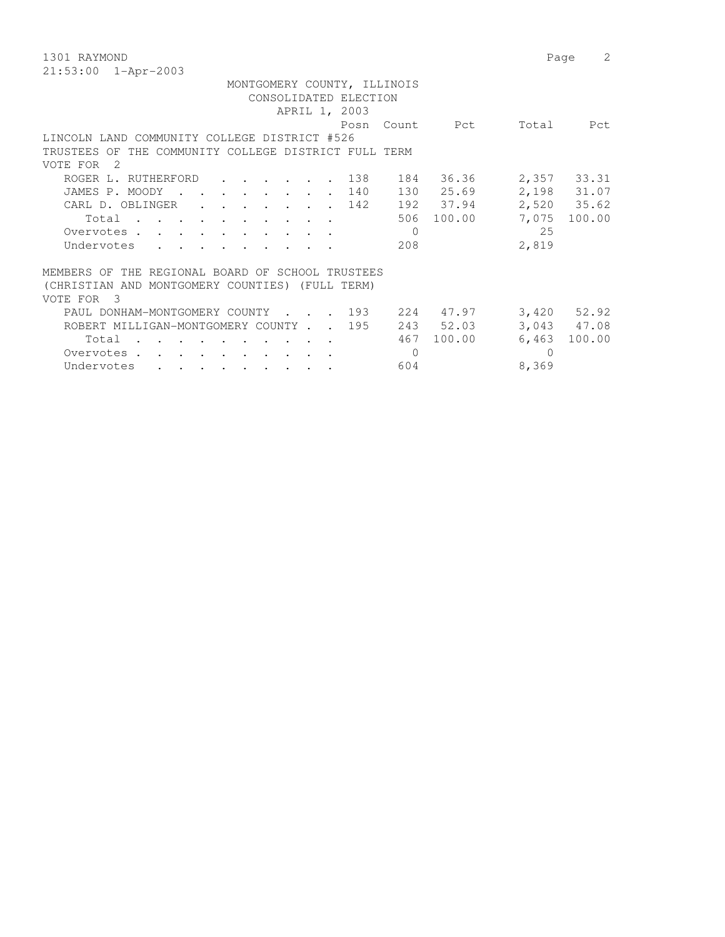1301 RAYMOND Page 2 21:53:00 1-Apr-2003 MONTGOMERY COUNTY, ILLINOIS CONSOLIDATED ELECTION APRIL 1, 2003 Posn Count Pct Total Pct LINCOLN LAND COMMUNITY COLLEGE DISTRICT #526 TRUSTEES OF THE COMMUNITY COLLEGE DISTRICT FULL TERM VOTE FOR 2 ROGER L. RUTHERFORD . . . . . . 138 184 36.36 2,357 33.31 JAMES P. MOODY . . . . . . . . 140 130 25.69 2,198 31.07 CARL D. OBLINGER . . . . . . . 142 192 37.94 2,520 35.62 Total . . . . . . . . . . 506 100.00 7,075 100.00 Overvotes . . . . . . . . . . . 0<br>
Undervotes . . . . . . . . . . 208 2,819 Undervotes . . . . . . . . . MEMBERS OF THE REGIONAL BOARD OF SCHOOL TRUSTEES (CHRISTIAN AND MONTGOMERY COUNTIES) (FULL TERM) VOTE FOR 3 PAUL DONHAM-MONTGOMERY COUNTY . . . 193 224 47.97 3,420 52.92 ROBERT MILLIGAN-MONTGOMERY COUNTY . . 195 243 52.03 3,043 47.08 Total . . . . . . . . . . 467 100.00 6,463 100.00 Overvotes . . . . . . . . . . . 0 Undervotes . . . . . . . . . . . . . 604 8,369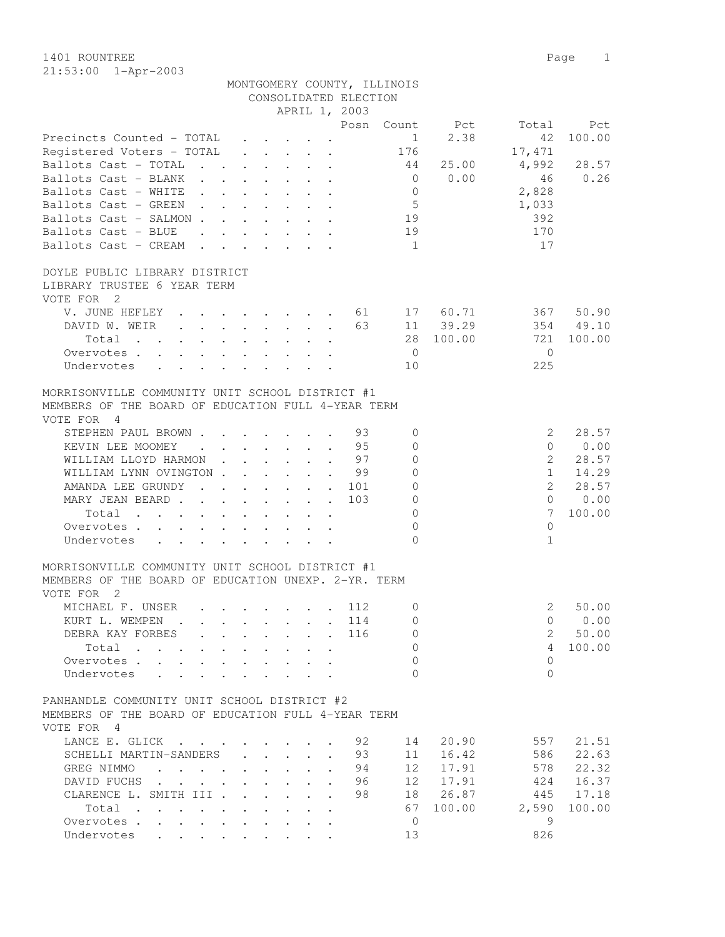|                                                                                                                                                                     |                                            |                                                |                                                                 | CONSOLIDATED ELECTION |                 |        |              |                 |
|---------------------------------------------------------------------------------------------------------------------------------------------------------------------|--------------------------------------------|------------------------------------------------|-----------------------------------------------------------------|-----------------------|-----------------|--------|--------------|-----------------|
|                                                                                                                                                                     |                                            |                                                | APRIL 1, 2003                                                   |                       |                 |        |              |                 |
|                                                                                                                                                                     |                                            |                                                |                                                                 | Posn                  | Count           | Pct    | Total        | Pct             |
| Precincts Counted - TOTAL                                                                                                                                           |                                            |                                                | $\cdot$ $\cdot$ $\cdot$ $\cdot$                                 |                       | $\mathbf{1}$    | 2.38   | 42           | 100.00          |
| Registered Voters - TOTAL                                                                                                                                           |                                            |                                                | $\cdot$ $\cdot$ $\cdot$ $\cdot$ $\cdot$                         |                       | 176             |        | 17,471       |                 |
| Ballots Cast - TOTAL<br>$\mathbf{r}$ , $\mathbf{r}$ , $\mathbf{r}$ , $\mathbf{r}$                                                                                   |                                            |                                                | $\ddot{\phantom{a}}$                                            |                       | 44              | 25.00  | 4,992        | 28.57           |
| Ballots Cast - BLANK                                                                                                                                                |                                            |                                                |                                                                 |                       | $\overline{0}$  | 0.00   | 46           | 0.26            |
| Ballots Cast - WHITE<br>$\mathbf{L}$                                                                                                                                |                                            |                                                |                                                                 |                       | $\mathbf{0}$    |        | 2,828        |                 |
| Ballots Cast - GREEN<br>$\mathbf{L} = \mathbf{L}$<br><b>Contract</b>                                                                                                |                                            | $\sim$                                         |                                                                 |                       | $\mathsf S$     |        | 1,033        |                 |
| Ballots Cast - SALMON.                                                                                                                                              |                                            |                                                | $\mathbf{r}$ and $\mathbf{r}$ and $\mathbf{r}$ and $\mathbf{r}$ |                       | 19              |        | 392          |                 |
| Ballots Cast - BLUE<br>$\mathbf{r}$ , and $\mathbf{r}$ , and $\mathbf{r}$ , and $\mathbf{r}$                                                                        |                                            |                                                |                                                                 |                       | 19              |        | 170          |                 |
| Ballots Cast - CREAM                                                                                                                                                |                                            |                                                | $\mathbf{r}$ , $\mathbf{r}$ , $\mathbf{r}$ , $\mathbf{r}$       |                       | $\overline{1}$  |        | 17           |                 |
| DOYLE PUBLIC LIBRARY DISTRICT                                                                                                                                       |                                            |                                                |                                                                 |                       |                 |        |              |                 |
| LIBRARY TRUSTEE 6 YEAR TERM                                                                                                                                         |                                            |                                                |                                                                 |                       |                 |        |              |                 |
| VOTE FOR 2                                                                                                                                                          |                                            |                                                |                                                                 |                       |                 |        |              |                 |
| V. JUNE HEFLEY<br>$\mathbf{r}$ , $\mathbf{r}$ , $\mathbf{r}$ , $\mathbf{r}$ , $\mathbf{r}$                                                                          |                                            |                                                | $\sim$<br>$\ddot{\phantom{a}}$                                  | 61                    | 17              | 60.71  | 367          | 50.90           |
| DAVID W. WEIR<br>$\mathbf{r}$ , $\mathbf{r}$ , $\mathbf{r}$ , $\mathbf{r}$ , $\mathbf{r}$                                                                           |                                            |                                                |                                                                 | 63                    | 11              | 39.29  | 354          | 49.10           |
| Total<br>$\mathbf{r}$ , $\mathbf{r}$<br>$\mathbf{r}$ , $\mathbf{r}$ , $\mathbf{r}$ , $\mathbf{r}$ , $\mathbf{r}$                                                    |                                            |                                                |                                                                 |                       | 28              | 100.00 | 721          | 100.00          |
| Overvotes.                                                                                                                                                          |                                            |                                                |                                                                 |                       | $\overline{0}$  |        | $\Omega$     |                 |
| Undervotes                                                                                                                                                          |                                            |                                                |                                                                 |                       | 10              |        | 225          |                 |
|                                                                                                                                                                     |                                            |                                                |                                                                 |                       |                 |        |              |                 |
| MORRISONVILLE COMMUNITY UNIT SCHOOL DISTRICT #1                                                                                                                     |                                            |                                                |                                                                 |                       |                 |        |              |                 |
| MEMBERS OF THE BOARD OF EDUCATION FULL 4-YEAR TERM                                                                                                                  |                                            |                                                |                                                                 |                       |                 |        |              |                 |
| VOTE FOR 4                                                                                                                                                          |                                            |                                                |                                                                 |                       |                 |        |              |                 |
| STEPHEN PAUL BROWN                                                                                                                                                  |                                            |                                                |                                                                 | 93                    | $\mathbf{0}$    |        | 2            | 28.57           |
| KEVIN LEE MOOMEY<br>$\sim$ $\sim$                                                                                                                                   | $\cdot$ $\cdot$ $\cdot$ $\cdot$            |                                                |                                                                 | 95                    | $\Omega$        |        | $\Omega$     | 0.00            |
| WILLIAM LLOYD HARMON                                                                                                                                                | $\mathbf{r}$ , $\mathbf{r}$ , $\mathbf{r}$ |                                                | $\ddot{\phantom{a}}$                                            | 97                    | $\Omega$        |        | 2            | 28.57           |
| WILLIAM LYNN OVINGTON.                                                                                                                                              | $\mathbf{r} = \mathbf{r} \cdot \mathbf{r}$ |                                                |                                                                 | 99                    | $\Omega$        |        | $\mathbf{1}$ | 14.29           |
| AMANDA LEE GRUNDY<br>$\mathbf{r}$ , $\mathbf{r}$ , $\mathbf{r}$ , $\mathbf{r}$                                                                                      |                                            |                                                | $\ddot{\phantom{a}}$<br>$\mathbf{L}$                            | 101                   | $\Omega$        |        | 2            | 28.57           |
| MARY JEAN BEARD.<br>$\mathbf{r}$ , and $\mathbf{r}$ , and $\mathbf{r}$ , and $\mathbf{r}$                                                                           |                                            |                                                |                                                                 | 103                   | $\Omega$        |        | $\Omega$     | 0.00            |
| Total<br>$\mathbf{r}$ , $\mathbf{r}$ , $\mathbf{r}$ , $\mathbf{r}$<br>$\mathbf{r} = \mathbf{r} \cdot \mathbf{r}$ , where $\mathbf{r} = \mathbf{r} \cdot \mathbf{r}$ |                                            | $\mathbf{A}$ and $\mathbf{A}$ and $\mathbf{A}$ |                                                                 |                       | $\Omega$        |        | 7            | 100.00          |
| Overvotes .<br>$\sim$<br>$\ddot{\phantom{0}}$                                                                                                                       |                                            | $\cdot$ $\cdot$                                |                                                                 |                       | $\Omega$        |        | $\mathbf{0}$ |                 |
| Undervotes                                                                                                                                                          |                                            |                                                |                                                                 |                       | $\Omega$        |        | $\mathbf{1}$ |                 |
| MORRISONVILLE COMMUNITY UNIT SCHOOL DISTRICT #1                                                                                                                     |                                            |                                                |                                                                 |                       |                 |        |              |                 |
| MEMBERS OF THE BOARD OF EDUCATION UNEXP. 2-YR. TERM                                                                                                                 |                                            |                                                |                                                                 |                       |                 |        |              |                 |
| VOTE FOR 2                                                                                                                                                          |                                            |                                                |                                                                 |                       |                 |        |              |                 |
| MICHAEL F. UNSER                                                                                                                                                    |                                            |                                                |                                                                 | 112                   | 0               |        | 2            | 50.00           |
| $\mathbf{r}$ , and $\mathbf{r}$ , and $\mathbf{r}$ , and $\mathbf{r}$<br>KURT L. WEMPEN                                                                             |                                            |                                                |                                                                 |                       | $\Omega$        |        | $\Omega$     |                 |
| $\mathbf{r}$ , and $\mathbf{r}$ , and $\mathbf{r}$ , and $\mathbf{r}$ , and $\mathbf{r}$                                                                            |                                            |                                                |                                                                 | 114                   |                 |        |              | 0.00            |
| DEBRA KAY FORBES                                                                                                                                                    |                                            |                                                |                                                                 | 116                   | 0               |        | 2            | 50.00<br>100.00 |
| Total                                                                                                                                                               |                                            |                                                |                                                                 |                       | 0               |        | 4            |                 |
| Overvotes .<br>$\ddot{\phantom{0}}$                                                                                                                                 |                                            |                                                |                                                                 |                       | 0               |        | $\mathbf{0}$ |                 |
| Undervotes                                                                                                                                                          |                                            |                                                |                                                                 |                       | $\Omega$        |        | $\Omega$     |                 |
| PANHANDLE COMMUNITY UNIT SCHOOL DISTRICT #2                                                                                                                         |                                            |                                                |                                                                 |                       |                 |        |              |                 |
| MEMBERS OF THE BOARD OF EDUCATION FULL 4-YEAR TERM                                                                                                                  |                                            |                                                |                                                                 |                       |                 |        |              |                 |
| VOTE FOR 4                                                                                                                                                          |                                            |                                                |                                                                 |                       |                 |        |              |                 |
| LANCE E. GLICK                                                                                                                                                      |                                            |                                                |                                                                 | 92                    |                 | 20.90  | 557          | 21.51           |
|                                                                                                                                                                     |                                            |                                                |                                                                 |                       | 14              |        |              |                 |
| SCHELLI MARTIN-SANDERS                                                                                                                                              |                                            | $\mathbf{z} = \mathbf{z} + \mathbf{z}$ .       | $\ddot{\phantom{0}}$                                            | 93                    | 11              | 16.42  | 586          | 22.63           |
| GREG NIMMO<br>$\ddot{\phantom{a}}$<br>$\mathbf{r}$ . The set of $\mathbf{r}$                                                                                        | $\mathbf{L}$<br>$\sim$                     |                                                |                                                                 | 94                    | 12 <sup>°</sup> | 17.91  | 578          | 22.32           |
| DAVID FUCHS.                                                                                                                                                        |                                            |                                                |                                                                 | 96                    | 12              | 17.91  | 424          | 16.37           |
| CLARENCE L. SMITH III .<br>$\overline{a}$                                                                                                                           |                                            |                                                |                                                                 | 98                    | 18              | 26.87  | 445          | 17.18           |
| Total                                                                                                                                                               |                                            |                                                |                                                                 |                       | 67              | 100.00 | 2,590        | 100.00          |
| Overvotes                                                                                                                                                           | $\ddot{\phantom{0}}$<br>$\sim$             | $\ddot{\phantom{0}}$                           | $\cdot$                                                         |                       | $\overline{0}$  |        | 9            |                 |
| Undervotes                                                                                                                                                          |                                            |                                                |                                                                 |                       | 13              |        | 826          |                 |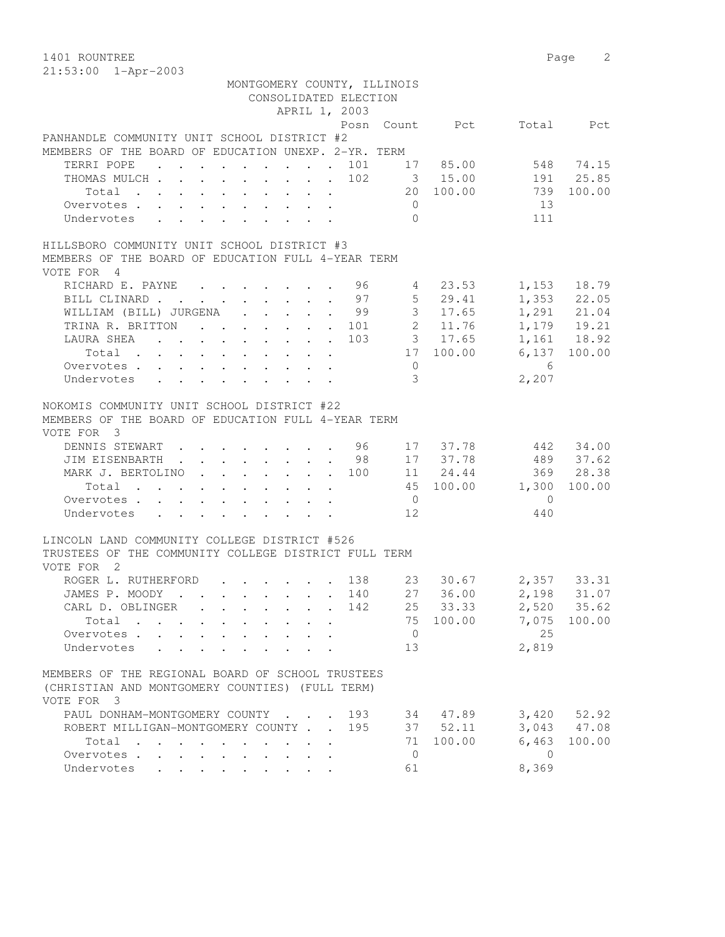1401 ROUNTREE Page 2 21:53:00 1-Apr-2003

| MONTGOMERY COUNTY, ILLINOIS                                            |                |          |                          |               |
|------------------------------------------------------------------------|----------------|----------|--------------------------|---------------|
| CONSOLIDATED ELECTION                                                  |                |          |                          |               |
| APRIL 1, 2003                                                          |                |          |                          |               |
|                                                                        |                |          | Posn Count Pct Total Pct |               |
| PANHANDLE COMMUNITY UNIT SCHOOL DISTRICT #2                            |                |          |                          |               |
| MEMBERS OF THE BOARD OF EDUCATION UNEXP. 2-YR. TERM                    |                |          |                          |               |
| TERRI POPE 101 17 85.00                                                |                |          |                          | 548 74.15     |
|                                                                        |                |          |                          |               |
| THOMAS MULCH 102 3 15.00 191 25.85<br>Total 20 100.00 739 100.00       |                |          |                          |               |
| Overvotes                                                              | $\overline{0}$ |          | 13                       |               |
| Undervotes                                                             | $\overline{0}$ |          | 111                      |               |
| HILLSBORO COMMUNITY UNIT SCHOOL DISTRICT #3                            |                |          |                          |               |
| MEMBERS OF THE BOARD OF EDUCATION FULL 4-YEAR TERM                     |                |          |                          |               |
| VOTE FOR 4                                                             |                |          |                          |               |
| RICHARD E. PAYNE 96 4 23.53 1,153 18.79                                |                |          |                          |               |
| BILL CLINARD 97 5 29.41                                                |                |          |                          | $1,353$ 22.05 |
| WILLIAM (BILL) JURGENA 99 3 17.65                                      |                |          |                          | $1,291$ 21.04 |
| TRINA R. BRITTON 101 2 11.76 1,179 19.21                               |                |          |                          |               |
| LAURA SHEA 103 3 17.65 1,161 18.92                                     |                |          |                          |               |
| Total 17 100.00 6,137 100.00                                           |                |          |                          |               |
| Overvotes 0                                                            |                |          | 6                        |               |
| Undervotes                                                             | 3 <sup>7</sup> |          | 2,207                    |               |
|                                                                        |                |          |                          |               |
| NOKOMIS COMMUNITY UNIT SCHOOL DISTRICT #22                             |                |          |                          |               |
| MEMBERS OF THE BOARD OF EDUCATION FULL 4-YEAR TERM                     |                |          |                          |               |
| VOTE FOR 3                                                             |                |          |                          |               |
| DENNIS STEWART 96 17 37.78                                             |                |          |                          | 442 34.00     |
| JIM EISENBARTH 98 17 37.78 489 37.62                                   |                |          |                          |               |
| MARK J. BERTOLINO 100 11 24.44 369 28.38                               |                |          |                          |               |
| Total 45 100.00 1,300 100.00                                           |                |          |                          |               |
| Overvotes.                                                             | $\overline{0}$ |          | $\overline{0}$           |               |
| Undervotes                                                             | 12             |          | 440                      |               |
|                                                                        |                |          |                          |               |
| LINCOLN LAND COMMUNITY COLLEGE DISTRICT #526                           |                |          |                          |               |
| TRUSTEES OF THE COMMUNITY COLLEGE DISTRICT FULL TERM                   |                |          |                          |               |
| VOTE FOR 2                                                             |                |          |                          |               |
| ROGER L. RUTHERFORD 138 23 30.67 2,357 33.31                           |                |          |                          |               |
| JAMES P. MOODY 140                                                     |                |          | 27 36.00 2,198 31.07     |               |
| 142<br>CARL D. OBLINGER                                                |                | 25 33.33 | 2,520 35.62              |               |
| Total                                                                  | 75             | 100.00   | 7,075                    | 100.00        |
| Overvotes                                                              | $\overline{0}$ |          | 25                       |               |
| Undervotes<br>$\mathbf{L}$                                             | 13             |          | 2,819                    |               |
|                                                                        |                |          |                          |               |
| MEMBERS OF THE REGIONAL BOARD OF SCHOOL TRUSTEES                       |                |          |                          |               |
| (CHRISTIAN AND MONTGOMERY COUNTIES) (FULL TERM)                        |                |          |                          |               |
| VOTE FOR 3                                                             |                |          |                          |               |
| PAUL DONHAM-MONTGOMERY COUNTY<br>193                                   |                | 34 47.89 | 3,420                    | 52.92         |
| ROBERT MILLIGAN-MONTGOMERY COUNTY<br>195                               |                | 37 52.11 | 3,043                    | 47.08         |
| Total                                                                  | 71             | 100.00   | 6,463                    | 100.00        |
| Overvotes.                                                             | $\overline{0}$ |          | $\overline{0}$           |               |
| Undervotes<br>$\cdot$ $\cdot$ $\cdot$ $\cdot$ $\cdot$<br>$\sim$ $\sim$ | 61             |          | 8,369                    |               |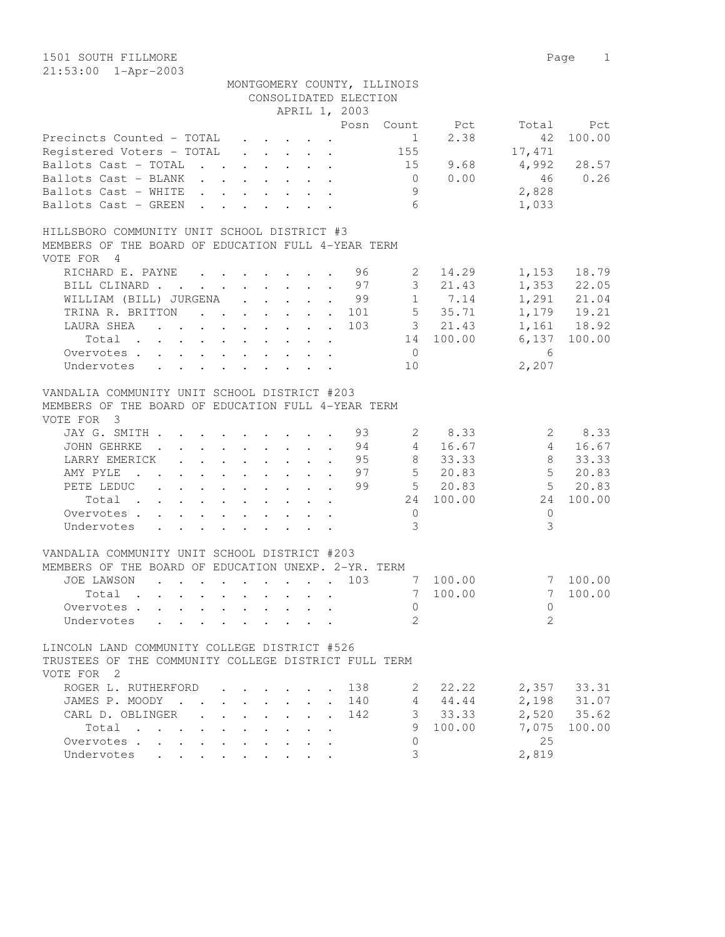1501 SOUTH FILLMORE 2008 2009 12:00 Page 2018 21:53:00 1-Apr-2003

|                                                                                                                               |                                                           |                                                                                                 | APRIL 1, 2003                                                            | CONSOLIDATED ELECTION | MONTGOMERY COUNTY, ILLINOIS |                        |                 |              |
|-------------------------------------------------------------------------------------------------------------------------------|-----------------------------------------------------------|-------------------------------------------------------------------------------------------------|--------------------------------------------------------------------------|-----------------------|-----------------------------|------------------------|-----------------|--------------|
|                                                                                                                               |                                                           |                                                                                                 |                                                                          |                       |                             | Posn Count Pct         |                 | Total Pct    |
| Precincts Counted - TOTAL                                                                                                     |                                                           | $\mathcal{A}^{\mathcal{A}}$ , and $\mathcal{A}^{\mathcal{A}}$ , and $\mathcal{A}^{\mathcal{A}}$ |                                                                          |                       | $\sim$ 1                    | 2.38                   | 42              | 100.00       |
| Registered Voters - TOTAL                                                                                                     |                                                           |                                                                                                 | $\mathbf{r}$ , $\mathbf{r}$ , $\mathbf{r}$ , $\mathbf{r}$ , $\mathbf{r}$ |                       | 155                         |                        | 17,471          |              |
| Ballots Cast - TOTAL                                                                                                          |                                                           |                                                                                                 |                                                                          |                       |                             | 15 9.68                | 4,992           | 28.57        |
| Ballots Cast - BLANK                                                                                                          |                                                           |                                                                                                 |                                                                          |                       | $\overline{0}$              | 0.00                   | 46              | 0.26         |
| Ballots Cast - WHITE                                                                                                          |                                                           |                                                                                                 |                                                                          |                       | 9                           |                        | 2,828           |              |
| Ballots Cast - GREEN                                                                                                          |                                                           |                                                                                                 |                                                                          |                       | 6                           |                        | 1,033           |              |
|                                                                                                                               |                                                           |                                                                                                 |                                                                          |                       |                             |                        |                 |              |
| HILLSBORO COMMUNITY UNIT SCHOOL DISTRICT #3                                                                                   |                                                           |                                                                                                 |                                                                          |                       |                             |                        |                 |              |
| MEMBERS OF THE BOARD OF EDUCATION FULL 4-YEAR TERM<br>VOTE FOR 4                                                              |                                                           |                                                                                                 |                                                                          |                       |                             |                        |                 |              |
| RICHARD E. PAYNE                                                                                                              |                                                           |                                                                                                 |                                                                          |                       | $2 \quad$                   | 14.29                  |                 | 1,153 18.79  |
| BILL CLINARD 97                                                                                                               |                                                           |                                                                                                 |                                                                          |                       |                             | 3 21.43                |                 | 1,353 22.05  |
| WILLIAM (BILL) JURGENA 99 1 7.14                                                                                              |                                                           |                                                                                                 |                                                                          |                       |                             |                        |                 | 1,291 21.04  |
| TRINA R. BRITTON 101                                                                                                          |                                                           |                                                                                                 |                                                                          |                       |                             | 5 35.71                |                 | 1,179 19.21  |
| LAURA SHEA<br>the contract of the contract of the contract of the contract of the contract of the contract of the contract of |                                                           |                                                                                                 |                                                                          | 103                   |                             | 3 21.43                |                 | 1,161 18.92  |
| Total                                                                                                                         |                                                           |                                                                                                 |                                                                          |                       |                             | 14 100.00              |                 | 6,137 100.00 |
| Overvotes                                                                                                                     |                                                           |                                                                                                 |                                                                          |                       | $\overline{0}$              |                        | $6\overline{6}$ |              |
| Undervotes                                                                                                                    |                                                           |                                                                                                 |                                                                          |                       | 10                          |                        | 2,207           |              |
|                                                                                                                               |                                                           |                                                                                                 |                                                                          |                       |                             |                        |                 |              |
| VANDALIA COMMUNITY UNIT SCHOOL DISTRICT #203<br>MEMBERS OF THE BOARD OF EDUCATION FULL 4-YEAR TERM<br>VOTE FOR 3              |                                                           |                                                                                                 |                                                                          |                       |                             |                        |                 |              |
| JAY G. SMITH 93                                                                                                               |                                                           |                                                                                                 |                                                                          |                       |                             | 2 8.33                 |                 | 28.33        |
| JOHN GEHRKE<br>. 94                                                                                                           |                                                           |                                                                                                 |                                                                          |                       | $4\overline{ }$             | 16.67                  | $4\overline{ }$ | 16.67        |
| LARRY EMERICK 95                                                                                                              |                                                           |                                                                                                 |                                                                          |                       | 8                           | 33.33                  | 8               | 33.33        |
| AMY PYLE                                                                                                                      |                                                           |                                                                                                 |                                                                          |                       |                             | $\cdot$ 97 5 20.83     |                 | 5 20.83      |
| PETE LEDUC                                                                                                                    |                                                           |                                                                                                 |                                                                          | 99                    |                             | $5$ 20.83<br>24 100.00 |                 | 5 20.83      |
| Total                                                                                                                         |                                                           |                                                                                                 |                                                                          |                       |                             |                        | 24              | 100.00       |
| Overvotes                                                                                                                     |                                                           |                                                                                                 |                                                                          |                       | $\overline{0}$              |                        | $\Omega$        |              |
| Undervotes                                                                                                                    |                                                           |                                                                                                 |                                                                          |                       | 3                           |                        | 3               |              |
| VANDALIA COMMUNITY UNIT SCHOOL DISTRICT #203                                                                                  |                                                           |                                                                                                 |                                                                          |                       |                             |                        |                 |              |
| MEMBERS OF THE BOARD OF EDUCATION UNEXP. 2-YR. TERM                                                                           |                                                           |                                                                                                 |                                                                          |                       |                             |                        |                 |              |
| JOE LAWSON<br>$\mathbf{r}$ , and $\mathbf{r}$ , and $\mathbf{r}$ , and $\mathbf{r}$ , and $\mathbf{r}$                        |                                                           |                                                                                                 |                                                                          | 103                   |                             | 7 100.00               |                 | 7 100.00     |
| Total                                                                                                                         |                                                           |                                                                                                 |                                                                          |                       | 7                           | 100.00                 |                 | 7 100.00     |
| Overvotes                                                                                                                     |                                                           |                                                                                                 |                                                                          |                       | $\overline{0}$              |                        | $\overline{0}$  |              |
| Undervotes                                                                                                                    |                                                           | $\cdot$ $\cdot$ $\cdot$ $\cdot$ $\cdot$                                                         |                                                                          |                       | $\mathcal{L}$               |                        | $\mathfrak{D}$  |              |
|                                                                                                                               |                                                           |                                                                                                 |                                                                          |                       |                             |                        |                 |              |
| LINCOLN LAND COMMUNITY COLLEGE DISTRICT #526<br>TRUSTEES OF THE COMMUNITY COLLEGE DISTRICT FULL TERM                          |                                                           |                                                                                                 |                                                                          |                       |                             |                        |                 |              |
| VOTE FOR 2                                                                                                                    |                                                           |                                                                                                 |                                                                          |                       |                             |                        |                 |              |
| ROGER L. RUTHERFORD                                                                                                           |                                                           |                                                                                                 |                                                                          | 138                   | 2                           | 22.22                  |                 | 2,357 33.31  |
| JAMES P. MOODY                                                                                                                | $\mathbf{r}$ , $\mathbf{r}$ , $\mathbf{r}$                |                                                                                                 |                                                                          | 140                   |                             | 4 44.44                |                 | 2,198 31.07  |
| CARL D. OBLINGER                                                                                                              | $\mathbf{r}$ , $\mathbf{r}$ , $\mathbf{r}$ , $\mathbf{r}$ |                                                                                                 |                                                                          | 142                   |                             | 33.33                  |                 | 2,520 35.62  |
| Total                                                                                                                         |                                                           |                                                                                                 |                                                                          |                       | 9                           | 100.00                 | 7,075           | 100.00       |
| Overvotes.                                                                                                                    |                                                           |                                                                                                 |                                                                          |                       | $\Omega$                    |                        | 25              |              |
| Undervotes                                                                                                                    |                                                           |                                                                                                 |                                                                          |                       | 3                           |                        | 2,819           |              |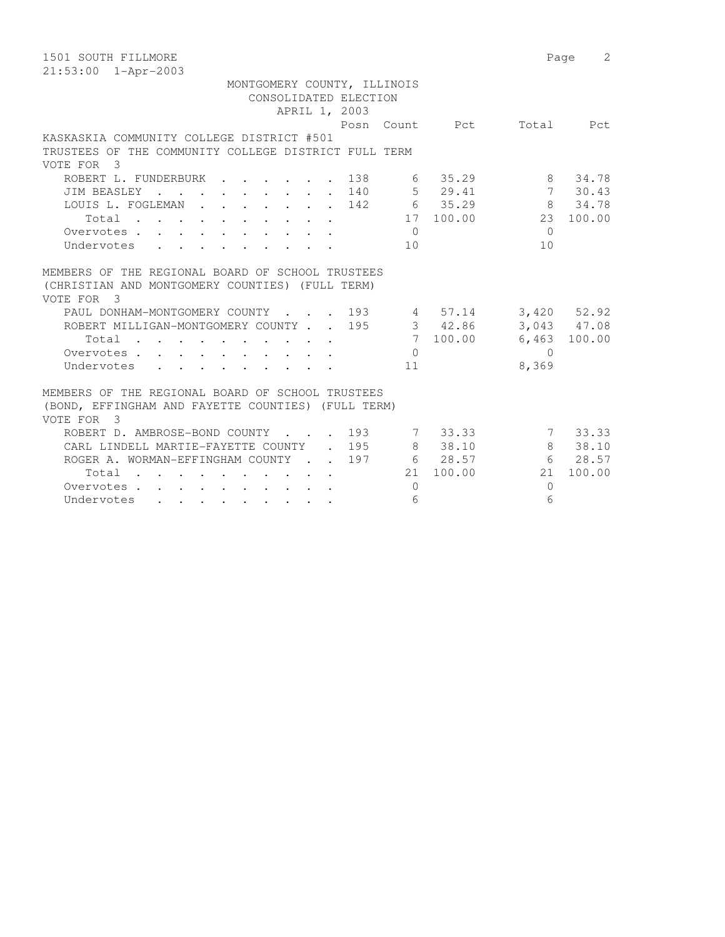| 1501 SOUTH FILLMORE                                                                                                                                                |           |              | 2<br>Page       |
|--------------------------------------------------------------------------------------------------------------------------------------------------------------------|-----------|--------------|-----------------|
| $21:53:00$ $1 - Appr-2003$                                                                                                                                         |           |              |                 |
| MONTGOMERY COUNTY, ILLINOIS                                                                                                                                        |           |              |                 |
| CONSOLIDATED ELECTION                                                                                                                                              |           |              |                 |
| APRIL 1, 2003                                                                                                                                                      |           |              |                 |
| Posn Count Pct                                                                                                                                                     |           | Total        | Pct             |
| KASKASKIA COMMUNITY COLLEGE DISTRICT #501                                                                                                                          |           |              |                 |
| TRUSTEES OF THE COMMUNITY COLLEGE DISTRICT FULL TERM                                                                                                               |           |              |                 |
| VOTE FOR<br>$\overline{\mathbf{3}}$                                                                                                                                |           |              |                 |
| 138<br>ROBERT L. FUNDERBURK<br>6                                                                                                                                   | 35.29     | 8            | 34.78           |
| 5 <sub>5</sub><br>JIM BEASLEY.<br>140                                                                                                                              | 29.41     |              | 7 30.43         |
| $6\overline{6}$<br>LOUIS L. FOGLEMAN<br>$\cdot$ 142                                                                                                                | 35.29     | 8            | 34.78           |
| Total                                                                                                                                                              | 17 100.00 |              | 23 100.00       |
| Overvotes.<br>$\bigcirc$                                                                                                                                           |           | $\bigcirc$   |                 |
| Undervotes<br>10                                                                                                                                                   |           | 10           |                 |
|                                                                                                                                                                    |           |              |                 |
| MEMBERS OF THE REGIONAL BOARD OF SCHOOL TRUSTEES                                                                                                                   |           |              |                 |
| (CHRISTIAN AND MONTGOMERY COUNTIES) (FULL TERM)                                                                                                                    |           |              |                 |
| VOTE FOR 3                                                                                                                                                         |           |              |                 |
| PAUL DONHAM-MONTGOMERY COUNTY 193                                                                                                                                  | 4 57.14   |              | $3,420$ $52.92$ |
| ROBERT MILLIGAN-MONTGOMERY COUNTY 195                                                                                                                              | 3 42.86   |              | 3,043 47.08     |
| Total                                                                                                                                                              | 7 100.00  | 6,463        | 100.00          |
| Overvotes<br>$\Omega$                                                                                                                                              |           | $\bigcirc$   |                 |
| Undervotes<br>11                                                                                                                                                   |           | 8,369        |                 |
| MEMBERS OF THE REGIONAL BOARD OF SCHOOL TRUSTEES                                                                                                                   |           |              |                 |
| (BOND, EFFINGHAM AND FAYETTE COUNTIES) (FULL TERM)                                                                                                                 |           |              |                 |
| VOTE FOR 3                                                                                                                                                         |           |              |                 |
| ROBERT D. AMBROSE-BOND COUNTY<br>. 193                                                                                                                             | 7 33.33   |              | 7 33.33         |
| CARL LINDELL MARTIE-FAYETTE COUNTY . 195                                                                                                                           | 8 38.10   |              | 8 38.10         |
| 197<br>ROGER A. WORMAN-EFFINGHAM COUNTY                                                                                                                            | 6 28.57   |              | 6 28.57         |
| Total                                                                                                                                                              | 21 100.00 | 21           | 100.00          |
| Overvotes.<br>$\mathbf{0}$<br>$\mathbf{r} = \mathbf{r} + \mathbf{r}$ , where $\mathbf{r} = \mathbf{r} + \mathbf{r}$ , where $\mathbf{r} = \mathbf{r} + \mathbf{r}$ |           | $\mathbf{0}$ |                 |
| 6<br>Undervotes                                                                                                                                                    |           | 6            |                 |
|                                                                                                                                                                    |           |              |                 |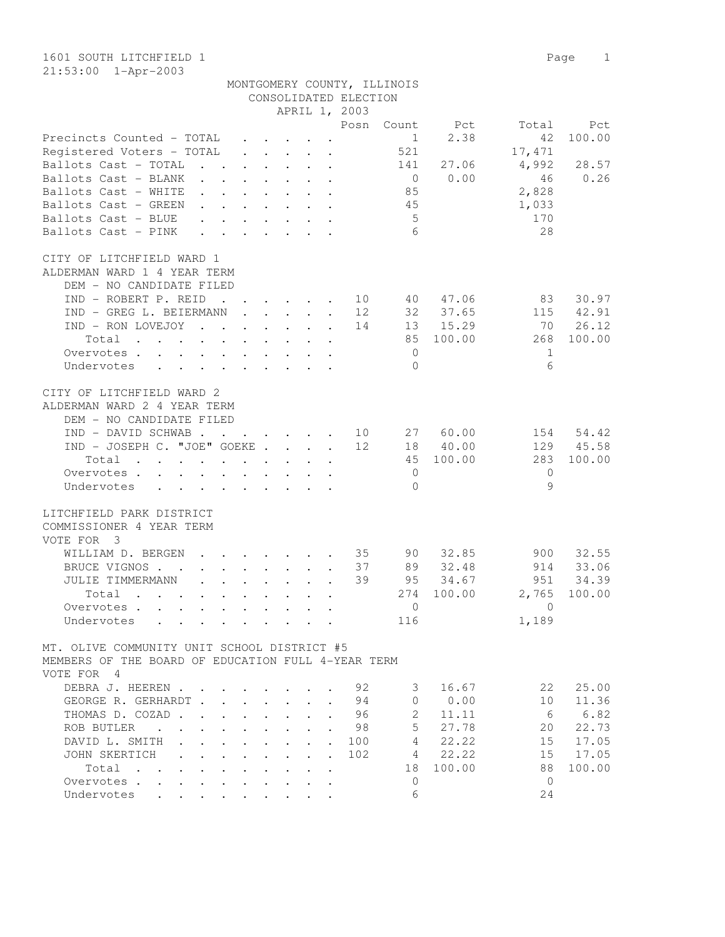|                                                                                                                          |              |  |                                                                                         |  | CONSOLIDATED ELECTION             | MONTGOMERY COUNTY, ILLINOIS |            |              |           |
|--------------------------------------------------------------------------------------------------------------------------|--------------|--|-----------------------------------------------------------------------------------------|--|-----------------------------------|-----------------------------|------------|--------------|-----------|
|                                                                                                                          |              |  |                                                                                         |  | APRIL 1, 2003                     |                             |            |              |           |
|                                                                                                                          |              |  |                                                                                         |  | Posn                              | Count                       | Pct        | Total        | Pct       |
| Precincts Counted – TOTAL                                                                                                |              |  | $\cdot$ $\cdot$ $\cdot$ $\cdot$                                                         |  |                                   | $\mathbf{1}$                | 2.38       | 42           | 100.00    |
| Registered Voters – TOTAL                                                                                                |              |  | $\cdot$ $\cdot$ $\cdot$ $\cdot$ $\cdot$ $\cdot$                                         |  |                                   | 521                         |            | 17,471       |           |
| Ballots Cast - TOTAL                                                                                                     |              |  | $\cdot$ $\cdot$ $\cdot$ $\cdot$ $\cdot$ $\cdot$                                         |  |                                   | 141                         | 27.06      | 4,992        | 28.57     |
| Ballots Cast - BLANK<br>$\mathbf{L}$                                                                                     | $\mathbf{L}$ |  | $\cdot$ $\cdot$ $\cdot$ $\cdot$ $\cdot$ $\cdot$                                         |  |                                   | $\overline{0}$              | 0.00       | 46           | 0.26      |
| Ballots Cast – WHITE<br>$\mathbf{L}$                                                                                     |              |  | $\mathbf{r} = \mathbf{r} \cdot \mathbf{r}$ , $\mathbf{r} = \mathbf{r} \cdot \mathbf{r}$ |  |                                   | 85                          |            | 2,828        |           |
| Ballots Cast - GREEN                                                                                                     |              |  |                                                                                         |  |                                   | 45                          |            | 1,033        |           |
| Ballots Cast - BLUE                                                                                                      |              |  |                                                                                         |  |                                   | 5 <sup>5</sup>              |            | 170          |           |
| Ballots Cast – PINK<br>$\mathbf{L}$                                                                                      | $\mathbf{L}$ |  | $\cdot$ $\cdot$ $\cdot$ $\cdot$ $\cdot$ $\cdot$                                         |  |                                   | 6                           |            | 28           |           |
| CITY OF LITCHFIELD WARD 1                                                                                                |              |  |                                                                                         |  |                                   |                             |            |              |           |
| ALDERMAN WARD 1 4 YEAR TERM                                                                                              |              |  |                                                                                         |  |                                   |                             |            |              |           |
| DEM - NO CANDIDATE FILED                                                                                                 |              |  |                                                                                         |  |                                   |                             |            |              |           |
| IND - ROBERT P. REID                                                                                                     |              |  |                                                                                         |  | . 10                              |                             | 40 47.06   | 83           | 30.97     |
| IND - GREG L. BEIERMANN                                                                                                  |              |  | $\mathbf{r}$ , $\mathbf{r}$ , $\mathbf{r}$ , $\mathbf{r}$ , $\mathbf{r}$                |  | 12                                | 32                          | 37.65      | 115          | 42.91     |
| IND - RON LOVEJOY                                                                                                        |              |  |                                                                                         |  | 14                                |                             | 13 15.29   | 70           | 26.12     |
| Total                                                                                                                    |              |  |                                                                                         |  |                                   |                             | 85 100.00  | 268          | 100.00    |
| Overvotes.                                                                                                               |              |  |                                                                                         |  |                                   | $\overline{0}$              |            | $\mathbf{1}$ |           |
| Undervotes                                                                                                               |              |  |                                                                                         |  |                                   | $\Omega$                    |            | 6            |           |
| CITY OF LITCHFIELD WARD 2<br>ALDERMAN WARD 2 4 YEAR TERM<br>DEM - NO CANDIDATE FILED                                     |              |  |                                                                                         |  |                                   |                             |            |              |           |
| IND - DAVID SCHWAB                                                                                                       |              |  |                                                                                         |  | $\cdots$ $\cdots$ $\frac{10}{10}$ |                             | 27 60.00   | 154          | 54.42     |
| IND - JOSEPH C. "JOE" GOEKE                                                                                              |              |  |                                                                                         |  | 12                                |                             | 18 40.00   |              | 129 45.58 |
| Total<br>the contract of the contract of the contract of the contract of the contract of the contract of the contract of |              |  |                                                                                         |  |                                   |                             | 45 100.00  | 283          | 100.00    |
| Overvotes.                                                                                                               |              |  |                                                                                         |  |                                   | $\overline{0}$              |            | $\Omega$     |           |
| Undervotes                                                                                                               |              |  |                                                                                         |  |                                   | $\Omega$                    |            | 9            |           |
| LITCHFIELD PARK DISTRICT<br>COMMISSIONER 4 YEAR TERM<br>VOTE FOR 3                                                       |              |  |                                                                                         |  |                                   |                             |            |              |           |
| WILLIAM D. BERGEN                                                                                                        |              |  | $\mathbf{r}$ , and $\mathbf{r}$ , and $\mathbf{r}$ , and $\mathbf{r}$                   |  | 35                                | 90                          | 32.85      | 900          | 32.55     |
| BRUCE VIGNOS                                                                                                             |              |  | $\cdot$ $\cdot$ $\cdot$ $\cdot$ $\cdot$ $\cdot$ $\cdot$ $\cdot$                         |  | 37                                | 89                          | 32.48      | 914          | 33.06     |
| JULIE TIMMERMANN<br>$\mathbf{L}$                                                                                         |              |  | $\mathbf{r}$ , $\mathbf{r}$ , $\mathbf{r}$ , $\mathbf{r}$                               |  | 39                                | 95                          | 34.67      | 951          | 34.39     |
| Total                                                                                                                    |              |  |                                                                                         |  |                                   |                             | 274 100.00 | 2,765        | 100.00    |
| Overvotes                                                                                                                |              |  | $\cdot$ $\cdot$ $\cdot$ $\cdot$ $\cdot$ $\cdot$                                         |  |                                   | $\overline{0}$              |            | $\Omega$     |           |
| Undervotes                                                                                                               |              |  | $\cdot$ $\cdot$ $\cdot$ $\cdot$ $\cdot$                                                 |  |                                   | 116                         |            | 1,189        |           |
| MT. OLIVE COMMUNITY UNIT SCHOOL DISTRICT #5                                                                              |              |  |                                                                                         |  |                                   |                             |            |              |           |

MEMBERS OF THE BOARD OF EDUCATION FULL 4-YEAR TERM VOTE FOR 4

| DEBRA J. HEEREN                         |               |                                                                                                                 |  |  | 92  | 3  | 16.67  | 2.2. | 25.00  |
|-----------------------------------------|---------------|-----------------------------------------------------------------------------------------------------------------|--|--|-----|----|--------|------|--------|
| GERHARDT.<br>GEORGE R.                  |               |                                                                                                                 |  |  | 94  |    | 0.00   |      | 11.36  |
| THOMAS D. COZAD                         |               |                                                                                                                 |  |  | 96  |    | 11.11  | 6    | 6.82   |
| ROB BUTLER<br>$\mathbf{r}$ $\mathbf{r}$ |               | the contract of the contract of the contract of the contract of the contract of the contract of the contract of |  |  | 98  | 5  | 27.78  | 20   | 22.73  |
| DAVID L. SMITH                          |               | $\mathbf{r}$ , $\mathbf{r}$ , $\mathbf{r}$ , $\mathbf{r}$ , $\mathbf{r}$                                        |  |  | 100 | 4  | 22.22  | 15   | 17.05  |
| JOHN SKERTICH                           |               | $\mathbf{r}$ , $\mathbf{r}$ , $\mathbf{r}$ , $\mathbf{r}$ , $\mathbf{r}$ , $\mathbf{r}$                         |  |  | 102 | 4  | 22.22  | 1.5  | 17.05  |
| Total                                   | $\sim$ $\sim$ | $\sim$ $\sim$ $\sim$                                                                                            |  |  |     | 18 | 100.00 | 88   | 100.00 |
| Overvotes<br>$\ddot{\phantom{a}}$       | $\bullet$     | $\sim$                                                                                                          |  |  |     |    |        |      |        |
| Undervotes                              |               |                                                                                                                 |  |  |     | 6  |        | 24   |        |
|                                         |               |                                                                                                                 |  |  |     |    |        |      |        |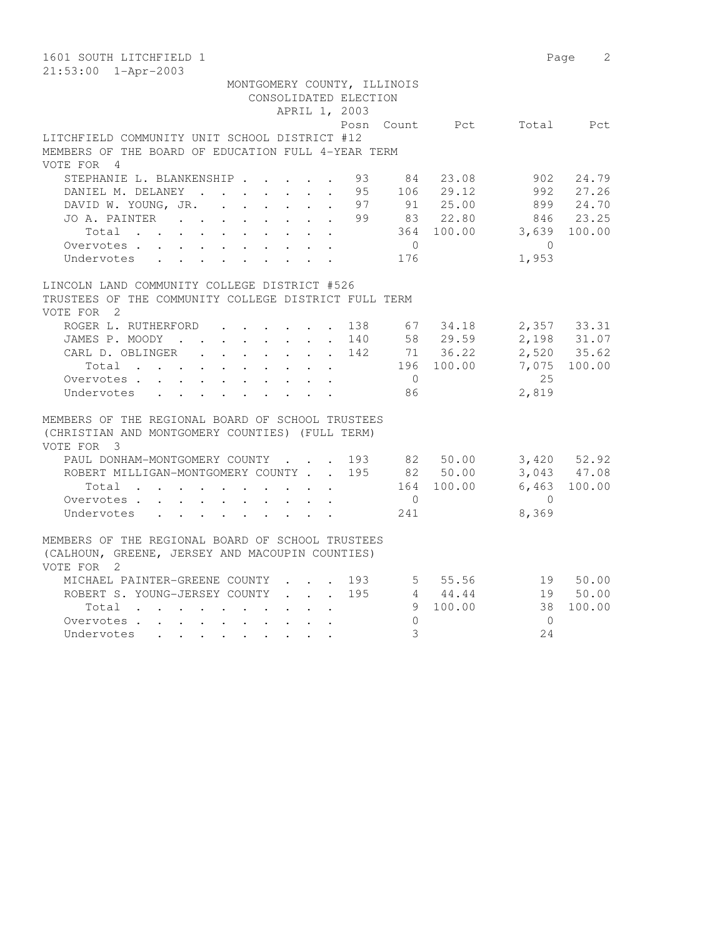| 1601 SOUTH LITCHFIELD 1                                                                              | Page         | 2         |
|------------------------------------------------------------------------------------------------------|--------------|-----------|
| $21:53:00$ $1 - Appr-2003$<br>MONTGOMERY COUNTY, ILLINOIS                                            |              |           |
| CONSOLIDATED ELECTION                                                                                |              |           |
| APRIL 1, 2003                                                                                        |              |           |
| Posn Count Pct Total Pct                                                                             |              |           |
| LITCHFIELD COMMUNITY UNIT SCHOOL DISTRICT #12                                                        |              |           |
| MEMBERS OF THE BOARD OF EDUCATION FULL 4-YEAR TERM                                                   |              |           |
| VOTE FOR 4                                                                                           |              |           |
| STEPHANIE L. BLANKENSHIP<br>93<br>84<br>23.08                                                        |              | 902 24.79 |
| 106 29.12<br>DANIEL M. DELANEY<br>95                                                                 |              | 992 27.26 |
| 91 25.00<br>DAVID W. YOUNG, JR. 97                                                                   |              | 899 24.70 |
| 83 22.80<br>JO A. PAINTER<br>99                                                                      |              | 846 23.25 |
| 364 100.00<br>Total                                                                                  | 3,639 100.00 |           |
| $\overline{0}$<br>Overvotes.                                                                         | $\Omega$     |           |
| 176<br>Undervotes                                                                                    | 1,953        |           |
|                                                                                                      |              |           |
| LINCOLN LAND COMMUNITY COLLEGE DISTRICT #526<br>TRUSTEES OF THE COMMUNITY COLLEGE DISTRICT FULL TERM |              |           |
| VOTE FOR 2                                                                                           |              |           |
| ROGER L. RUTHERFORD 138<br>67 34.18                                                                  | 2,357 33.31  |           |
| JAMES P. MOODY 140 58 29.59                                                                          | 2,198 31.07  |           |
| CARL D. OBLINGER 142 71 36.22                                                                        | 2,520 35.62  |           |
| Total<br>196 100.00                                                                                  | 7,075        | 100.00    |
| $\overline{0}$<br>Overvotes.                                                                         | 2.5          |           |
| Undervotes<br>86                                                                                     | 2,819        |           |
|                                                                                                      |              |           |
| MEMBERS OF THE REGIONAL BOARD OF SCHOOL TRUSTEES                                                     |              |           |
| (CHRISTIAN AND MONTGOMERY COUNTIES) (FULL TERM)                                                      |              |           |
| VOTE FOR 3                                                                                           |              |           |
| PAUL DONHAM-MONTGOMERY COUNTY 193 82 50.00 3,420 52.92                                               |              |           |
| ROBERT MILLIGAN-MONTGOMERY COUNTY 195 82 50.00                                                       | 3,043 47.08  |           |
| 164 100.00<br>Total<br>$\cdot$ $\cdot$ $\cdot$ $\cdot$                                               | 6,463 100.00 |           |
| Overvotes<br>$\overline{0}$                                                                          | $\bigcirc$   |           |
| 241<br>Undervotes                                                                                    | 8,369        |           |
|                                                                                                      |              |           |
| MEMBERS OF THE REGIONAL BOARD OF SCHOOL TRUSTEES                                                     |              |           |
| (CALHOUN, GREENE, JERSEY AND MACOUPIN COUNTIES)<br>VOTE FOR 2                                        |              |           |
| 5 55.56 19 50.00<br>MICHAEL PAINTER-GREENE COUNTY 193                                                |              |           |
| $4 \t 44.44$<br>ROBERT S. YOUNG-JERSEY COUNTY<br>195                                                 |              | 19 50.00  |
| 9 100.00<br>Total                                                                                    | 38           | 100.00    |
| $\circ$<br>Overvotes                                                                                 | $\bigcirc$   |           |
| $\mathcal{S}$<br>Undervotes                                                                          | 24           |           |
|                                                                                                      |              |           |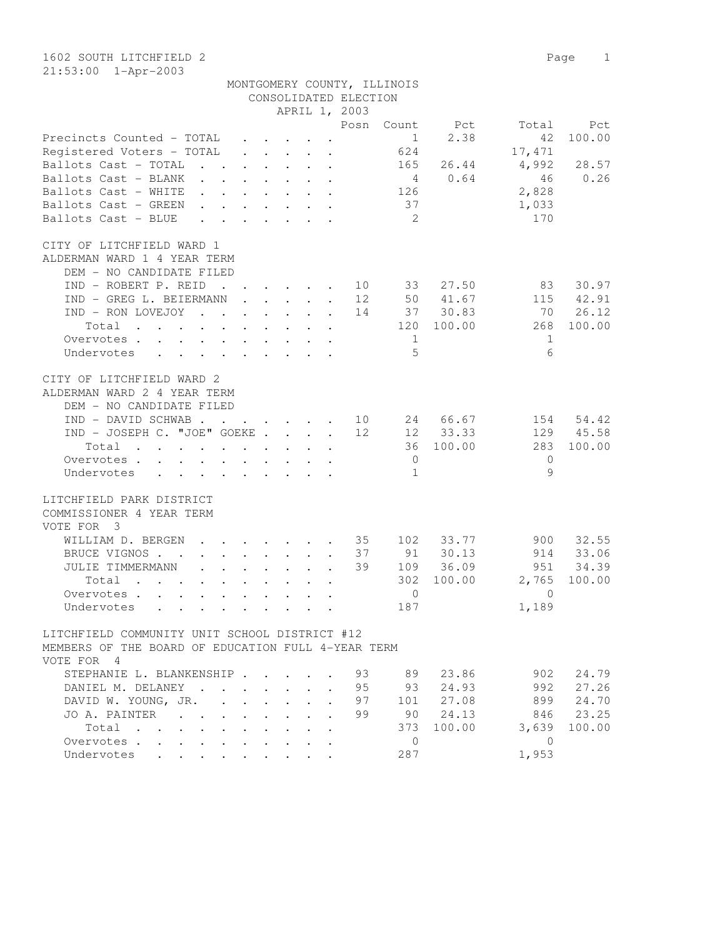|                                                                  |                                                   |                                                                                                                                                 |                                 |                                                     |                       | MONTGOMERY COUNTY, ILLINOIS |            |              |        |
|------------------------------------------------------------------|---------------------------------------------------|-------------------------------------------------------------------------------------------------------------------------------------------------|---------------------------------|-----------------------------------------------------|-----------------------|-----------------------------|------------|--------------|--------|
|                                                                  |                                                   |                                                                                                                                                 |                                 |                                                     | CONSOLIDATED ELECTION |                             |            |              |        |
|                                                                  |                                                   |                                                                                                                                                 |                                 | APRIL 1, 2003                                       |                       |                             |            |              |        |
|                                                                  |                                                   |                                                                                                                                                 |                                 |                                                     | Posn                  | Count                       | Pct        | Total        | Pct    |
| Precincts Counted - TOTAL                                        |                                                   |                                                                                                                                                 |                                 |                                                     |                       | $\mathbf{1}$                | 2.38       | 42           | 100.00 |
| Registered Voters - TOTAL                                        | $\ddot{\phantom{0}}$                              | $\ddot{\phantom{0}}$                                                                                                                            | $\ddot{\phantom{0}}$            | $\ddot{\phantom{a}}$                                |                       | 624                         |            | 17,471       |        |
| $\mathbf{r}$ $\mathbf{r}$<br>Ballots Cast - TOTAL                | $\mathbf{L}$                                      |                                                                                                                                                 |                                 | $\ddot{\phantom{a}}$                                |                       | 165                         | 26.44      | 4,992        | 28.57  |
| Ballots Cast - BLANK<br>$\mathcal{L} = \mathcal{L}$              |                                                   |                                                                                                                                                 |                                 |                                                     |                       | $\overline{4}$              | 0.64       | 46           | 0.26   |
| Ballots Cast - WHITE                                             |                                                   | $\ddot{\phantom{0}}$                                                                                                                            | $\ddot{\phantom{0}}$            | $\ddot{\phantom{a}}$<br>$\ddot{\phantom{a}}$        |                       | 126                         |            | 2,828        |        |
| Ballots Cast - GREEN<br>$\mathbf{L}$                             | $\ddot{\phantom{0}}$<br>$\sim$ $\sim$             |                                                                                                                                                 | $\sim$                          | $\ddot{\phantom{a}}$                                |                       | 37                          |            | 1,033        |        |
| Ballots Cast - BLUE<br>$\mathbf{r}$                              |                                                   |                                                                                                                                                 | $\mathbf{r}$                    |                                                     |                       | $\overline{2}$              |            | 170          |        |
| CITY OF LITCHFIELD WARD 1                                        |                                                   |                                                                                                                                                 |                                 |                                                     |                       |                             |            |              |        |
| ALDERMAN WARD 1 4 YEAR TERM                                      |                                                   |                                                                                                                                                 |                                 |                                                     |                       |                             |            |              |        |
| DEM - NO CANDIDATE FILED                                         |                                                   |                                                                                                                                                 |                                 |                                                     |                       |                             |            |              |        |
| IND - ROBERT P. REID                                             | $\sim$ $\sim$ $\sim$ $\sim$                       |                                                                                                                                                 | $\mathbf{r} = \mathbf{r}$       | $\sim$<br>$\mathbf{r}$                              | 10                    | 33                          | 27.50      | 83           | 30.97  |
| IND - GREG L. BEIERMANN                                          | $\ddot{\phantom{0}}$                              |                                                                                                                                                 |                                 | $\cdot$ $\cdot$ $\cdot$ $\cdot$ $\cdot$             | 12                    |                             | 50 41.67   | 115          | 42.91  |
| IND - RON LOVEJOY<br>$\mathbf{r}$ , $\mathbf{r}$                 | $\sim$                                            | $\sim$                                                                                                                                          | $\ddot{\phantom{0}}$            | $\sim$<br>$\ddot{\phantom{a}}$                      | 14                    |                             | 37 30.83   | 70           | 26.12  |
| Total<br>$\cdot$ $\cdot$ $\cdot$ $\cdot$<br>$\ddot{\phantom{a}}$ | $\ddot{\phantom{a}}$<br>$\mathbf{L}$              | $\sim$                                                                                                                                          | $\ddot{\phantom{0}}$            | $\ddot{\phantom{a}}$                                |                       |                             | 120 100.00 | 268          | 100.00 |
| Overvotes.<br>$\cdot$ $\cdot$ $\cdot$<br>$\ddot{\phantom{a}}$    | $\ddot{\phantom{a}}$<br>$\ddot{\phantom{a}}$      |                                                                                                                                                 |                                 |                                                     |                       | 1                           |            | 1            |        |
|                                                                  |                                                   |                                                                                                                                                 |                                 |                                                     |                       | .5                          |            | 6            |        |
| Undervotes                                                       |                                                   |                                                                                                                                                 | $\cdot$ $\cdot$ $\cdot$         |                                                     |                       |                             |            |              |        |
| CITY OF LITCHFIELD WARD 2                                        |                                                   |                                                                                                                                                 |                                 |                                                     |                       |                             |            |              |        |
| ALDERMAN WARD 2 4 YEAR TERM                                      |                                                   |                                                                                                                                                 |                                 |                                                     |                       |                             |            |              |        |
| DEM - NO CANDIDATE FILED                                         |                                                   |                                                                                                                                                 |                                 |                                                     |                       |                             |            |              |        |
| IND - DAVID SCHWAB.                                              | $\ddot{\phantom{a}}$                              |                                                                                                                                                 |                                 | $\mathbf{r} = \mathbf{r} \times \mathbf{r}$ , where | 10                    |                             | 24 66.67   | 154          | 54.42  |
| IND - JOSEPH C. "JOE" GOEKE.                                     |                                                   |                                                                                                                                                 |                                 | $\cdot$ $\cdot$ $\cdot$                             | 12                    |                             | 12 33.33   | 129          | 45.58  |
| Total<br>$\ddot{\phantom{0}}$<br>$\sim$                          | $\ddot{\phantom{0}}$<br>$\ddot{\phantom{0}}$      | $\sim$                                                                                                                                          | $\mathbf{L}^{\text{max}}$       |                                                     |                       |                             | 36 100.00  | 283          | 100.00 |
| Overvotes .<br>$\sim$                                            | $\ddot{\phantom{a}}$<br>$\mathbf{r}$              |                                                                                                                                                 |                                 |                                                     |                       | $\overline{0}$              |            | $\circ$      |        |
| $\ddot{\phantom{a}}$                                             |                                                   | $\ddot{\phantom{a}}$                                                                                                                            |                                 |                                                     |                       | $\mathbf{1}$                |            | $\mathsf{Q}$ |        |
| Undervotes                                                       | $\sim 100$                                        | $\sim$ 100 $\pm$                                                                                                                                | $\ddot{\phantom{0}}$            | $\ddot{\phantom{a}}$                                |                       |                             |            |              |        |
| LITCHFIELD PARK DISTRICT                                         |                                                   |                                                                                                                                                 |                                 |                                                     |                       |                             |            |              |        |
| COMMISSIONER 4 YEAR TERM                                         |                                                   |                                                                                                                                                 |                                 |                                                     |                       |                             |            |              |        |
| VOTE FOR 3                                                       |                                                   |                                                                                                                                                 |                                 |                                                     |                       |                             |            |              |        |
| WILLIAM D. BERGEN                                                |                                                   |                                                                                                                                                 | <b><i>Contract Contract</i></b> |                                                     | 35                    | 102                         | 33.77      | 900          | 32.55  |
| BRUCE VIGNOS.<br>$\sim$ $\sim$<br>$\ddot{\phantom{0}}$           | $\ddot{\phantom{a}}$<br>$\ddot{\phantom{0}}$      |                                                                                                                                                 | $\ddot{\phantom{0}}$            | $\ddot{\phantom{a}}$<br>$\ddot{\phantom{a}}$        | 37                    | 91                          | 30.13      | 914          | 33.06  |
| JULIE TIMMERMANN<br>$\mathbf{A}$                                 | $\mathbb{R}^{\mathbb{Z}}$<br>$\ddot{\phantom{a}}$ | $\ddot{\phantom{0}}$                                                                                                                            | $\ddot{\phantom{0}}$            |                                                     | 39                    | 109                         | 36.09      | 951          | 34.39  |
| Total<br>$\mathbf{L}^{\text{max}}$                               | $\ddot{\phantom{a}}$<br>$\ddot{\phantom{a}}$      | $\mathbf{L}$                                                                                                                                    | $\ddot{\phantom{0}}$            |                                                     |                       | 302                         | 100.00     | 2,765        | 100.00 |
| Overvotes<br>$\mathbf{L}^{\text{max}}$                           | $\ddot{\phantom{a}}$<br>$\ddot{\phantom{a}}$      | $\ddot{\phantom{0}}$                                                                                                                            |                                 |                                                     |                       | $\mathbf{0}$                |            | $\Omega$     |        |
| Undervotes<br>$\mathcal{L}^{\text{max}}$<br>$\ddot{\phantom{0}}$ |                                                   |                                                                                                                                                 |                                 |                                                     |                       | 187                         |            | 1,189        |        |
| LITCHFIELD COMMUNITY UNIT SCHOOL DISTRICT #12                    |                                                   |                                                                                                                                                 |                                 |                                                     |                       |                             |            |              |        |
| MEMBERS OF THE BOARD OF EDUCATION FULL 4-YEAR TERM               |                                                   |                                                                                                                                                 |                                 |                                                     |                       |                             |            |              |        |
| VOTE FOR<br>$\overline{4}$                                       |                                                   |                                                                                                                                                 |                                 |                                                     |                       |                             |            |              |        |
| STEPHANIE L. BLANKENSHIP                                         |                                                   |                                                                                                                                                 |                                 |                                                     | 93                    | 89                          | 23.86      | 902          | 24.79  |
|                                                                  |                                                   | $\bullet$ .<br><br><br><br><br><br><br><br><br><br><br><br><br><br><br><br><br><br><br><br><br><br><br><br><br><br><br><br><br><br><br><br><br> |                                 |                                                     |                       |                             |            |              |        |

 DANIEL M. DELANEY . . . . . . . 95 93 24.93 992 27.26 DAVID W. YOUNG, JR. . . . . . . 97 101 27.08 899 24.70 JO A. PAINTER . . . . . . . . 99 90 24.13 846 23.25 Total . . . . . . . . . . 373 100.00 3,639 100.00

100.00 3,639<br>
Overvotes . . . . . . . . . . . . 0<br>
Undervotes . . . . . . . . . . 287 1,953

Undervotes . . . . . . . . .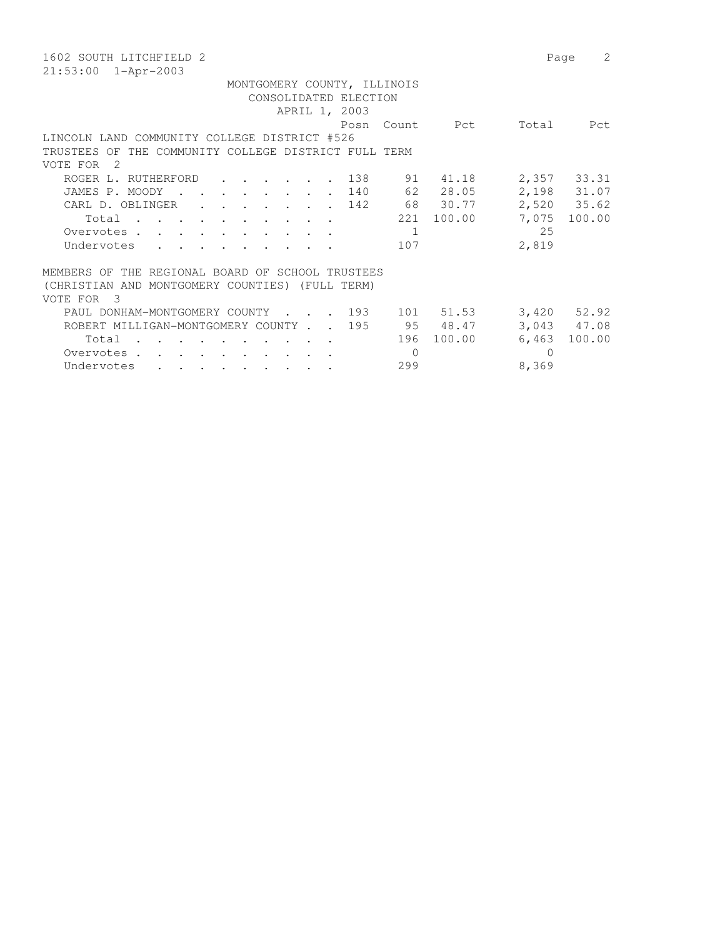| 1602 SOUTH LITCHFIELD 2                                                                                                | Page            | 2      |  |  |  |  |  |  |  |  |  |
|------------------------------------------------------------------------------------------------------------------------|-----------------|--------|--|--|--|--|--|--|--|--|--|
| $21:53:00$ $1 - Appr-2003$                                                                                             |                 |        |  |  |  |  |  |  |  |  |  |
| MONTGOMERY COUNTY, ILLINOIS                                                                                            |                 |        |  |  |  |  |  |  |  |  |  |
| CONSOLIDATED ELECTION                                                                                                  |                 |        |  |  |  |  |  |  |  |  |  |
| APRIL 1, 2003                                                                                                          |                 |        |  |  |  |  |  |  |  |  |  |
| Count Pct<br>Posn                                                                                                      | Total           | Pct    |  |  |  |  |  |  |  |  |  |
| LINCOLN LAND COMMUNITY COLLEGE DISTRICT #526                                                                           |                 |        |  |  |  |  |  |  |  |  |  |
| TRUSTEES OF THE COMMUNITY COLLEGE DISTRICT FULL TERM                                                                   |                 |        |  |  |  |  |  |  |  |  |  |
| - 2<br>VOTE FOR                                                                                                        |                 |        |  |  |  |  |  |  |  |  |  |
| 91<br>41.18<br>ROGER L. RUTHERFORD<br>138                                                                              | 2,357 33.31     |        |  |  |  |  |  |  |  |  |  |
| 62 28.05<br>140<br>JAMES P. MOODY<br>$\sim$ $\sim$ $\sim$<br>$\mathbf{r}$ , $\mathbf{r}$ , $\mathbf{r}$ , $\mathbf{r}$ | 2,198 31.07     |        |  |  |  |  |  |  |  |  |  |
| 68 30.77<br>CARL D. OBLINGER<br>142<br>$\cdot$ $\cdot$ $\cdot$                                                         | 2,520 35.62     |        |  |  |  |  |  |  |  |  |  |
| 100.00<br>221<br>Total<br>$\mathbf{r}$ , $\mathbf{r}$ , $\mathbf{r}$ , $\mathbf{r}$                                    | 7,075           | 100.00 |  |  |  |  |  |  |  |  |  |
| 1<br>Overvotes.<br>$\mathbf{r}$ , $\mathbf{r}$ , $\mathbf{r}$ , $\mathbf{r}$                                           | 25              |        |  |  |  |  |  |  |  |  |  |
| Undervotes<br>107                                                                                                      | 2,819           |        |  |  |  |  |  |  |  |  |  |
|                                                                                                                        |                 |        |  |  |  |  |  |  |  |  |  |
| MEMBERS OF THE REGIONAL BOARD OF SCHOOL TRUSTEES                                                                       |                 |        |  |  |  |  |  |  |  |  |  |
| (CHRISTIAN AND MONTGOMERY COUNTIES) (FULL TERM)                                                                        |                 |        |  |  |  |  |  |  |  |  |  |
| VOTE FOR 3                                                                                                             |                 |        |  |  |  |  |  |  |  |  |  |
| . 193<br>101 51.53<br>PAUL DONHAM-MONTGOMERY COUNTY                                                                    | $3,420$ $52.92$ |        |  |  |  |  |  |  |  |  |  |
| 95 48.47<br>195<br>ROBERT MILLIGAN-MONTGOMERY COUNTY                                                                   | 3,043 47.08     |        |  |  |  |  |  |  |  |  |  |
| 100.00<br>196<br>Total                                                                                                 | 6,463           | 100.00 |  |  |  |  |  |  |  |  |  |
| $\Omega$<br>Overvotes.                                                                                                 | $\Omega$        |        |  |  |  |  |  |  |  |  |  |
| 299<br>Undervotes<br>$\sim$ $\sim$ $\sim$                                                                              | 8,369           |        |  |  |  |  |  |  |  |  |  |
|                                                                                                                        |                 |        |  |  |  |  |  |  |  |  |  |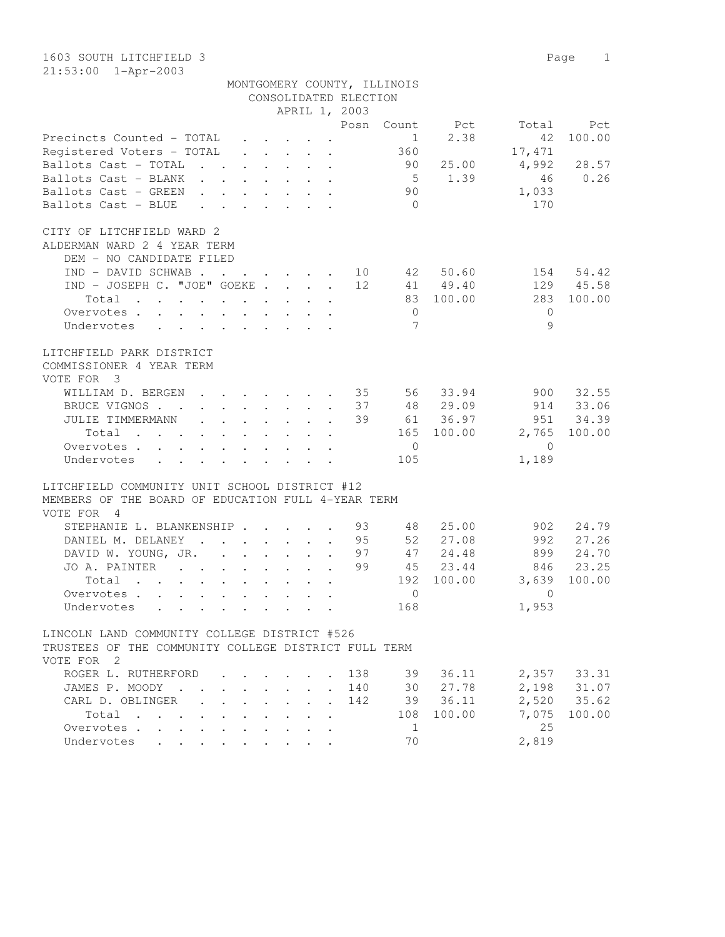1603 SOUTH LITCHFIELD 3 Page 1 21:53:00 1-Apr-2003

|                                                                                                                   |                                                 |  | MONTGOMERY COUNTY, ILLINOIS<br>CONSOLIDATED ELECTION<br>APRIL 1, 2003 |                |             |                  |             |
|-------------------------------------------------------------------------------------------------------------------|-------------------------------------------------|--|-----------------------------------------------------------------------|----------------|-------------|------------------|-------------|
|                                                                                                                   |                                                 |  | Posn                                                                  |                | Count Pct   |                  | Total Pct   |
| Precincts Counted - TOTAL                                                                                         |                                                 |  |                                                                       | $\sim$ 1       | 2.38        | 42               | 100.00      |
| Registered Voters – TOTAL                                                                                         | $\cdot$ $\cdot$ $\cdot$ $\cdot$ $\cdot$ $\cdot$ |  |                                                                       | 360            |             | 17,471           |             |
|                                                                                                                   |                                                 |  |                                                                       |                | 90 25.00    | 4,992            | 28.57       |
| Ballots Cast - TOTAL                                                                                              |                                                 |  |                                                                       |                | $5 \t 1.39$ | 46               | 0.26        |
| Ballots Cast - BLANK                                                                                              |                                                 |  |                                                                       |                |             |                  |             |
| Ballots Cast - GREEN                                                                                              |                                                 |  |                                                                       | 90             |             | 1,033            |             |
| Ballots Cast - BLUE                                                                                               |                                                 |  |                                                                       | $\overline{0}$ |             | 170              |             |
| CITY OF LITCHFIELD WARD 2<br>ALDERMAN WARD 2 4 YEAR TERM<br>DEM - NO CANDIDATE FILED                              |                                                 |  |                                                                       |                |             |                  |             |
| $IND - DAVID SCHWAB$ 10 42 50.60                                                                                  |                                                 |  |                                                                       |                |             |                  | 154 54.42   |
| IND - JOSEPH C. "JOE" GOEKE 12                                                                                    |                                                 |  |                                                                       |                | 41 49.40    |                  | 129 45.58   |
| Total                                                                                                             |                                                 |  |                                                                       |                | 83 100.00   | 283              | 100.00      |
| Overvotes.                                                                                                        |                                                 |  |                                                                       | $\overline{0}$ |             | $\Omega$         |             |
| Undervotes                                                                                                        |                                                 |  |                                                                       | 7              |             | 9                |             |
|                                                                                                                   |                                                 |  |                                                                       |                |             |                  |             |
| LITCHFIELD PARK DISTRICT<br>COMMISSIONER 4 YEAR TERM<br>VOTE FOR 3                                                |                                                 |  |                                                                       |                |             |                  |             |
| WILLIAM D. BERGEN 35 56 33.94                                                                                     |                                                 |  |                                                                       |                |             | 900              | 32.55       |
| BRUCE VIGNOS 37                                                                                                   |                                                 |  |                                                                       |                | 48 29.09    |                  | 914 33.06   |
| JULIE TIMMERMANN 39                                                                                               |                                                 |  |                                                                       |                | 61 36.97    |                  | 951 34.39   |
| Total                                                                                                             |                                                 |  |                                                                       |                | 165 100.00  | 2,765 100.00     |             |
| Overvotes.                                                                                                        |                                                 |  |                                                                       | $\overline{0}$ |             | $\bigcirc$       |             |
| Undervotes                                                                                                        |                                                 |  |                                                                       | 105            |             | 1,189            |             |
|                                                                                                                   |                                                 |  |                                                                       |                |             |                  |             |
| LITCHFIELD COMMUNITY UNIT SCHOOL DISTRICT #12<br>MEMBERS OF THE BOARD OF EDUCATION FULL 4-YEAR TERM<br>VOTE FOR 4 |                                                 |  |                                                                       |                |             |                  |             |
| STEPHANIE L. BLANKENSHIP 93                                                                                       |                                                 |  |                                                                       |                | 48 25.00    |                  | 902 24.79   |
| DANIEL M. DELANEY 95                                                                                              |                                                 |  |                                                                       |                | 52 27.08    |                  | 992 27.26   |
| DAVID W. YOUNG, JR. 97                                                                                            |                                                 |  |                                                                       |                | 47 24.48    |                  | 899 24.70   |
| JO A. PAINTER 99                                                                                                  |                                                 |  |                                                                       |                | 45 23.44    |                  | 846 23.25   |
| Total                                                                                                             |                                                 |  |                                                                       |                |             | 192 100.00 3,639 | 100.00      |
| Overvotes                                                                                                         |                                                 |  |                                                                       | $\circ$        |             | $\overline{0}$   |             |
| Undervotes                                                                                                        |                                                 |  |                                                                       | 168            |             | 1,953            |             |
|                                                                                                                   |                                                 |  |                                                                       |                |             |                  |             |
| LINCOLN LAND COMMUNITY COLLEGE DISTRICT #526                                                                      |                                                 |  |                                                                       |                |             |                  |             |
| TRUSTEES OF THE COMMUNITY COLLEGE DISTRICT FULL TERM<br>VOTE FOR 2                                                |                                                 |  |                                                                       |                |             |                  |             |
| ROGER L. RUTHERFORD                                                                                               |                                                 |  |                                                                       | 138 39         | 36.11       |                  | 2,357 33.31 |
| JAMES P. MOODY                                                                                                    |                                                 |  | 140                                                                   | 30             | 27.78       |                  | 2,198 31.07 |
|                                                                                                                   |                                                 |  |                                                                       |                |             |                  |             |

| RUGLK L. KUINLKPUKD L. L. L. L. LJO L. JY JO.II |  |  |  |  |  |          |            |       | 4,301 33.31  |
|-------------------------------------------------|--|--|--|--|--|----------|------------|-------|--------------|
| JAMES P. MOODY 140                              |  |  |  |  |  |          | 30 27.78   |       | 2,198 31.07  |
| CARL D. OBLINGER 142                            |  |  |  |  |  |          | 39 36.11   |       | 2,520 35.62  |
| Total                                           |  |  |  |  |  |          | 108 100.00 |       | 7,075 100.00 |
| Overvotes.                                      |  |  |  |  |  | $\sim$ 1 |            | 2.5   |              |
| Undervotes                                      |  |  |  |  |  | 70       |            | 2,819 |              |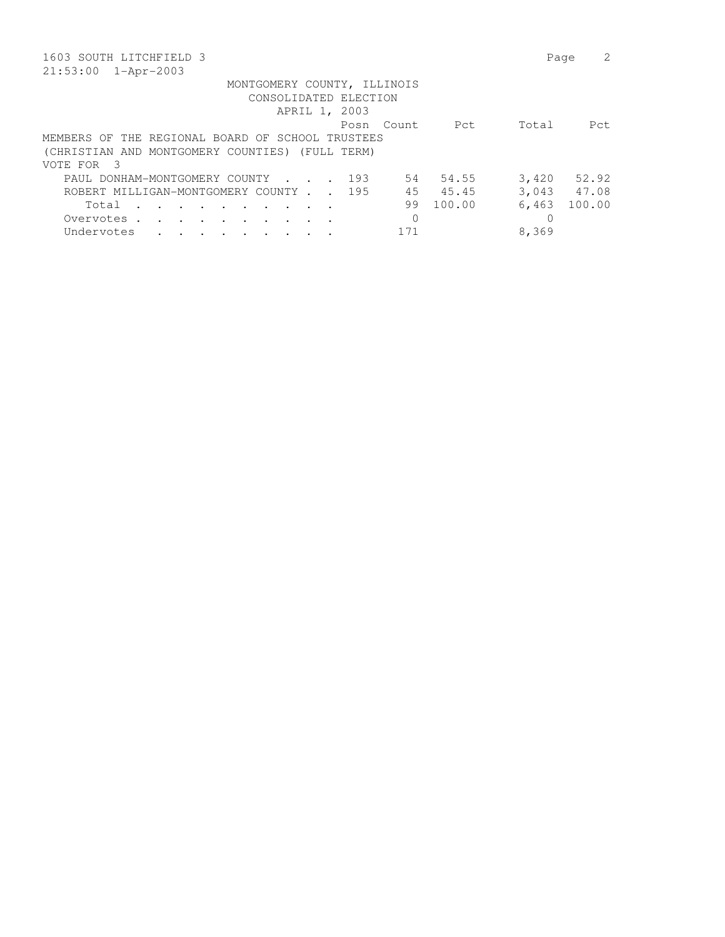| 1603 SOUTH LITCHFIELD 3                                                                   | Page            |
|-------------------------------------------------------------------------------------------|-----------------|
| 21:53:00<br>1-Apr-2003                                                                    |                 |
| MONTGOMERY COUNTY, ILLINOIS                                                               |                 |
| CONSOLIDATED ELECTION                                                                     |                 |
| APRIL 1, 2003                                                                             |                 |
| Pct<br>Count.<br>Posn                                                                     | Total<br>Pct.   |
| MEMBERS OF THE REGIONAL BOARD OF SCHOOL TRUSTEES                                          |                 |
| (CHRISTIAN AND MONTGOMERY COUNTIES) (FULL TERM)                                           |                 |
| $\mathcal{R}$<br>VOTE FOR                                                                 |                 |
| 54.55<br>PAUL DONHAM-MONTGOMERY COUNTY<br>193<br>54<br>$\sim$ $\sim$ $\sim$ $\sim$ $\sim$ | 3,420<br>52.92  |
| ROBERT MILLIGAN-MONTGOMERY COUNTY 195<br>45<br>45.45                                      | 3,043 47.08     |
| 100.00<br>99<br>Total<br>$\sim$ $\sim$ $\sim$<br>$\sim$ $\sim$                            | 100.00<br>6,463 |
| $\Omega$<br>Overvotes.                                                                    | 0               |
| 171<br>Undervotes                                                                         | 8,369           |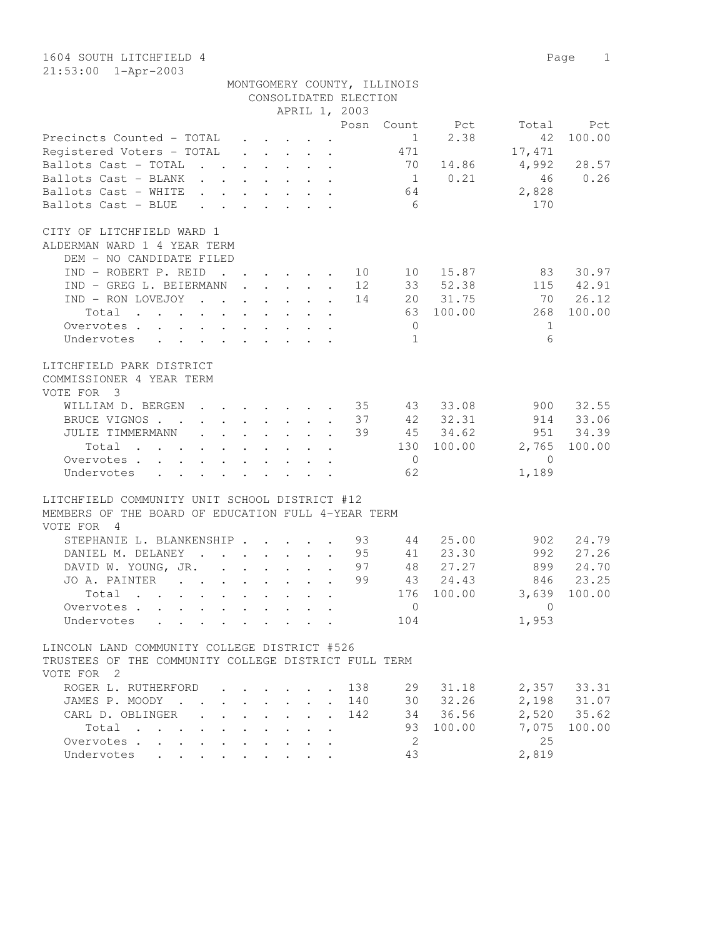1604 SOUTH LITCHFIELD 4 Page 1 21:53:00 1-Apr-2003

|                                                                                                                                                |                                                                  |               | CONSOLIDATED ELECTION | MONTGOMERY COUNTY, ILLINOIS |                |                |                            |
|------------------------------------------------------------------------------------------------------------------------------------------------|------------------------------------------------------------------|---------------|-----------------------|-----------------------------|----------------|----------------|----------------------------|
|                                                                                                                                                |                                                                  | APRIL 1, 2003 |                       |                             |                |                |                            |
|                                                                                                                                                |                                                                  |               |                       |                             | Posn Count Pct |                | Total Pct                  |
| Precincts Counted - TOTAL                                                                                                                      |                                                                  |               |                       | $\mathbf{1}$                | 2.38           | 42             | 100.00                     |
| Registered Voters - TOTAL                                                                                                                      |                                                                  |               |                       | 471                         |                | 17,471         |                            |
| Ballots Cast - TOTAL                                                                                                                           |                                                                  |               |                       |                             |                | 70 14.86 4,992 | 28.57                      |
| Ballots Cast - BLANK                                                                                                                           |                                                                  |               |                       |                             | 1 0.21         |                | 46 0.26                    |
| Ballots Cast - WHITE                                                                                                                           |                                                                  |               |                       | 64                          |                | 2,828          |                            |
| Ballots Cast - BLUE                                                                                                                            |                                                                  |               |                       | $6\overline{6}$             |                | 170            |                            |
|                                                                                                                                                |                                                                  |               |                       |                             |                |                |                            |
| CITY OF LITCHFIELD WARD 1<br>ALDERMAN WARD 1 4 YEAR TERM                                                                                       |                                                                  |               |                       |                             |                |                |                            |
| DEM - NO CANDIDATE FILED                                                                                                                       |                                                                  |               |                       |                             |                |                |                            |
| IND - ROBERT P. REID 10 10 15.87 83                                                                                                            |                                                                  |               |                       |                             |                |                | 30.97                      |
| IND - GREG L. BEIERMANN 12                                                                                                                     |                                                                  |               |                       |                             | 33 52.38       |                | 115 42.91                  |
| IND - RON LOVEJOY 14 20 31.75                                                                                                                  |                                                                  |               |                       |                             |                | 70 26.12       |                            |
| Total                                                                                                                                          |                                                                  |               |                       |                             | 63 100.00      | 268            | 100.00                     |
| the contract of the contract of the contract of the contract of the contract of the contract of the contract of                                |                                                                  |               |                       |                             |                |                |                            |
| Overvotes                                                                                                                                      |                                                                  |               |                       | $\overline{0}$              |                | 1              |                            |
| Undervotes                                                                                                                                     |                                                                  |               |                       | $\mathbf{1}$                |                | 6              |                            |
| LITCHFIELD PARK DISTRICT<br>COMMISSIONER 4 YEAR TERM<br>VOTE FOR 3                                                                             |                                                                  |               |                       |                             |                |                |                            |
| WILLIAM D. BERGEN 35 43 33.08                                                                                                                  |                                                                  |               |                       |                             |                | 900            | 32.55                      |
| BRUCE VIGNOS 37 42 32.31                                                                                                                       |                                                                  |               |                       |                             |                |                | 914 33.06                  |
| JULIE TIMMERMANN 39 45 34.62                                                                                                                   |                                                                  |               |                       |                             |                |                | 951 34.39                  |
|                                                                                                                                                |                                                                  |               |                       |                             | 130 100.00     |                | 2,765 100.00               |
| Total<br>the contract of the contract of the contract of                                                                                       |                                                                  |               |                       | $\overline{0}$              |                | $\bigcirc$     |                            |
| Overvotes                                                                                                                                      |                                                                  |               |                       | 62                          |                |                |                            |
| Undervotes<br>$\mathbf{r} = \mathbf{r} - \mathbf{r}$ , and $\mathbf{r} = \mathbf{r} - \mathbf{r}$ , and $\mathbf{r} = \mathbf{r} - \mathbf{r}$ |                                                                  |               |                       |                             |                | 1,189          |                            |
| LITCHFIELD COMMUNITY UNIT SCHOOL DISTRICT #12<br>MEMBERS OF THE BOARD OF EDUCATION FULL 4-YEAR TERM                                            |                                                                  |               |                       |                             |                |                |                            |
| VOTE FOR 4                                                                                                                                     |                                                                  |               |                       |                             |                |                |                            |
| STEPHANIE L. BLANKENSHIP 93                                                                                                                    |                                                                  |               |                       |                             | 44 25.00       | 902            | 24.79                      |
| DANIEL M. DELANEY 95 41 23.30                                                                                                                  |                                                                  |               |                       |                             |                | 992            | 27.26                      |
| DAVID W. YOUNG, JR. 97 48 27.27                                                                                                                |                                                                  |               |                       |                             |                | 899            | 24.70                      |
| JO A. PAINTER                                                                                                                                  |                                                                  |               | 99                    |                             | 43 24.43       |                | 846 23.25                  |
| Total                                                                                                                                          |                                                                  |               |                       |                             | 176 100.00     |                | 3,639 100.00               |
| Overvotes                                                                                                                                      |                                                                  |               |                       | $\overline{0}$              |                | $\overline{0}$ |                            |
| Undervotes                                                                                                                                     |                                                                  |               |                       | 104                         |                | 1,953          |                            |
|                                                                                                                                                |                                                                  |               |                       |                             |                |                |                            |
| LINCOLN LAND COMMUNITY COLLEGE DISTRICT #526<br>TRUSTEES OF THE COMMUNITY COLLEGE DISTRICT FULL TERM<br>VOTE FOR 2                             |                                                                  |               |                       |                             |                |                |                            |
| ROGER L. RUTHERFORD                                                                                                                            |                                                                  |               | 138                   | 29                          | 31.18          |                | 2,357 33.31                |
| JAMES P. MOODY                                                                                                                                 |                                                                  |               | 140                   |                             | 30 32.26       |                |                            |
| CARL D. OBLINGER<br>$\sim$                                                                                                                     | $\mathbf{1}$ $\mathbf{1}$ $\mathbf{1}$ $\mathbf{1}$ $\mathbf{1}$ |               | 142                   |                             | 34 36.56       |                | 2,198 31.07<br>2,520 35.62 |
| Total                                                                                                                                          |                                                                  |               |                       |                             | 93 100.00      | 7,075          | 100.00                     |
|                                                                                                                                                |                                                                  |               |                       |                             |                |                |                            |
| Overvotes                                                                                                                                      |                                                                  |               |                       | 2                           |                | 25             |                            |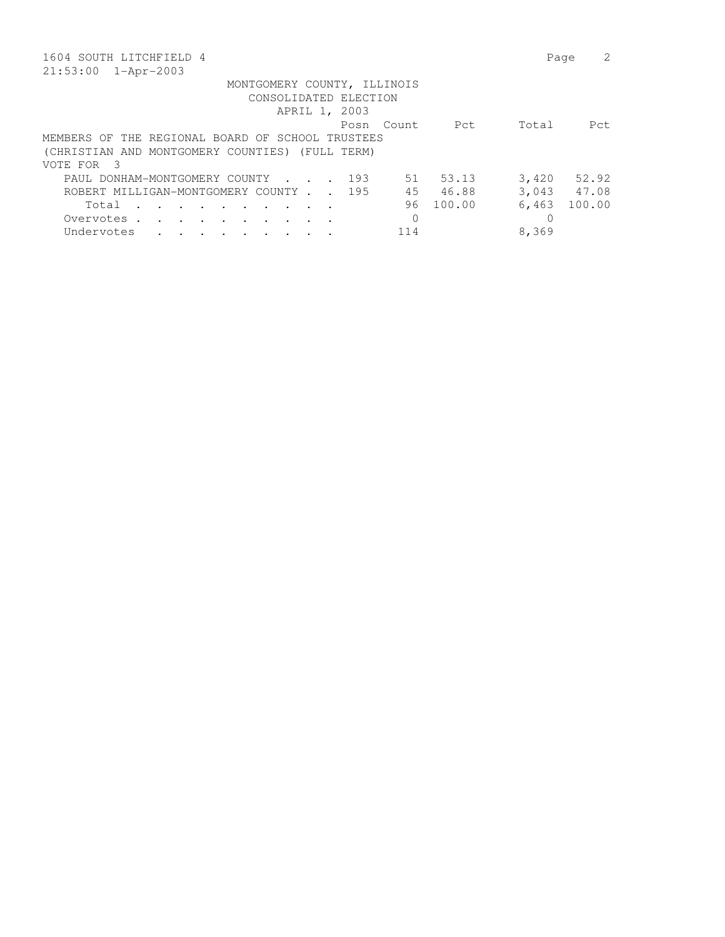| 1604 SOUTH LITCHFIELD 4                                                                   | Page        |        |
|-------------------------------------------------------------------------------------------|-------------|--------|
| $21:53:00$ $1 - Appr-2003$                                                                |             |        |
| MONTGOMERY COUNTY, ILLINOIS                                                               |             |        |
| CONSOLIDATED ELECTION                                                                     |             |        |
| APRIL 1, 2003                                                                             |             |        |
| Pct<br>Count.<br>Posn                                                                     | Total       | Pct.   |
| MEMBERS OF THE REGIONAL BOARD OF SCHOOL TRUSTEES                                          |             |        |
| (CHRISTIAN AND MONTGOMERY COUNTIES) (FULL TERM)                                           |             |        |
| VOTE FOR<br>- 3                                                                           |             |        |
| 53.13<br>PAUL DONHAM-MONTGOMERY COUNTY<br>193<br>51<br>$\sim$ $\sim$ $\sim$ $\sim$ $\sim$ | 3,420       | 52.92  |
| ROBERT MILLIGAN-MONTGOMERY COUNTY 195<br>45<br>46.88                                      | 3,043 47.08 |        |
| 100.00<br>96<br>Total<br>$\sim$ $\sim$                                                    | 6,463       | 100.00 |
| $\Omega$<br>Overvotes .                                                                   | 0           |        |
| Undervotes<br>114                                                                         | 8,369       |        |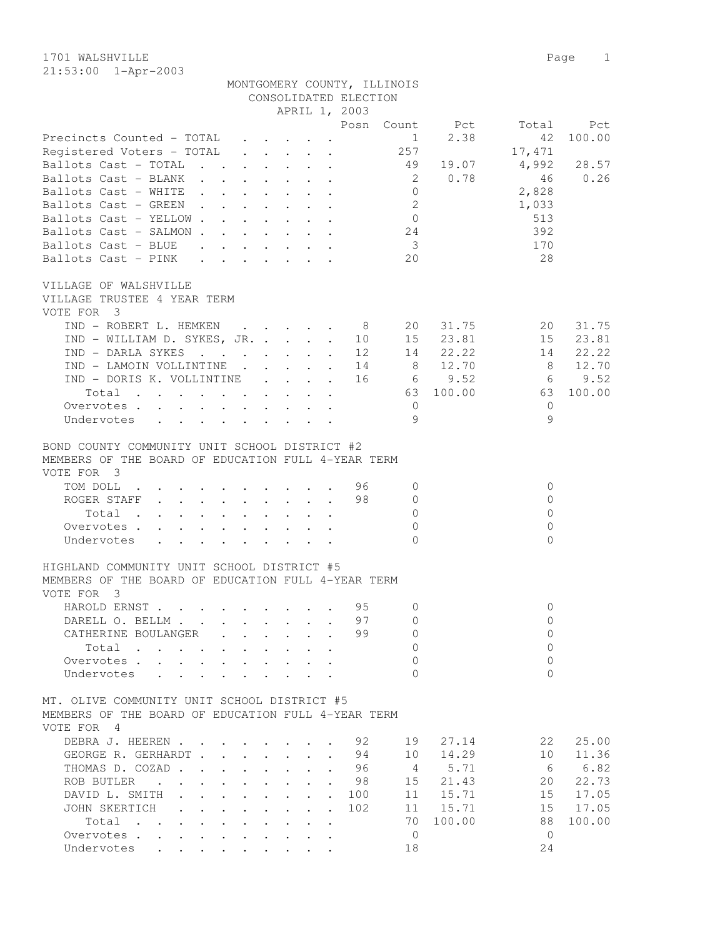1701 WALSHVILLE Page 1 21:53:00 1-Apr-2003

|                                                                                                                                                                                                                                                                                                                                                                                                                           |                                                                                                                                                                                                                                                                | APRIL 1, 2003                                                                                                                                                                                                       | MONTGOMERY COUNTY, ILLINOIS<br>CONSOLIDATED ELECTION  |                      |                                                                |
|---------------------------------------------------------------------------------------------------------------------------------------------------------------------------------------------------------------------------------------------------------------------------------------------------------------------------------------------------------------------------------------------------------------------------|----------------------------------------------------------------------------------------------------------------------------------------------------------------------------------------------------------------------------------------------------------------|---------------------------------------------------------------------------------------------------------------------------------------------------------------------------------------------------------------------|-------------------------------------------------------|----------------------|----------------------------------------------------------------|
| Precincts Counted - TOTAL                                                                                                                                                                                                                                                                                                                                                                                                 |                                                                                                                                                                                                                                                                |                                                                                                                                                                                                                     | Posn Count Pct<br>$\frac{1}{2}$                       | 2.38                 | Total<br>Pct<br>42<br>100.00                                   |
| Registered Voters - TOTAL                                                                                                                                                                                                                                                                                                                                                                                                 |                                                                                                                                                                                                                                                                | $\mathbf{r} = \mathbf{r} \cdot \mathbf{r} = \mathbf{r} \cdot \mathbf{r}$                                                                                                                                            | 257                                                   |                      | 17,471                                                         |
| Ballots Cast - TOTAL<br>$\mathbf{L}$ and $\mathbf{L}$ and $\mathbf{L}$                                                                                                                                                                                                                                                                                                                                                    |                                                                                                                                                                                                                                                                | $\mathbf{r}$ and $\mathbf{r}$ and $\mathbf{r}$ and $\mathbf{r}$                                                                                                                                                     | 49                                                    | 19.07                | 4,992<br>28.57                                                 |
| Ballots Cast - BLANK                                                                                                                                                                                                                                                                                                                                                                                                      |                                                                                                                                                                                                                                                                |                                                                                                                                                                                                                     | $\overline{\phantom{0}}^2$                            | 0.78                 | 0.26<br>46                                                     |
| Ballots Cast - WHITE                                                                                                                                                                                                                                                                                                                                                                                                      |                                                                                                                                                                                                                                                                |                                                                                                                                                                                                                     | $\overline{0}$                                        |                      | 2,828                                                          |
| Ballots Cast - GREEN.                                                                                                                                                                                                                                                                                                                                                                                                     | $\mathbf{1}$ $\mathbf{1}$ $\mathbf{1}$ $\mathbf{1}$ $\mathbf{1}$ $\mathbf{1}$ $\mathbf{1}$                                                                                                                                                                     | $\bullet$ .<br><br><br><br><br><br><br><br><br><br><br><br><br>                                                                                                                                                     | $\overline{2}$                                        |                      | 1,033                                                          |
| Ballots Cast - YELLOW.                                                                                                                                                                                                                                                                                                                                                                                                    | $\ddot{\phantom{a}}$<br>$\ddot{\phantom{a}}$ . The set of the set of the set of the set of the set of the set of the set of the set of the set of the set of the set of the set of the set of the set of the set of the set of the set of the set of the set o | $\sim$<br>$\ddot{\phantom{0}}$                                                                                                                                                                                      | $\overline{0}$                                        |                      | 513                                                            |
| Ballots Cast - SALMON.                                                                                                                                                                                                                                                                                                                                                                                                    | $\cdot$ $\cdot$ $\cdot$<br>$\ddot{\phantom{a}}$                                                                                                                                                                                                                | $\cdot$ $\cdot$ $\cdot$                                                                                                                                                                                             | 24                                                    |                      | 392                                                            |
| Ballots Cast - BLUE                                                                                                                                                                                                                                                                                                                                                                                                       |                                                                                                                                                                                                                                                                | $\ddot{\phantom{a}}$                                                                                                                                                                                                | $\overline{\mathbf{3}}$                               |                      | 170                                                            |
| Ballots Cast - PINK                                                                                                                                                                                                                                                                                                                                                                                                       |                                                                                                                                                                                                                                                                |                                                                                                                                                                                                                     | 20                                                    |                      | 28                                                             |
| VILLAGE OF WALSHVILLE<br>VILLAGE TRUSTEE 4 YEAR TERM<br>VOTE FOR 3<br>IND - ROBERT L. HEMKEN 8<br>IND - WILLIAM D. SYKES, JR.                                                                                                                                                                                                                                                                                             |                                                                                                                                                                                                                                                                | $\mathbf{r}$                                                                                                                                                                                                        | 10 15                                                 | 20<br>31.75<br>23.81 | 20<br>31.75<br>15<br>23.81                                     |
| IND - DARLA SYKES                                                                                                                                                                                                                                                                                                                                                                                                         |                                                                                                                                                                                                                                                                | $\ddot{\phantom{a}}$                                                                                                                                                                                                | 12                                                    | 22.22<br>14          | 14<br>22.22                                                    |
| IND - LAMOIN VOLLINTINE                                                                                                                                                                                                                                                                                                                                                                                                   | $\mathbf{L}$                                                                                                                                                                                                                                                   | $\mathbf{L}$                                                                                                                                                                                                        | 14<br>8 <sup>8</sup>                                  | 12.70                | 12.70<br>- 8                                                   |
| IND - DORIS K. VOLLINTINE                                                                                                                                                                                                                                                                                                                                                                                                 | $\mathbf{L}$                                                                                                                                                                                                                                                   | $\mathbf{L}$<br>$\mathbf{r}$                                                                                                                                                                                        | 16                                                    | 69.52                | 9.52<br>6                                                      |
| Total                                                                                                                                                                                                                                                                                                                                                                                                                     |                                                                                                                                                                                                                                                                | $\mathbf{r}$ , $\mathbf{r}$ , $\mathbf{r}$                                                                                                                                                                          |                                                       | 63 100.00            | 100.00<br>63                                                   |
| Overvotes.                                                                                                                                                                                                                                                                                                                                                                                                                | $\sim$                                                                                                                                                                                                                                                         | $\mathbf{L}^{\text{max}}$ and $\mathbf{L}^{\text{max}}$<br>$\ddot{\phantom{a}}$                                                                                                                                     | $\circ$                                               |                      | $\Omega$                                                       |
| Undervotes<br>$\mathbf{r}$ , $\mathbf{r}$ , $\mathbf{r}$ , $\mathbf{r}$ , $\mathbf{r}$ , $\mathbf{r}$                                                                                                                                                                                                                                                                                                                     |                                                                                                                                                                                                                                                                |                                                                                                                                                                                                                     | 9                                                     |                      | $\mathcal{Q}$                                                  |
| BOND COUNTY COMMUNITY UNIT SCHOOL DISTRICT #2<br>MEMBERS OF THE BOARD OF EDUCATION FULL 4-YEAR TERM<br>VOTE FOR 3<br>TOM DOLL<br><b>Contract Contract</b><br>ROGER STAFF<br>Total<br>$\sim$<br>$\mathbf{L}$<br>$\sim$<br>Overvotes .<br>$\mathbf{L}$<br>$\mathbf{L}^{\text{max}}$ and $\mathbf{L}^{\text{max}}$<br>Undervotes<br>$\mathbf{r}$ , and $\mathbf{r}$ , and $\mathbf{r}$ , and $\mathbf{r}$ , and $\mathbf{r}$ | $\mathbf{r}$ , $\mathbf{r}$ , $\mathbf{r}$ , $\mathbf{r}$ , $\mathbf{r}$<br>$\Delta \sim 100$<br>$\ddot{\phantom{0}}$<br>$\sim$<br>$\mathbf{L}$                                                                                                                | $\mathcal{L}(\mathcal{A})$ , and $\mathcal{L}(\mathcal{A})$ , and $\mathcal{L}(\mathcal{A})$<br>$\mathbb{R}^{\mathbb{Z}}$<br>$\ddot{\phantom{0}}$<br>$\mathbf{r}$ . The set of $\mathbf{r}$<br>$\ddot{\phantom{a}}$ | 96<br>0<br>98<br>$\circ$<br>$\Omega$<br>0<br>$\Omega$ |                      | $\circ$<br>$\circ$<br>$\mathbf{0}$<br>$\mathbf{0}$<br>$\Omega$ |
| HIGHLAND COMMUNITY UNIT SCHOOL DISTRICT #5<br>MEMBERS OF THE BOARD OF EDUCATION FULL 4-YEAR TERM                                                                                                                                                                                                                                                                                                                          |                                                                                                                                                                                                                                                                |                                                                                                                                                                                                                     |                                                       |                      |                                                                |
| VOTE FOR 3                                                                                                                                                                                                                                                                                                                                                                                                                |                                                                                                                                                                                                                                                                |                                                                                                                                                                                                                     |                                                       |                      |                                                                |
| HAROLD ERNST.                                                                                                                                                                                                                                                                                                                                                                                                             |                                                                                                                                                                                                                                                                |                                                                                                                                                                                                                     | 95 0                                                  |                      | $\overline{0}$                                                 |
| DARELL O. BELLM.                                                                                                                                                                                                                                                                                                                                                                                                          |                                                                                                                                                                                                                                                                |                                                                                                                                                                                                                     | 97<br>0                                               |                      | $\mathbf 0$                                                    |
| CATHERINE BOULANGER                                                                                                                                                                                                                                                                                                                                                                                                       |                                                                                                                                                                                                                                                                |                                                                                                                                                                                                                     | 99<br>$\Omega$                                        |                      | $\Omega$                                                       |
| Total<br>$\sim$<br>$\mathbf{r}$ . The set of $\mathbf{r}$<br>$\cdot$                                                                                                                                                                                                                                                                                                                                                      |                                                                                                                                                                                                                                                                |                                                                                                                                                                                                                     | $\Omega$                                              |                      | $\Omega$                                                       |
| Overvotes .                                                                                                                                                                                                                                                                                                                                                                                                               |                                                                                                                                                                                                                                                                |                                                                                                                                                                                                                     | 0                                                     |                      | $\Omega$                                                       |
| Undervotes<br>$\ddot{\phantom{a}}$                                                                                                                                                                                                                                                                                                                                                                                        |                                                                                                                                                                                                                                                                |                                                                                                                                                                                                                     | <sup>n</sup>                                          |                      | $\Omega$                                                       |
| MT. OLIVE COMMUNITY UNIT SCHOOL DISTRICT #5<br>MEMBERS OF THE BOARD OF EDUCATION FULL 4-YEAR TERM<br>VOTE FOR 4                                                                                                                                                                                                                                                                                                           |                                                                                                                                                                                                                                                                |                                                                                                                                                                                                                     |                                                       |                      |                                                                |
| DEBRA J. HEEREN .                                                                                                                                                                                                                                                                                                                                                                                                         |                                                                                                                                                                                                                                                                |                                                                                                                                                                                                                     | 92<br>19                                              | 27.14                | 22<br>25.00                                                    |
| GEORGE R. GERHARDT.                                                                                                                                                                                                                                                                                                                                                                                                       |                                                                                                                                                                                                                                                                | $\mathbf{L}$<br>$\ddot{\phantom{a}}$                                                                                                                                                                                | 94<br>10                                              | 14.29                | 11.36<br>10                                                    |
| THOMAS D. COZAD.                                                                                                                                                                                                                                                                                                                                                                                                          |                                                                                                                                                                                                                                                                |                                                                                                                                                                                                                     | 96<br>4                                               | 5.71                 | 6<br>6.82                                                      |
| ROB BUTLER<br>$\mathbf{r}$<br>$\cdot$                                                                                                                                                                                                                                                                                                                                                                                     |                                                                                                                                                                                                                                                                |                                                                                                                                                                                                                     | 98<br>15                                              | 21.43                | 22.73<br>20                                                    |
| DAVID L. SMITH                                                                                                                                                                                                                                                                                                                                                                                                            |                                                                                                                                                                                                                                                                | $\cdot$<br>$\ddot{\phantom{a}}$<br>$\ddot{\phantom{a}}$                                                                                                                                                             | 100<br>11                                             | 15.71                | 15<br>17.05                                                    |
| JOHN SKERTICH                                                                                                                                                                                                                                                                                                                                                                                                             |                                                                                                                                                                                                                                                                |                                                                                                                                                                                                                     | 102<br>11                                             | 15.71                | 17.05<br>15                                                    |
| Total                                                                                                                                                                                                                                                                                                                                                                                                                     |                                                                                                                                                                                                                                                                |                                                                                                                                                                                                                     | 70                                                    | 100.00               | 88<br>100.00                                                   |
| Overvotes .                                                                                                                                                                                                                                                                                                                                                                                                               |                                                                                                                                                                                                                                                                |                                                                                                                                                                                                                     | $\mathbf{0}$                                          |                      | $\mathbf{0}$                                                   |
| Undervotes                                                                                                                                                                                                                                                                                                                                                                                                                |                                                                                                                                                                                                                                                                |                                                                                                                                                                                                                     | 18                                                    |                      | 24                                                             |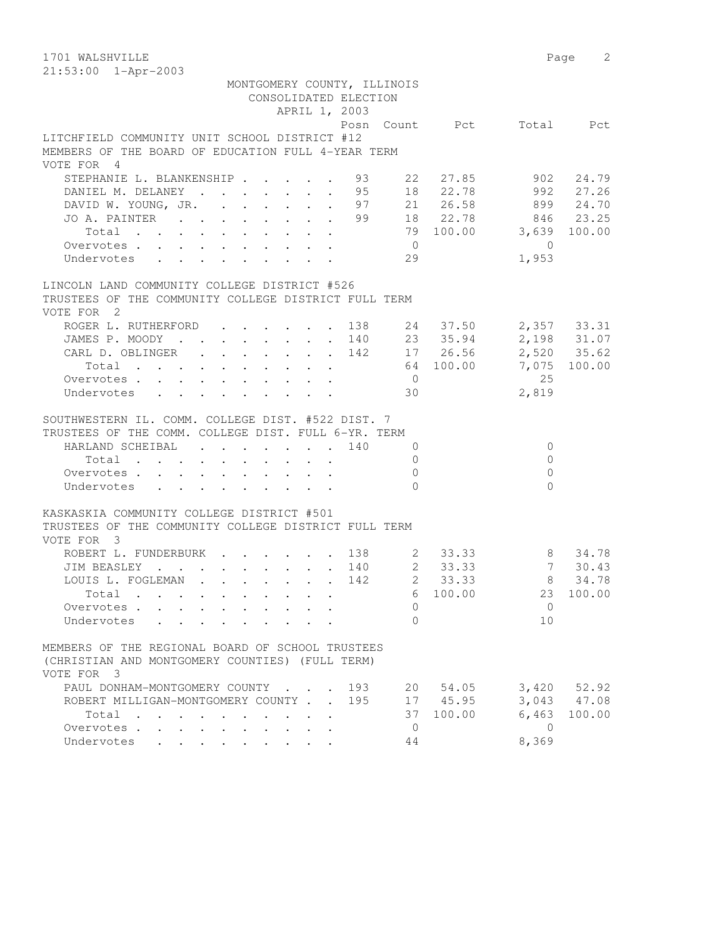| 1701 WALSHVILLE                                                                                 |                     |                   |                | Page<br>2                      |
|-------------------------------------------------------------------------------------------------|---------------------|-------------------|----------------|--------------------------------|
| 21:53:00 1-Apr-2003                                                                             |                     |                   |                |                                |
| MONTGOMERY COUNTY, ILLINOIS                                                                     |                     |                   |                |                                |
| CONSOLIDATED ELECTION                                                                           |                     |                   |                |                                |
| APRIL 1, 2003                                                                                   |                     |                   |                |                                |
|                                                                                                 | Posn Count Pct      |                   | Total          | Pct                            |
| LITCHFIELD COMMUNITY UNIT SCHOOL DISTRICT #12                                                   |                     |                   |                |                                |
| MEMBERS OF THE BOARD OF EDUCATION FULL 4-YEAR TERM                                              |                     |                   |                |                                |
| VOTE FOR 4                                                                                      |                     |                   |                |                                |
| STEPHANIE L. BLANKENSHIP                                                                        | 93<br>22            | 27.85             | 902            | 24.79                          |
| DANIEL M. DELANEY                                                                               | 95                  | 18 22.78          | 992            | 27.26                          |
| DAVID W. YOUNG, JR.                                                                             | 97                  | 21 26.58          |                | 899 24.70                      |
| JO A. PAINTER 99                                                                                |                     | 18 22.78          |                | 846 23.25                      |
| Total                                                                                           |                     | 79 100.00         | 3,639          | 100.00                         |
| Overvotes                                                                                       | $\overline{0}$      |                   | $\overline{0}$ |                                |
| Undervotes                                                                                      | 29                  |                   | 1,953          |                                |
|                                                                                                 |                     |                   |                |                                |
| LINCOLN LAND COMMUNITY COLLEGE DISTRICT #526                                                    |                     |                   |                |                                |
| TRUSTEES OF THE COMMUNITY COLLEGE DISTRICT FULL TERM                                            |                     |                   |                |                                |
| VOTE FOR 2                                                                                      |                     |                   |                |                                |
| ROGER L. RUTHERFORD<br>$\mathbf{r}$ , $\mathbf{r}$ , $\mathbf{r}$ , $\mathbf{r}$ , $\mathbf{r}$ | 138                 | 24 37.50          |                | 2,357 33.31                    |
| JAMES P. MOODY                                                                                  | 140 23 35.94        |                   |                | 2,198 31.07                    |
| CARL D. OBLINGER                                                                                | 142                 | 17 26.56          |                | 2,520 35.62                    |
| Total                                                                                           |                     | 64 100.00         | 7,075          | 100.00                         |
| Overvotes                                                                                       | $\overline{0}$      |                   | 25             |                                |
| Undervotes                                                                                      | 30                  |                   | 2,819          |                                |
|                                                                                                 |                     |                   |                |                                |
| SOUTHWESTERN IL. COMM. COLLEGE DIST. #522 DIST. 7                                               |                     |                   |                |                                |
| TRUSTEES OF THE COMM. COLLEGE DIST. FULL 6-YR. TERM                                             |                     |                   |                |                                |
| HARLAND SCHEIBAL                                                                                | 140<br>$\mathbf{0}$ |                   | $\circ$        |                                |
| Total                                                                                           | $\Omega$            |                   | $\Omega$       |                                |
| Overvotes                                                                                       | $\Omega$            |                   | $\Omega$       |                                |
| Undervotes                                                                                      | $\Omega$            |                   | $\Omega$       |                                |
|                                                                                                 |                     |                   |                |                                |
| KASKASKIA COMMUNITY COLLEGE DISTRICT #501                                                       |                     |                   |                |                                |
| TRUSTEES OF THE COMMUNITY COLLEGE DISTRICT FULL TERM                                            |                     |                   |                |                                |
| VOTE FOR 3                                                                                      |                     |                   |                |                                |
| ROBERT L. FUNDERBURK                                                                            | 138                 | 2 33.33           |                | 8 34.78                        |
| JIM BEASLEY                                                                                     | $2^{\circ}$<br>140  | 33.33             | 7              | 30.43                          |
| LOUIS L. FOGLEMAN                                                                               | $\sim$ 2<br>142     | 33.33             |                | 8 34.78                        |
| Total                                                                                           | 6                   | 100.00            | 23             | 100.00                         |
| Overvotes                                                                                       | $\Omega$            |                   | $\Omega$       |                                |
| Undervotes                                                                                      | $\Omega$            |                   | 10             |                                |
| <b>Contract Contract Contract</b>                                                               |                     |                   |                |                                |
| MEMBERS OF THE REGIONAL BOARD OF SCHOOL TRUSTEES                                                |                     |                   |                |                                |
| (CHRISTIAN AND MONTGOMERY COUNTIES) (FULL TERM)                                                 |                     |                   |                |                                |
| VOTE FOR 3                                                                                      |                     |                   |                |                                |
|                                                                                                 |                     |                   |                |                                |
| PAUL DONHAM-MONTGOMERY COUNTY                                                                   | 193<br>20<br>195    | 54.05<br>17 45.95 |                | $3,420$ $52.92$<br>3,043 47.08 |
| ROBERT MILLIGAN-MONTGOMERY COUNTY<br>Total                                                      | 37                  | 100.00            | 6,463          | 100.00                         |
| $\sim$<br>$\cdots$ $\cdots$                                                                     |                     |                   |                |                                |
| Overvotes.<br>$\cdot$ $\cdot$ $\cdot$ $\cdot$ $\cdot$                                           | 0                   |                   | $\overline{0}$ |                                |
| Undervotes                                                                                      | 44                  |                   | 8,369          |                                |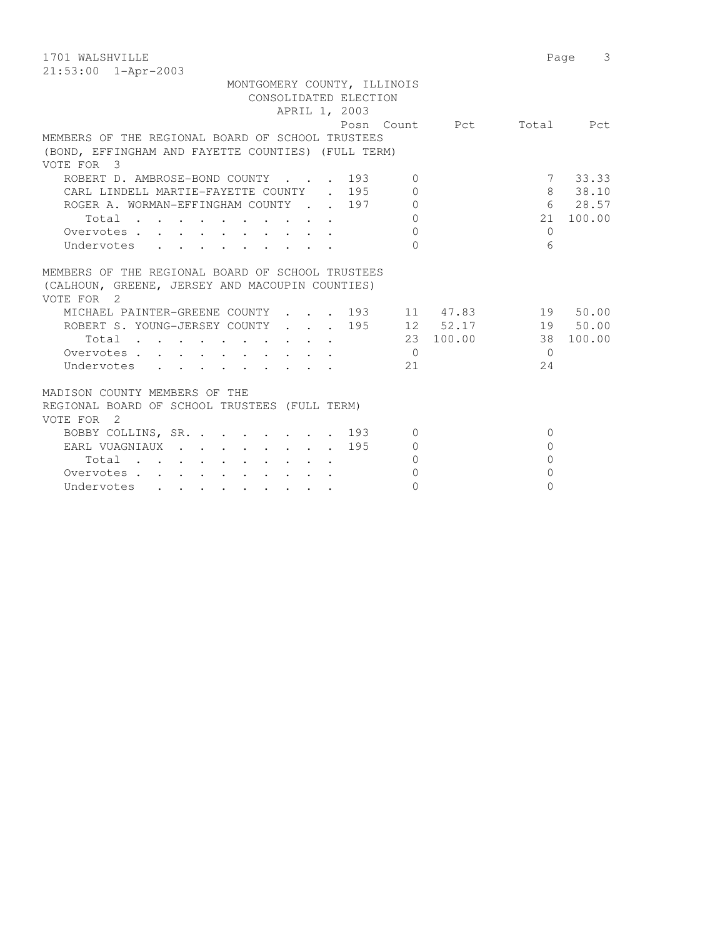1701 WALSHVILLE 2008 Page 3 21:53:00 1-Apr-2003

| MONTGOMERY COUNTY, ILLINOIS<br>CONSOLIDATED ELECTION<br>APRIL 1, 2003                                                                                                                                             |                      |                                           |
|-------------------------------------------------------------------------------------------------------------------------------------------------------------------------------------------------------------------|----------------------|-------------------------------------------|
|                                                                                                                                                                                                                   |                      | Posn Count Pct Total Pct                  |
| MEMBERS OF THE REGIONAL BOARD OF SCHOOL TRUSTEES                                                                                                                                                                  |                      |                                           |
| (BOND, EFFINGHAM AND FAYETTE COUNTIES) (FULL TERM)                                                                                                                                                                |                      |                                           |
| VOTE FOR 3                                                                                                                                                                                                        |                      |                                           |
| ROBERT D. AMBROSE-BOND COUNTY 193                                                                                                                                                                                 | $\Omega$             | 7 33.33                                   |
| CARL LINDELL MARTIE-FAYETTE COUNTY . 195                                                                                                                                                                          | $\Omega$             | 8 38.10                                   |
| ROGER A. WORMAN-EFFINGHAM COUNTY 197 0                                                                                                                                                                            |                      | 6 28.57                                   |
| Total                                                                                                                                                                                                             | $\Omega$             | 21 100.00                                 |
| Overvotes                                                                                                                                                                                                         | $\Omega$             | $\bigcap$                                 |
| Undervotes                                                                                                                                                                                                        | $\Omega$             | 6                                         |
| (CALHOUN, GREENE, JERSEY AND MACOUPIN COUNTIES)<br>VOTE FOR 2<br>MICHAEL PAINTER-GREENE COUNTY 193 11 47.83 19 50.00<br>ROBERT S. YOUNG-JERSEY COUNTY 195 12 52.17<br>Total 23 100.00<br>Overvotes.<br>Undervotes | $\overline{0}$<br>21 | 19 50.00<br>38 100.00<br>$\bigcap$<br>2.4 |
| MADISON COUNTY MEMBERS OF THE<br>REGIONAL BOARD OF SCHOOL TRUSTEES (FULL TERM)<br>VOTE FOR 2                                                                                                                      |                      |                                           |
| BOBBY COLLINS, SR. 193                                                                                                                                                                                            | $\Omega$             | $\Omega$                                  |
| EARL VUAGNIAUX 195                                                                                                                                                                                                | $\Omega$             | $\Omega$                                  |
| $Total \cdot \cdot \cdot \cdot \cdot \cdot \cdot \cdot \cdot \cdot$                                                                                                                                               | $\bigcap$            | $\Omega$                                  |
| Overvotes.                                                                                                                                                                                                        | $\Omega$             | $\Omega$                                  |
| Undervotes                                                                                                                                                                                                        | $\Omega$             | $\cap$                                    |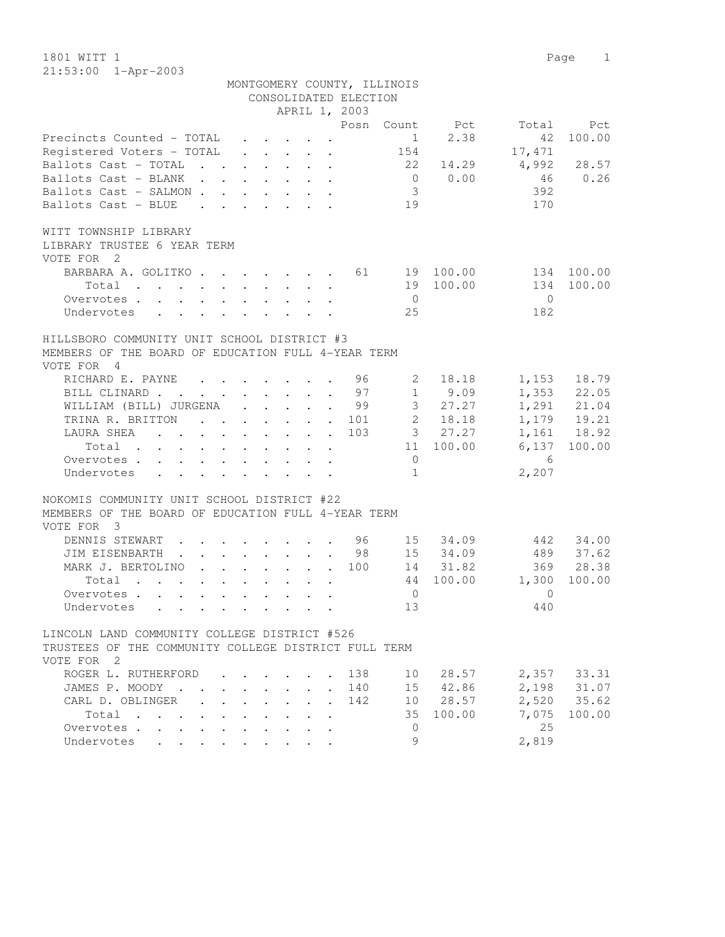1801 WITT 1 Page 1 21:53:00 1-Apr-2003

|                                                                                                                                                                                                                                                 |                                 |                                                           | CONSOLIDATED ELECTION<br>APRIL 1, 2003 | MONTGOMERY COUNTY, ILLINOIS |             |            |              |
|-------------------------------------------------------------------------------------------------------------------------------------------------------------------------------------------------------------------------------------------------|---------------------------------|-----------------------------------------------------------|----------------------------------------|-----------------------------|-------------|------------|--------------|
|                                                                                                                                                                                                                                                 |                                 |                                                           |                                        | Posn Count                  | Pct         | Total      | Pct          |
| Precincts Counted - TOTAL                                                                                                                                                                                                                       |                                 |                                                           |                                        | 1                           | 2.38        | 42         | 100.00       |
| Registered Voters - TOTAL                                                                                                                                                                                                                       |                                 | $\mathbf{r}$ , $\mathbf{r}$ , $\mathbf{r}$ , $\mathbf{r}$ |                                        | 154                         |             | 17,471     |              |
| Ballots Cast - TOTAL                                                                                                                                                                                                                            |                                 |                                                           |                                        | 22                          | 14.29       | 4,992      | 28.57        |
| Ballots Cast - BLANK                                                                                                                                                                                                                            |                                 |                                                           |                                        |                             | $0 \t 0.00$ | 46         | 0.26         |
| Ballots Cast - SALMON                                                                                                                                                                                                                           |                                 |                                                           |                                        | $\mathcal{S}$               |             | 392        |              |
| Ballots Cast - BLUE                                                                                                                                                                                                                             |                                 |                                                           |                                        | 19                          |             | 170        |              |
| $\mathbf{r}$ , and $\mathbf{r}$ , and $\mathbf{r}$ , and $\mathbf{r}$                                                                                                                                                                           |                                 |                                                           |                                        |                             |             |            |              |
| WITT TOWNSHIP LIBRARY                                                                                                                                                                                                                           |                                 |                                                           |                                        |                             |             |            |              |
| LIBRARY TRUSTEE 6 YEAR TERM                                                                                                                                                                                                                     |                                 |                                                           |                                        |                             |             |            |              |
| VOTE FOR 2                                                                                                                                                                                                                                      |                                 |                                                           |                                        |                             |             |            |              |
| BARBARA A. GOLITKO. 61                                                                                                                                                                                                                          |                                 |                                                           |                                        |                             | 19 100.00   |            | 134 100.00   |
| Total                                                                                                                                                                                                                                           |                                 |                                                           |                                        |                             | 19 100.00   | 134        | 100.00       |
| Overvotes.                                                                                                                                                                                                                                      |                                 |                                                           |                                        | $\overline{0}$              |             | $\bigcirc$ |              |
| Undervotes                                                                                                                                                                                                                                      |                                 |                                                           |                                        | 25                          |             | 182        |              |
|                                                                                                                                                                                                                                                 |                                 |                                                           |                                        |                             |             |            |              |
| HILLSBORO COMMUNITY UNIT SCHOOL DISTRICT #3                                                                                                                                                                                                     |                                 |                                                           |                                        |                             |             |            |              |
| MEMBERS OF THE BOARD OF EDUCATION FULL 4-YEAR TERM                                                                                                                                                                                              |                                 |                                                           |                                        |                             |             |            |              |
| VOTE FOR 4                                                                                                                                                                                                                                      |                                 |                                                           |                                        |                             |             |            |              |
| RICHARD E. PAYNE                                                                                                                                                                                                                                |                                 |                                                           | . 96                                   | 2                           | 18.18       |            | 1,153 18.79  |
| BILL CLINARD 97                                                                                                                                                                                                                                 |                                 |                                                           |                                        |                             | $1 \t 9.09$ |            | 1,353 22.05  |
| WILLIAM (BILL) JURGENA 99                                                                                                                                                                                                                       |                                 |                                                           |                                        |                             | 3 27.27     |            | 1,291 21.04  |
| TRINA R. BRITTON                                                                                                                                                                                                                                |                                 |                                                           | 101                                    |                             | 2 18.18     |            | 1,179 19.21  |
| LAURA SHEA<br>$\mathbf{r}$ . The contract of the contract of the contract of the contract of the contract of the contract of the contract of the contract of the contract of the contract of the contract of the contract of the contract of th |                                 |                                                           | 103                                    |                             | 3 27.27     |            | 1,161 18.92  |
| Total                                                                                                                                                                                                                                           |                                 |                                                           |                                        |                             | 11 100.00   |            | 6,137 100.00 |
| Overvotes                                                                                                                                                                                                                                       |                                 |                                                           |                                        | $\overline{0}$              |             | - 6        |              |
| Undervotes<br>$\mathbf{r}$ , $\mathbf{r}$ , $\mathbf{r}$ , $\mathbf{r}$ , $\mathbf{r}$ , $\mathbf{r}$ , $\mathbf{r}$                                                                                                                            |                                 |                                                           |                                        | $\mathbf{1}$                |             | 2,207      |              |
|                                                                                                                                                                                                                                                 |                                 |                                                           |                                        |                             |             |            |              |
| NOKOMIS COMMUNITY UNIT SCHOOL DISTRICT #22<br>MEMBERS OF THE BOARD OF EDUCATION FULL 4-YEAR TERM                                                                                                                                                |                                 |                                                           |                                        |                             |             |            |              |
| VOTE FOR 3                                                                                                                                                                                                                                      |                                 |                                                           |                                        |                             |             |            |              |
| DENNIS STEWART 96                                                                                                                                                                                                                               |                                 |                                                           |                                        |                             | 15 34.09    |            | 442 34.00    |
| JIM EISENBARTH 98                                                                                                                                                                                                                               |                                 |                                                           |                                        |                             | 15 34.09    | 489        | 37.62        |
| MARK J. BERTOLINO 100                                                                                                                                                                                                                           |                                 |                                                           |                                        |                             | 14 31.82    | 369        | 28.38        |
| Total                                                                                                                                                                                                                                           |                                 |                                                           |                                        |                             | 44 100.00   | 1,300      | 100.00       |
|                                                                                                                                                                                                                                                 |                                 |                                                           |                                        | $\mathbf{0}$                |             | $\Omega$   |              |
| Overvotes                                                                                                                                                                                                                                       |                                 |                                                           |                                        | 13                          |             | 440        |              |
| Undervotes                                                                                                                                                                                                                                      |                                 |                                                           |                                        |                             |             |            |              |
| LINCOLN LAND COMMUNITY COLLEGE DISTRICT #526                                                                                                                                                                                                    |                                 |                                                           |                                        |                             |             |            |              |
| TRUSTEES OF THE COMMUNITY COLLEGE DISTRICT FULL TERM                                                                                                                                                                                            |                                 |                                                           |                                        |                             |             |            |              |
| VOTE FOR 2                                                                                                                                                                                                                                      |                                 |                                                           |                                        |                             |             |            |              |
| ROGER L. RUTHERFORD                                                                                                                                                                                                                             |                                 |                                                           | 138                                    | 10                          | 28.57       |            | 2,357 33.31  |
| JAMES P. MOODY                                                                                                                                                                                                                                  |                                 |                                                           | 140                                    |                             | 15 42.86    |            | 2,198 31.07  |
| CARL D. OBLINGER<br>$\mathbf{A}$                                                                                                                                                                                                                | $\cdot$ $\cdot$ $\cdot$ $\cdot$ |                                                           | 142                                    |                             | 10 28.57    |            | 2,520 35.62  |
| Total                                                                                                                                                                                                                                           |                                 |                                                           |                                        | 35                          | 100.00      | 7,075      | 100.00       |
| Overvotes.                                                                                                                                                                                                                                      |                                 |                                                           |                                        | $\overline{0}$              |             | 25         |              |
| Undervotes                                                                                                                                                                                                                                      |                                 |                                                           |                                        | 9                           |             | 2,819      |              |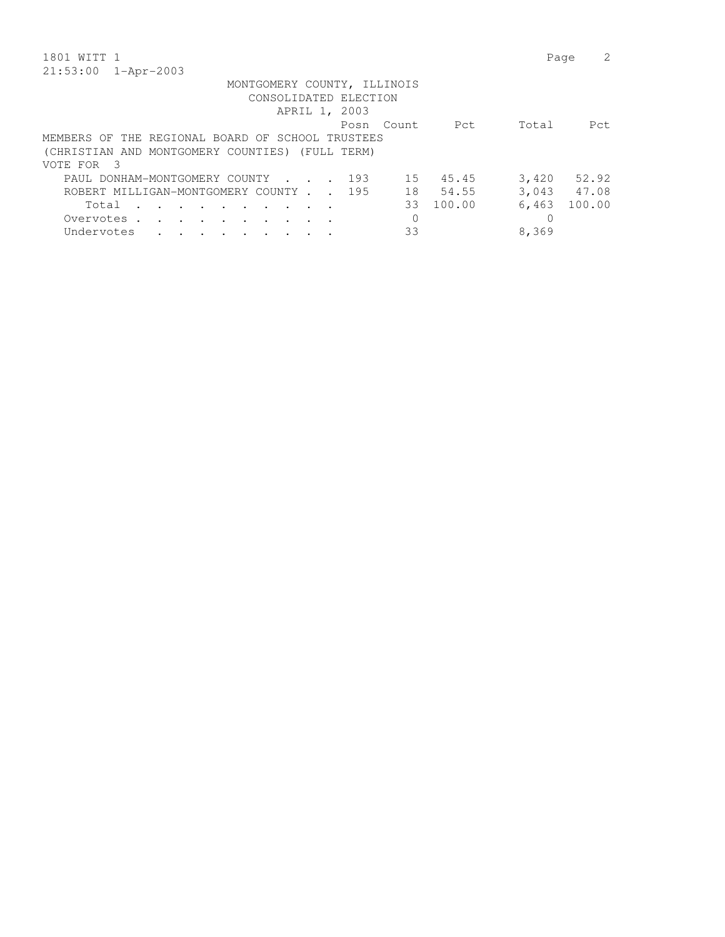| 1801 WITT 1                                                                                                                                   | Page        |        |
|-----------------------------------------------------------------------------------------------------------------------------------------------|-------------|--------|
| $21:53:00$ $1 - Appr-2003$                                                                                                                    |             |        |
| MONTGOMERY COUNTY, ILLINOIS                                                                                                                   |             |        |
| CONSOLIDATED ELECTION                                                                                                                         |             |        |
| APRIL 1, 2003                                                                                                                                 |             |        |
| Posn Count Pet                                                                                                                                | Total       | - Pct. |
| MEMBERS OF THE REGIONAL BOARD OF SCHOOL TRUSTEES                                                                                              |             |        |
| (CHRISTIAN AND MONTGOMERY COUNTIES) (FULL TERM)                                                                                               |             |        |
| VOTE FOR 3                                                                                                                                    |             |        |
| 15 45.45<br>193<br>PAUL DONHAM-MONTGOMERY COUNTY                                                                                              | 3,420       | 52.92  |
| ROBERT MILLIGAN-MONTGOMERY COUNTY 195<br>18<br>54.55                                                                                          | 3,043 47.08 |        |
| 100.00<br>33<br>Total<br>$\mathbf{r}$ , and $\mathbf{r}$ , and $\mathbf{r}$ , and $\mathbf{r}$                                                | 6,463       | 100.00 |
| 0<br>Overvotes.<br>$\cdot$<br>the contract of the contract of the contract of the contract of the contract of the contract of the contract of |             |        |

Undervotes . . . . . . . . . 33 8,369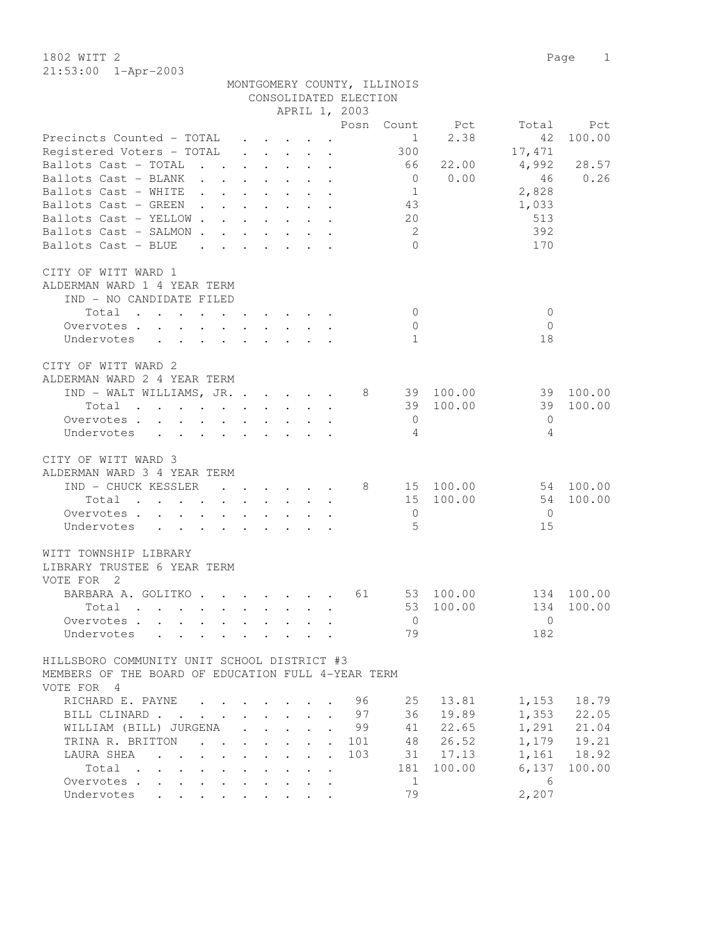1802 WITT 2 Page 1 21:53:00 1-Apr-2003

MONTGOMERY COUNTY, ILLINOIS

|                                                                                                                                                                                                                                                           |                      |                                        |                                                                                                                           | CONSOLIDATED ELECTION       |                |           |              |             |
|-----------------------------------------------------------------------------------------------------------------------------------------------------------------------------------------------------------------------------------------------------------|----------------------|----------------------------------------|---------------------------------------------------------------------------------------------------------------------------|-----------------------------|----------------|-----------|--------------|-------------|
|                                                                                                                                                                                                                                                           |                      |                                        |                                                                                                                           | APRIL 1, 2003               |                |           |              |             |
|                                                                                                                                                                                                                                                           |                      |                                        |                                                                                                                           | Posn                        | Count          | Pct       | Total        | Pct         |
| Precincts Counted - TOTAL                                                                                                                                                                                                                                 |                      |                                        | $\begin{array}{cccccccccccccc} \bullet & \bullet & \bullet & \bullet & \bullet & \bullet & \bullet & \bullet \end{array}$ |                             | $\mathbf{1}$   | 2.38      | 42           | 100.00      |
| Registered Voters - TOTAL                                                                                                                                                                                                                                 |                      |                                        | $\mathbf{r}$ , and $\mathbf{r}$ , and $\mathbf{r}$                                                                        |                             | 300            |           | 17,471       |             |
| Ballots Cast - TOTAL<br>$\mathbf{r}$ , $\mathbf{r}$ , $\mathbf{r}$ , $\mathbf{r}$ , $\mathbf{r}$                                                                                                                                                          |                      |                                        |                                                                                                                           |                             | 66             | 22.00     | 4,992        | 28.57       |
| Ballots Cast - BLANK<br>$\mathbf{r}$ , $\mathbf{r}$ , $\mathbf{r}$ , $\mathbf{r}$ , $\mathbf{r}$                                                                                                                                                          |                      |                                        |                                                                                                                           |                             | $\overline{0}$ | 0.00      | 46           | 0.26        |
| Ballots Cast - WHITE<br>$\mathbf{r}$ , $\mathbf{r}$ , $\mathbf{r}$ , $\mathbf{r}$ , $\mathbf{r}$                                                                                                                                                          |                      |                                        |                                                                                                                           |                             | $\mathbf{1}$   |           | 2,828        |             |
| $\mathbf{r}$ . The set of the set of the set of the set of the set of the set of the set of the set of the set of the set of the set of the set of the set of the set of the set of the set of the set of the set of the set of t<br>Ballots Cast - GREEN |                      |                                        |                                                                                                                           |                             |                |           |              |             |
|                                                                                                                                                                                                                                                           |                      |                                        |                                                                                                                           |                             | 43             |           | 1,033        |             |
| Ballots Cast - YELLOW                                                                                                                                                                                                                                     |                      |                                        |                                                                                                                           |                             | 20             |           | 513          |             |
| Ballots Cast - SALMON                                                                                                                                                                                                                                     |                      |                                        |                                                                                                                           |                             | - 2            |           | 392          |             |
| Ballots Cast - BLUE<br>$\mathbf{r}$ , $\mathbf{r}$ , $\mathbf{r}$ , $\mathbf{r}$ , $\mathbf{r}$ , $\mathbf{r}$                                                                                                                                            |                      |                                        |                                                                                                                           |                             | $\bigcap$      |           | 170          |             |
|                                                                                                                                                                                                                                                           |                      |                                        |                                                                                                                           |                             |                |           |              |             |
| CITY OF WITT WARD 1                                                                                                                                                                                                                                       |                      |                                        |                                                                                                                           |                             |                |           |              |             |
| ALDERMAN WARD 1 4 YEAR TERM                                                                                                                                                                                                                               |                      |                                        |                                                                                                                           |                             |                |           |              |             |
| IND - NO CANDIDATE FILED                                                                                                                                                                                                                                  |                      |                                        |                                                                                                                           |                             |                |           |              |             |
| Total                                                                                                                                                                                                                                                     |                      |                                        |                                                                                                                           |                             | $\overline{0}$ |           | $\mathbf{0}$ |             |
| Overvotes.                                                                                                                                                                                                                                                |                      |                                        |                                                                                                                           |                             | $\mathbf{0}$   |           | $\Omega$     |             |
| Undervotes                                                                                                                                                                                                                                                |                      |                                        |                                                                                                                           |                             | $\mathbf{1}$   |           | 18           |             |
|                                                                                                                                                                                                                                                           |                      |                                        |                                                                                                                           |                             |                |           |              |             |
| CITY OF WITT WARD 2                                                                                                                                                                                                                                       |                      |                                        |                                                                                                                           |                             |                |           |              |             |
| ALDERMAN WARD 2 4 YEAR TERM                                                                                                                                                                                                                               |                      |                                        |                                                                                                                           |                             |                |           |              |             |
|                                                                                                                                                                                                                                                           |                      |                                        |                                                                                                                           | 8                           |                | 39 100.00 | 39           | 100.00      |
| IND - WALT WILLIAMS, JR.                                                                                                                                                                                                                                  |                      |                                        |                                                                                                                           |                             | 39             | 100.00    | 39           | 100.00      |
| Total                                                                                                                                                                                                                                                     |                      |                                        |                                                                                                                           |                             |                |           |              |             |
| Overvotes                                                                                                                                                                                                                                                 |                      |                                        |                                                                                                                           |                             | $\overline{0}$ |           | $\mathbf{0}$ |             |
| Undervotes<br>$\mathbf{L}$                                                                                                                                                                                                                                | $\sim$               |                                        |                                                                                                                           |                             | $\overline{4}$ |           | 4            |             |
|                                                                                                                                                                                                                                                           |                      |                                        |                                                                                                                           |                             |                |           |              |             |
| CITY OF WITT WARD 3                                                                                                                                                                                                                                       |                      |                                        |                                                                                                                           |                             |                |           |              |             |
| ALDERMAN WARD 3 4 YEAR TERM                                                                                                                                                                                                                               |                      |                                        |                                                                                                                           |                             |                |           |              |             |
| IND - CHUCK KESSLER<br>$\cdots$                                                                                                                                                                                                                           |                      |                                        |                                                                                                                           | 8                           |                | 15 100.00 | 54           | 100.00      |
| Total<br>$\mathbf{r}$ . The set of the set of the set of the set of the set of the set of the set of the set of the set of the set of the set of the set of the set of the set of the set of the set of the set of the set of the set of t                |                      |                                        |                                                                                                                           |                             | 15             | 100.00    | 54           | 100.00      |
| Overvotes                                                                                                                                                                                                                                                 |                      |                                        |                                                                                                                           |                             | $\overline{0}$ |           | - 0          |             |
| Undervotes                                                                                                                                                                                                                                                |                      |                                        |                                                                                                                           |                             | $\overline{5}$ |           | 15           |             |
|                                                                                                                                                                                                                                                           |                      |                                        |                                                                                                                           |                             |                |           |              |             |
| WITT TOWNSHIP LIBRARY                                                                                                                                                                                                                                     |                      |                                        |                                                                                                                           |                             |                |           |              |             |
| LIBRARY TRUSTEE 6 YEAR TERM                                                                                                                                                                                                                               |                      |                                        |                                                                                                                           |                             |                |           |              |             |
| VOTE FOR 2                                                                                                                                                                                                                                                |                      |                                        |                                                                                                                           |                             |                |           |              |             |
| BARBARA A. GOLITKO. 61                                                                                                                                                                                                                                    |                      |                                        |                                                                                                                           |                             |                | 53 100.00 |              | 134 100.00  |
| Total                                                                                                                                                                                                                                                     |                      |                                        |                                                                                                                           |                             | 53             | 100.00    | 134          | 100.00      |
| $\mathbf{r}$ , and $\mathbf{r}$ , and $\mathbf{r}$ , and $\mathbf{r}$ , and $\mathbf{r}$                                                                                                                                                                  |                      |                                        |                                                                                                                           |                             |                |           |              |             |
| Overvotes                                                                                                                                                                                                                                                 |                      |                                        |                                                                                                                           |                             | $\mathbf{0}$   |           | $\mathbf{0}$ |             |
| Undervotes                                                                                                                                                                                                                                                |                      |                                        |                                                                                                                           |                             | 79             |           | 182          |             |
|                                                                                                                                                                                                                                                           |                      |                                        |                                                                                                                           |                             |                |           |              |             |
| HILLSBORO COMMUNITY UNIT SCHOOL DISTRICT #3                                                                                                                                                                                                               |                      |                                        |                                                                                                                           |                             |                |           |              |             |
| MEMBERS OF THE BOARD OF EDUCATION FULL 4-YEAR TERM                                                                                                                                                                                                        |                      |                                        |                                                                                                                           |                             |                |           |              |             |
| VOTE FOR 4                                                                                                                                                                                                                                                |                      |                                        |                                                                                                                           |                             |                |           |              |             |
| RICHARD E. PAYNE<br>$\sim$                                                                                                                                                                                                                                |                      |                                        |                                                                                                                           | 96                          | 25             | 13.81     | 1,153        | 18.79       |
| BILL CLINARD                                                                                                                                                                                                                                              |                      |                                        | $\ddot{\phantom{a}}$<br>$\mathbf{r}$                                                                                      | 97                          | 36             | 19.89     | 1,353        | 22.05       |
| WILLIAM (BILL) JURGENA                                                                                                                                                                                                                                    | $\ddot{\phantom{0}}$ | $\mathbf{L} = \mathbf{L} \mathbf{L}$   | $\ddot{\phantom{a}}$                                                                                                      | 99<br>$\cdot$               | 41             | 22.65     | 1,291        | 21.04       |
| TRINA R. BRITTON<br>$\ddotsc$                                                                                                                                                                                                                             |                      | $\mathbf{r} = \mathbf{r} + \mathbf{r}$ | $\ddot{\phantom{a}}$                                                                                                      | 101<br>$\ddot{\phantom{a}}$ | 48             | 26.52     | 1,179        | 19.21       |
| LAURA SHEA<br>$\ddot{\phantom{a}}$<br>$\ddot{\phantom{a}}$<br>$\sim$ $\sim$<br>$\ddot{\phantom{0}}$                                                                                                                                                       | $\bullet$ .          | $\sim$ $-$<br>$\bullet$ .              |                                                                                                                           | 103<br>$\ddot{\phantom{a}}$ | 31             | 17.13     |              | 1,161 18.92 |
| Total                                                                                                                                                                                                                                                     | $\sim$               | $\sim$                                 | $\sim$                                                                                                                    |                             | 181            | 100.00    | 6,137        | 100.00      |
| Overvotes                                                                                                                                                                                                                                                 |                      |                                        |                                                                                                                           |                             | 1              |           | -6           |             |
| Undervotes<br>$\sim$                                                                                                                                                                                                                                      |                      |                                        |                                                                                                                           |                             | 79             |           | 2,207        |             |
|                                                                                                                                                                                                                                                           |                      |                                        |                                                                                                                           |                             |                |           |              |             |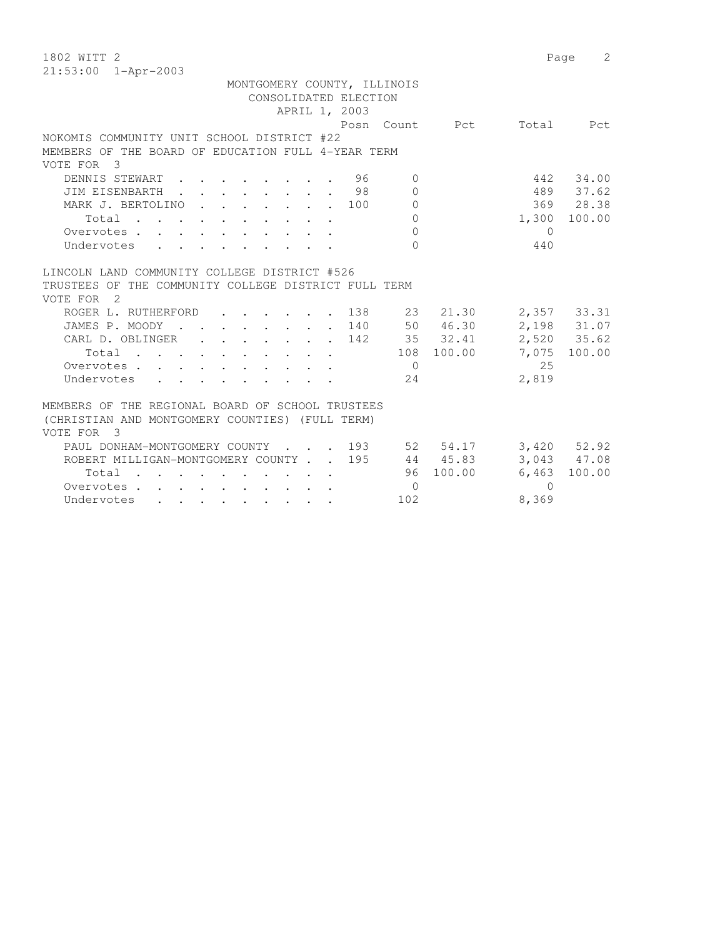| $21:53:00$ $1 - Appr-2003$<br>MONTGOMERY COUNTY, ILLINOIS<br>CONSOLIDATED ELECTION<br>APRIL 1, 2003<br>Posn Count<br>Pct<br>Total<br>Pct<br>NOKOMIS COMMUNITY UNIT SCHOOL DISTRICT #22<br>MEMBERS OF THE BOARD OF EDUCATION FULL 4-YEAR TERM<br>VOTE FOR<br>$\overline{\mathbf{3}}$<br>442<br>34.00<br>DENNIS STEWART<br>96<br>$\Omega$<br>98<br>489 37.62<br>JIM EISENBARTH<br>$\Omega$<br>$\mathbf{L} = \mathbf{L}$<br>369 28.38<br>MARK J. BERTOLINO<br>$\Omega$<br>100<br>$\mathbf{r}$ , $\mathbf{r}$ , $\mathbf{r}$ , $\mathbf{r}$ , $\mathbf{r}$<br>$\bigcap$<br>1,300<br>100.00<br>Total<br>$\Omega$<br>$\bigcirc$<br>Overvotes.<br>$\Omega$<br>Undervotes<br>440<br><b>Service</b><br>LINCOLN LAND COMMUNITY COLLEGE DISTRICT #526<br>TRUSTEES OF THE COMMUNITY COLLEGE DISTRICT FULL TERM<br>VOTE FOR<br>$\overline{2}$<br>ROGER L. RUTHERFORD<br>138<br>23<br>21.30<br>2,357 33.31<br>50 46.30<br>2,198 31.07<br>JAMES P. MOODY<br>140<br>$\sim$<br>$\sim$ $\sim$<br>2,520 35.62<br>35 32.41<br>CARL D. OBLINGER<br>142<br>100.00<br>108 100.00<br>7,075<br>Total<br>2.5<br>Overvotes<br>$\bigcirc$<br>2,819<br>Undervotes<br>24<br>$\mathbf{L}$<br>MEMBERS OF THE REGIONAL BOARD OF SCHOOL TRUSTEES<br>(CHRISTIAN AND MONTGOMERY COUNTIES) (FULL TERM)<br>VOTE FOR<br>$\overline{\phantom{a}3}$<br>PAUL DONHAM-MONTGOMERY COUNTY<br>193<br>52 54.17<br>$3,420$ $52.92$<br>3,043 47.08<br>ROBERT MILLIGAN-MONTGOMERY COUNTY.<br>195<br>44 45.83<br>96 100.00<br>6,463<br>100.00<br>Total<br>$\Omega$<br>Overvotes<br>$\Omega$ | 1802 WITT 2 | 2<br>Page |
|-----------------------------------------------------------------------------------------------------------------------------------------------------------------------------------------------------------------------------------------------------------------------------------------------------------------------------------------------------------------------------------------------------------------------------------------------------------------------------------------------------------------------------------------------------------------------------------------------------------------------------------------------------------------------------------------------------------------------------------------------------------------------------------------------------------------------------------------------------------------------------------------------------------------------------------------------------------------------------------------------------------------------------------------------------------------------------------------------------------------------------------------------------------------------------------------------------------------------------------------------------------------------------------------------------------------------------------------------------------------------------------------------------------------------------------------------------------------------------------------------------------------------------------------|-------------|-----------|
|                                                                                                                                                                                                                                                                                                                                                                                                                                                                                                                                                                                                                                                                                                                                                                                                                                                                                                                                                                                                                                                                                                                                                                                                                                                                                                                                                                                                                                                                                                                                         |             |           |
|                                                                                                                                                                                                                                                                                                                                                                                                                                                                                                                                                                                                                                                                                                                                                                                                                                                                                                                                                                                                                                                                                                                                                                                                                                                                                                                                                                                                                                                                                                                                         |             |           |
|                                                                                                                                                                                                                                                                                                                                                                                                                                                                                                                                                                                                                                                                                                                                                                                                                                                                                                                                                                                                                                                                                                                                                                                                                                                                                                                                                                                                                                                                                                                                         |             |           |
|                                                                                                                                                                                                                                                                                                                                                                                                                                                                                                                                                                                                                                                                                                                                                                                                                                                                                                                                                                                                                                                                                                                                                                                                                                                                                                                                                                                                                                                                                                                                         |             |           |
|                                                                                                                                                                                                                                                                                                                                                                                                                                                                                                                                                                                                                                                                                                                                                                                                                                                                                                                                                                                                                                                                                                                                                                                                                                                                                                                                                                                                                                                                                                                                         |             |           |
|                                                                                                                                                                                                                                                                                                                                                                                                                                                                                                                                                                                                                                                                                                                                                                                                                                                                                                                                                                                                                                                                                                                                                                                                                                                                                                                                                                                                                                                                                                                                         |             |           |
|                                                                                                                                                                                                                                                                                                                                                                                                                                                                                                                                                                                                                                                                                                                                                                                                                                                                                                                                                                                                                                                                                                                                                                                                                                                                                                                                                                                                                                                                                                                                         |             |           |
|                                                                                                                                                                                                                                                                                                                                                                                                                                                                                                                                                                                                                                                                                                                                                                                                                                                                                                                                                                                                                                                                                                                                                                                                                                                                                                                                                                                                                                                                                                                                         |             |           |
|                                                                                                                                                                                                                                                                                                                                                                                                                                                                                                                                                                                                                                                                                                                                                                                                                                                                                                                                                                                                                                                                                                                                                                                                                                                                                                                                                                                                                                                                                                                                         |             |           |
|                                                                                                                                                                                                                                                                                                                                                                                                                                                                                                                                                                                                                                                                                                                                                                                                                                                                                                                                                                                                                                                                                                                                                                                                                                                                                                                                                                                                                                                                                                                                         |             |           |
|                                                                                                                                                                                                                                                                                                                                                                                                                                                                                                                                                                                                                                                                                                                                                                                                                                                                                                                                                                                                                                                                                                                                                                                                                                                                                                                                                                                                                                                                                                                                         |             |           |
|                                                                                                                                                                                                                                                                                                                                                                                                                                                                                                                                                                                                                                                                                                                                                                                                                                                                                                                                                                                                                                                                                                                                                                                                                                                                                                                                                                                                                                                                                                                                         |             |           |
|                                                                                                                                                                                                                                                                                                                                                                                                                                                                                                                                                                                                                                                                                                                                                                                                                                                                                                                                                                                                                                                                                                                                                                                                                                                                                                                                                                                                                                                                                                                                         |             |           |
|                                                                                                                                                                                                                                                                                                                                                                                                                                                                                                                                                                                                                                                                                                                                                                                                                                                                                                                                                                                                                                                                                                                                                                                                                                                                                                                                                                                                                                                                                                                                         |             |           |
|                                                                                                                                                                                                                                                                                                                                                                                                                                                                                                                                                                                                                                                                                                                                                                                                                                                                                                                                                                                                                                                                                                                                                                                                                                                                                                                                                                                                                                                                                                                                         |             |           |
|                                                                                                                                                                                                                                                                                                                                                                                                                                                                                                                                                                                                                                                                                                                                                                                                                                                                                                                                                                                                                                                                                                                                                                                                                                                                                                                                                                                                                                                                                                                                         |             |           |
|                                                                                                                                                                                                                                                                                                                                                                                                                                                                                                                                                                                                                                                                                                                                                                                                                                                                                                                                                                                                                                                                                                                                                                                                                                                                                                                                                                                                                                                                                                                                         |             |           |
|                                                                                                                                                                                                                                                                                                                                                                                                                                                                                                                                                                                                                                                                                                                                                                                                                                                                                                                                                                                                                                                                                                                                                                                                                                                                                                                                                                                                                                                                                                                                         |             |           |
|                                                                                                                                                                                                                                                                                                                                                                                                                                                                                                                                                                                                                                                                                                                                                                                                                                                                                                                                                                                                                                                                                                                                                                                                                                                                                                                                                                                                                                                                                                                                         |             |           |
|                                                                                                                                                                                                                                                                                                                                                                                                                                                                                                                                                                                                                                                                                                                                                                                                                                                                                                                                                                                                                                                                                                                                                                                                                                                                                                                                                                                                                                                                                                                                         |             |           |
|                                                                                                                                                                                                                                                                                                                                                                                                                                                                                                                                                                                                                                                                                                                                                                                                                                                                                                                                                                                                                                                                                                                                                                                                                                                                                                                                                                                                                                                                                                                                         |             |           |
|                                                                                                                                                                                                                                                                                                                                                                                                                                                                                                                                                                                                                                                                                                                                                                                                                                                                                                                                                                                                                                                                                                                                                                                                                                                                                                                                                                                                                                                                                                                                         |             |           |
|                                                                                                                                                                                                                                                                                                                                                                                                                                                                                                                                                                                                                                                                                                                                                                                                                                                                                                                                                                                                                                                                                                                                                                                                                                                                                                                                                                                                                                                                                                                                         |             |           |
|                                                                                                                                                                                                                                                                                                                                                                                                                                                                                                                                                                                                                                                                                                                                                                                                                                                                                                                                                                                                                                                                                                                                                                                                                                                                                                                                                                                                                                                                                                                                         |             |           |
|                                                                                                                                                                                                                                                                                                                                                                                                                                                                                                                                                                                                                                                                                                                                                                                                                                                                                                                                                                                                                                                                                                                                                                                                                                                                                                                                                                                                                                                                                                                                         |             |           |
|                                                                                                                                                                                                                                                                                                                                                                                                                                                                                                                                                                                                                                                                                                                                                                                                                                                                                                                                                                                                                                                                                                                                                                                                                                                                                                                                                                                                                                                                                                                                         |             |           |
|                                                                                                                                                                                                                                                                                                                                                                                                                                                                                                                                                                                                                                                                                                                                                                                                                                                                                                                                                                                                                                                                                                                                                                                                                                                                                                                                                                                                                                                                                                                                         |             |           |
|                                                                                                                                                                                                                                                                                                                                                                                                                                                                                                                                                                                                                                                                                                                                                                                                                                                                                                                                                                                                                                                                                                                                                                                                                                                                                                                                                                                                                                                                                                                                         |             |           |
|                                                                                                                                                                                                                                                                                                                                                                                                                                                                                                                                                                                                                                                                                                                                                                                                                                                                                                                                                                                                                                                                                                                                                                                                                                                                                                                                                                                                                                                                                                                                         |             |           |
|                                                                                                                                                                                                                                                                                                                                                                                                                                                                                                                                                                                                                                                                                                                                                                                                                                                                                                                                                                                                                                                                                                                                                                                                                                                                                                                                                                                                                                                                                                                                         |             |           |
|                                                                                                                                                                                                                                                                                                                                                                                                                                                                                                                                                                                                                                                                                                                                                                                                                                                                                                                                                                                                                                                                                                                                                                                                                                                                                                                                                                                                                                                                                                                                         |             |           |
|                                                                                                                                                                                                                                                                                                                                                                                                                                                                                                                                                                                                                                                                                                                                                                                                                                                                                                                                                                                                                                                                                                                                                                                                                                                                                                                                                                                                                                                                                                                                         |             |           |
| 102<br>8,369<br>Undervotes<br>. The contract of the contract of the contract of the contract of the contract of the contract of the contract of the contract of the contract of the contract of the contract of the contract of the contract of the contrac                                                                                                                                                                                                                                                                                                                                                                                                                                                                                                                                                                                                                                                                                                                                                                                                                                                                                                                                                                                                                                                                                                                                                                                                                                                                             |             |           |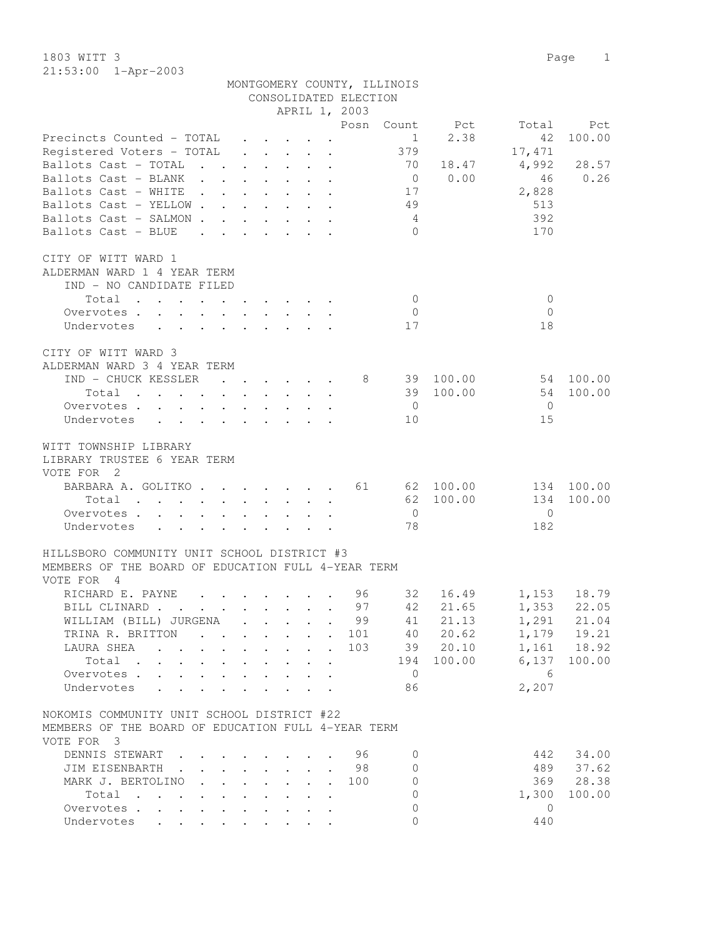1803 WITT 3 Page 1 21:53:00 1-Apr-2003

| 21. JJ. JU                                                                                                                          |                                                                               |                                                         |                                         |                           |                           | CONSOLIDATED ELECTION | MONTGOMERY COUNTY, ILLINOIS |                |                |                              |
|-------------------------------------------------------------------------------------------------------------------------------------|-------------------------------------------------------------------------------|---------------------------------------------------------|-----------------------------------------|---------------------------|---------------------------|-----------------------|-----------------------------|----------------|----------------|------------------------------|
|                                                                                                                                     |                                                                               |                                                         |                                         |                           |                           | APRIL 1, 2003         |                             |                |                |                              |
|                                                                                                                                     |                                                                               |                                                         |                                         |                           |                           |                       |                             | Posn Count Pct |                | Total Pct                    |
| Precincts Counted - TOTAL                                                                                                           |                                                                               |                                                         |                                         |                           |                           |                       | 1                           | 2.38           | 42             | 100.00                       |
| Registered Voters - TOTAL                                                                                                           |                                                                               | $\cdot$ $\cdot$ $\cdot$ $\cdot$ $\cdot$                 |                                         |                           |                           |                       | 379                         |                | 17,471         |                              |
| Ballots Cast - TOTAL                                                                                                                |                                                                               |                                                         |                                         |                           | $\mathbf{r} = \mathbf{r}$ |                       | 70                          | 18.47          | 4,992          | 28.57                        |
| Ballots Cast - BLANK                                                                                                                |                                                                               |                                                         |                                         |                           |                           |                       | $\overline{0}$              | 0.00           | 46             | 0.26                         |
| Ballots Cast - WHITE                                                                                                                |                                                                               |                                                         |                                         |                           |                           |                       | 17                          |                | 2,828          |                              |
| Ballots Cast - YELLOW                                                                                                               |                                                                               |                                                         |                                         |                           |                           |                       | 49                          |                | 513            |                              |
| Ballots Cast - SALMON                                                                                                               |                                                                               |                                                         |                                         |                           |                           |                       | 4                           |                | 392            |                              |
| Ballots Cast - BLUE<br>$\mathbf{r}$ , and $\mathbf{r}$ , and $\mathbf{r}$ , and $\mathbf{r}$                                        |                                                                               |                                                         |                                         |                           |                           |                       | $\bigcap$                   |                | 170            |                              |
| CITY OF WITT WARD 1                                                                                                                 |                                                                               |                                                         |                                         |                           |                           |                       |                             |                |                |                              |
| ALDERMAN WARD 1 4 YEAR TERM                                                                                                         |                                                                               |                                                         |                                         |                           |                           |                       |                             |                |                |                              |
| IND - NO CANDIDATE FILED                                                                                                            |                                                                               |                                                         |                                         |                           |                           |                       |                             |                |                |                              |
| Total                                                                                                                               |                                                                               |                                                         |                                         |                           |                           |                       | $\overline{0}$              |                | 0              |                              |
| Overvotes.                                                                                                                          |                                                                               |                                                         |                                         |                           |                           |                       | $\overline{0}$              |                | $\Omega$       |                              |
| Undervotes                                                                                                                          |                                                                               |                                                         |                                         |                           |                           |                       | 17                          |                | 18             |                              |
|                                                                                                                                     |                                                                               |                                                         |                                         |                           |                           |                       |                             |                |                |                              |
| CITY OF WITT WARD 3                                                                                                                 |                                                                               |                                                         |                                         |                           |                           |                       |                             |                |                |                              |
| ALDERMAN WARD 3 4 YEAR TERM                                                                                                         |                                                                               |                                                         |                                         |                           |                           |                       |                             |                |                |                              |
| IND - CHUCK KESSLER                                                                                                                 |                                                                               | $\cdots$                                                |                                         |                           |                           | 8 <sup>8</sup>        |                             | 39 100.00      | 54 100.00      |                              |
| Total                                                                                                                               |                                                                               |                                                         |                                         |                           |                           |                       |                             | 39 100.00      | 54             | 100.00                       |
| Overvotes                                                                                                                           |                                                                               | $\cdot$ $\cdot$ $\cdot$ $\cdot$ $\cdot$ $\cdot$ $\cdot$ |                                         |                           |                           |                       | $\overline{0}$              |                | $\bigcirc$     |                              |
| Undervotes                                                                                                                          |                                                                               |                                                         |                                         |                           |                           |                       | 10                          |                | 15             |                              |
| WITT TOWNSHIP LIBRARY                                                                                                               |                                                                               |                                                         |                                         |                           |                           |                       |                             |                |                |                              |
| LIBRARY TRUSTEE 6 YEAR TERM                                                                                                         |                                                                               |                                                         |                                         |                           |                           |                       |                             |                |                |                              |
| VOTE FOR 2                                                                                                                          |                                                                               |                                                         |                                         |                           |                           |                       |                             |                |                |                              |
| BARBARA A. GOLITKO 61 62 100.00                                                                                                     |                                                                               |                                                         |                                         |                           |                           |                       |                             |                |                | 134 100.00                   |
| Total                                                                                                                               |                                                                               |                                                         | $\cdot$ $\cdot$ $\cdot$ $\cdot$ $\cdot$ |                           |                           |                       |                             | 62 100.00      | 134            | 100.00                       |
| Overvotes                                                                                                                           |                                                                               |                                                         |                                         |                           |                           |                       | $\overline{0}$              |                | $\overline{0}$ |                              |
| Undervotes<br>$\mathbf{L} = \mathbf{L}$                                                                                             |                                                                               |                                                         |                                         |                           |                           |                       | 78                          |                | 182            |                              |
| HILLSBORO COMMUNITY UNIT SCHOOL DISTRICT #3                                                                                         |                                                                               |                                                         |                                         |                           |                           |                       |                             |                |                |                              |
| MEMBERS OF THE BOARD OF EDUCATION FULL 4-YEAR TERM                                                                                  |                                                                               |                                                         |                                         |                           |                           |                       |                             |                |                |                              |
| VOTE FOR 4                                                                                                                          |                                                                               |                                                         |                                         |                           |                           |                       |                             |                |                |                              |
| RICHARD E. PAYNE<br>the contract of the contract of the contract of the contract of the contract of the contract of the contract of |                                                                               |                                                         |                                         |                           |                           | 96                    | 32                          | 16.49          | 1,153 18.79    |                              |
| BILL CLINARD                                                                                                                        |                                                                               |                                                         |                                         |                           |                           | 97                    | 42                          | 21.65          |                | 1,353 22.05                  |
| WILLIAM (BILL) JURGENA                                                                                                              |                                                                               | $\sim$                                                  | $\ddot{\phantom{a}}$                    |                           |                           | 99                    | 41                          | 21.13          | 1,291          | 21.04                        |
| TRINA R. BRITTON<br>$\mathbf{L} = \mathbf{L} \mathbf{L}$                                                                            |                                                                               | $\mathbf{L}$                                            | $\cdot$ $\cdot$ $\cdot$                 |                           | $\ddot{\phantom{0}}$      | 101                   | 40                          | 20.62          |                | 1, 179 19.21<br>1, 161 18.92 |
| LAURA SHEA                                                                                                                          | $\ddot{\phantom{0}}$                                                          | $\mathbf{L}$<br>$\ddot{\phantom{0}}$                    | $\sim$ $\sim$                           | $\mathbf{L}$              | $\mathbf{r}$              | 103                   | 39                          | 20.10          |                |                              |
| Total<br>$\ddotsc$ $\ddotsc$                                                                                                        |                                                                               | $\ddot{\phantom{0}}$<br>$\ddot{\phantom{0}}$            | $\ddot{\phantom{0}}$                    |                           | $\ddot{\phantom{a}}$      |                       | 194                         | 100.00         | 6,137          | 100.00                       |
| Overvotes                                                                                                                           | $\mathbf{L}$                                                                  | and the state of the                                    |                                         | $\mathbf{L}$              | $\ddot{\phantom{a}}$      |                       | $\overline{0}$              |                | - 6            |                              |
| Undervotes                                                                                                                          |                                                                               | $\mathbf{r}$ , $\mathbf{r}$ , $\mathbf{r}$              |                                         |                           | $\ddot{\phantom{a}}$      |                       | 86                          |                | 2,207          |                              |
| NOKOMIS COMMUNITY UNIT SCHOOL DISTRICT #22                                                                                          |                                                                               |                                                         |                                         |                           |                           |                       |                             |                |                |                              |
| MEMBERS OF THE BOARD OF EDUCATION FULL 4-YEAR TERM                                                                                  |                                                                               |                                                         |                                         |                           |                           |                       |                             |                |                |                              |
| VOTE FOR 3                                                                                                                          |                                                                               |                                                         |                                         |                           |                           |                       |                             |                |                |                              |
| DENNIS STEWART.                                                                                                                     |                                                                               |                                                         |                                         |                           |                           | 96                    | $\circ$                     |                | 442            | 34.00                        |
| JIM EISENBARTH .                                                                                                                    | $\mathbf{1}$ $\mathbf{1}$ $\mathbf{1}$ $\mathbf{1}$ $\mathbf{1}$ $\mathbf{1}$ |                                                         | $\cdot$ $\cdot$                         |                           |                           | 98                    | $\circ$                     |                | 489            | 37.62                        |
| MARK J. BERTOLINO<br>$\mathbf{L}$                                                                                                   | $\mathbf{r} = \mathbf{r}$                                                     |                                                         | $\mathbf{L} = \mathbf{L}$               | $\mathbf{L}^{\text{max}}$ | $\mathbf{r}$              | 100                   | $\mathbf{0}$                |                | 369            | 28.38                        |
| $Total \cdot \cdot \cdot \cdot \cdot \cdot \cdot \cdot \cdot \cdot$                                                                 |                                                                               |                                                         |                                         |                           |                           |                       | $\mathbf{0}$                |                | 1,300          | 100.00                       |
| Overvotes                                                                                                                           |                                                                               |                                                         |                                         |                           |                           |                       | $\mathbf{0}$                |                | $\mathbf{0}$   |                              |
| Undervotes                                                                                                                          |                                                                               |                                                         |                                         |                           |                           |                       | $\Omega$                    |                | 440            |                              |
|                                                                                                                                     |                                                                               |                                                         |                                         |                           |                           |                       |                             |                |                |                              |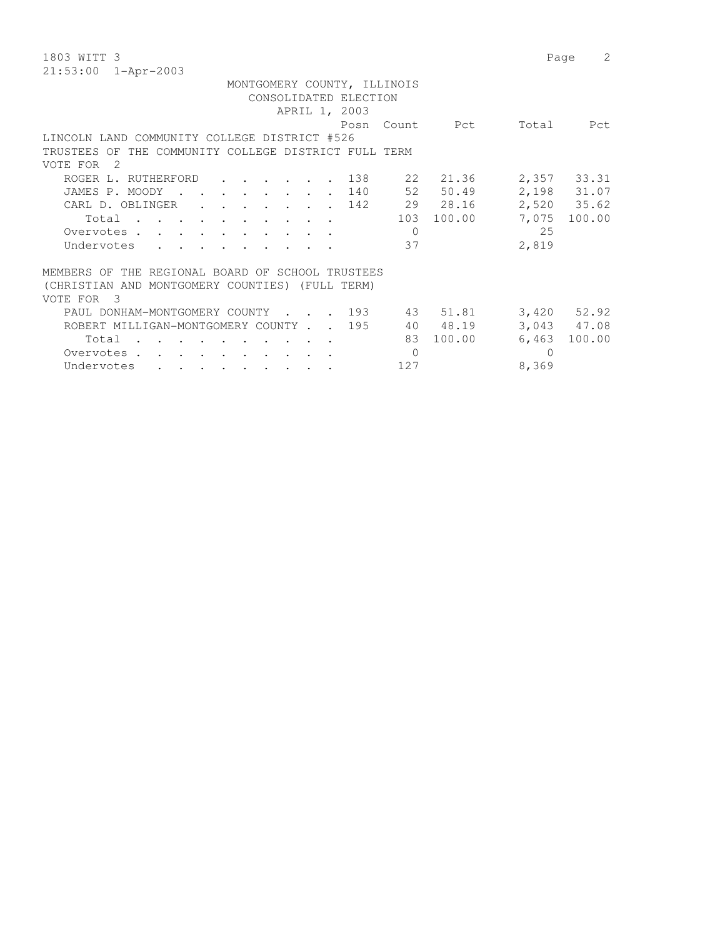| 1803 WITT 3                                                                             | 2<br>Page                 |
|-----------------------------------------------------------------------------------------|---------------------------|
| 21:53:00<br>1-Apr-2003                                                                  |                           |
| MONTGOMERY COUNTY, ILLINOIS                                                             |                           |
| CONSOLIDATED ELECTION                                                                   |                           |
| APRIL 1, 2003                                                                           |                           |
| Count.<br>Posn                                                                          | Pct<br>Total<br>Pct       |
| LINCOLN LAND COMMUNITY COLLEGE DISTRICT #526                                            |                           |
| THE COMMUNITY COLLEGE DISTRICT FULL TERM<br>TRUSTEES OF                                 |                           |
| VOTE FOR<br>- 2.                                                                        |                           |
| ROGER L. RUTHERFORD<br>138<br>22                                                        | 2,357 33.31<br>21.36      |
| 52<br>140<br>JAMES P. MOODY<br>$\sim$ $\sim$ $\sim$ $\sim$                              | 50.49<br>2,198 31.07      |
| 29 28.16<br>142<br>CARL D. OBLINGER<br>$\mathbf{r} = \mathbf{r} = \mathbf{r}$           | 2,520 35.62               |
| 103<br>Total                                                                            | 100.00<br>7,075<br>100.00 |
| $\mathbf{0}$<br>Overvotes.<br>$\mathbf{r}$ , $\mathbf{r}$ , $\mathbf{r}$ , $\mathbf{r}$ | 25                        |
| 37<br>Undervotes                                                                        | 2,819                     |
| THE REGIONAL BOARD OF SCHOOL TRUSTEES<br>MEMBERS OF                                     |                           |
| (CHRISTIAN AND MONTGOMERY COUNTIES) (FULL TERM)                                         |                           |
| VOTE FOR<br>-3                                                                          |                           |
| . 193<br>PAUL DONHAM-MONTGOMERY COUNTY<br>43                                            | 51.81<br>$3,420$ $52.92$  |
| 195<br>40 48.19<br>ROBERT MILLIGAN-MONTGOMERY COUNTY.                                   | 3,043 47.08               |
| 83<br>Total                                                                             | 100.00<br>100.00<br>6,463 |
| $\mathbf{0}$<br>Overvotes.                                                              | $\Omega$                  |
| 127<br>Undervotes                                                                       | 8,369                     |
|                                                                                         |                           |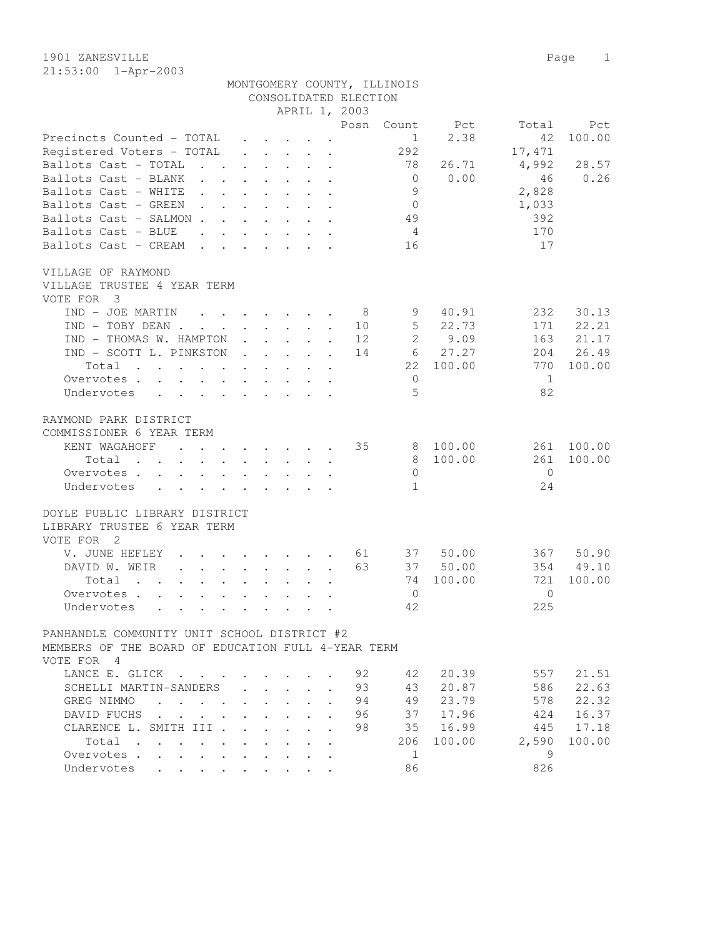| 1901 ZANESVILLE |                         |                             |  | Page 1 |  |
|-----------------|-------------------------|-----------------------------|--|--------|--|
|                 | $21:53:00$ $1-Apr-2003$ |                             |  |        |  |
|                 |                         | MONTGOMERY COUNTY, ILLINOIS |  |        |  |

|                                                                                                                                                                                                                                                                                                                                                                                                                                              |                           |                                                             |                                                                 |                                                                                                        | CONSOLIDATED ELECTION |                         |                  |                                  |                  |
|----------------------------------------------------------------------------------------------------------------------------------------------------------------------------------------------------------------------------------------------------------------------------------------------------------------------------------------------------------------------------------------------------------------------------------------------|---------------------------|-------------------------------------------------------------|-----------------------------------------------------------------|--------------------------------------------------------------------------------------------------------|-----------------------|-------------------------|------------------|----------------------------------|------------------|
|                                                                                                                                                                                                                                                                                                                                                                                                                                              |                           |                                                             |                                                                 |                                                                                                        | APRIL 1, 2003         |                         |                  |                                  |                  |
|                                                                                                                                                                                                                                                                                                                                                                                                                                              |                           |                                                             |                                                                 |                                                                                                        | Posn                  | Count                   | Pct              | Total                            | Pct              |
| Precincts Counted - TOTAL                                                                                                                                                                                                                                                                                                                                                                                                                    |                           |                                                             | $\bullet$ .<br><br><br><br><br><br><br><br><br><br><br><br><br> |                                                                                                        |                       | 1                       | 2.38             | 42                               | 100.00           |
| Registered Voters - TOTAL                                                                                                                                                                                                                                                                                                                                                                                                                    |                           | $\bullet$ .<br><br><br><br><br><br><br><br><br><br><br><br> |                                                                 | $\ddot{\phantom{a}}$<br>$\bullet$                                                                      |                       | 292                     |                  | 17, 471                          |                  |
| Ballots Cast - TOTAL                                                                                                                                                                                                                                                                                                                                                                                                                         |                           |                                                             |                                                                 |                                                                                                        |                       | 78                      | 26.71            | 4,992                            | 28.57            |
| Ballots Cast - BLANK                                                                                                                                                                                                                                                                                                                                                                                                                         |                           |                                                             |                                                                 |                                                                                                        |                       | $\mathbf{0}$            | 0.00             | 46                               | 0.26             |
| Ballots Cast - WHITE                                                                                                                                                                                                                                                                                                                                                                                                                         |                           |                                                             |                                                                 |                                                                                                        |                       | 9                       |                  | 2,828                            |                  |
| Ballots Cast - GREEN                                                                                                                                                                                                                                                                                                                                                                                                                         |                           |                                                             |                                                                 |                                                                                                        |                       | $\mathbf{0}$            |                  | 1,033                            |                  |
| Ballots Cast - SALMON.<br>$\mathbf{L}$                                                                                                                                                                                                                                                                                                                                                                                                       | $\mathbf{L}^{\text{max}}$ | $\mathbf{L}$                                                | $\sim$                                                          | $\ddot{\phantom{a}}$<br>$\cdot$                                                                        |                       | 49                      |                  | 392                              |                  |
| Ballots Cast - BLUE<br>$\mathbf{r}$<br>$\ddot{\phantom{a}}$                                                                                                                                                                                                                                                                                                                                                                                  | $\ddot{\phantom{0}}$      |                                                             | $\ddot{\phantom{1}}$                                            | $\ddot{\phantom{0}}$<br>$\ddot{\phantom{a}}$                                                           |                       | 4                       |                  | 170                              |                  |
| Ballots Cast - CREAM<br>$\ddot{\phantom{a}}$<br>$\cdot$                                                                                                                                                                                                                                                                                                                                                                                      |                           |                                                             |                                                                 | $\mathbf{r}$ , $\mathbf{r}$ , $\mathbf{r}$                                                             |                       | 16                      |                  | 17                               |                  |
| VILLAGE OF RAYMOND<br>VILLAGE TRUSTEE 4 YEAR TERM<br>VOTE FOR<br>3                                                                                                                                                                                                                                                                                                                                                                           |                           |                                                             |                                                                 |                                                                                                        |                       |                         |                  |                                  |                  |
| IND - JOE MARTIN<br>$\sim$                                                                                                                                                                                                                                                                                                                                                                                                                   |                           |                                                             |                                                                 |                                                                                                        | - 8                   | 9                       | 40.91            | 232                              | 30.13            |
| $IND - TOBY DEAN$ .<br>$\Delta \sim 10^4$<br>$\Delta \sim 10$                                                                                                                                                                                                                                                                                                                                                                                |                           |                                                             |                                                                 | $\cdot$ $\cdot$ $\cdot$ $\cdot$<br>$\ddot{\phantom{a}}$                                                | 10                    | 5                       | 22.73            | 171                              | 22.21            |
| IND - THOMAS W. HAMPTON                                                                                                                                                                                                                                                                                                                                                                                                                      |                           |                                                             |                                                                 | $\mathbf{r} = \mathbf{r} \cdot \mathbf{r}$<br>$\ddot{\phantom{a}}$                                     | 12                    | $\overline{2}$          | 9.09             | 163                              | 21.17            |
| IND - SCOTT L. PINKSTON                                                                                                                                                                                                                                                                                                                                                                                                                      | $\ddot{\phantom{0}}$      |                                                             |                                                                 | $\cdot$                                                                                                | 14                    | 6                       | 27.27            | 204                              | 26.49            |
| Total<br>$\sim$<br>$\mathbf{r}$ , and $\mathbf{r}$ , and $\mathbf{r}$ , and $\mathbf{r}$                                                                                                                                                                                                                                                                                                                                                     |                           |                                                             |                                                                 | $\ddot{\phantom{a}}$                                                                                   |                       | 22                      | 100.00           | 770                              | 100.00           |
| Overvotes                                                                                                                                                                                                                                                                                                                                                                                                                                    |                           |                                                             |                                                                 | $\sim$ 100 $\pm$<br>$\bullet$                                                                          |                       | $\mathbf{0}$            |                  | 1                                |                  |
| Undervotes<br>$\mathbf{r}$ , $\mathbf{r}$ , $\mathbf{r}$ , $\mathbf{r}$ , $\mathbf{r}$                                                                                                                                                                                                                                                                                                                                                       |                           |                                                             | <b>All Contracts</b>                                            | $\bullet$                                                                                              |                       | 5                       |                  | 82                               |                  |
| RAYMOND PARK DISTRICT<br>COMMISSIONER 6 YEAR TERM<br>KENT WAGAHOFF<br>$\sim$<br>$\mathbf{r} = \mathbf{r}$<br>Total<br>$\sim$ $\sim$ $\sim$<br>$\cdot$ $\cdot$ $\cdot$ $\cdot$ $\cdot$ $\cdot$ $\cdot$ $\cdot$<br>Overvotes .<br>$\mathbf{r}$ , and $\mathbf{r}$ , and $\mathbf{r}$ , and $\mathbf{r}$<br>Undervotes<br>$\mathbf{L} = \mathbf{L} \mathbf{L} + \mathbf{L} \mathbf{L}$<br>$\ddot{\phantom{0}}$<br>DOYLE PUBLIC LIBRARY DISTRICT |                           |                                                             | $\mathbf{r} = \mathbf{r} + \mathbf{r}$                          | $\sim$<br>$\cdot$<br>$\sim$<br>$\ddot{\phantom{a}}$<br>$\cdot$ $\cdot$ $\cdot$ $\cdot$ $\cdot$ $\cdot$ | 35                    | 8<br>8<br>$\Omega$<br>1 | 100.00<br>100.00 | 261<br>261<br>$\mathbf{0}$<br>24 | 100.00<br>100.00 |
| LIBRARY TRUSTEE 6 YEAR TERM<br>VOTE FOR<br>2                                                                                                                                                                                                                                                                                                                                                                                                 |                           |                                                             |                                                                 |                                                                                                        |                       |                         |                  |                                  |                  |
| V. JUNE HEFLEY                                                                                                                                                                                                                                                                                                                                                                                                                               |                           |                                                             |                                                                 |                                                                                                        | 61                    | 37                      | 50.00            | 367                              | 50.90            |
| DAVID W. WEIR<br>$\mathbf{L}$<br>$\cdot$ $\cdot$<br>$\sim$                                                                                                                                                                                                                                                                                                                                                                                   |                           | $\mathbf{L}$                                                | $\mathbf{L}^{\text{max}}$                                       | $\ddot{\phantom{a}}$                                                                                   | 63                    | 37                      | 50.00            | 354                              | 49.10            |
| Total<br>$\mathbf{r}$ , $\mathbf{r}$ , $\mathbf{r}$<br>$\mathbf{r} = \mathbf{r}$<br>$\mathbf{r} = \mathbf{r}$                                                                                                                                                                                                                                                                                                                                |                           |                                                             | $\mathbf{r} = \mathbf{r}$                                       | $\ddot{\phantom{a}}$<br>$\ddot{\phantom{a}}$                                                           |                       | 74                      | 100.00           | 721                              | 100.00           |
| Overvotes .<br>$\sim$ $\sim$ $\sim$ $\sim$ $\sim$<br>$\mathbf{L}$                                                                                                                                                                                                                                                                                                                                                                            |                           |                                                             | $\mathbf{r} = \mathbf{r} + \mathbf{r}$                          | $\sim$                                                                                                 |                       | $\mathbf{0}$            |                  | $\Omega$                         |                  |
| Undervotes<br>$\cdot$ $\cdot$ $\cdot$ $\cdot$<br>$\ddot{\phantom{a}}$                                                                                                                                                                                                                                                                                                                                                                        | $\ddot{\phantom{0}}$      |                                                             | $\cdot$ $\cdot$                                                 | $\ddot{\phantom{a}}$                                                                                   |                       | 42                      |                  | 225                              |                  |
| PANHANDLE COMMUNITY UNIT SCHOOL DISTRICT #2<br>MEMBERS OF THE BOARD OF EDUCATION FULL 4-YEAR TERM<br>VOTE FOR 4                                                                                                                                                                                                                                                                                                                              |                           |                                                             |                                                                 |                                                                                                        |                       |                         |                  |                                  |                  |
| LANCE E. GLICK .                                                                                                                                                                                                                                                                                                                                                                                                                             |                           |                                                             |                                                                 |                                                                                                        | 92                    | 42                      | 20.39            | 557                              | 21.51            |
| SCHELLI MARTIN-SANDERS                                                                                                                                                                                                                                                                                                                                                                                                                       |                           |                                                             |                                                                 |                                                                                                        | 93                    | 43                      | 20.87            | 586                              | 22.63            |
| GREG NIMMO<br>$\ddot{\phantom{a}}$<br>$\mathbf{r}$ . The set of $\mathbf{r}$                                                                                                                                                                                                                                                                                                                                                                 |                           | $\mathbf{r}$                                                | $\mathbf{r}$                                                    |                                                                                                        | 94                    | 49                      | 23.79            | 578                              | 22.32            |
| DAVID FUCHS<br>$\mathbf{L}$<br>$\ddot{\phantom{a}}$                                                                                                                                                                                                                                                                                                                                                                                          |                           |                                                             | $\cdot$                                                         |                                                                                                        | 96                    | 37                      | 17.96            | 424                              | 16.37            |
| CLARENCE L. SMITH III<br>$\mathbf{r}$                                                                                                                                                                                                                                                                                                                                                                                                        |                           |                                                             | $\mathbf{r}$                                                    |                                                                                                        | 98                    | 35                      | 16.99            | 445                              | 17.18            |
| Total .                                                                                                                                                                                                                                                                                                                                                                                                                                      |                           |                                                             |                                                                 |                                                                                                        |                       | 206                     | 100.00           | 2,590                            | 100.00           |
| $\ddot{\phantom{a}}$<br>Overvotes .<br>$\sim$<br>$\ddot{\phantom{0}}$                                                                                                                                                                                                                                                                                                                                                                        | $\ddot{\phantom{a}}$      |                                                             |                                                                 | $\ddot{\phantom{a}}$                                                                                   |                       | 1                       |                  | 9                                |                  |
| Undervotes                                                                                                                                                                                                                                                                                                                                                                                                                                   |                           |                                                             |                                                                 |                                                                                                        |                       | 86                      |                  | 826                              |                  |